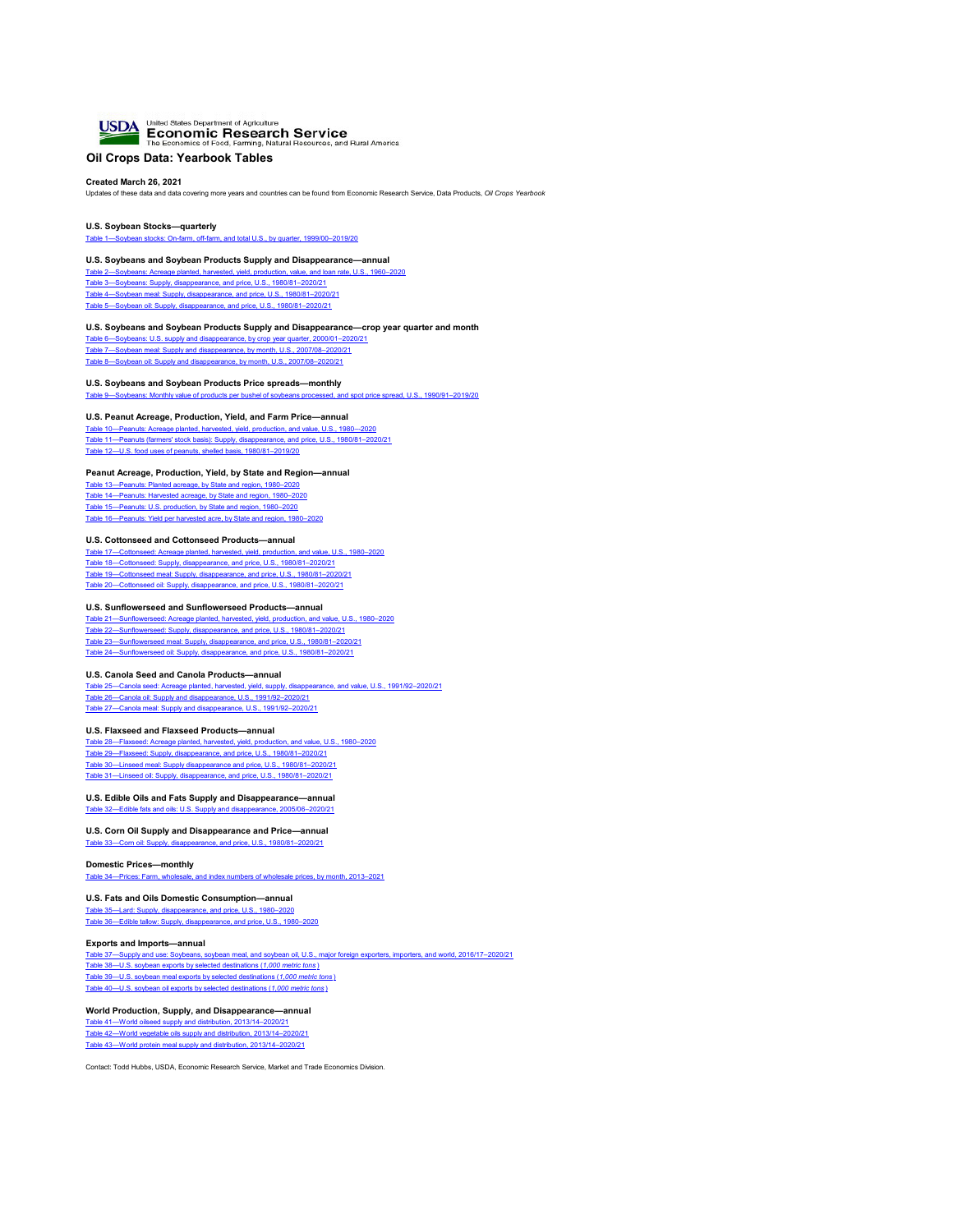

# **Oil Crops Data: Yearbook Tables**

**Created March 26, 2021** Updates of these data and data covering more years and countries can be found from Economic Research Service, Data Products, *Oil Crops Yearbook*

**U.S. Soybean Stocks—quarterly** [Table 1—Soybean stocks: On-farm, off-farm, and total U.S., by quarter, 1999/00–2019/20](#page-1-0)

#### **U.S. Soybeans and Soybean Products Supply and Disappearance—annual**

[Table 2—Soybeans: Acreage planted, harvested, yield, production, value, and loan rate, U.S., 1960–2020](#page-2-0) [Table 3—Soybeans: Supply, disappearance, and price, U.S., 1980/81–2020/21](#page-3-0) [Table 4—Soybean meal: Supply, disappearance, and price, U.S., 1980/81–2020/21](#page-4-0) [Table 5—Soybean oil: Supply, disappearance, and price, U.S., 1980/81–2020/21](#page-5-0)

#### **U.S. Soybeans and Soybean Products Supply and Disappearance—crop year quarter and month**

[Table 6—Soybeans: U.S. supply and disappearance, by crop year quarter, 2000/01–2020/21](#page-6-0) [Table 7—Soybean meal: Supply and disappearance, by month, U.S., 2007/08–2020/21](#page-7-0) [Table 8—Soybean oil: Supply and disappearance, by month, U.S., 2007/08–2020/21](#page-8-0)

#### **U.S. Soybeans and Soybean Products Price spreads—monthly**

[Table 9—Soybeans: Monthly value of products per bushel of soybeans processed, and spot price spread, U.S., 1990/91–2019/20](#page-9-0)

#### **U.S. Peanut Acreage, Production, Yield, and Farm Price—annual**

[Table 10—Peanuts: Acreage planted, harvested, yield, production, and value, U.S., 1980–-2020](#page-10-0) [Table 11—Peanuts \(farmers' stock basis\): Supply, disappearance, and price, U.S., 1980/81–2020/21](#page-11-0) [Table 12—U.S. food uses of peanuts, shelled basis, 1980/81–2019/20](#page-12-0)

#### **Peanut Acreage, Production, Yield, by State and Region—annual**

[Table 13—Peanuts: Planted acreage, by State and region, 1980–2020](#page-13-0) [Table 14—Peanuts: Harvested acreage, by State and region, 1980–2020](#page-14-0) [Table 15—Peanuts: U.S. production, by State and region, 1980–2020](#page-15-0) [Table 16—Peanuts: Yield per harvested acre, by State and region, 1980–2020](#page-16-0)

#### **U.S. Cottonseed and Cottonseed Products—annual**

[Table 17—Cottonseed: Acreage planted, harvested, yield, production, and value, U.S., 1980–2020](#page-17-0) [Table 18—Cottonseed: Supply, disappearance, and price, U.S., 1980/81–2020/21](#page-18-0) [Table 19—Cottonseed meal: Supply, disappearance, and price, U.S., 1980/81–2020/21](#page-19-0) [Table 20—Cottonseed oil: Supply, disappearance, and price, U.S., 1980/81–2020/21](#page-20-0)

#### **U.S. Sunflowerseed and Sunflowerseed Products—annual**

[Table 21—Sunflowerseed: Acreage planted, harvested, yield, production, and value, U.S., 1980–2020](#page-21-0) [Table 22—Sunflowerseed: Supply, disappearance, and price, U.S., 1980/81–2020/21](#page-22-0) [Table 23—Sunflowerseed meal: Supply, disappearance, and price, U.S., 1980/81–2020/21](#page-23-0) [Table 24—Sunflowerseed oil: Supply, disappearance, and price, U.S., 1980/81–2020/21](#page-24-0)

#### **U.S. Canola Seed and Canola Products—annual**

[Table 25—Canola seed: Acreage planted, harvested, yield, supply, disappearance, and value, U.S., 1991/92–2020/21](#page-25-0) [Table 26—Canola oil: Supply and disappearance, U.S., 1991/92–2020/21](#page-26-0) [Table 27—Canola meal: Supply and disappearance, U.S., 1991/92–2020/21](#page-27-0)

#### **U.S. Flaxseed and Flaxseed Products—annual**

[Table 28—Flaxseed: Acreage planted, harvested, yield, production, and value, U.S., 1980–2020](#page-28-0) [Table 29—Flaxseed: Supply, disappearance, and price, U.S., 1980/81–2020/21](#page-29-0) [Table 30—Linseed meal: Supply disappearance and price, U.S., 1980/81–2020/21](#page-30-0)

#### [Table 31—Linseed oil: Supply, disappearance, and price, U.S., 1980/81–2020/21](#page-31-0)

# **U.S. Edible Oils and Fats Supply and Disappearance—annual**

[Table 32—Edible fats and oils: U.S. Supply and disappearance, 2005/06–2020/21](#page-32-0)

#### **U.S. Corn Oil Supply and Disappearance and Price—annual**

[Table 33—Corn oil: Supply, disappearance, and price, U.S., 1980/81–2020/21](#page-33-0)

#### **Domestic Prices—monthly**

[Table 34—Prices: Farm, wholesale, and index numbers of wholesale prices, by month, 2013–2021](#page-34-0)

#### **U.S. Fats and Oils Domestic Consumption—annual**

[Table 35—Lard: Supply, disappearance, and price, U.S., 1980–2020](#page-42-0) [Table 36—Edible tallow: Supply, disappearance, and price, U.S., 1980–2020](#page-43-0)

#### **Exports and Imports—annual**

[Table 37—Supply and use: Soybeans, soybean meal, and soybean oil, U.S., major foreign exporters, importers, and world, 2016/17–2020/21](#page-44-0) [Table 38—U.S. soybean exports by selected destinations \(](#page-45-0)*[1,000 metric tons](#page-45-0)* [\)](#page-45-0) [Table 39—U.S. soybean meal exports by selected destinations \(](#page-46-0)*[1,000 metric tons](#page-46-0)* [\)](#page-46-0) [Table 40—U.S. soybean oil exports by selected destinations \(](#page-47-0)*[1,000 metric tons](#page-47-0)* [\)](#page-47-0)

#### **World Production, Supply, and Disappearance—annual**

[Table 41—World oilseed supply and distribution, 2013/14–2020/21](#page-48-0) [Table 42—World vegetable oils supply and distribution, 2013/14–2020/21](#page-49-0) [Table 43—World protein meal supply and distribution, 2013/14–2020/21](#page-50-0)

Contact: Todd Hubbs, USDA, Economic Research Service, Market and Trade Economics Division.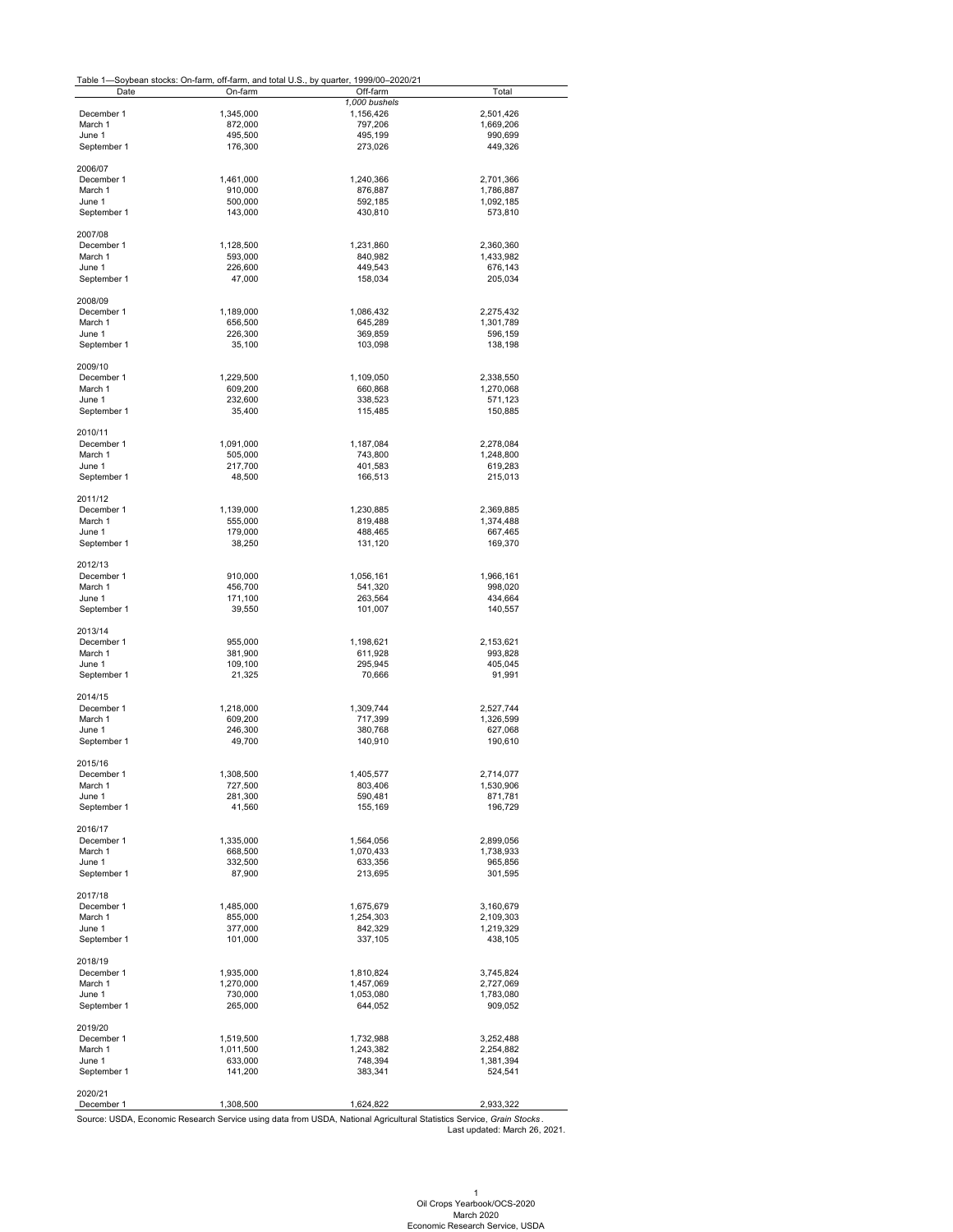#### Table 1—Soybean stocks: On-farm, off-farm, and total U.S., by quarter, 1999/00–2020/21

<span id="page-1-0"></span>

| ravic i-    |           | -Ooybean Slocks. On-lann, On-lann, and lolar O.O., by quarter, 1999/00–2020/21<br>Off-farm | Total     |
|-------------|-----------|--------------------------------------------------------------------------------------------|-----------|
| Date        | On-farm   |                                                                                            |           |
|             |           | 1,000 bushels                                                                              |           |
| December 1  | 1,345,000 | 1,156,426                                                                                  | 2,501,426 |
| March 1     | 872,000   | 797,206                                                                                    | 1,669,206 |
|             |           |                                                                                            |           |
| June 1      | 495,500   | 495,199                                                                                    | 990,699   |
| September 1 | 176,300   | 273,026                                                                                    | 449,326   |
|             |           |                                                                                            |           |
| 2006/07     |           |                                                                                            |           |
| December 1  | 1,461,000 | 1,240,366                                                                                  | 2,701,366 |
|             |           |                                                                                            |           |
| March 1     | 910,000   | 876,887                                                                                    | 1,786,887 |
| June 1      | 500,000   | 592,185                                                                                    | 1,092,185 |
| September 1 | 143,000   | 430,810                                                                                    | 573,810   |
|             |           |                                                                                            |           |
|             |           |                                                                                            |           |
| 2007/08     |           |                                                                                            |           |
| December 1  | 1,128,500 | 1,231,860                                                                                  | 2,360,360 |
| March 1     | 593,000   | 840,982                                                                                    | 1,433,982 |
| June 1      | 226,600   | 449,543                                                                                    | 676,143   |
| September 1 | 47,000    | 158,034                                                                                    | 205,034   |
|             |           |                                                                                            |           |
|             |           |                                                                                            |           |
| 2008/09     |           |                                                                                            |           |
| December 1  | 1,189,000 | 1,086,432                                                                                  | 2,275,432 |
| March 1     | 656,500   | 645,289                                                                                    | 1,301,789 |
|             |           |                                                                                            |           |
| June 1      | 226,300   | 369,859                                                                                    | 596,159   |
| September 1 | 35,100    | 103,098                                                                                    | 138,198   |
|             |           |                                                                                            |           |
| 2009/10     |           |                                                                                            |           |
|             | 1,229,500 | 1,109,050                                                                                  |           |
| December 1  |           |                                                                                            | 2,338,550 |
| March 1     | 609,200   | 660,868                                                                                    | 1,270,068 |
| June 1      | 232,600   | 338,523                                                                                    | 571,123   |
| September 1 | 35,400    | 115,485                                                                                    | 150,885   |
|             |           |                                                                                            |           |
|             |           |                                                                                            |           |
| 2010/11     |           |                                                                                            |           |
| December 1  | 1,091,000 | 1,187,084                                                                                  | 2,278,084 |
| March 1     | 505,000   | 743,800                                                                                    | 1,248,800 |
| June 1      | 217,700   | 401,583                                                                                    | 619,283   |
|             |           |                                                                                            |           |
| September 1 | 48,500    | 166,513                                                                                    | 215,013   |
|             |           |                                                                                            |           |
| 2011/12     |           |                                                                                            |           |
| December 1  | 1,139,000 | 1,230,885                                                                                  | 2,369,885 |
| March 1     | 555,000   | 819,488                                                                                    | 1,374,488 |
|             |           |                                                                                            |           |
| June 1      | 179,000   | 488,465                                                                                    | 667,465   |
| September 1 | 38,250    | 131,120                                                                                    | 169,370   |
|             |           |                                                                                            |           |
| 2012/13     |           |                                                                                            |           |
|             |           |                                                                                            |           |
| December 1  | 910,000   | 1,056,161                                                                                  | 1,966,161 |
| March 1     | 456,700   | 541,320                                                                                    | 998,020   |
| June 1      | 171,100   | 263,564                                                                                    | 434,664   |
| September 1 | 39,550    | 101,007                                                                                    | 140,557   |
|             |           |                                                                                            |           |
|             |           |                                                                                            |           |
| 2013/14     |           |                                                                                            |           |
| December 1  | 955,000   | 1,198,621                                                                                  | 2,153,621 |
| March 1     | 381,900   | 611,928                                                                                    | 993,828   |
| June 1      | 109,100   | 295,945                                                                                    | 405,045   |
| September 1 | 21,325    | 70,666                                                                                     | 91,991    |
|             |           |                                                                                            |           |
|             |           |                                                                                            |           |
| 2014/15     |           |                                                                                            |           |
| December 1  | 1,218,000 | 1,309,744                                                                                  | 2,527,744 |
| March 1     | 609,200   | 717,399                                                                                    | 1,326,599 |
| June 1      | 246,300   | 380,768                                                                                    | 627,068   |
|             |           |                                                                                            |           |
| September 1 | 49,700    | 140,910                                                                                    | 190,610   |
|             |           |                                                                                            |           |
| 2015/16     |           |                                                                                            |           |
| December 1  | 1,308,500 | 1,405,577                                                                                  | 2,714,077 |
| March 1     | 727,500   | 803,406                                                                                    | 1,530,906 |
|             |           |                                                                                            |           |
| June 1      | 281,300   | 590,481                                                                                    | 871,781   |
| September 1 | 41,560    | 155,169                                                                                    | 196,729   |
|             |           |                                                                                            |           |
| 2016/17     |           |                                                                                            |           |
|             |           |                                                                                            |           |
| December 1  | 1,335,000 | 1,564,056                                                                                  | 2,899,056 |
| March 1     | 668,500   | 1,070,433                                                                                  | 1,738,933 |
| June 1      | 332,500   | 633,356                                                                                    | 965,856   |
| September 1 | 87,900    | 213,695                                                                                    | 301,595   |
|             |           |                                                                                            |           |
|             |           |                                                                                            |           |
| 2017/18     |           |                                                                                            |           |
| December 1  | 1,485,000 | 1,675,679                                                                                  | 3,160,679 |
| March 1     | 855,000   | 1,254,303                                                                                  | 2,109,303 |
| June 1      | 377,000   | 842,329                                                                                    | 1,219,329 |
|             |           |                                                                                            |           |
| September 1 | 101,000   | 337,105                                                                                    | 438,105   |

2018/19

| December 1  | 1.935.000 | 1,810,824                                                                                                             | 3,745,824 |
|-------------|-----------|-----------------------------------------------------------------------------------------------------------------------|-----------|
| March 1     | 1.270.000 | 1.457.069                                                                                                             | 2.727.069 |
| June 1      | 730.000   | 1,053,080                                                                                                             | 1,783,080 |
| September 1 | 265.000   | 644.052                                                                                                               | 909,052   |
| 2019/20     |           |                                                                                                                       |           |
| December 1  | 1,519,500 | 1.732.988                                                                                                             | 3.252.488 |
| March 1     | 1,011,500 | 1,243,382                                                                                                             | 2,254,882 |
| June 1      | 633.000   | 748.394                                                                                                               | 1,381,394 |
| September 1 | 141.200   | 383.341                                                                                                               | 524.541   |
| 2020/21     |           |                                                                                                                       |           |
| December 1  | 1,308,500 | 1,624,822                                                                                                             | 2,933,322 |
|             |           | Source: USDA, Economic Research Service using data from USDA, National Agricultural Statistics Service, Grain Stocks. |           |

Last updated: March 26, 2021.

1 Oil Crops Yearbook/OCS-2020 March 2020 Economic Research Service, USDA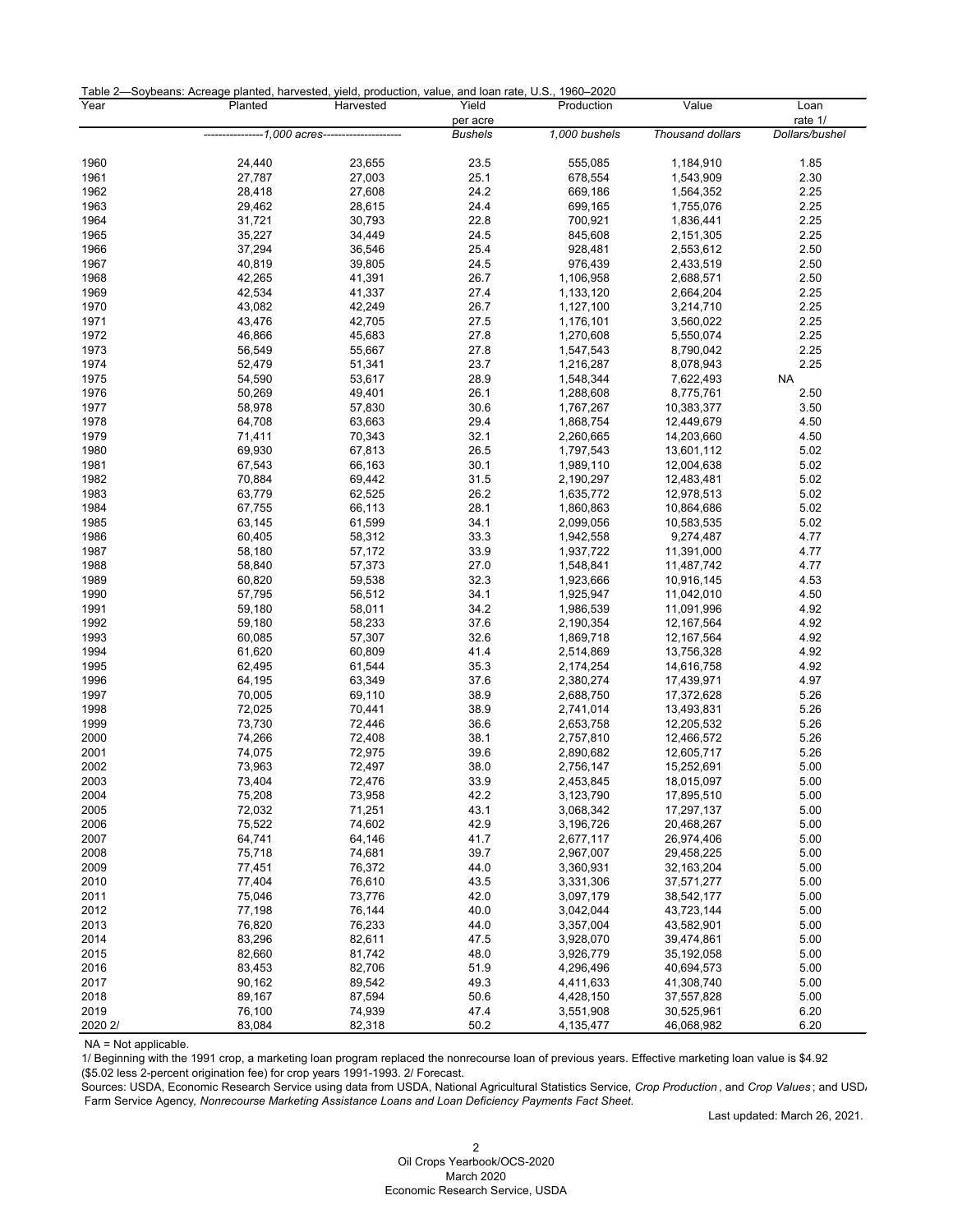| Table 2-Soybeans: Acreage planted, harvested, yield, production, value, and loan rate, U.S., 1960-2020 |  |  |  |  |  |  |
|--------------------------------------------------------------------------------------------------------|--|--|--|--|--|--|
|--------------------------------------------------------------------------------------------------------|--|--|--|--|--|--|

| . uww<br>Year | Planted                                        | boaho. Aoroago piantoa, harvootoa, yioia, proaaotion, valao, aha loan rato, o.o., 1000 2020<br>Harvested | Yield<br>per acre | Production             | Value                    | Loan<br>rate 1/ |
|---------------|------------------------------------------------|----------------------------------------------------------------------------------------------------------|-------------------|------------------------|--------------------------|-----------------|
|               | ---------------1,000 acres-------------------- |                                                                                                          | <b>Bushels</b>    | 1,000 bushels          | Thousand dollars         | Dollars/bushel  |
|               |                                                |                                                                                                          |                   |                        |                          |                 |
| 1960          | 24,440                                         | 23,655                                                                                                   | 23.5              | 555,085                | 1,184,910                | 1.85            |
| 1961          | 27,787                                         | 27,003                                                                                                   | 25.1              | 678,554                | 1,543,909                | 2.30            |
| 1962          | 28,418                                         | 27,608                                                                                                   | 24.2              | 669,186                | 1,564,352                | 2.25            |
| 1963          | 29,462                                         | 28,615                                                                                                   | 24.4              | 699,165                | 1,755,076                | 2.25            |
| 1964          | 31,721                                         | 30,793                                                                                                   | 22.8              | 700,921                | 1,836,441                | 2.25            |
| 1965          | 35,227                                         | 34,449                                                                                                   | 24.5              | 845,608                | 2,151,305                | 2.25            |
| 1966          | 37,294                                         | 36,546                                                                                                   | 25.4              | 928,481                | 2,553,612                | 2.50            |
| 1967          | 40,819                                         | 39,805                                                                                                   | 24.5              | 976,439                | 2,433,519                | 2.50            |
| 1968<br>1969  | 42,265<br>42,534                               | 41,391<br>41,337                                                                                         | 26.7<br>27.4      | 1,106,958              | 2,688,571                | 2.50<br>2.25    |
| 1970          | 43,082                                         | 42,249                                                                                                   | 26.7              | 1,133,120<br>1,127,100 | 2,664,204<br>3,214,710   | 2.25            |
| 1971          | 43,476                                         | 42,705                                                                                                   | 27.5              | 1,176,101              | 3,560,022                | 2.25            |
| 1972          | 46,866                                         | 45,683                                                                                                   | 27.8              | 1,270,608              | 5,550,074                | 2.25            |
| 1973          | 56,549                                         | 55,667                                                                                                   | 27.8              | 1,547,543              | 8,790,042                | 2.25            |
| 1974          | 52,479                                         | 51,341                                                                                                   | 23.7              | 1,216,287              | 8,078,943                | 2.25            |
| 1975          | 54,590                                         | 53,617                                                                                                   | 28.9              | 1,548,344              | 7,622,493                | <b>NA</b>       |
| 1976          | 50,269                                         | 49,401                                                                                                   | 26.1              | 1,288,608              | 8,775,761                | 2.50            |
| 1977          | 58,978                                         | 57,830                                                                                                   | 30.6              | 1,767,267              | 10,383,377               | 3.50            |
| 1978          | 64,708                                         | 63,663                                                                                                   | 29.4              | 1,868,754              | 12,449,679               | 4.50            |
| 1979          | 71,411                                         | 70,343                                                                                                   | 32.1              | 2,260,665              | 14,203,660               | 4.50            |
| 1980          | 69,930                                         | 67,813                                                                                                   | 26.5              | 1,797,543              | 13,601,112               | 5.02            |
| 1981          | 67,543                                         | 66,163                                                                                                   | 30.1              | 1,989,110              | 12,004,638               | 5.02            |
| 1982          | 70,884                                         | 69,442                                                                                                   | 31.5              | 2,190,297              | 12,483,481               | 5.02            |
| 1983          | 63,779                                         | 62,525                                                                                                   | 26.2              | 1,635,772              | 12,978,513               | 5.02            |
| 1984          | 67,755                                         | 66,113                                                                                                   | 28.1              | 1,860,863              | 10,864,686               | 5.02            |
| 1985          | 63,145                                         | 61,599                                                                                                   | 34.1              | 2,099,056              | 10,583,535               | 5.02            |
| 1986          | 60,405                                         | 58,312                                                                                                   | 33.3              | 1,942,558              | 9,274,487                | 4.77            |
| 1987          | 58,180                                         | 57,172                                                                                                   | 33.9              | 1,937,722              | 11,391,000               | 4.77            |
| 1988          | 58,840                                         | 57,373                                                                                                   | 27.0              | 1,548,841              | 11,487,742               | 4.77            |
| 1989          | 60,820                                         | 59,538                                                                                                   | 32.3              | 1,923,666              | 10,916,145               | 4.53            |
| 1990          | 57,795                                         | 56,512                                                                                                   | 34.1              | 1,925,947              | 11,042,010               | 4.50            |
| 1991          | 59,180                                         | 58,011                                                                                                   | 34.2              | 1,986,539              | 11,091,996               | 4.92            |
| 1992          | 59,180                                         | 58,233                                                                                                   | 37.6              | 2,190,354              | 12,167,564               | 4.92            |
| 1993          | 60,085                                         | 57,307                                                                                                   | 32.6              | 1,869,718              | 12,167,564               | 4.92            |
| 1994          | 61,620                                         | 60,809                                                                                                   | 41.4              | 2,514,869              | 13,756,328               | 4.92            |
| 1995<br>1996  | 62,495<br>64,195                               | 61,544<br>63,349                                                                                         | 35.3<br>37.6      | 2,174,254<br>2,380,274 | 14,616,758<br>17,439,971 | 4.92<br>4.97    |
| 1997          | 70,005                                         | 69,110                                                                                                   | 38.9              | 2,688,750              | 17,372,628               | 5.26            |
| 1998          | 72,025                                         | 70,441                                                                                                   | 38.9              | 2,741,014              | 13,493,831               | 5.26            |
| 1999          | 73,730                                         | 72,446                                                                                                   | 36.6              | 2,653,758              | 12,205,532               | 5.26            |
| 2000          | 74,266                                         | 72,408                                                                                                   | 38.1              | 2,757,810              | 12,466,572               | 5.26            |
| 2001          | 74,075                                         | 72,975                                                                                                   | 39.6              | 2,890,682              | 12,605,717               | 5.26            |
| 2002          | 73,963                                         | 72,497                                                                                                   | 38.0              | 2,756,147              | 15,252,691               | 5.00            |
| 2003          | 73,404                                         | 72,476                                                                                                   | 33.9              | 2,453,845              | 18,015,097               | 5.00            |
| 2004          | 75,208                                         | 73,958                                                                                                   | 42.2              | 3,123,790              | 17,895,510               | 5.00            |
| 2005          | 72,032                                         | 71,251                                                                                                   | 43.1              | 3,068,342              | 17,297,137               | 5.00            |
| 2006          | 75,522                                         | 74,602                                                                                                   | 42.9              | 3,196,726              | 20,468,267               | 5.00            |
| 2007          | 64,741                                         | 64,146                                                                                                   | 41.7              | 2,677,117              | 26,974,406               | 5.00            |
| 2008          | 75,718                                         | 74,681                                                                                                   | 39.7              | 2,967,007              | 29,458,225               | 5.00            |
| 2009          | 77,451                                         | 76,372                                                                                                   | 44.0              | 3,360,931              | 32, 163, 204             | 5.00            |
| 2010          | 77,404                                         | 76,610                                                                                                   | 43.5              | 3,331,306              | 37,571,277               | 5.00            |
| 2011          | 75,046                                         | 73,776                                                                                                   | 42.0              | 3,097,179              | 38,542,177               | 5.00            |
| 2012          | 77,198                                         | 76,144                                                                                                   | 40.0              | 3,042,044              | 43,723,144               | 5.00            |
| 2013          | 76,820                                         | 76,233                                                                                                   | 44.0              | 3,357,004              | 43,582,901               | 5.00            |
| 2014          | 83,296                                         | 82,611                                                                                                   | 47.5              | 3,928,070              | 39,474,861               | 5.00            |
| 2015          | 82,660                                         | 81,742                                                                                                   | 48.0              | 3,926,779              | 35,192,058               | 5.00            |
| 2016          | 83,453                                         | 82,706                                                                                                   | 51.9              | 4,296,496              | 40,694,573               | 5.00            |
| 2017          | 90,162                                         | 89,542                                                                                                   | 49.3              | 4,411,633              | 41,308,740               | 5.00            |
| 2018          | 89,167                                         | 87,594                                                                                                   | 50.6              | 4,428,150              | 37,557,828               | 5.00            |
| 2019          | 76,100                                         | 74,939                                                                                                   | 47.4              | 3,551,908              | 30,525,961               | 6.20            |
| 2020 2/       | 83,084                                         | 82,318                                                                                                   | 50.2              | 4,135,477              | 46,068,982               | 6.20            |

<span id="page-2-0"></span>NA = Not applicable.

1/ Beginning with the 1991 crop, a marketing loan program replaced the nonrecourse loan of previous years. Effective marketing loan value is \$4.92 (\$5.02 less 2-percent origination fee) for crop years 1991-1993. 2/ Forecast.

Sources: USDA, Economic Research Service using data from USDA, National Agricultural Statistics Service, *Crop Production* , and *Crop Values* ; and USDA Farm Service Agency*, Nonrecourse Marketing Assistance Loans and Loan Deficiency Payments Fact Sheet.* 

Last updated: March 26, 2021.

 Oil Crops Yearbook/OCS-2020 March 2020 Economic Research Service, USDA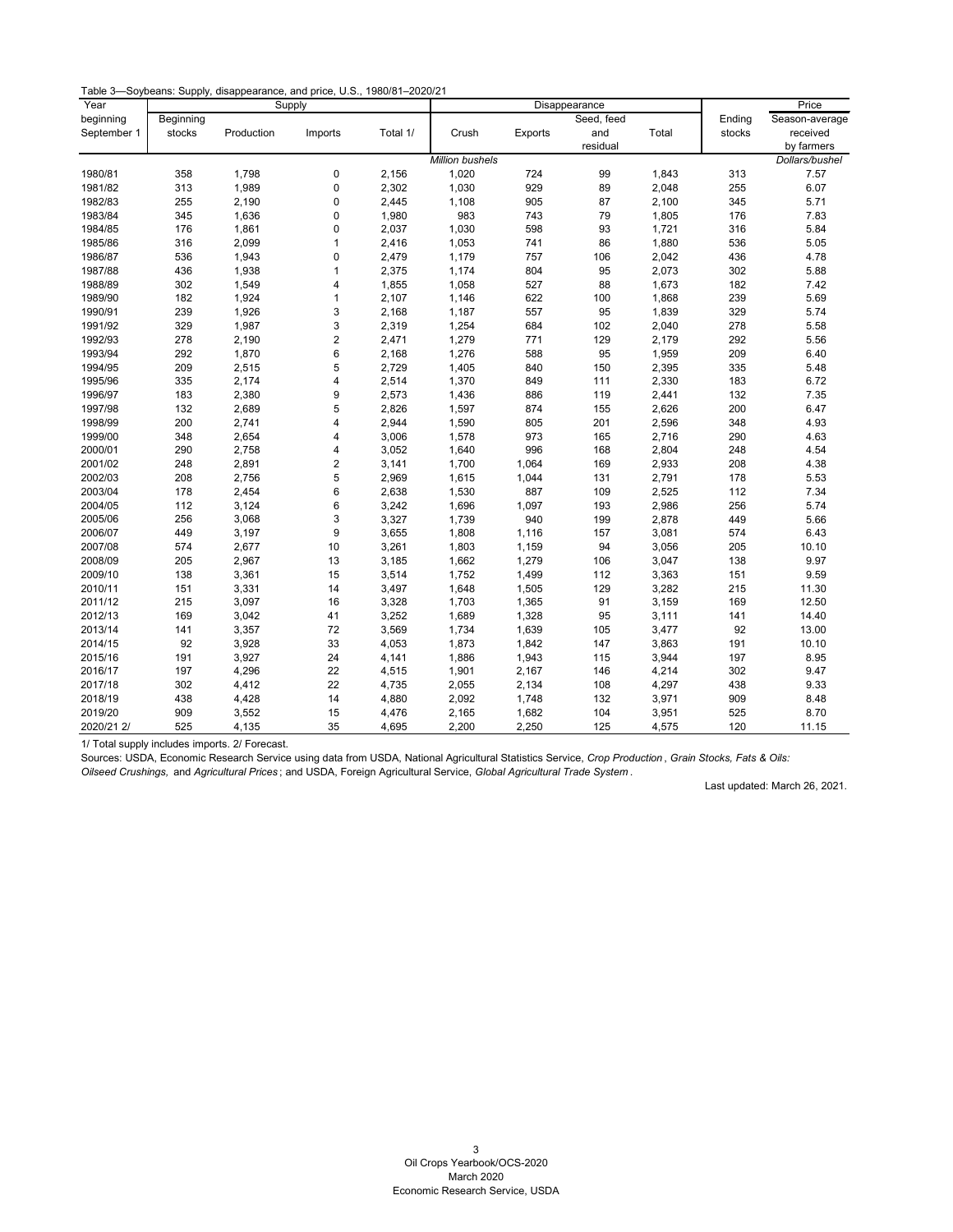| Year        |           |            | Supply                  |          | Disappearance          |         |            |       | Price  |                |
|-------------|-----------|------------|-------------------------|----------|------------------------|---------|------------|-------|--------|----------------|
| beginning   | Beginning |            |                         |          |                        |         | Seed, feed |       | Ending | Season-average |
| September 1 | stocks    | Production | Imports                 | Total 1/ | Crush                  | Exports | and        | Total | stocks | received       |
|             |           |            |                         |          |                        |         | residual   |       |        | by farmers     |
|             |           |            |                         |          | <b>Million bushels</b> |         |            |       |        | Dollars/bushel |
| 1980/81     | 358       | 1,798      | 0                       | 2,156    | 1,020                  | 724     | 99         | 1,843 | 313    | 7.57           |
| 1981/82     | 313       | 1,989      | 0                       | 2,302    | 1,030                  | 929     | 89         | 2,048 | 255    | 6.07           |
| 1982/83     | 255       | 2,190      | 0                       | 2,445    | 1,108                  | 905     | 87         | 2,100 | 345    | 5.71           |
| 1983/84     | 345       | 1,636      | 0                       | 1,980    | 983                    | 743     | 79         | 1,805 | 176    | 7.83           |
| 1984/85     | 176       | 1,861      | 0                       | 2,037    | 1,030                  | 598     | 93         | 1,721 | 316    | 5.84           |
| 1985/86     | 316       | 2,099      | 1                       | 2,416    | 1,053                  | 741     | 86         | 1,880 | 536    | 5.05           |
| 1986/87     | 536       | 1,943      | 0                       | 2,479    | 1,179                  | 757     | 106        | 2,042 | 436    | 4.78           |
| 1987/88     | 436       | 1,938      | $\mathbf{1}$            | 2,375    | 1,174                  | 804     | 95         | 2,073 | 302    | 5.88           |
| 1988/89     | 302       | 1,549      | $\overline{\mathbf{4}}$ | 1,855    | 1,058                  | 527     | 88         | 1,673 | 182    | 7.42           |
| 1989/90     | 182       | 1,924      | $\mathbf{1}$            | 2,107    | 1,146                  | 622     | 100        | 1,868 | 239    | 5.69           |
| 1990/91     | 239       | 1,926      | 3                       | 2,168    | 1,187                  | 557     | 95         | 1,839 | 329    | 5.74           |
| 1991/92     | 329       | 1,987      | 3                       | 2,319    | 1,254                  | 684     | 102        | 2,040 | 278    | 5.58           |
| 1992/93     | 278       | 2,190      | $\overline{c}$          | 2,471    | 1,279                  | 771     | 129        | 2,179 | 292    | 5.56           |
| 1993/94     | 292       | 1,870      | 6                       | 2,168    | 1,276                  | 588     | 95         | 1,959 | 209    | 6.40           |
| 1994/95     | 209       | 2,515      | 5                       | 2,729    | 1,405                  | 840     | 150        | 2,395 | 335    | 5.48           |
| 1995/96     | 335       | 2,174      | $\overline{4}$          | 2,514    | 1,370                  | 849     | 111        | 2,330 | 183    | 6.72           |
| 1996/97     | 183       | 2,380      | 9                       | 2,573    | 1,436                  | 886     | 119        | 2,441 | 132    | 7.35           |
| 1997/98     | 132       | 2,689      | 5                       | 2,826    | 1,597                  | 874     | 155        | 2,626 | 200    | 6.47           |
| 1998/99     | 200       | 2,741      | 4                       | 2,944    | 1,590                  | 805     | 201        | 2,596 | 348    | 4.93           |
| 1999/00     | 348       | 2,654      | 4                       | 3,006    | 1,578                  | 973     | 165        | 2,716 | 290    | 4.63           |
| 2000/01     | 290       | 2,758      | $\overline{\mathbf{4}}$ | 3,052    | 1,640                  | 996     | 168        | 2,804 | 248    | 4.54           |
| 2001/02     | 248       | 2,891      | $\overline{2}$          | 3,141    | 1,700                  | 1,064   | 169        | 2,933 | 208    | 4.38           |
| 2002/03     | 208       | 2,756      | 5                       | 2,969    | 1,615                  | 1,044   | 131        | 2,791 | 178    | 5.53           |
| 2003/04     | 178       | 2,454      | 6                       | 2,638    | 1,530                  | 887     | 109        | 2,525 | 112    | 7.34           |
| 2004/05     | 112       | 3,124      | 6                       | 3,242    | 1,696                  | 1,097   | 193        | 2,986 | 256    | 5.74           |
| 2005/06     | 256       | 3,068      | 3                       | 3,327    | 1,739                  | 940     | 199        | 2,878 | 449    | 5.66           |
| 2006/07     | 449       | 3,197      | 9                       | 3,655    | 1,808                  | 1,116   | 157        | 3,081 | 574    | 6.43           |
| 2007/08     | 574       | 2,677      | 10                      | 3,261    | 1,803                  | 1,159   | 94         | 3,056 | 205    | 10.10          |
| 2008/09     | 205       | 2,967      | 13                      | 3,185    | 1,662                  | 1,279   | 106        | 3,047 | 138    | 9.97           |
| 2009/10     | 138       | 3,361      | 15                      | 3,514    | 1,752                  | 1,499   | 112        | 3,363 | 151    | 9.59           |
| 2010/11     | 151       | 3,331      | 14                      | 3,497    | 1,648                  | 1,505   | 129        | 3,282 | 215    | 11.30          |
| 2011/12     | 215       | 3,097      | 16                      | 3,328    | 1,703                  | 1,365   | 91         | 3,159 | 169    | 12.50          |
| 2012/13     | 169       | 3,042      | 41                      | 3,252    | 1,689                  | 1,328   | 95         | 3,111 | 141    | 14.40          |
| 2013/14     | 141       | 3,357      | 72                      | 3,569    | 1,734                  | 1,639   | 105        | 3,477 | 92     | 13.00          |
| 2014/15     | 92        | 3,928      | 33                      | 4,053    | 1,873                  | 1,842   | 147        | 3,863 | 191    | 10.10          |
| 2015/16     | 191       | 3,927      | 24                      | 4,141    | 1,886                  | 1,943   | 115        | 3,944 | 197    | 8.95           |
| 2016/17     | 197       | 4,296      | 22                      | 4,515    | 1,901                  | 2,167   | 146        | 4,214 | 302    | 9.47           |
| 2017/18     | 302       | 4,412      | 22                      | 4,735    | 2,055                  | 2,134   | 108        | 4,297 | 438    | 9.33           |
| 2018/19     | 438       | 4,428      | 14                      | 4,880    | 2,092                  | 1,748   | 132        | 3,971 | 909    | 8.48           |
| 2019/20     | 909       | 3,552      | 15                      | 4,476    | 2,165                  | 1,682   | 104        | 3,951 | 525    | 8.70           |
| 2020/21 2/  | 525       | 4,135      | 35                      | 4,695    | 2,200                  | 2,250   | 125        | 4,575 | 120    | 11.15          |

<span id="page-3-0"></span>1/ Total supply includes imports. 2/ Forecast.

Sources: USDA, Economic Research Service using data from USDA, National Agricultural Statistics Service, *Crop Production* , *Grain Stocks, Fats & Oils: Oilseed Crushings,* and *Agricultural Prices* ; and USDA, Foreign Agricultural Service, *Global Agricultural Trade System* .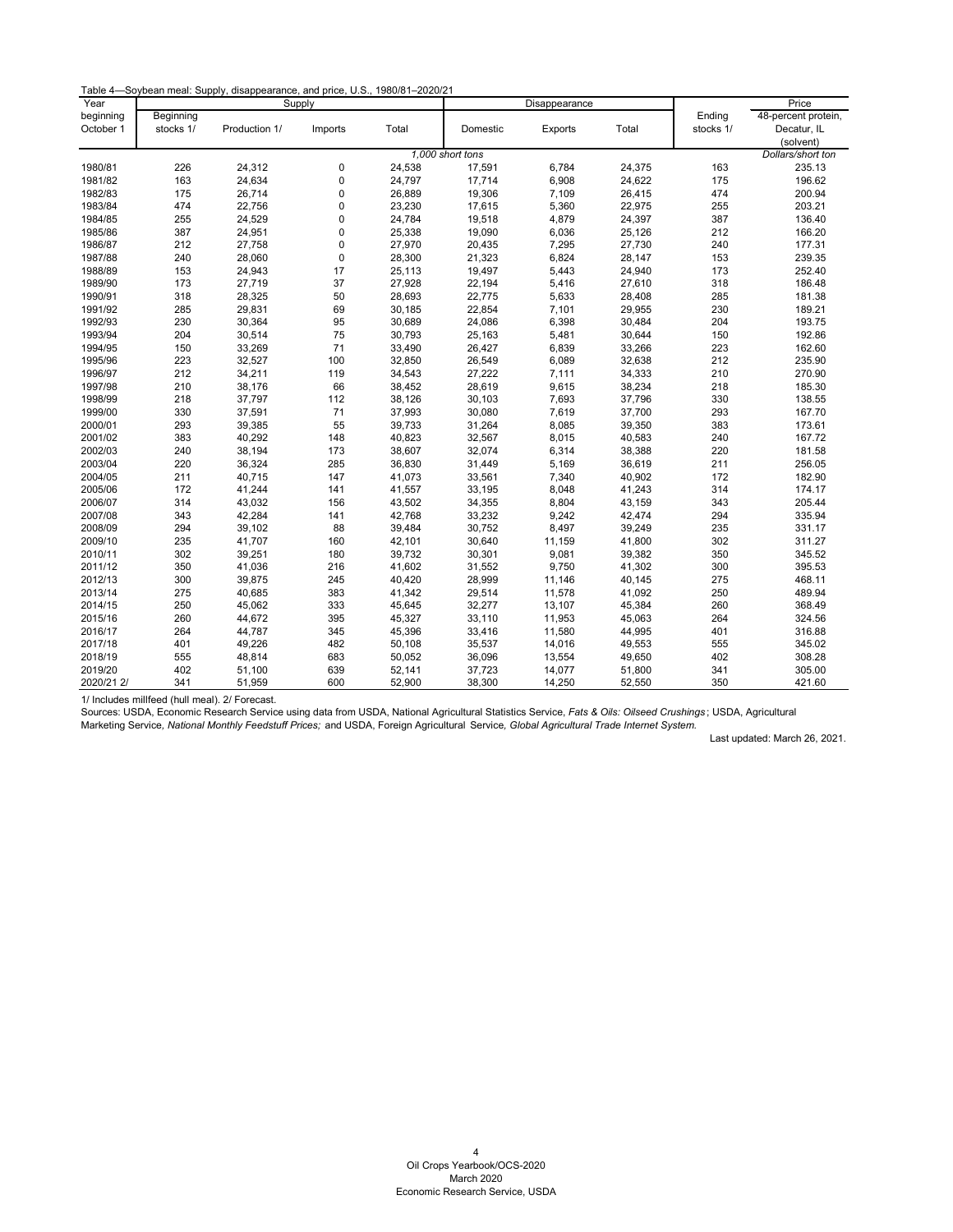| Table 4-Soybean meal: Supply, disappearance, and price, U.S., 1980/81-2020/21 |  |  |  |  |  |  |
|-------------------------------------------------------------------------------|--|--|--|--|--|--|
|-------------------------------------------------------------------------------|--|--|--|--|--|--|

| Year       |           |               | Supply      |        |                  | Disappearance |        |           | Price               |
|------------|-----------|---------------|-------------|--------|------------------|---------------|--------|-----------|---------------------|
| beginning  | Beginning |               |             |        |                  |               |        | Ending    | 48-percent protein, |
| October 1  | stocks 1/ | Production 1/ | Imports     | Total  | Domestic         | Exports       | Total  | stocks 1/ | Decatur, IL         |
|            |           |               |             |        |                  |               |        |           | (solvent)           |
|            |           |               |             |        | 1.000 short tons |               |        |           | Dollars/short ton   |
| 1980/81    | 226       | 24,312        | 0           | 24,538 | 17,591           | 6,784         | 24,375 | 163       | 235.13              |
| 1981/82    | 163       | 24,634        | 0           | 24,797 | 17,714           | 6,908         | 24,622 | 175       | 196.62              |
| 1982/83    | 175       | 26,714        | $\pmb{0}$   | 26,889 | 19,306           | 7,109         | 26,415 | 474       | 200.94              |
| 1983/84    | 474       | 22,756        | 0           | 23,230 | 17,615           | 5,360         | 22,975 | 255       | 203.21              |
| 1984/85    | 255       | 24,529        | $\mathbf 0$ | 24,784 | 19,518           | 4,879         | 24,397 | 387       | 136.40              |
| 1985/86    | 387       | 24,951        | 0           | 25,338 | 19,090           | 6,036         | 25,126 | 212       | 166.20              |
| 1986/87    | 212       | 27,758        | 0           | 27,970 | 20,435           | 7,295         | 27,730 | 240       | 177.31              |
| 1987/88    | 240       | 28,060        | $\mathbf 0$ | 28,300 | 21,323           | 6,824         | 28,147 | 153       | 239.35              |
| 1988/89    | 153       | 24,943        | 17          | 25,113 | 19,497           | 5,443         | 24,940 | 173       | 252.40              |
| 1989/90    | 173       | 27,719        | 37          | 27,928 | 22,194           | 5,416         | 27,610 | 318       | 186.48              |
| 1990/91    | 318       | 28,325        | 50          | 28,693 | 22,775           | 5,633         | 28,408 | 285       | 181.38              |
| 1991/92    | 285       | 29,831        | 69          | 30,185 | 22,854           | 7,101         | 29,955 | 230       | 189.21              |
| 1992/93    | 230       | 30,364        | 95          | 30,689 | 24,086           | 6,398         | 30,484 | 204       | 193.75              |
| 1993/94    | 204       | 30,514        | 75          | 30,793 | 25,163           | 5,481         | 30,644 | 150       | 192.86              |
| 1994/95    | 150       | 33,269        | 71          | 33,490 | 26,427           | 6,839         | 33,266 | 223       | 162.60              |
| 1995/96    | 223       | 32,527        | 100         | 32,850 | 26,549           | 6,089         | 32,638 | 212       | 235.90              |
| 1996/97    | 212       | 34,211        | 119         | 34,543 | 27,222           | 7,111         | 34,333 | 210       | 270.90              |
| 1997/98    | 210       | 38,176        | 66          | 38,452 | 28,619           | 9,615         | 38,234 | 218       | 185.30              |
| 1998/99    | 218       | 37,797        | 112         | 38,126 | 30,103           | 7,693         | 37,796 | 330       | 138.55              |
| 1999/00    | 330       | 37,591        | 71          | 37,993 | 30,080           | 7,619         | 37,700 | 293       | 167.70              |
| 2000/01    | 293       | 39,385        | 55          | 39,733 | 31,264           | 8,085         | 39,350 | 383       | 173.61              |
| 2001/02    | 383       | 40,292        | 148         | 40,823 | 32,567           | 8,015         | 40,583 | 240       | 167.72              |
| 2002/03    | 240       | 38,194        | 173         | 38,607 | 32,074           | 6,314         | 38,388 | 220       | 181.58              |
| 2003/04    | 220       | 36,324        | 285         | 36,830 | 31,449           | 5,169         | 36,619 | 211       | 256.05              |
| 2004/05    | 211       | 40,715        | 147         | 41,073 | 33,561           | 7,340         | 40,902 | 172       | 182.90              |
| 2005/06    | 172       | 41,244        | 141         | 41,557 | 33,195           | 8,048         | 41,243 | 314       | 174.17              |
| 2006/07    | 314       | 43,032        | 156         | 43,502 | 34,355           | 8,804         | 43,159 | 343       | 205.44              |
| 2007/08    | 343       | 42,284        | 141         | 42,768 | 33,232           | 9,242         | 42,474 | 294       | 335.94              |
| 2008/09    | 294       | 39,102        | 88          | 39,484 | 30,752           | 8,497         | 39,249 | 235       | 331.17              |
| 2009/10    | 235       | 41,707        | 160         | 42,101 | 30,640           | 11,159        | 41,800 | 302       | 311.27              |
| 2010/11    | 302       | 39,251        | 180         | 39,732 | 30,301           | 9,081         | 39,382 | 350       | 345.52              |
| 2011/12    | 350       | 41,036        | 216         | 41,602 | 31,552           | 9,750         | 41,302 | 300       | 395.53              |
| 2012/13    | 300       | 39,875        | 245         | 40,420 | 28,999           | 11,146        | 40,145 | 275       | 468.11              |
| 2013/14    | 275       | 40,685        | 383         | 41,342 | 29,514           | 11,578        | 41,092 | 250       | 489.94              |
| 2014/15    | 250       | 45,062        | 333         | 45,645 | 32,277           | 13,107        | 45,384 | 260       | 368.49              |
| 2015/16    | 260       | 44,672        | 395         | 45,327 | 33,110           | 11,953        | 45,063 | 264       | 324.56              |
| 2016/17    | 264       | 44,787        | 345         | 45,396 | 33,416           | 11,580        | 44,995 | 401       | 316.88              |
| 2017/18    | 401       | 49,226        | 482         | 50,108 | 35,537           | 14,016        | 49,553 | 555       | 345.02              |
| 2018/19    | 555       | 48,814        | 683         | 50,052 | 36,096           | 13,554        | 49,650 | 402       | 308.28              |
| 2019/20    | 402       | 51,100        | 639         | 52,141 | 37,723           | 14,077        | 51,800 | 341       | 305.00              |
| 2020/21 2/ | 341       | 51,959        | 600         | 52,900 | 38,300           | 14,250        | 52,550 | 350       | 421.60              |

<span id="page-4-0"></span>1/ Includes millfeed (hull meal). 2/ Forecast.

Sources: USDA, Economic Research Service using data from USDA, National Agricultural Statistics Service, *Fats & Oils: Oilseed Crushings* ; USDA, Agricultural Marketing Service*, National Monthly Feedstuff Prices;* and USDA, Foreign Agricultural Service*, Global Agricultural Trade Internet System.*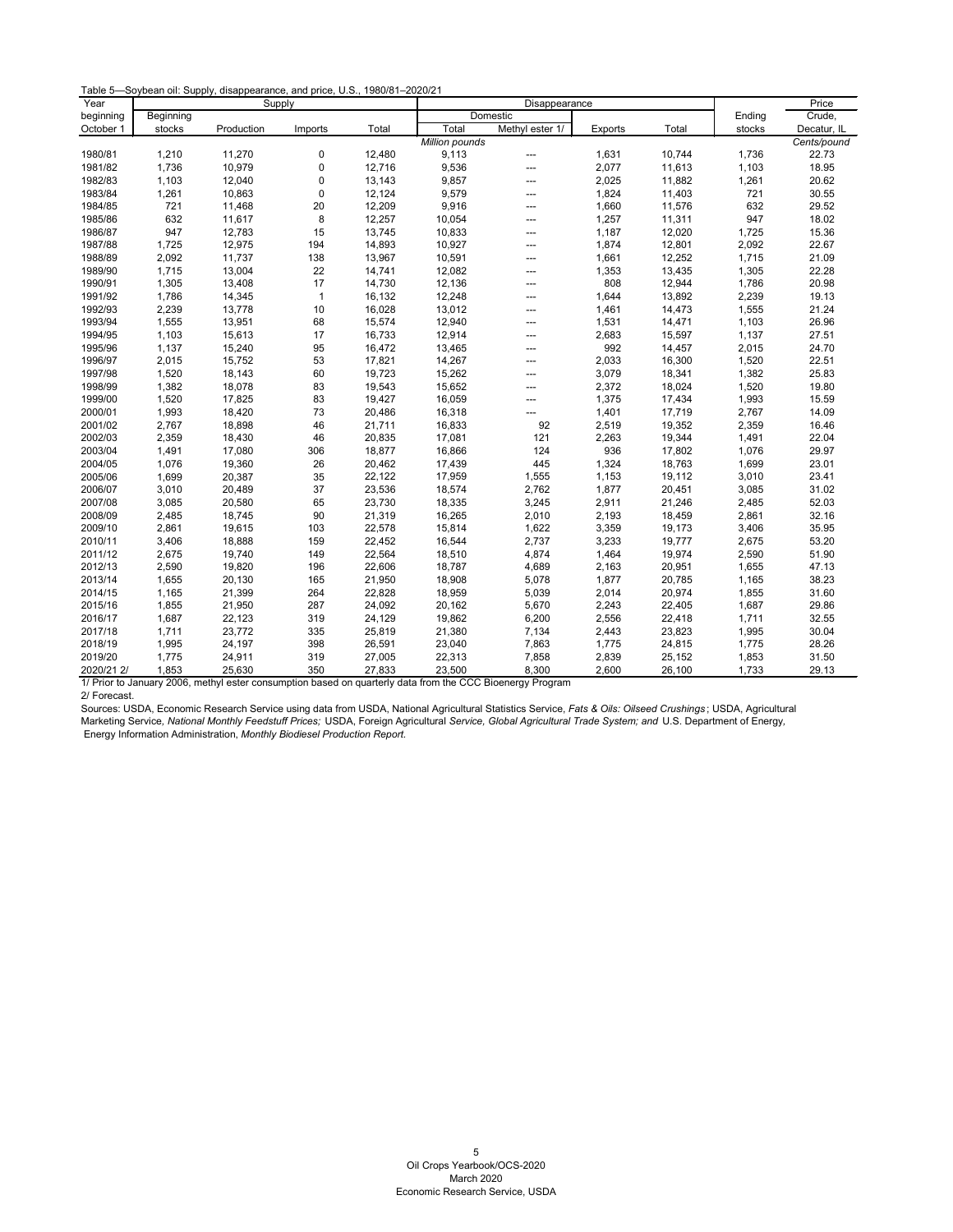|  |  | Table 5-Soybean oil: Supply, disappearance, and price, U.S., 1980/81-2020/21 |  |  |
|--|--|------------------------------------------------------------------------------|--|--|
|--|--|------------------------------------------------------------------------------|--|--|

| Year       |           | Supply     |              |        | Disappearance  |                 |         |        | Price  |             |
|------------|-----------|------------|--------------|--------|----------------|-----------------|---------|--------|--------|-------------|
| beginning  | Beginning |            |              |        | Domestic       |                 |         |        | Ending | Crude,      |
| October 1  | stocks    | Production | Imports      | Total  | Total          | Methyl ester 1/ | Exports | Total  | stocks | Decatur, IL |
|            |           |            |              |        | Million pounds |                 |         |        |        | Cents/pound |
| 1980/81    | 1,210     | 11,270     | 0            | 12,480 | 9,113          | ---             | 1,631   | 10,744 | 1,736  | 22.73       |
| 1981/82    | 1,736     | 10,979     | $\pmb{0}$    | 12,716 | 9,536          | ---             | 2,077   | 11,613 | 1,103  | 18.95       |
| 1982/83    | 1,103     | 12,040     | $\mathbf 0$  | 13,143 | 9,857          | $---$           | 2,025   | 11,882 | 1,261  | 20.62       |
| 1983/84    | 1,261     | 10,863     | $\mathbf 0$  | 12,124 | 9,579          | $---$           | 1,824   | 11,403 | 721    | 30.55       |
| 1984/85    | 721       | 11,468     | 20           | 12,209 | 9,916          | $---$           | 1,660   | 11,576 | 632    | 29.52       |
| 1985/86    | 632       | 11,617     | 8            | 12,257 | 10,054         | ---             | 1,257   | 11,311 | 947    | 18.02       |
| 1986/87    | 947       | 12,783     | 15           | 13,745 | 10,833         | $---$           | 1,187   | 12,020 | 1,725  | 15.36       |
| 1987/88    | 1,725     | 12,975     | 194          | 14,893 | 10,927         | ---             | 1,874   | 12,801 | 2,092  | 22.67       |
| 1988/89    | 2,092     | 11,737     | 138          | 13,967 | 10,591         | ---             | 1,661   | 12,252 | 1,715  | 21.09       |
| 1989/90    | 1,715     | 13,004     | 22           | 14,741 | 12,082         | $---$           | 1,353   | 13,435 | 1,305  | 22.28       |
| 1990/91    | 1,305     | 13,408     | 17           | 14,730 | 12,136         | ---             | 808     | 12,944 | 1,786  | 20.98       |
| 1991/92    | 1,786     | 14,345     | $\mathbf{1}$ | 16,132 | 12,248         | $---$           | 1,644   | 13,892 | 2,239  | 19.13       |
| 1992/93    | 2,239     | 13,778     | 10           | 16,028 | 13,012         | ---             | 1,461   | 14,473 | 1,555  | 21.24       |
| 1993/94    | 1,555     | 13,951     | 68           | 15,574 | 12,940         | ---             | 1,531   | 14,471 | 1,103  | 26.96       |
| 1994/95    | 1,103     | 15,613     | 17           | 16,733 | 12,914         | $---$           | 2,683   | 15,597 | 1,137  | 27.51       |
| 1995/96    | 1,137     | 15,240     | 95           | 16,472 | 13,465         | ---             | 992     | 14,457 | 2,015  | 24.70       |
| 1996/97    | 2,015     | 15,752     | 53           | 17,821 | 14,267         | ---             | 2,033   | 16,300 | 1,520  | 22.51       |
| 1997/98    | 1,520     | 18,143     | 60           | 19,723 | 15,262         | ---             | 3,079   | 18,341 | 1,382  | 25.83       |
| 1998/99    | 1,382     | 18,078     | 83           | 19,543 | 15,652         | ---             | 2,372   | 18,024 | 1,520  | 19.80       |
| 1999/00    | 1,520     | 17,825     | 83           | 19,427 | 16,059         | $---$           | 1,375   | 17,434 | 1,993  | 15.59       |
| 2000/01    | 1,993     | 18,420     | 73           | 20,486 | 16,318         | ---             | 1,401   | 17,719 | 2,767  | 14.09       |
| 2001/02    | 2,767     | 18,898     | 46           | 21,711 | 16,833         | 92              | 2,519   | 19,352 | 2,359  | 16.46       |
| 2002/03    | 2,359     | 18,430     | 46           | 20,835 | 17,081         | 121             | 2,263   | 19,344 | 1,491  | 22.04       |
| 2003/04    | 1,491     | 17,080     | 306          | 18,877 | 16,866         | 124             | 936     | 17,802 | 1,076  | 29.97       |
| 2004/05    | 1,076     | 19,360     | 26           | 20,462 | 17,439         | 445             | 1,324   | 18,763 | 1,699  | 23.01       |
| 2005/06    | 1,699     | 20,387     | 35           | 22,122 | 17,959         | 1,555           | 1,153   | 19,112 | 3,010  | 23.41       |
| 2006/07    | 3,010     | 20,489     | 37           | 23,536 | 18,574         | 2,762           | 1,877   | 20,451 | 3,085  | 31.02       |
| 2007/08    | 3,085     | 20,580     | 65           | 23,730 | 18,335         | 3,245           | 2,911   | 21,246 | 2,485  | 52.03       |
| 2008/09    | 2,485     | 18,745     | 90           | 21,319 | 16,265         | 2,010           | 2,193   | 18,459 | 2,861  | 32.16       |
| 2009/10    | 2,861     | 19,615     | 103          | 22,578 | 15,814         | 1,622           | 3,359   | 19,173 | 3,406  | 35.95       |
| 2010/11    | 3,406     | 18,888     | 159          | 22,452 | 16,544         | 2,737           | 3,233   | 19,777 | 2,675  | 53.20       |
| 2011/12    | 2,675     | 19,740     | 149          | 22,564 | 18,510         | 4,874           | 1,464   | 19,974 | 2,590  | 51.90       |
| 2012/13    | 2,590     | 19,820     | 196          | 22,606 | 18,787         | 4,689           | 2,163   | 20,951 | 1,655  | 47.13       |
| 2013/14    | 1,655     | 20,130     | 165          | 21,950 | 18,908         | 5,078           | 1,877   | 20,785 | 1,165  | 38.23       |
| 2014/15    | 1,165     | 21,399     | 264          | 22,828 | 18,959         | 5,039           | 2,014   | 20,974 | 1,855  | 31.60       |
| 2015/16    | 1,855     | 21,950     | 287          | 24,092 | 20,162         | 5,670           | 2,243   | 22,405 | 1,687  | 29.86       |
| 2016/17    | 1,687     | 22,123     | 319          | 24,129 | 19,862         | 6,200           | 2,556   | 22,418 | 1,711  | 32.55       |
| 2017/18    | 1,711     | 23,772     | 335          | 25,819 | 21,380         | 7,134           | 2,443   | 23,823 | 1,995  | 30.04       |
| 2018/19    | 1,995     | 24,197     | 398          | 26,591 | 23,040         | 7,863           | 1,775   | 24,815 | 1,775  | 28.26       |
| 2019/20    | 1,775     | 24,911     | 319          | 27,005 | 22,313         | 7,858           | 2,839   | 25,152 | 1,853  | 31.50       |
| 2020/21 2/ | 1,853     | 25,630     | 350          | 27,833 | 23,500         | 8,300           | 2,600   | 26,100 | 1,733  | 29.13       |

<span id="page-5-0"></span>1/ Prior to January 2006, methyl ester consumption based on quarterly data from the CCC Bioenergy Program 2/ Forecast.

Sources: USDA, Economic Research Service using data from USDA, National Agricultural Statistics Service, *Fats & Oils: Oilseed Crushings* ; USDA, Agricultural Marketing Service*, National Monthly Feedstuff Prices;* USDA, Foreign Agricultural *Service, Global Agricultural Trade System; and* U.S. Department of Energy*,* Energy Information Administration, *Monthly Biodiesel Production Report.*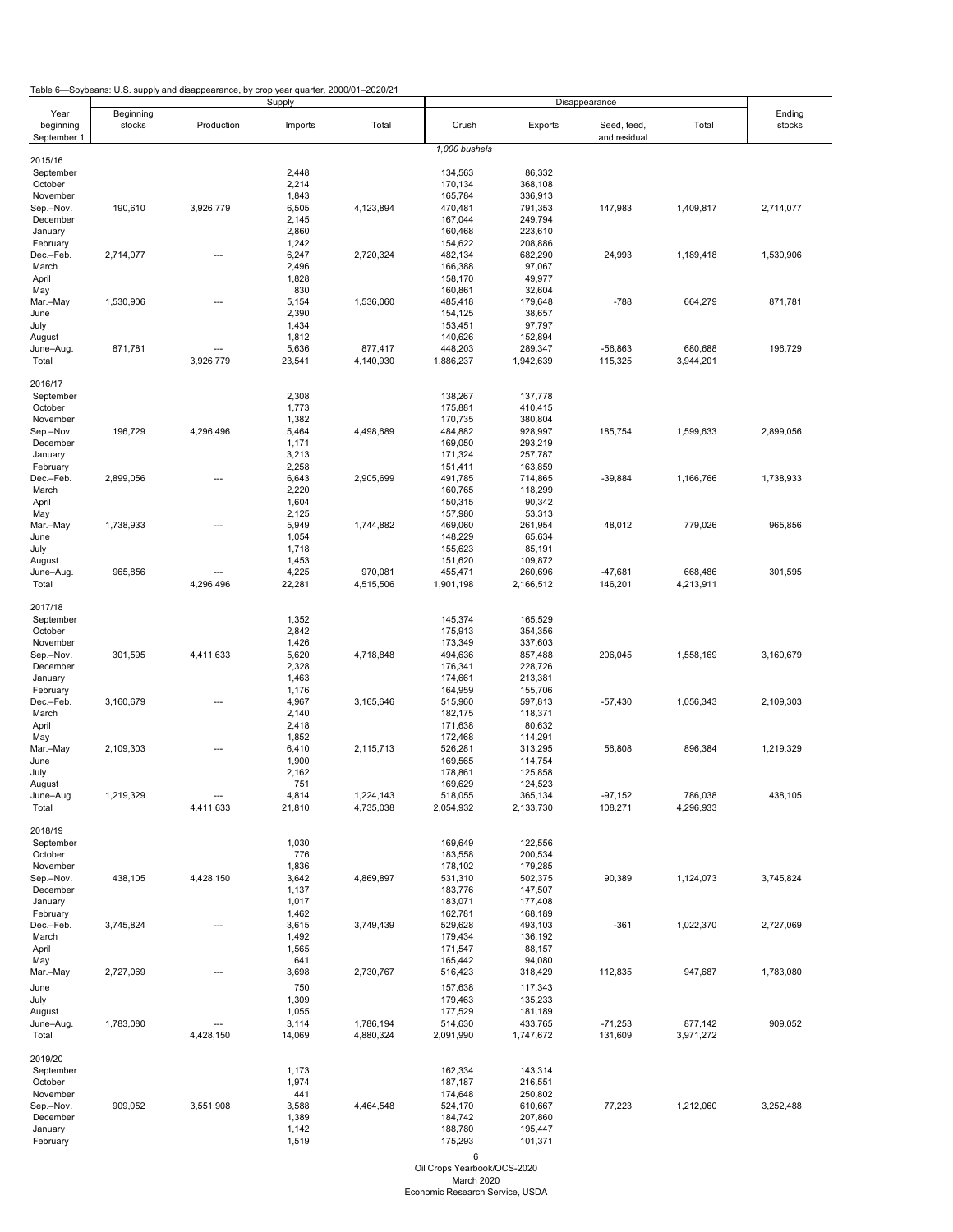Table 6—Soybeans: U.S. supply and disappearance, by crop year quarter, 2000/01–2020/21

<span id="page-6-0"></span>

| ⊦uwi⊌ ∪                  |           | $\sim$ ooybcano. O.O. supply and disappearance, by erop year quanter, zooo/o $\sim$ zozo/z i | Supply          |                      | Disappearance        |                      |                             |                      |           |
|--------------------------|-----------|----------------------------------------------------------------------------------------------|-----------------|----------------------|----------------------|----------------------|-----------------------------|----------------------|-----------|
| Year                     | Beginning |                                                                                              |                 |                      |                      |                      |                             |                      | Ending    |
| beginning<br>September 1 | stocks    | Production                                                                                   | Imports         | Total                | Crush                | Exports              | Seed, feed,<br>and residual | Total                | stocks    |
|                          |           |                                                                                              |                 |                      | 1,000 bushels        |                      |                             |                      |           |
| 2015/16                  |           |                                                                                              |                 |                      |                      |                      |                             |                      |           |
| September                |           |                                                                                              | 2,448           |                      | 134,563              | 86,332               |                             |                      |           |
| October                  |           |                                                                                              | 2,214           |                      | 170,134              | 368,108              |                             |                      |           |
| November                 |           |                                                                                              | 1,843           |                      | 165,784              | 336,913              |                             |                      |           |
| Sep.-Nov.                | 190,610   | 3,926,779                                                                                    | 6,505           | 4,123,894            | 470,481              | 791,353              | 147,983                     | 1,409,817            | 2,714,077 |
| December                 |           |                                                                                              | 2,145<br>2,860  |                      | 167,044<br>160,468   | 249,794<br>223,610   |                             |                      |           |
| January<br>February      |           |                                                                                              | 1,242           |                      | 154,622              | 208,886              |                             |                      |           |
| Dec.-Feb.                | 2,714,077 |                                                                                              | 6,247           | 2,720,324            | 482,134              | 682,290              | 24,993                      | 1,189,418            | 1,530,906 |
| March                    |           |                                                                                              | 2,496           |                      | 166,388              | 97,067               |                             |                      |           |
| April                    |           |                                                                                              | 1,828           |                      | 158,170              | 49,977               |                             |                      |           |
| May                      |           |                                                                                              | 830             |                      | 160,861              | 32,604               |                             |                      |           |
| Mar.-May                 | 1,530,906 |                                                                                              | 5,154           | 1,536,060            | 485,418              | 179,648              | $-788$                      | 664,279              | 871,781   |
| June                     |           |                                                                                              | 2,390           |                      | 154,125              | 38,657               |                             |                      |           |
| July                     |           |                                                                                              | 1,434           |                      | 153,451              | 97,797               |                             |                      |           |
| August                   |           |                                                                                              | 1,812           |                      | 140,626              | 152,894              |                             |                      |           |
| June-Aug.                | 871,781   |                                                                                              | 5,636           | 877,417              | 448,203              | 289,347              | $-56,863$                   | 680,688              | 196,729   |
| Total                    |           | 3,926,779                                                                                    | 23,541          | 4,140,930            | 1,886,237            | 1,942,639            | 115,325                     | 3,944,201            |           |
| 2016/17                  |           |                                                                                              |                 |                      |                      |                      |                             |                      |           |
| September                |           |                                                                                              | 2,308           |                      | 138,267              | 137,778              |                             |                      |           |
| October                  |           |                                                                                              | 1,773           |                      | 175,881              | 410,415              |                             |                      |           |
| November                 |           |                                                                                              | 1,382           |                      | 170,735              | 380,804              |                             |                      |           |
| Sep.-Nov.                | 196,729   | 4,296,496                                                                                    | 5,464           | 4,498,689            | 484,882              | 928,997              | 185,754                     | 1,599,633            | 2,899,056 |
| December                 |           |                                                                                              | 1,171           |                      | 169,050              | 293,219              |                             |                      |           |
| January                  |           |                                                                                              | 3,213           |                      | 171,324              | 257,787              |                             |                      |           |
| February                 |           |                                                                                              | 2,258           |                      | 151,411              | 163,859              |                             |                      |           |
| Dec.-Feb.                | 2,899,056 | ---                                                                                          | 6,643           | 2,905,699            | 491,785              | 714,865              | $-39,884$                   | 1,166,766            | 1,738,933 |
| March                    |           |                                                                                              | 2,220           |                      | 160,765              | 118,299              |                             |                      |           |
| April                    |           |                                                                                              | 1,604           |                      | 150,315              | 90,342               |                             |                      |           |
| May                      |           |                                                                                              | 2,125           |                      | 157,980              | 53,313               |                             |                      |           |
| Mar.-May                 | 1,738,933 |                                                                                              | 5,949           | 1,744,882            | 469,060              | 261,954              | 48,012                      | 779,026              | 965,856   |
| June                     |           |                                                                                              | 1,054           |                      | 148,229              | 65,634               |                             |                      |           |
| July                     |           |                                                                                              | 1,718           |                      | 155,623              | 85,191               |                             |                      |           |
| August<br>June-Aug.      |           |                                                                                              | 1,453           |                      | 151,620              | 109,872              |                             |                      |           |
| Total                    | 965,856   | 4,296,496                                                                                    | 4,225<br>22,281 | 970,081<br>4,515,506 | 455,471<br>1,901,198 | 260,696<br>2,166,512 | $-47,681$<br>146,201        | 668,486<br>4,213,911 | 301,595   |
|                          |           |                                                                                              |                 |                      |                      |                      |                             |                      |           |
| 2017/18                  |           |                                                                                              |                 |                      |                      |                      |                             |                      |           |
| September                |           |                                                                                              | 1,352           |                      | 145,374              | 165,529              |                             |                      |           |
| October                  |           |                                                                                              | 2,842           |                      | 175,913              | 354,356              |                             |                      |           |
| November                 |           |                                                                                              | 1,426           |                      | 173,349              | 337,603              |                             |                      |           |
| Sep.-Nov.                | 301,595   | 4,411,633                                                                                    | 5,620           | 4,718,848            | 494,636              | 857,488              | 206,045                     | 1,558,169            | 3,160,679 |
| December                 |           |                                                                                              | 2,328           |                      | 176,341              | 228,726              |                             |                      |           |
| January                  |           |                                                                                              | 1,463           |                      | 174,661              | 213,381              |                             |                      |           |
| February                 |           |                                                                                              | 1,176           |                      | 164,959              | 155,706              |                             |                      |           |
| Dec.-Feb.                | 3,160,679 | ---                                                                                          | 4,967           | 3,165,646            | 515,960              | 597,813              | $-57,430$                   | 1,056,343            | 2,109,303 |
| March                    |           |                                                                                              | 2,140           |                      | 182,175              | 118,371              |                             |                      |           |
| April                    |           |                                                                                              | 2,418           |                      | 171,638              | 80,632               |                             |                      |           |
| May                      |           |                                                                                              | 1,852<br>6,410  | 2,115,713            | 172,468<br>526,281   | 114,291<br>313,295   |                             | 896,384              | 1,219,329 |
| Mar.-May<br>June         | 2,109,303 | ---                                                                                          | 1,900           |                      | 169,565              | 114,754              | 56,808                      |                      |           |
| July                     |           |                                                                                              | 2,162           |                      | 178,861              | 125,858              |                             |                      |           |
| August                   |           |                                                                                              | 751             |                      | 169,629              | 124,523              |                             |                      |           |
| June-Aug.                | 1,219,329 | ---                                                                                          | 4,814           | 1,224,143            | 518,055              | 365,134              | $-97,152$                   | 786,038              | 438,105   |
| Total                    |           | 4,411,633                                                                                    | 21,810          | 4,735,038            | 2,054,932            | 2,133,730            | 108,271                     | 4,296,933            |           |
|                          |           |                                                                                              |                 |                      |                      |                      |                             |                      |           |
| 2018/19                  |           |                                                                                              |                 |                      |                      |                      |                             |                      |           |
| September                |           |                                                                                              | 1,030           |                      | 169,649              | 122,556              |                             |                      |           |
| October                  |           |                                                                                              | 776             |                      | 183,558              | 200,534              |                             |                      |           |
| November                 |           |                                                                                              | 1,836           |                      | 178,102              | 179,285              |                             |                      |           |
| Sep.-Nov.                | 438,105   | 4,428,150                                                                                    | 3,642           | 4,869,897            | 531,310              | 502,375              | 90,389                      | 1,124,073            | 3,745,824 |
| December                 |           |                                                                                              | 1,137<br>1,017  |                      | 183,776<br>183,071   | 147,507<br>177,408   |                             |                      |           |
| January<br>February      |           |                                                                                              | 1,462           |                      | 162,781              | 168,189              |                             |                      |           |
| Dec.-Feb.                | 3,745,824 | ---                                                                                          | 3,615           | 3,749,439            | 529,628              | 493,103              | $-361$                      | 1,022,370            | 2,727,069 |
| March                    |           |                                                                                              | 1,492           |                      | 179,434              | 136,192              |                             |                      |           |
| April                    |           |                                                                                              | 1,565           |                      | 171,547              | 88,157               |                             |                      |           |
| May                      |           |                                                                                              | 641             |                      | 165,442              | 94,080               |                             |                      |           |
| Mar.-May                 | 2,727,069 | ---                                                                                          | 3,698           | 2,730,767            | 516,423              | 318,429              | 112,835                     | 947,687              | 1,783,080 |
| June                     |           |                                                                                              | 750             |                      | 157,638              | 117,343              |                             |                      |           |
| July                     |           |                                                                                              | 1,309           |                      | 179,463              | 135,233              |                             |                      |           |
| August                   |           |                                                                                              | 1,055           |                      | 177,529              | 181,189              |                             |                      |           |
| June-Aug.                | 1,783,080 | ---                                                                                          | 3,114           | 1,786,194            | 514,630              | 433,765              | $-71,253$                   | 877,142              | 909,052   |
| Total                    |           | 4,428,150                                                                                    | 14,069          | 4,880,324            | 2,091,990            | 1,747,672            | 131,609                     | 3,971,272            |           |
|                          |           |                                                                                              |                 |                      |                      |                      |                             |                      |           |
| 2019/20                  |           |                                                                                              |                 |                      |                      |                      |                             |                      |           |
| September                |           |                                                                                              | 1,173           |                      | 162,334              | 143,314              |                             |                      |           |
| October                  |           |                                                                                              | 1,974           |                      | 187,187              | 216,551              |                             |                      |           |
| November                 |           |                                                                                              | 441             |                      | 174,648              | 250,802              |                             |                      |           |
| Sep.-Nov.                | 909,052   | 3,551,908                                                                                    | 3,588           | 4,464,548            | 524,170              | 610,667              | 77,223                      | 1,212,060            | 3,252,488 |
| December                 |           |                                                                                              | 1,389           |                      | 184,742              | 207,860              |                             |                      |           |
| January                  |           |                                                                                              | 1,142           |                      | 188,780              | 195,447              |                             |                      |           |
| February                 |           |                                                                                              | 1,519           |                      | 175,293              | 101,371              |                             |                      |           |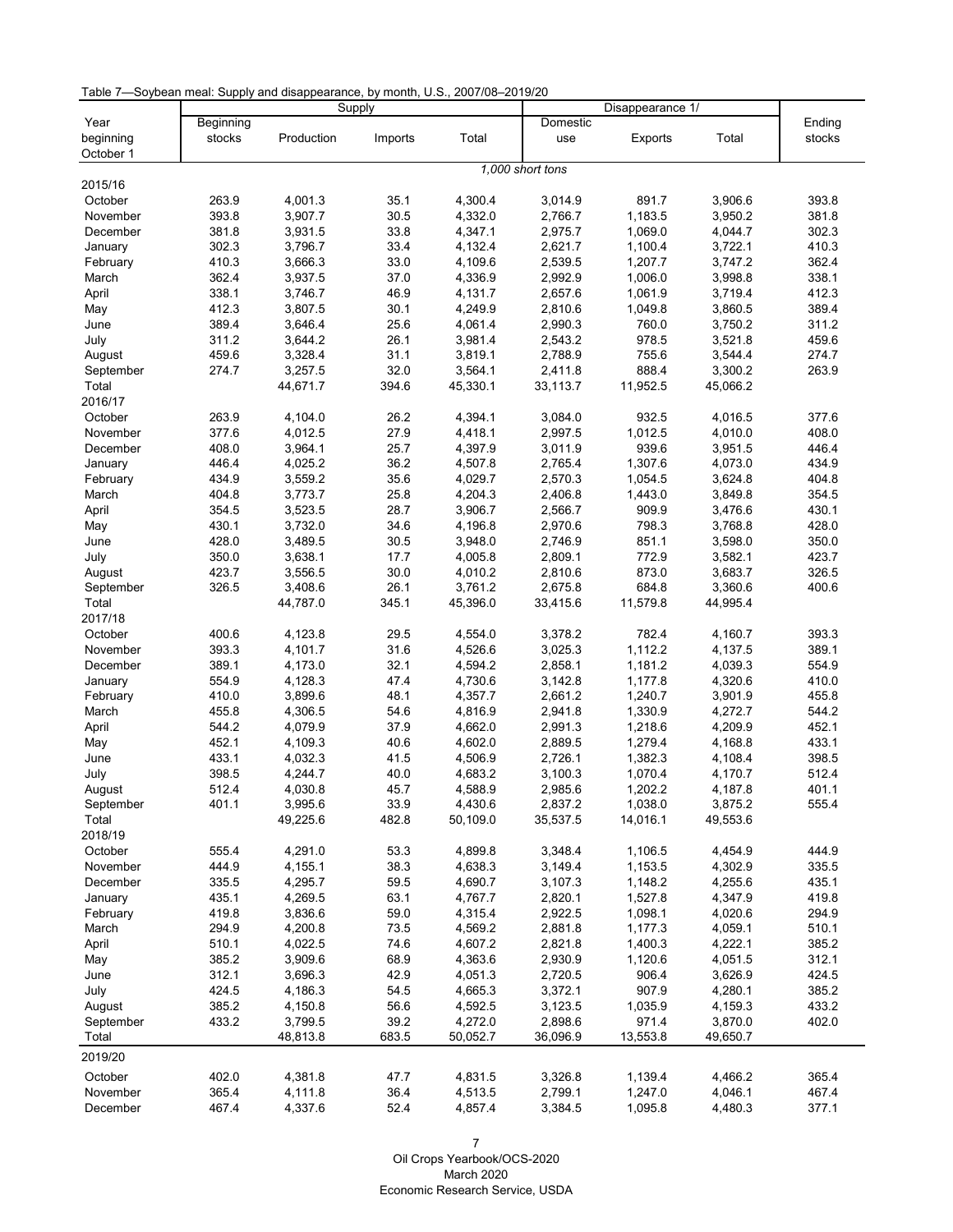Table 7—Soybean meal: Supply and disappearance, by month, U.S., 2007/08–2019/20

|                     |                |            | Supply       |                     | Disappearance 1/    |                     |                     |        |
|---------------------|----------------|------------|--------------|---------------------|---------------------|---------------------|---------------------|--------|
| Year                | Beginning      |            |              |                     | Domestic            |                     |                     | Ending |
| beginning           | stocks         | Production | Imports      | Total               | use                 | Exports             | Total               | stocks |
| October 1           |                |            |              |                     |                     |                     |                     |        |
|                     |                |            |              |                     | 1,000 short tons    |                     |                     |        |
| 2015/16             |                |            |              |                     |                     |                     |                     |        |
| October             | 263.9          | 4,001.3    | 35.1         | 4,300.4             | 3,014.9             | 891.7               | 3,906.6             | 393.8  |
| November            | 393.8          | 3,907.7    | 30.5         | 4,332.0             | 2,766.7             | 1,183.5             | 3,950.2             | 381.8  |
| December            | 381.8          | 3,931.5    | 33.8         | 4,347.1             | 2,975.7             | 1,069.0             | 4,044.7             | 302.3  |
| January             | 302.3          | 3,796.7    | 33.4         | 4,132.4             | 2,621.7             | 1,100.4             | 3,722.1             | 410.3  |
| February            | 410.3          | 3,666.3    | 33.0         | 4,109.6             | 2,539.5             | 1,207.7             | 3,747.2             | 362.4  |
| March               | 362.4          | 3,937.5    | 37.0         | 4,336.9             | 2,992.9             | 1,006.0             | 3,998.8             | 338.1  |
| April               | 338.1          | 3,746.7    | 46.9         | 4,131.7             | 2,657.6             | 1,061.9             | 3,719.4             | 412.3  |
| May                 | 412.3          | 3,807.5    | 30.1         | 4,249.9             | 2,810.6             | 1,049.8             | 3,860.5             | 389.4  |
| June                | 389.4          | 3,646.4    | 25.6         | 4,061.4             | 2,990.3             | 760.0               | 3,750.2             | 311.2  |
| July                | 311.2          | 3,644.2    | 26.1         | 3,981.4             | 2,543.2             | 978.5               | 3,521.8             | 459.6  |
| August              | 459.6          | 3,328.4    | 31.1         | 3,819.1             | 2,788.9             | 755.6               | 3,544.4             | 274.7  |
| September           | 274.7          | 3,257.5    | 32.0         | 3,564.1             | 2,411.8             | 888.4               | 3,300.2             | 263.9  |
| Total               |                | 44,671.7   | 394.6        | 45,330.1            | 33,113.7            | 11,952.5            | 45,066.2            |        |
| 2016/17             |                |            |              |                     |                     |                     |                     |        |
| October             | 263.9          | 4,104.0    | 26.2         | 4,394.1             | 3,084.0             | 932.5               | 4,016.5             | 377.6  |
| November            | 377.6          | 4,012.5    | 27.9         | 4,418.1             | 2,997.5             | 1,012.5             | 4,010.0             | 408.0  |
|                     | 408.0          | 3,964.1    | 25.7         |                     | 3,011.9             | 939.6               |                     |        |
| December            |                |            |              | 4,397.9             |                     |                     | 3,951.5             | 446.4  |
| January             | 446.4          | 4,025.2    | 36.2         | 4,507.8             | 2,765.4             | 1,307.6             | 4,073.0             | 434.9  |
| February            | 434.9          | 3,559.2    | 35.6         | 4,029.7             | 2,570.3             | 1,054.5             | 3,624.8             | 404.8  |
| March               | 404.8          | 3,773.7    | 25.8         | 4,204.3             | 2,406.8             | 1,443.0             | 3,849.8             | 354.5  |
| April               | 354.5          | 3,523.5    | 28.7         | 3,906.7             | 2,566.7             | 909.9               | 3,476.6             | 430.1  |
| May                 | 430.1          | 3,732.0    | 34.6         | 4,196.8             | 2,970.6             | 798.3               | 3,768.8             | 428.0  |
| June                | 428.0          | 3,489.5    | 30.5         | 3,948.0             | 2,746.9             | 851.1               | 3,598.0             | 350.0  |
| July                | 350.0          | 3,638.1    | 17.7         | 4,005.8             | 2,809.1             | 772.9               | 3,582.1             | 423.7  |
| August              | 423.7          | 3,556.5    | 30.0         | 4,010.2             | 2,810.6             | 873.0               | 3,683.7             | 326.5  |
| September           | 326.5          | 3,408.6    | 26.1         | 3,761.2             | 2,675.8             | 684.8               | 3,360.6             | 400.6  |
| Total               |                | 44,787.0   | 345.1        | 45,396.0            | 33,415.6            | 11,579.8            | 44,995.4            |        |
| 2017/18             |                |            |              |                     |                     |                     |                     |        |
| October             | 400.6          | 4,123.8    | 29.5         | 4,554.0             | 3,378.2             | 782.4               | 4,160.7             | 393.3  |
| November            | 393.3          | 4,101.7    | 31.6         | 4,526.6             | 3,025.3             | 1,112.2             | 4,137.5             | 389.1  |
| December            | 389.1          | 4,173.0    | 32.1         | 4,594.2             | 2,858.1             | 1,181.2             | 4,039.3             | 554.9  |
| January             | 554.9          | 4,128.3    | 47.4         | 4,730.6             | 3,142.8             | 1,177.8             | 4,320.6             | 410.0  |
| February            | 410.0          | 3,899.6    | 48.1         | 4,357.7             | 2,661.2             | 1,240.7             | 3,901.9             | 455.8  |
| March               | 455.8          | 4,306.5    | 54.6         | 4,816.9             | 2,941.8             | 1,330.9             | 4,272.7             | 544.2  |
| April               | 544.2          | 4,079.9    | 37.9         | 4,662.0             | 2,991.3             | 1,218.6             | 4,209.9             | 452.1  |
| May                 | 452.1          | 4,109.3    | 40.6         | 4,602.0             | 2,889.5             | 1,279.4             | 4,168.8             | 433.1  |
| June                | 433.1          | 4,032.3    | 41.5         | 4,506.9             | 2,726.1             | 1,382.3             | 4,108.4             | 398.5  |
| July                | 398.5          | 4,244.7    | 40.0         | 4,683.2             | 3,100.3             | 1,070.4             | 4,170.7             | 512.4  |
|                     |                | 4,030.8    |              |                     |                     |                     |                     | 401.1  |
| August<br>September | 512.4<br>401.1 |            | 45.7<br>33.9 | 4,588.9             | 2,985.6             | 1,202.2             | 4,187.8             | 555.4  |
| Total               |                | 3,995.6    | 482.8        | 4,430.6<br>50,109.0 | 2,837.2<br>35,537.5 | 1,038.0<br>14,016.1 | 3,875.2<br>49,553.6 |        |
|                     |                | 49,225.6   |              |                     |                     |                     |                     |        |
| 2018/19             |                |            |              |                     |                     |                     |                     |        |
| October             | 555.4          | 4,291.0    | 53.3         | 4,899.8             | 3,348.4             | 1,106.5             | 4,454.9             | 444.9  |
| November            | 444.9          | 4,155.1    | 38.3         | 4,638.3             | 3,149.4             | 1,153.5             | 4,302.9             | 335.5  |
| December            | 335.5          | 4,295.7    | 59.5         | 4,690.7             | 3,107.3             | 1,148.2             | 4,255.6             | 435.1  |
| January             | 435.1          | 4,269.5    | 63.1         | 4,767.7             | 2,820.1             | 1,527.8             | 4,347.9             | 419.8  |
| February            | 419.8          | 3,836.6    | 59.0         | 4,315.4             | 2,922.5             | 1,098.1             | 4,020.6             | 294.9  |
| March               | 294.9          | 4,200.8    | 73.5         | 4,569.2             | 2,881.8             | 1,177.3             | 4,059.1             | 510.1  |
| April               | 510.1          | 4,022.5    | 74.6         | 4,607.2             | 2,821.8             | 1,400.3             | 4,222.1             | 385.2  |
| May                 | 385.2          | 3,909.6    | 68.9         | 4,363.6             | 2,930.9             | 1,120.6             | 4,051.5             | 312.1  |
| June                | 312.1          | 3,696.3    | 42.9         | 4,051.3             | 2,720.5             | 906.4               | 3,626.9             | 424.5  |
| July                | 424.5          | 4,186.3    | 54.5         | 4,665.3             | 3,372.1             | 907.9               | 4,280.1             | 385.2  |
| August              | 385.2          | 4,150.8    | 56.6         | 4,592.5             | 3,123.5             | 1,035.9             | 4,159.3             | 433.2  |
| September           | 433.2          | 3,799.5    | 39.2         | 4,272.0             | 2,898.6             | 971.4               | 3,870.0             | 402.0  |
| Total               |                | 48,813.8   | 683.5        | 50,052.7            | 36,096.9            | 13,553.8            | 49,650.7            |        |
| 2019/20             |                |            |              |                     |                     |                     |                     |        |
|                     |                |            |              |                     |                     |                     |                     |        |
| October             | 402.0          | 4,381.8    | 47.7         | 4,831.5             | 3,326.8             | 1,139.4             | 4,466.2             | 365.4  |
| November            | 365.4          | 4,111.8    | 36.4         | 4,513.5             | 2,799.1             | 1,247.0             | 4,046.1             | 467.4  |
| December            | 467.4          | 4,337.6    | 52.4         | 4,857.4             | 3,384.5             | 1,095.8             | 4,480.3             | 377.1  |

<span id="page-7-0"></span>7 Oil Crops Yearbook/OCS-2020 March 2020 Economic Research Service, USDA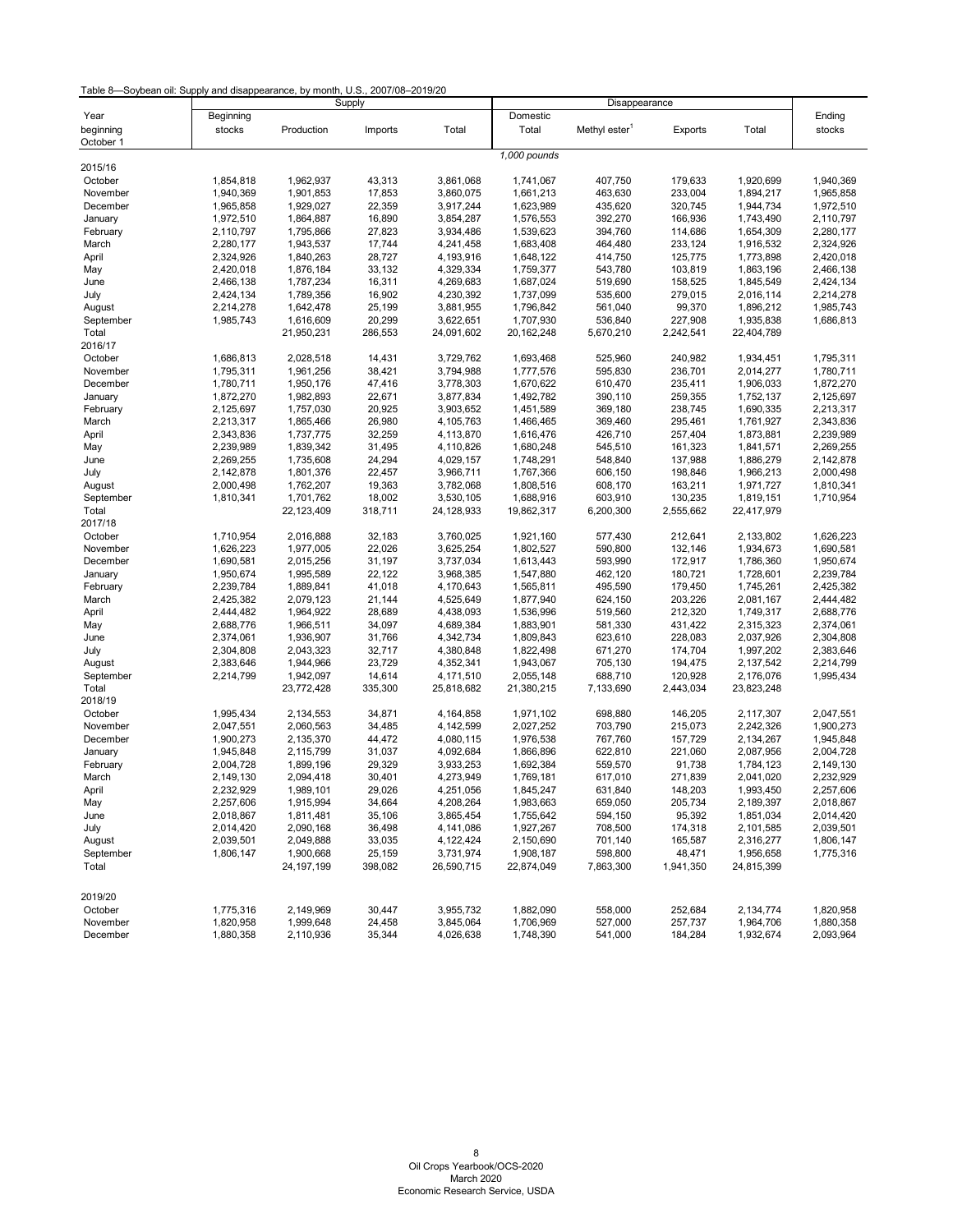### Table 8—Soybean oil: Supply and disappearance, by month, U.S., 2007/08–2019/20

<span id="page-8-0"></span>

|                     |           |              | Supply  |                        |                        |                           |                    |            |                        |
|---------------------|-----------|--------------|---------|------------------------|------------------------|---------------------------|--------------------|------------|------------------------|
| Year                | Beginning |              |         |                        | Domestic               | Disappearance             |                    |            | Ending                 |
| beginning           | stocks    | Production   | Imports | Total                  | Total                  | Methyl ester <sup>1</sup> | Exports            | Total      | stocks                 |
| October 1           |           |              |         |                        |                        |                           |                    |            |                        |
|                     |           |              |         |                        | 1,000 pounds           |                           |                    |            |                        |
| 2015/16             |           |              |         |                        |                        |                           |                    |            |                        |
| October             | 1,854,818 | 1,962,937    | 43,313  | 3,861,068              | 1,741,067              | 407,750                   | 179,633            | 1,920,699  | 1,940,369              |
| November            | 1,940,369 | 1,901,853    | 17,853  | 3,860,075              | 1,661,213              | 463,630                   | 233,004            | 1,894,217  | 1,965,858              |
| December            | 1,965,858 | 1,929,027    | 22,359  | 3,917,244              | 1,623,989              | 435,620                   | 320,745            | 1,944,734  | 1,972,510              |
| January             | 1,972,510 | 1,864,887    | 16,890  | 3,854,287              | 1,576,553              | 392,270                   | 166,936            | 1,743,490  | 2,110,797              |
| February            | 2,110,797 | 1,795,866    | 27,823  | 3,934,486              | 1,539,623              | 394,760                   | 114,686            | 1,654,309  | 2,280,177              |
| March               | 2,280,177 | 1,943,537    | 17,744  | 4,241,458              | 1,683,408              | 464,480                   | 233,124            | 1,916,532  | 2,324,926              |
| April               | 2,324,926 | 1,840,263    | 28,727  | 4,193,916              | 1,648,122              | 414,750                   | 125,775            | 1,773,898  | 2,420,018              |
| May                 | 2,420,018 | 1,876,184    | 33,132  | 4,329,334              | 1,759,377              | 543,780                   | 103,819            | 1,863,196  | 2,466,138              |
| June                | 2,466,138 | 1,787,234    | 16,311  | 4,269,683              | 1,687,024              | 519,690                   | 158,525            | 1,845,549  | 2,424,134              |
| July                | 2,424,134 | 1,789,356    | 16,902  | 4,230,392              | 1,737,099              | 535,600                   | 279,015            | 2,016,114  | 2,214,278              |
| August              | 2,214,278 | 1,642,478    | 25,199  | 3,881,955              | 1,796,842              | 561,040                   | 99,370             | 1,896,212  | 1,985,743              |
| September           | 1,985,743 | 1,616,609    | 20,299  | 3,622,651              | 1,707,930              | 536,840                   | 227,908            | 1,935,838  | 1,686,813              |
| Total               |           | 21,950,231   | 286,553 | 24,091,602             | 20, 162, 248           | 5,670,210                 | 2,242,541          | 22,404,789 |                        |
| 2016/17             |           |              |         |                        |                        |                           |                    |            |                        |
| October             | 1,686,813 | 2,028,518    | 14,431  | 3,729,762              | 1,693,468              | 525,960                   | 240,982            | 1,934,451  | 1,795,311              |
| November            | 1,795,311 | 1,961,256    | 38,421  | 3,794,988              | 1,777,576              | 595,830                   | 236,701            | 2,014,277  | 1,780,711              |
| December            | 1,780,711 | 1,950,176    | 47,416  | 3,778,303              | 1,670,622              | 610,470                   | 235,411            | 1,906,033  | 1,872,270              |
| January             | 1,872,270 | 1,982,893    | 22,671  | 3,877,834              | 1,492,782              | 390,110                   | 259,355            | 1,752,137  | 2,125,697              |
| February            | 2,125,697 | 1,757,030    | 20,925  | 3,903,652              | 1,451,589              | 369,180                   | 238,745            | 1,690,335  | 2,213,317              |
| March               | 2,213,317 | 1,865,466    | 26,980  | 4,105,763              | 1,466,465              | 369,460                   | 295,461            | 1,761,927  | 2,343,836              |
| April               | 2,343,836 | 1,737,775    | 32,259  | 4,113,870              | 1,616,476              | 426,710                   | 257,404            | 1,873,881  | 2,239,989              |
| May                 | 2,239,989 | 1,839,342    | 31,495  | 4,110,826              | 1,680,248              | 545,510                   | 161,323            | 1,841,571  | 2,269,255              |
| June                | 2,269,255 | 1,735,608    | 24,294  | 4,029,157              | 1,748,291              | 548,840                   | 137,988            | 1,886,279  | 2,142,878              |
| July                | 2,142,878 | 1,801,376    | 22,457  | 3,966,711              | 1,767,366              | 606,150                   | 198,846            | 1,966,213  | 2,000,498              |
| August              | 2,000,498 | 1,762,207    | 19,363  | 3,782,068              | 1,808,516              | 608,170                   | 163,211            | 1,971,727  | 1,810,341              |
| September           | 1,810,341 | 1,701,762    | 18,002  | 3,530,105              | 1,688,916              | 603,910                   | 130,235            | 1,819,151  | 1,710,954              |
| Total               |           | 22,123,409   | 318,711 | 24,128,933             | 19,862,317             | 6,200,300                 | 2,555,662          | 22,417,979 |                        |
| 2017/18             |           |              |         |                        |                        |                           |                    |            |                        |
| October             | 1,710,954 | 2,016,888    | 32,183  | 3,760,025              | 1,921,160              | 577,430                   | 212,641            | 2,133,802  | 1,626,223              |
| November            | 1,626,223 | 1,977,005    | 22,026  | 3,625,254              | 1,802,527              | 590,800                   | 132,146            | 1,934,673  | 1,690,581              |
| December            | 1,690,581 | 2,015,256    | 31,197  | 3,737,034              | 1,613,443              | 593,990                   | 172,917            | 1,786,360  | 1,950,674              |
|                     | 1,950,674 | 1,995,589    | 22,122  |                        |                        | 462,120                   | 180,721            | 1,728,601  | 2,239,784              |
| January<br>February | 2,239,784 | 1,889,841    | 41,018  | 3,968,385<br>4,170,643 | 1,547,880<br>1,565,811 | 495,590                   | 179,450            | 1,745,261  | 2,425,382              |
|                     | 2,425,382 | 2,079,123    | 21,144  | 4,525,649              | 1,877,940              | 624,150                   | 203,226            | 2,081,167  | 2,444,482              |
| March               |           |              |         |                        | 1,536,996              |                           |                    |            |                        |
| April               | 2,444,482 | 1,964,922    | 28,689  | 4,438,093<br>4,689,384 |                        | 519,560                   | 212,320<br>431,422 | 1,749,317  | 2,688,776<br>2,374,061 |
| May                 | 2,688,776 | 1,966,511    | 34,097  |                        | 1,883,901              | 581,330                   |                    | 2,315,323  |                        |
| June                | 2,374,061 | 1,936,907    | 31,766  | 4,342,734              | 1,809,843              | 623,610                   | 228,083            | 2,037,926  | 2,304,808              |
| July                | 2,304,808 | 2,043,323    | 32,717  | 4,380,848              | 1,822,498              | 671,270                   | 174,704            | 1,997,202  | 2,383,646              |
| August              | 2,383,646 | 1,944,966    | 23,729  | 4,352,341              | 1,943,067              | 705,130                   | 194,475            | 2,137,542  | 2,214,799              |
| September           | 2,214,799 | 1,942,097    | 14,614  | 4,171,510              | 2,055,148              | 688,710                   | 120,928            | 2,176,076  | 1,995,434              |
| Total               |           | 23,772,428   | 335,300 | 25,818,682             | 21,380,215             | 7,133,690                 | 2,443,034          | 23,823,248 |                        |
| 2018/19             |           |              |         |                        |                        |                           |                    |            |                        |
| October             | 1,995,434 | 2,134,553    | 34,871  | 4,164,858              | 1,971,102              | 698,880                   | 146,205            | 2,117,307  | 2,047,551              |
| November            | 2,047,551 | 2,060,563    | 34,485  | 4,142,599              | 2,027,252              | 703,790                   | 215,073            | 2,242,326  | 1,900,273              |
| December            | 1,900,273 | 2,135,370    | 44,472  | 4,080,115              | 1,976,538              | 767,760                   | 157,729            | 2,134,267  | 1,945,848              |
| January             | 1,945,848 | 2,115,799    | 31,037  | 4,092,684              | 1,866,896              | 622,810                   | 221,060            | 2,087,956  | 2,004,728              |
| February            | 2,004,728 | 1,899,196    | 29,329  | 3,933,253              | 1,692,384              | 559,570                   | 91,738             | 1,784,123  | 2,149,130              |
| March               | 2,149,130 | 2,094,418    | 30,401  | 4,273,949              | 1,769,181              | 617,010                   | 271,839            | 2,041,020  | 2,232,929              |
| April               | 2,232,929 | 1,989,101    | 29,026  | 4,251,056              | 1,845,247              | 631,840                   | 148,203            | 1,993,450  | 2,257,606              |
| May                 | 2,257,606 | 1,915,994    | 34,664  | 4,208,264              | 1,983,663              | 659,050                   | 205,734            | 2,189,397  | 2,018,867              |
| June                | 2,018,867 | 1,811,481    | 35,106  | 3,865,454              | 1,755,642              | 594,150                   | 95,392             | 1,851,034  | 2,014,420              |
| July                | 2,014,420 | 2,090,168    | 36,498  | 4,141,086              | 1,927,267              | 708,500                   | 174,318            | 2,101,585  | 2,039,501              |
| August              | 2,039,501 | 2,049,888    | 33,035  | 4,122,424              | 2,150,690              | 701,140                   | 165,587            | 2,316,277  | 1,806,147              |
| September           | 1,806,147 | 1,900,668    | 25,159  | 3,731,974              | 1,908,187              | 598,800                   | 48,471             | 1,956,658  | 1,775,316              |
| Total               |           | 24, 197, 199 | 398,082 | 26,590,715             | 22,874,049             | 7,863,300                 | 1,941,350          | 24,815,399 |                        |
|                     |           |              |         |                        |                        |                           |                    |            |                        |
| 2019/20             |           |              |         |                        |                        |                           |                    |            |                        |
| October             | 1,775,316 | 2,149,969    | 30,447  | 3,955,732              | 1,882,090              | 558,000                   | 252,684            | 2,134,774  | 1,820,958              |
| November            | 1,820,958 | 1,999,648    | 24,458  | 3,845,064              | 1,706,969              | 527,000                   | 257,737            | 1,964,706  | 1,880,358              |
| December            | 1,880,358 | 2,110,936    | 35,344  | 4,026,638              | 1,748,390              | 541,000                   | 184,284            | 1,932,674  | 2,093,964              |
|                     |           |              |         |                        |                        |                           |                    |            |                        |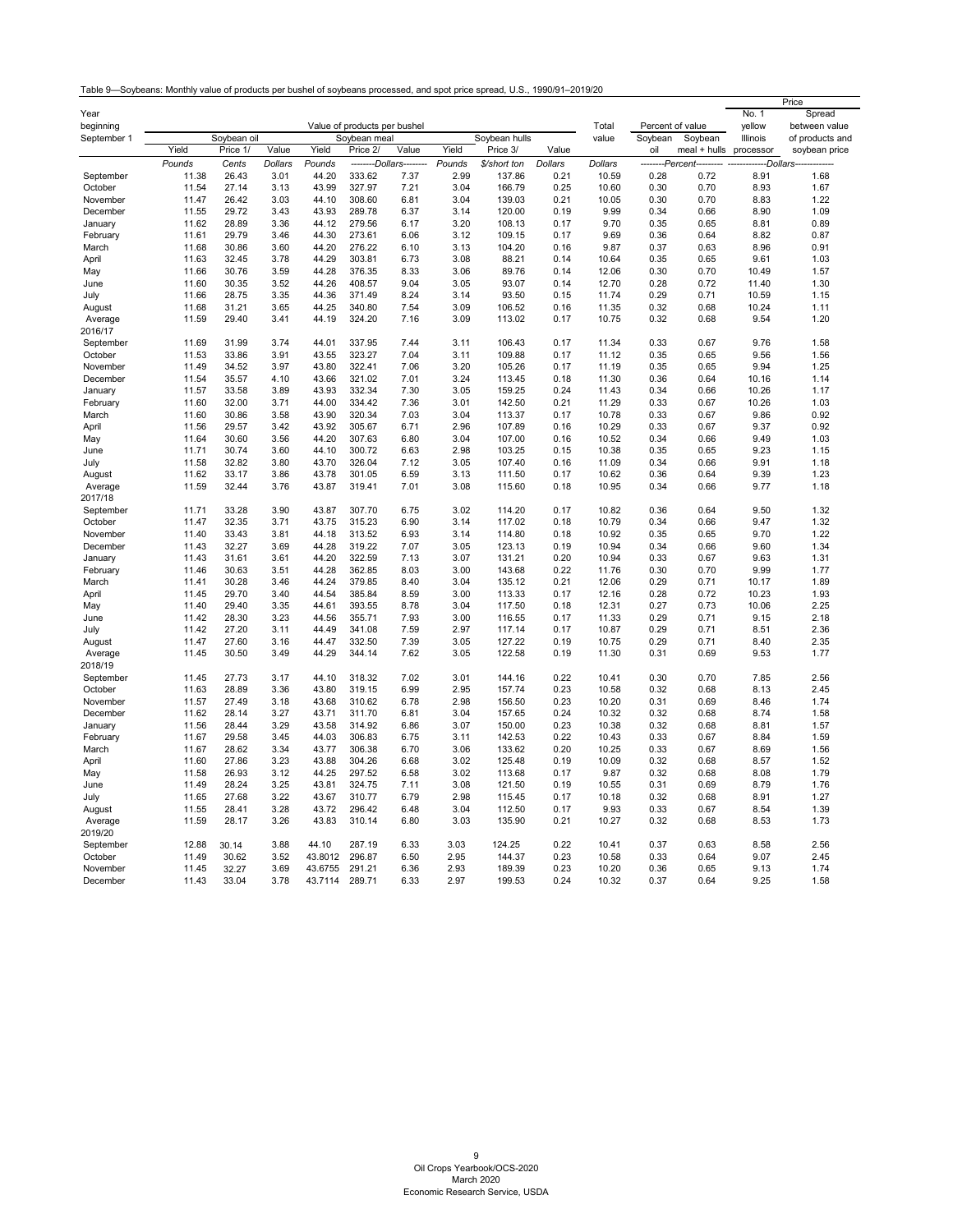<span id="page-9-0"></span>

|                          |                |                |              |                |                                              |                         |              |                  |              |                |                             |              |                    | Price                            |
|--------------------------|----------------|----------------|--------------|----------------|----------------------------------------------|-------------------------|--------------|------------------|--------------|----------------|-----------------------------|--------------|--------------------|----------------------------------|
| Year                     |                |                |              |                |                                              |                         |              |                  |              |                |                             |              | No. 1              | Spread                           |
| beginning<br>September 1 |                | Soybean oil    |              |                | Value of products per bushel<br>Soybean meal |                         |              | Soybean hulls    |              | Total<br>value | Percent of value<br>Soybean | Soybean      | yellow<br>Illinois | between value<br>of products and |
|                          | Yield          | Price 1/       | Value        | Yield          | Price 2/                                     | Value                   | Yield        | Price 3/         | Value        |                | oil                         | meal + hulls | processor          | soybean price                    |
|                          | Pounds         | Cents          | Dollars      | Pounds         |                                              | --------Dollars-------- | Pounds       | \$/short ton     | Dollars      | Dollars        | --------Percent-            |              | ---Dollars---      |                                  |
| September                | 11.38          | 26.43          | 3.01         | 44.20          | 333.62                                       | 7.37                    | 2.99         | 137.86           | 0.21         | 10.59          | 0.28                        | 0.72         | 8.91               | 1.68                             |
| October                  | 11.54          | 27.14          | 3.13         | 43.99          | 327.97                                       | 7.21                    | 3.04         | 166.79           | 0.25         | 10.60          | 0.30                        | 0.70         | 8.93               | 1.67                             |
| November                 | 11.47          | 26.42          | 3.03         | 44.10          | 308.60                                       | 6.81                    | 3.04         | 139.03           | 0.21         | 10.05          | 0.30                        | 0.70         | 8.83               | 1.22                             |
| December                 | 11.55          | 29.72          | 3.43         | 43.93          | 289.78                                       | 6.37                    | 3.14         | 120.00           | 0.19         | 9.99           | 0.34                        | 0.66         | 8.90               | 1.09                             |
| January                  | 11.62          | 28.89          | 3.36         | 44.12          | 279.56                                       | 6.17                    | 3.20         | 108.13           | 0.17         | 9.70           | 0.35                        | 0.65         | 8.81               | 0.89                             |
| February                 | 11.61          | 29.79          | 3.46         | 44.30          | 273.61                                       | 6.06                    | 3.12         | 109.15           | 0.17         | 9.69           | 0.36                        | 0.64         | 8.82               | 0.87                             |
| March                    | 11.68          | 30.86          | 3.60         | 44.20          | 276.22                                       | 6.10                    | 3.13         | 104.20           | 0.16         | 9.87           | 0.37                        | 0.63         | 8.96               | 0.91                             |
| April                    | 11.63          | 32.45          | 3.78         | 44.29          | 303.81                                       | 6.73                    | 3.08         | 88.21            | 0.14         | 10.64          | 0.35                        | 0.65         | 9.61               | 1.03                             |
| May                      | 11.66          | 30.76          | 3.59         | 44.28          | 376.35                                       | 8.33                    | 3.06         | 89.76            | 0.14         | 12.06          | 0.30                        | 0.70         | 10.49              | 1.57                             |
| June                     | 11.60          | 30.35          | 3.52         | 44.26          | 408.57                                       | 9.04                    | 3.05         | 93.07            | 0.14         | 12.70          | 0.28                        | 0.72         | 11.40              | 1.30                             |
| July                     | 11.66          | 28.75          | 3.35         | 44.36          | 371.49                                       | 8.24                    | 3.14         | 93.50            | 0.15         | 11.74          | 0.29                        | 0.71         | 10.59              | 1.15                             |
| August                   | 11.68          | 31.21          | 3.65         | 44.25          | 340.80                                       | 7.54                    | 3.09         | 106.52           | 0.16         | 11.35          | 0.32                        | 0.68         | 10.24              | 1.11                             |
| Average                  | 11.59          | 29.40          | 3.41         | 44.19          | 324.20                                       | 7.16                    | 3.09         | 113.02           | 0.17         | 10.75          | 0.32                        | 0.68         | 9.54               | 1.20                             |
| 2016/17                  |                |                |              |                |                                              |                         |              |                  |              |                |                             |              |                    |                                  |
| September                | 11.69          | 31.99          | 3.74         | 44.01          | 337.95                                       | 7.44                    | 3.11         | 106.43           | 0.17         | 11.34          | 0.33                        | 0.67         | 9.76               | 1.58                             |
| October                  | 11.53          | 33.86          | 3.91         | 43.55          | 323.27                                       | 7.04                    | 3.11         | 109.88           | 0.17         | 11.12          | 0.35                        | 0.65         | 9.56               | 1.56                             |
| November                 | 11.49          | 34.52          | 3.97         | 43.80          | 322.41                                       | 7.06                    | 3.20         | 105.26           | 0.17         | 11.19          | 0.35                        | 0.65         | 9.94               | 1.25                             |
| December                 | 11.54          | 35.57          | 4.10         | 43.66          | 321.02                                       | 7.01                    | 3.24         | 113.45           | 0.18         | 11.30          | 0.36                        | 0.64         | 10.16              | 1.14                             |
| January                  | 11.57<br>11.60 | 33.58<br>32.00 | 3.89<br>3.71 | 43.93<br>44.00 | 332.34<br>334.42                             | 7.30<br>7.36            | 3.05         | 159.25<br>142.50 | 0.24<br>0.21 | 11.43<br>11.29 | 0.34<br>0.33                | 0.66<br>0.67 | 10.26<br>10.26     | 1.17<br>1.03                     |
| February<br>March        | 11.60          | 30.86          | 3.58         | 43.90          | 320.34                                       | 7.03                    | 3.01<br>3.04 | 113.37           | 0.17         | 10.78          | 0.33                        | 0.67         | 9.86               | 0.92                             |
| April                    | 11.56          | 29.57          | 3.42         | 43.92          | 305.67                                       | 6.71                    | 2.96         | 107.89           | 0.16         | 10.29          | 0.33                        | 0.67         | 9.37               | 0.92                             |
| May                      | 11.64          | 30.60          | 3.56         | 44.20          | 307.63                                       | 6.80                    | 3.04         | 107.00           | 0.16         | 10.52          | 0.34                        | 0.66         | 9.49               | 1.03                             |
| June                     | 11.71          | 30.74          | 3.60         | 44.10          | 300.72                                       | 6.63                    | 2.98         | 103.25           | 0.15         | 10.38          | 0.35                        | 0.65         | 9.23               | 1.15                             |
| July                     | 11.58          | 32.82          | 3.80         | 43.70          | 326.04                                       | 7.12                    | 3.05         | 107.40           | 0.16         | 11.09          | 0.34                        | 0.66         | 9.91               | 1.18                             |
| August                   | 11.62          | 33.17          | 3.86         | 43.78          | 301.05                                       | 6.59                    | 3.13         | 111.50           | 0.17         | 10.62          | 0.36                        | 0.64         | 9.39               | 1.23                             |
| Average                  | 11.59          | 32.44          | 3.76         | 43.87          | 319.41                                       | 7.01                    | 3.08         | 115.60           | 0.18         | 10.95          | 0.34                        | 0.66         | 9.77               | 1.18                             |
| 2017/18                  |                |                |              |                |                                              |                         |              |                  |              |                |                             |              |                    |                                  |
| September                | 11.71          | 33.28          | 3.90         | 43.87          | 307.70                                       | 6.75                    | 3.02         | 114.20           | 0.17         | 10.82          | 0.36                        | 0.64         | 9.50               | 1.32                             |
| October                  | 11.47          | 32.35          | 3.71         | 43.75          | 315.23                                       | 6.90                    | 3.14         | 117.02           | 0.18         | 10.79          | 0.34                        | 0.66         | 9.47               | 1.32                             |
| November                 | 11.40          | 33.43          | 3.81         | 44.18          | 313.52                                       | 6.93                    | 3.14         | 114.80           | 0.18         | 10.92          | 0.35                        | 0.65         | 9.70               | 1.22                             |
| December                 | 11.43          | 32.27          | 3.69         | 44.28          | 319.22                                       | 7.07                    | 3.05         | 123.13           | 0.19         | 10.94          | 0.34                        | 0.66         | 9.60               | 1.34                             |
| January                  | 11.43          | 31.61          | 3.61         | 44.20          | 322.59                                       | 7.13                    | 3.07         | 131.21           | 0.20         | 10.94          | 0.33                        | 0.67         | 9.63               | 1.31                             |
| February                 | 11.46          | 30.63          | 3.51         | 44.28          | 362.85                                       | 8.03                    | 3.00         | 143.68           | 0.22         | 11.76          | 0.30                        | 0.70         | 9.99               | 1.77                             |
| March                    | 11.41          | 30.28          | 3.46         | 44.24          | 379.85                                       | 8.40                    | 3.04         | 135.12           | 0.21         | 12.06          | 0.29                        | 0.71         | 10.17              | 1.89                             |
| April                    | 11.45          | 29.70          | 3.40         | 44.54          | 385.84                                       | 8.59                    | 3.00         | 113.33           | 0.17         | 12.16          | 0.28                        | 0.72         | 10.23              | 1.93                             |
| May                      | 11.40          | 29.40          | 3.35         | 44.61          | 393.55                                       | 8.78                    | 3.04         | 117.50           | 0.18         | 12.31          | 0.27                        | 0.73         | 10.06              | 2.25                             |
| June                     | 11.42          | 28.30          | 3.23         | 44.56          | 355.71                                       | 7.93                    | 3.00         | 116.55           | 0.17         | 11.33          | 0.29                        | 0.71         | 9.15               | 2.18                             |
| July                     | 11.42          | 27.20          | 3.11         | 44.49          | 341.08                                       | 7.59                    | 2.97         | 117.14           | 0.17         | 10.87          | 0.29                        | 0.71         | 8.51               | 2.36                             |
| August                   | 11.47<br>11.45 | 27.60<br>30.50 | 3.16<br>3.49 | 44.47<br>44.29 | 332.50<br>344.14                             | 7.39<br>7.62            | 3.05         | 127.22<br>122.58 | 0.19<br>0.19 | 10.75<br>11.30 | 0.29<br>0.31                | 0.71<br>0.69 | 8.40               | 2.35<br>1.77                     |
| Average<br>2018/19       |                |                |              |                |                                              |                         | 3.05         |                  |              |                |                             |              | 9.53               |                                  |
| September                | 11.45          | 27.73          | 3.17         | 44.10          | 318.32                                       | 7.02                    | 3.01         | 144.16           | 0.22         | 10.41          | 0.30                        | 0.70         | 7.85               | 2.56                             |
| October                  | 11.63          | 28.89          | 3.36         | 43.80          | 319.15                                       | 6.99                    | 2.95         | 157.74           | 0.23         | 10.58          | 0.32                        | 0.68         | 8.13               | 2.45                             |
| November                 | 11.57          | 27.49          | 3.18         | 43.68          | 310.62                                       | 6.78                    | 2.98         | 156.50           | 0.23         | 10.20          | 0.31                        | 0.69         | 8.46               | 1.74                             |
| December                 | 11.62          | 28.14          | 3.27         | 43.71          | 311.70                                       | 6.81                    | 3.04         | 157.65           | 0.24         | 10.32          | 0.32                        | 0.68         | 8.74               | 1.58                             |
| January                  | 11.56          | 28.44          | 3.29         | 43.58          | 314.92                                       | 6.86                    | 3.07         | 150.00           | 0.23         | 10.38          | 0.32                        | 0.68         | 8.81               | 1.57                             |
| February                 | 11.67          | 29.58          | 3.45         | 44.03          | 306.83                                       | 6.75                    | 3.11         | 142.53           | 0.22         | 10.43          | 0.33                        | 0.67         | 8.84               | 1.59                             |
| March                    | 11.67          | 28.62          | 3.34         | 43.77          | 306.38                                       | 6.70                    | 3.06         | 133.62           | 0.20         | 10.25          | 0.33                        | 0.67         | 8.69               | 1.56                             |
| April                    | 11.60          | 27.86          | 3.23         | 43.88          | 304.26                                       | 6.68                    | 3.02         | 125.48           | 0.19         | 10.09          | 0.32                        | 0.68         | 8.57               | 1.52                             |
| May                      | 11.58          | 26.93          | 3.12         | 44.25          | 297.52                                       | 6.58                    | 3.02         | 113.68           | 0.17         | 9.87           | 0.32                        | 0.68         | 8.08               | 1.79                             |
| June                     | 11.49          | 28.24          | 3.25         | 43.81          | 324.75                                       | 7.11                    | 3.08         | 121.50           | 0.19         | 10.55          | 0.31                        | 0.69         | 8.79               | 1.76                             |
| July                     | 11.65          | 27.68          | 3.22         | 43.67          | 310.77                                       | 6.79                    | 2.98         | 115.45           | 0.17         | 10.18          | 0.32                        | 0.68         | 8.91               | 1.27                             |
| August                   | 11.55          | 28.41          | 3.28         | 43.72          | 296.42                                       | 6.48                    | 3.04         | 112.50           | 0.17         | 9.93           | 0.33                        | 0.67         | 8.54               | 1.39                             |
| Average                  | 11.59          | 28.17          | 3.26         | 43.83          | 310.14                                       | 6.80                    | 3.03         | 135.90           | 0.21         | 10.27          | 0.32                        | 0.68         | 8.53               | 1.73                             |
| 2019/20                  |                |                |              |                |                                              |                         |              |                  |              |                |                             |              |                    |                                  |
| September                | 12.88          | 30.14          | 3.88         | 44.10          | 287.19                                       | 6.33                    | 3.03         | 124.25           | 0.22         | 10.41          | 0.37                        | 0.63         | 8.58               | 2.56                             |
| October                  | 11.49          | 30.62          | 3.52         | 43.8012        | 296.87                                       | 6.50                    | 2.95         | 144.37           | 0.23         | 10.58          | 0.33                        | 0.64         | 9.07               | 2.45                             |
| November                 | 11.45          | 32.27          | 3.69         | 43.6755        | 291.21                                       | 6.36                    | 2.93         | 189.39           | 0.23         | 10.20          | 0.36                        | 0.65         | 9.13               | 1.74                             |
| December                 | 11.43          | 33.04          | 3.78         | 43.7114        | 289.71                                       | 6.33                    | 2.97         | 199.53           | 0.24         | 10.32          | 0.37                        | 0.64         | 9.25               | 1.58                             |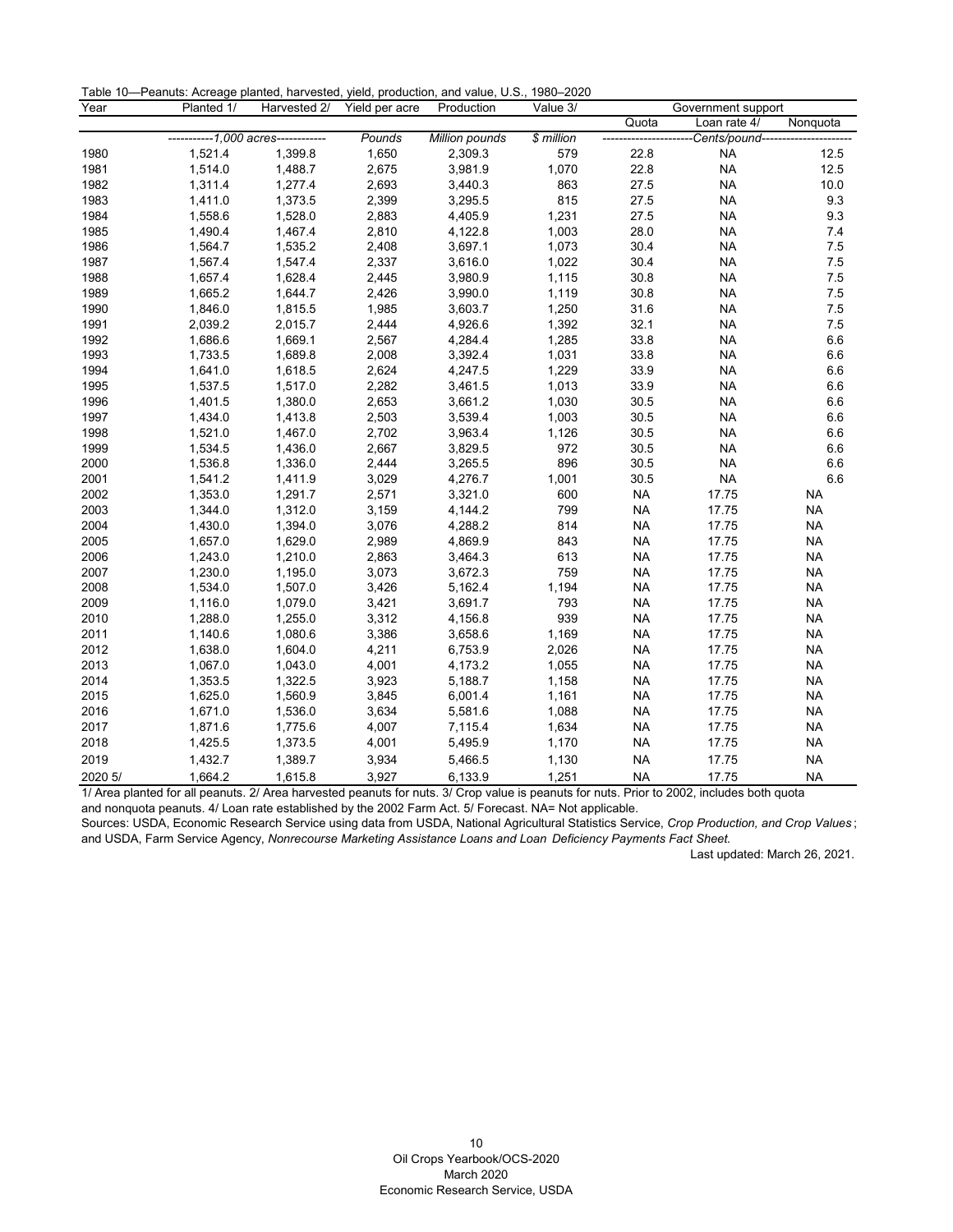| Table 10-Peanuts: Acreage planted, harvested, yield, production, and value, U.S., 1980-2020 |  |  |
|---------------------------------------------------------------------------------------------|--|--|
|---------------------------------------------------------------------------------------------|--|--|

| Year    | Planted 1/<br>Harvested 2/         |         | Yield per acre | Production     | Value 3/   | Government support |                       |           |  |  |
|---------|------------------------------------|---------|----------------|----------------|------------|--------------------|-----------------------|-----------|--|--|
|         |                                    |         |                |                |            | Quota              | Loan rate 4/          | Nonquota  |  |  |
|         | -----------1,000 acres------------ |         | Pounds         | Million pounds | \$ million |                    | -Cents/pound--------- |           |  |  |
| 1980    | 1,521.4                            | 1,399.8 | 1,650          | 2,309.3        | 579        | 22.8               | <b>NA</b>             | 12.5      |  |  |
| 1981    | 1,514.0                            | 1,488.7 | 2,675          | 3,981.9        | 1,070      | 22.8               | <b>NA</b>             | 12.5      |  |  |
| 1982    | 1,311.4                            | 1,277.4 | 2,693          | 3,440.3        | 863        | 27.5               | <b>NA</b>             | 10.0      |  |  |
| 1983    | 1,411.0                            | 1,373.5 | 2,399          | 3,295.5        | 815        | 27.5               | <b>NA</b>             | 9.3       |  |  |
| 1984    | 1,558.6                            | 1,528.0 | 2,883          | 4,405.9        | 1,231      | 27.5               | <b>NA</b>             | 9.3       |  |  |
| 1985    | 1,490.4                            | 1,467.4 | 2,810          | 4,122.8        | 1,003      | 28.0               | <b>NA</b>             | 7.4       |  |  |
| 1986    | 1,564.7                            | 1,535.2 | 2,408          | 3,697.1        | 1,073      | 30.4               | <b>NA</b>             | 7.5       |  |  |
| 1987    | 1,567.4                            | 1,547.4 | 2,337          | 3,616.0        | 1,022      | 30.4               | <b>NA</b>             | 7.5       |  |  |
| 1988    | 1,657.4                            | 1,628.4 | 2,445          | 3,980.9        | 1,115      | 30.8               | <b>NA</b>             | 7.5       |  |  |
| 1989    | 1,665.2                            | 1,644.7 | 2,426          | 3,990.0        | 1,119      | 30.8               | <b>NA</b>             | 7.5       |  |  |
| 1990    | 1,846.0                            | 1,815.5 | 1,985          | 3,603.7        | 1,250      | 31.6               | <b>NA</b>             | 7.5       |  |  |
| 1991    | 2,039.2                            | 2,015.7 | 2,444          | 4,926.6        | 1,392      | 32.1               | <b>NA</b>             | 7.5       |  |  |
| 1992    | 1,686.6                            | 1,669.1 | 2,567          | 4,284.4        | 1,285      | 33.8               | <b>NA</b>             | 6.6       |  |  |
| 1993    | 1,733.5                            | 1,689.8 | 2,008          | 3,392.4        | 1,031      | 33.8               | <b>NA</b>             | 6.6       |  |  |
| 1994    | 1,641.0                            | 1,618.5 | 2,624          | 4,247.5        | 1,229      | 33.9               | <b>NA</b>             | 6.6       |  |  |
| 1995    | 1,537.5                            | 1,517.0 | 2,282          | 3,461.5        | 1,013      | 33.9               | <b>NA</b>             | 6.6       |  |  |
| 1996    | 1,401.5                            | 1,380.0 | 2,653          | 3,661.2        | 1,030      | 30.5               | <b>NA</b>             | 6.6       |  |  |
| 1997    | 1,434.0                            | 1,413.8 | 2,503          | 3,539.4        | 1,003      | 30.5               | <b>NA</b>             | 6.6       |  |  |
| 1998    | 1,521.0                            | 1,467.0 | 2,702          | 3,963.4        | 1,126      | 30.5               | <b>NA</b>             | 6.6       |  |  |
| 1999    | 1,534.5                            | 1,436.0 | 2,667          | 3,829.5        | 972        | 30.5               | <b>NA</b>             | 6.6       |  |  |
| 2000    | 1,536.8                            | 1,336.0 | 2,444          | 3,265.5        | 896        | 30.5               | <b>NA</b>             | 6.6       |  |  |
| 2001    | 1,541.2                            | 1,411.9 | 3,029          | 4,276.7        | 1,001      | 30.5               | <b>NA</b>             | 6.6       |  |  |
| 2002    | 1,353.0                            | 1,291.7 | 2,571          | 3,321.0        | 600        | <b>NA</b>          | 17.75                 | <b>NA</b> |  |  |
| 2003    | 1,344.0                            | 1,312.0 | 3,159          | 4,144.2        | 799        | <b>NA</b>          | 17.75                 | <b>NA</b> |  |  |
| 2004    | 1,430.0                            | 1,394.0 | 3,076          | 4,288.2        | 814        | <b>NA</b>          | 17.75                 | <b>NA</b> |  |  |
| 2005    | 1,657.0                            | 1,629.0 | 2,989          | 4,869.9        | 843        | <b>NA</b>          | 17.75                 | <b>NA</b> |  |  |
| 2006    | 1,243.0                            | 1,210.0 | 2,863          | 3,464.3        | 613        | <b>NA</b>          | 17.75                 | <b>NA</b> |  |  |
| 2007    | 1,230.0                            | 1,195.0 | 3,073          | 3,672.3        | 759        | <b>NA</b>          | 17.75                 | <b>NA</b> |  |  |
| 2008    | 1,534.0                            | 1,507.0 | 3,426          | 5,162.4        | 1,194      | <b>NA</b>          | 17.75                 | <b>NA</b> |  |  |
| 2009    | 1,116.0                            | 1,079.0 | 3,421          | 3,691.7        | 793        | <b>NA</b>          | 17.75                 | <b>NA</b> |  |  |
| 2010    | 1,288.0                            | 1,255.0 | 3,312          | 4,156.8        | 939        | <b>NA</b>          | 17.75                 | <b>NA</b> |  |  |
| 2011    | 1,140.6                            | 1,080.6 | 3,386          | 3,658.6        | 1,169      | <b>NA</b>          | 17.75                 | <b>NA</b> |  |  |
| 2012    | 1,638.0                            | 1,604.0 | 4,211          | 6,753.9        | 2,026      | <b>NA</b>          | 17.75                 | <b>NA</b> |  |  |
| 2013    | 1,067.0                            | 1,043.0 | 4,001          | 4,173.2        | 1,055      | <b>NA</b>          | 17.75                 | <b>NA</b> |  |  |
| 2014    | 1,353.5                            | 1,322.5 | 3,923          | 5,188.7        | 1,158      | <b>NA</b>          | 17.75                 | <b>NA</b> |  |  |
| 2015    | 1,625.0                            | 1,560.9 | 3,845          | 6,001.4        | 1,161      | <b>NA</b>          | 17.75                 | <b>NA</b> |  |  |
| 2016    | 1,671.0                            | 1,536.0 | 3,634          | 5,581.6        | 1,088      | <b>NA</b>          | 17.75                 | <b>NA</b> |  |  |
| 2017    | 1,871.6                            | 1,775.6 | 4,007          | 7,115.4        | 1,634      | <b>NA</b>          | 17.75                 | <b>NA</b> |  |  |
| 2018    | 1,425.5                            | 1,373.5 | 4,001          | 5,495.9        | 1,170      | <b>NA</b>          | 17.75                 | <b>NA</b> |  |  |
| 2019    | 1,432.7                            | 1,389.7 | 3,934          | 5,466.5        | 1,130      | <b>NA</b>          | 17.75                 | <b>NA</b> |  |  |
| 2020 5/ | 1.664.2                            | 1.615.8 | 3.927          | 6.133.9        | 1.251      | <b>NA</b>          | 17.75                 | <b>NA</b> |  |  |

1/ Area planted for all peanuts. 2/ Area harvested peanuts for nuts. 3/ Crop value is peanuts for nuts. Prior to 2002, includes both quota

and nonquota peanuts. 4/ Loan rate established by the 2002 Farm Act. 5/ Forecast. NA= Not applicable.

<span id="page-10-0"></span>Sources: USDA, Economic Research Service using data from USDA, National Agricultural Statistics Service, *Crop Production, and Crop Values* ; and USDA, Farm Service Agency, *Nonrecourse Marketing Assistance Loans and Loan Deficiency Payments Fact Sheet.*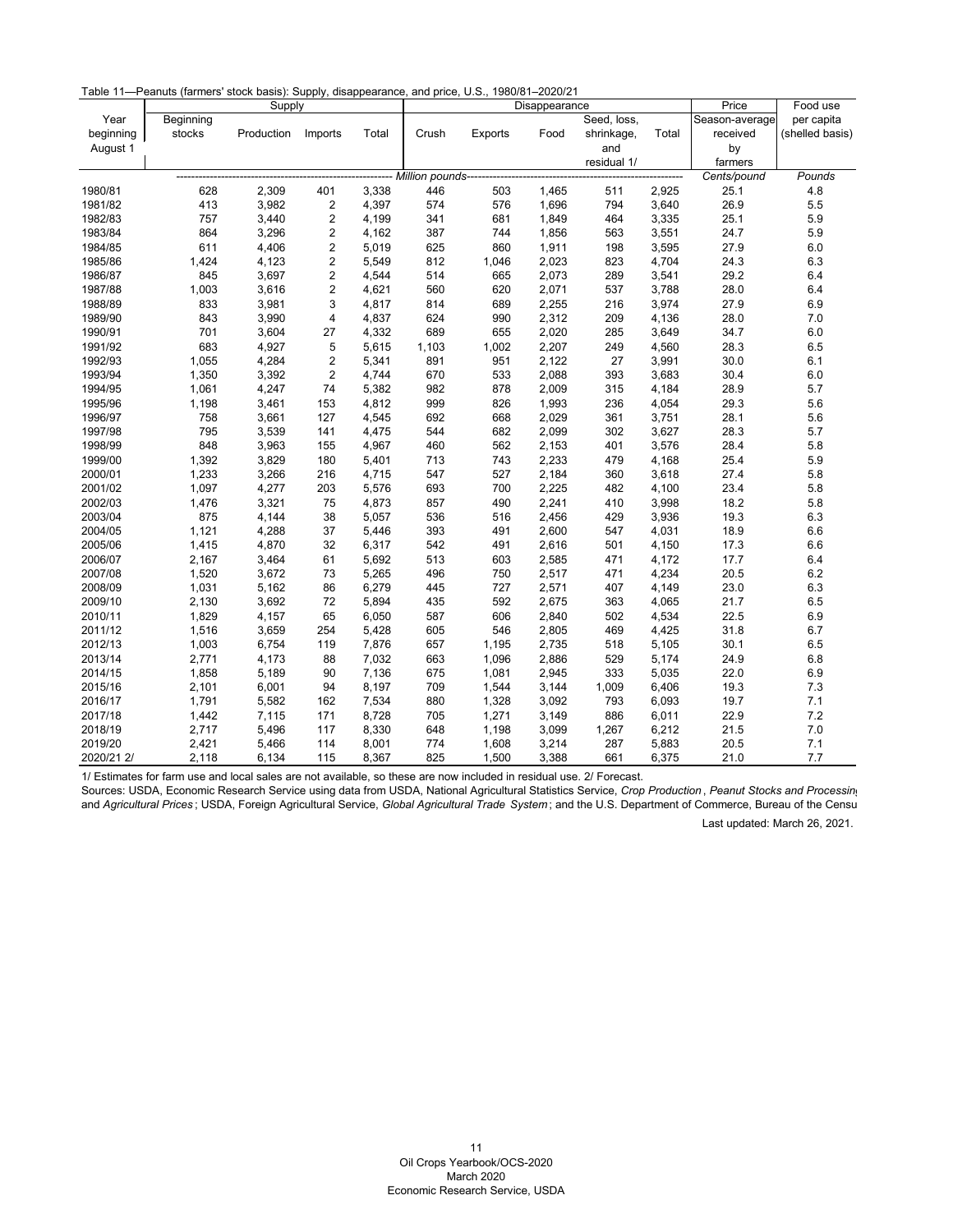Table 11—Peanuts (farmers' stock basis): Supply, disappearance, and price, U.S., 1980/81–2020/21

|            |           | Supply     |                         |       |                   |         | Price         | Food use    |       |                |                 |
|------------|-----------|------------|-------------------------|-------|-------------------|---------|---------------|-------------|-------|----------------|-----------------|
| Year       | Beginning |            |                         |       |                   |         | Disappearance | Seed, loss, |       | Season-average | per capita      |
| beginning  | stocks    | Production | Imports                 | Total | Crush             | Exports | Food          | shrinkage,  | Total | received       | (shelled basis) |
| August 1   |           |            |                         |       |                   |         |               | and         |       | by             |                 |
|            |           |            |                         |       |                   |         |               | residual 1/ |       | farmers        |                 |
|            |           |            |                         |       | Million pounds--- |         |               |             |       | Cents/pound    | Pounds          |
| 1980/81    | 628       | 2,309      | 401                     | 3,338 | 446               | 503     | 1,465         | 511         | 2,925 | 25.1           | 4.8             |
| 1981/82    | 413       | 3,982      | $\boldsymbol{2}$        | 4,397 | 574               | 576     | 1,696         | 794         | 3,640 | 26.9           | 5.5             |
| 1982/83    | 757       | 3,440      | $\boldsymbol{2}$        | 4,199 | 341               | 681     | 1,849         | 464         | 3,335 | 25.1           | 5.9             |
| 1983/84    | 864       | 3,296      | 2                       | 4,162 | 387               | 744     | 1,856         | 563         | 3,551 | 24.7           | 5.9             |
| 1984/85    | 611       | 4,406      | $\overline{\mathbf{c}}$ | 5,019 | 625               | 860     | 1,911         | 198         | 3,595 | 27.9           | 6.0             |
| 1985/86    | 1,424     | 4,123      | $\overline{c}$          | 5,549 | 812               | 1,046   | 2,023         | 823         | 4,704 | 24.3           | 6.3             |
| 1986/87    | 845       | 3,697      | 2                       | 4,544 | 514               | 665     | 2,073         | 289         | 3,541 | 29.2           | 6.4             |
| 1987/88    | 1,003     | 3,616      | $\overline{c}$          | 4,621 | 560               | 620     | 2,071         | 537         | 3,788 | 28.0           | 6.4             |
| 1988/89    | 833       | 3,981      | 3                       | 4,817 | 814               | 689     | 2,255         | 216         | 3,974 | 27.9           | 6.9             |
| 1989/90    | 843       | 3,990      | 4                       | 4,837 | 624               | 990     | 2,312         | 209         | 4,136 | 28.0           | 7.0             |
| 1990/91    | 701       | 3,604      | 27                      | 4,332 | 689               | 655     | 2,020         | 285         | 3,649 | 34.7           | 6.0             |
| 1991/92    | 683       | 4,927      | $\mathbf 5$             | 5,615 | 1,103             | 1,002   | 2,207         | 249         | 4,560 | 28.3           | 6.5             |
| 1992/93    | 1,055     | 4,284      | $\overline{c}$          | 5,341 | 891               | 951     | 2,122         | 27          | 3,991 | 30.0           | 6.1             |
| 1993/94    | 1,350     | 3,392      | 2                       | 4,744 | 670               | 533     | 2,088         | 393         | 3,683 | 30.4           | 6.0             |
| 1994/95    | 1,061     | 4,247      | 74                      | 5,382 | 982               | 878     | 2,009         | 315         | 4,184 | 28.9           | 5.7             |
| 1995/96    | 1,198     | 3,461      | 153                     | 4,812 | 999               | 826     | 1,993         | 236         | 4,054 | 29.3           | 5.6             |
| 1996/97    | 758       | 3,661      | 127                     | 4,545 | 692               | 668     | 2,029         | 361         | 3,751 | 28.1           | 5.6             |
| 1997/98    | 795       | 3,539      | 141                     | 4,475 | 544               | 682     | 2,099         | 302         | 3,627 | 28.3           | 5.7             |
| 1998/99    | 848       | 3,963      | 155                     | 4,967 | 460               | 562     | 2,153         | 401         | 3,576 | 28.4           | 5.8             |
| 1999/00    | 1,392     | 3,829      | 180                     | 5,401 | 713               | 743     | 2,233         | 479         | 4,168 | 25.4           | 5.9             |
| 2000/01    | 1,233     | 3,266      | 216                     | 4,715 | 547               | 527     | 2,184         | 360         | 3,618 | 27.4           | 5.8             |
| 2001/02    | 1,097     | 4,277      | 203                     | 5,576 | 693               | 700     | 2,225         | 482         | 4,100 | 23.4           | 5.8             |
| 2002/03    | 1,476     | 3,321      | 75                      | 4,873 | 857               | 490     | 2,241         | 410         | 3,998 | 18.2           | 5.8             |
| 2003/04    | 875       | 4,144      | 38                      | 5,057 | 536               | 516     | 2,456         | 429         | 3,936 | 19.3           | 6.3             |
| 2004/05    | 1,121     | 4,288      | 37                      | 5,446 | 393               | 491     | 2,600         | 547         | 4,031 | 18.9           | 6.6             |
| 2005/06    | 1,415     | 4,870      | 32                      | 6,317 | 542               | 491     | 2,616         | 501         | 4,150 | 17.3           | 6.6             |
| 2006/07    | 2,167     | 3,464      | 61                      | 5,692 | 513               | 603     | 2,585         | 471         | 4,172 | 17.7           | 6.4             |
| 2007/08    | 1,520     | 3,672      | 73                      | 5,265 | 496               | 750     | 2,517         | 471         | 4,234 | 20.5           | 6.2             |
| 2008/09    | 1,031     | 5,162      | 86                      | 6,279 | 445               | 727     | 2,571         | 407         | 4,149 | 23.0           | 6.3             |
| 2009/10    | 2,130     | 3,692      | 72                      | 5,894 | 435               | 592     | 2,675         | 363         | 4,065 | 21.7           | 6.5             |
| 2010/11    | 1,829     | 4,157      | 65                      | 6,050 | 587               | 606     | 2,840         | 502         | 4,534 | 22.5           | 6.9             |
| 2011/12    | 1,516     | 3,659      | 254                     | 5,428 | 605               | 546     | 2,805         | 469         | 4,425 | 31.8           | 6.7             |
| 2012/13    | 1,003     | 6,754      | 119                     | 7,876 | 657               | 1,195   | 2,735         | 518         | 5,105 | 30.1           | 6.5             |
| 2013/14    | 2,771     | 4,173      | 88                      | 7,032 | 663               | 1,096   | 2,886         | 529         | 5,174 | 24.9           | 6.8             |
| 2014/15    | 1,858     | 5,189      | 90                      | 7,136 | 675               | 1,081   | 2,945         | 333         | 5,035 | 22.0           | 6.9             |
| 2015/16    | 2,101     | 6,001      | 94                      | 8,197 | 709               | 1,544   | 3,144         | 1,009       | 6,406 | 19.3           | 7.3             |
| 2016/17    | 1,791     | 5,582      | 162                     | 7,534 | 880               | 1,328   | 3,092         | 793         | 6,093 | 19.7           | 7.1             |
| 2017/18    | 1,442     | 7,115      | 171                     | 8,728 | 705               | 1,271   | 3,149         | 886         | 6,011 | 22.9           | 7.2             |
| 2018/19    | 2,717     | 5,496      | 117                     | 8,330 | 648               | 1,198   | 3,099         | 1,267       | 6,212 | 21.5           | 7.0             |
| 2019/20    | 2,421     | 5,466      | 114                     | 8,001 | 774               | 1,608   | 3,214         | 287         | 5,883 | 20.5           | 7.1             |
| 2020/21 2/ | 2,118     | 6,134      | 115                     | 8,367 | 825               | 1,500   | 3,388         | 661         | 6,375 | 21.0           | 7.7             |

1/ Estimates for farm use and local sales are not available, so these are now included in residual use. 2/ Forecast.

<span id="page-11-0"></span>Sources: USDA, Economic Research Service using data from USDA, National Agricultural Statistics Service, *Crop Production* , *Peanut Stocks and Processing* and *Agricultural Prices* ; USDA, Foreign Agricultural Service, *Global Agricultural Trade System* ; and the U.S. Department of Commerce, Bureau of the Censu Last updated: March 26, 2021.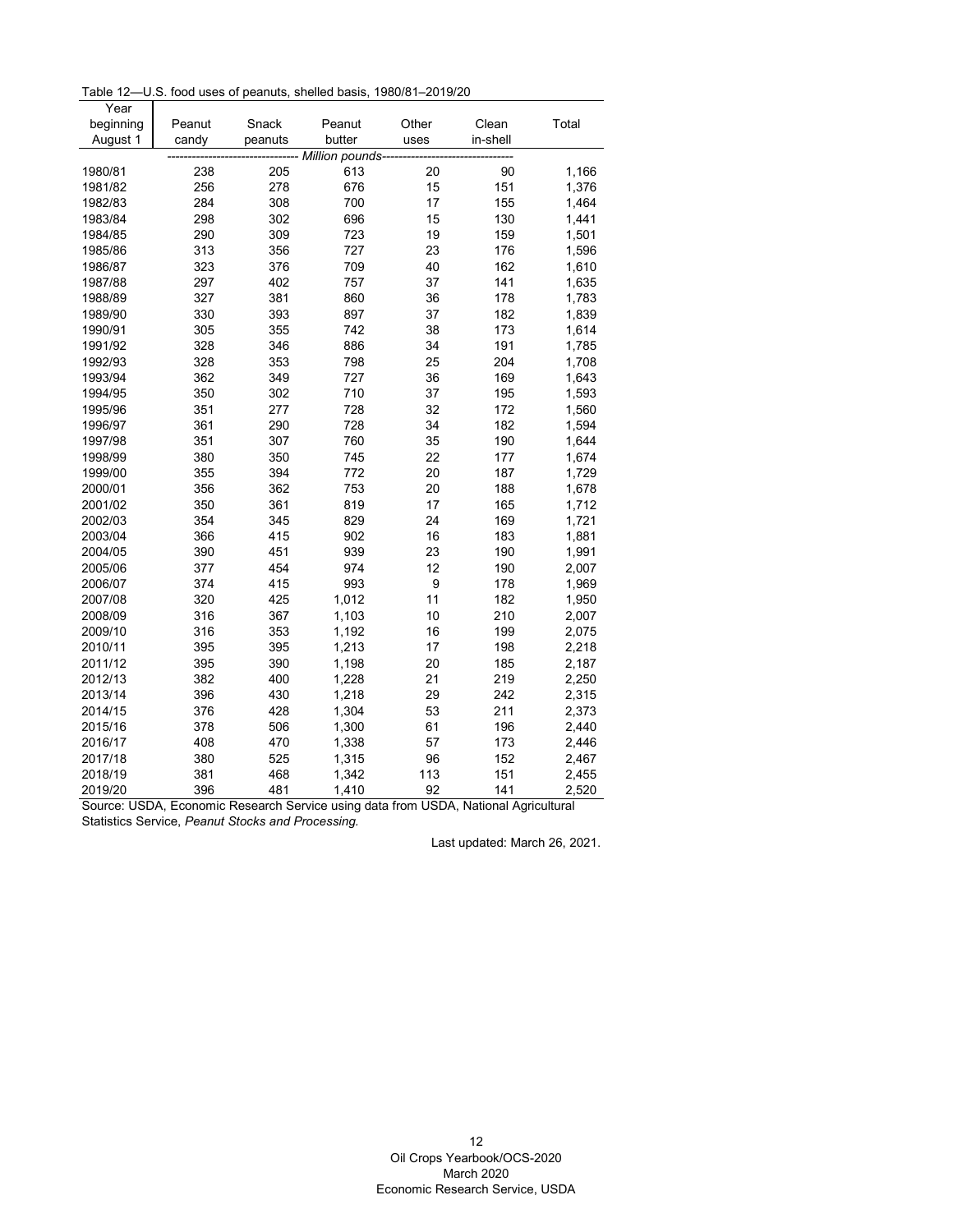Table 12—U.S. food uses of peanuts, shelled basis, 1980/81–2019/20

| August 1<br>butter<br>in-shell<br>candy<br>peanuts<br>uses<br>-- Million pounds-<br>238<br>20<br>613<br>90<br>1,166<br>1980/81<br>205<br>256<br>278<br>15<br>151<br>1981/82<br>676<br>1,376<br>284<br>308<br>700<br>17<br>155<br>1982/83<br>1,464<br>298<br>302<br>696<br>15<br>130<br>1983/84<br>1,441<br>1984/85<br>290<br>309<br>723<br>19<br>159<br>1,501<br>313<br>356<br>727<br>23<br>176<br>1,596<br>1985/86<br>323<br>376<br>709<br>40<br>162<br>1,610<br>1986/87<br>297<br>402<br>757<br>37<br>141<br>1987/88<br>1,635<br>327<br>381<br>860<br>36<br>178<br>1988/89<br>1,783<br>330<br>393<br>897<br>37<br>182<br>1,839<br>1989/90<br>305<br>355<br>742<br>173<br>1990/91<br>38<br>1,614<br>328<br>346<br>886<br>34<br>191<br>1991/92<br>1,785<br>328<br>353<br>798<br>25<br>204<br>1992/93<br>1,708<br>362<br>727<br>1993/94<br>349<br>36<br>169<br>1,643<br>350<br>302<br>710<br>37<br>195<br>1994/95<br>1,593<br>351<br>277<br>728<br>32<br>172<br>1,560<br>1995/96<br>361<br>290<br>728<br>34<br>182<br>1,594<br>1996/97<br>307<br>760<br>190<br>1997/98<br>351<br>35<br>1,644<br>380<br>22<br>1998/99<br>350<br>745<br>177<br>1,674<br>355<br>394<br>772<br>20<br>1999/00<br>187<br>1,729<br>753<br>2000/01<br>356<br>362<br>20<br>188<br>1,678<br>361<br>819<br>17<br>2001/02<br>350<br>165<br>1,712<br>354<br>829<br>24<br>345<br>169<br>1,721<br>2002/03<br>902<br>2003/04<br>366<br>415<br>16<br>183<br>1,881<br>939<br>23<br>2004/05<br>390<br>451<br>190<br>1,991<br>12<br>2005/06<br>377<br>454<br>974<br>190<br>2,007<br>993<br>9<br>2006/07<br>374<br>415<br>178<br>1,969<br>320<br>425<br>1,012<br>11<br>182<br>2007/08<br>1,950<br>2008/09<br>316<br>367<br>1,103<br>10<br>210<br>2,007 | Year      |        |       |        |       |       |       |
|------------------------------------------------------------------------------------------------------------------------------------------------------------------------------------------------------------------------------------------------------------------------------------------------------------------------------------------------------------------------------------------------------------------------------------------------------------------------------------------------------------------------------------------------------------------------------------------------------------------------------------------------------------------------------------------------------------------------------------------------------------------------------------------------------------------------------------------------------------------------------------------------------------------------------------------------------------------------------------------------------------------------------------------------------------------------------------------------------------------------------------------------------------------------------------------------------------------------------------------------------------------------------------------------------------------------------------------------------------------------------------------------------------------------------------------------------------------------------------------------------------------------------------------------------------------------------------------------------------------------------------------------------------------------------------------------------------------|-----------|--------|-------|--------|-------|-------|-------|
|                                                                                                                                                                                                                                                                                                                                                                                                                                                                                                                                                                                                                                                                                                                                                                                                                                                                                                                                                                                                                                                                                                                                                                                                                                                                                                                                                                                                                                                                                                                                                                                                                                                                                                                  | beginning | Peanut | Snack | Peanut | Other | Clean | Total |
|                                                                                                                                                                                                                                                                                                                                                                                                                                                                                                                                                                                                                                                                                                                                                                                                                                                                                                                                                                                                                                                                                                                                                                                                                                                                                                                                                                                                                                                                                                                                                                                                                                                                                                                  |           |        |       |        |       |       |       |
|                                                                                                                                                                                                                                                                                                                                                                                                                                                                                                                                                                                                                                                                                                                                                                                                                                                                                                                                                                                                                                                                                                                                                                                                                                                                                                                                                                                                                                                                                                                                                                                                                                                                                                                  |           |        |       |        |       |       |       |
|                                                                                                                                                                                                                                                                                                                                                                                                                                                                                                                                                                                                                                                                                                                                                                                                                                                                                                                                                                                                                                                                                                                                                                                                                                                                                                                                                                                                                                                                                                                                                                                                                                                                                                                  |           |        |       |        |       |       |       |
|                                                                                                                                                                                                                                                                                                                                                                                                                                                                                                                                                                                                                                                                                                                                                                                                                                                                                                                                                                                                                                                                                                                                                                                                                                                                                                                                                                                                                                                                                                                                                                                                                                                                                                                  |           |        |       |        |       |       |       |
|                                                                                                                                                                                                                                                                                                                                                                                                                                                                                                                                                                                                                                                                                                                                                                                                                                                                                                                                                                                                                                                                                                                                                                                                                                                                                                                                                                                                                                                                                                                                                                                                                                                                                                                  |           |        |       |        |       |       |       |
|                                                                                                                                                                                                                                                                                                                                                                                                                                                                                                                                                                                                                                                                                                                                                                                                                                                                                                                                                                                                                                                                                                                                                                                                                                                                                                                                                                                                                                                                                                                                                                                                                                                                                                                  |           |        |       |        |       |       |       |
|                                                                                                                                                                                                                                                                                                                                                                                                                                                                                                                                                                                                                                                                                                                                                                                                                                                                                                                                                                                                                                                                                                                                                                                                                                                                                                                                                                                                                                                                                                                                                                                                                                                                                                                  |           |        |       |        |       |       |       |
|                                                                                                                                                                                                                                                                                                                                                                                                                                                                                                                                                                                                                                                                                                                                                                                                                                                                                                                                                                                                                                                                                                                                                                                                                                                                                                                                                                                                                                                                                                                                                                                                                                                                                                                  |           |        |       |        |       |       |       |
|                                                                                                                                                                                                                                                                                                                                                                                                                                                                                                                                                                                                                                                                                                                                                                                                                                                                                                                                                                                                                                                                                                                                                                                                                                                                                                                                                                                                                                                                                                                                                                                                                                                                                                                  |           |        |       |        |       |       |       |
|                                                                                                                                                                                                                                                                                                                                                                                                                                                                                                                                                                                                                                                                                                                                                                                                                                                                                                                                                                                                                                                                                                                                                                                                                                                                                                                                                                                                                                                                                                                                                                                                                                                                                                                  |           |        |       |        |       |       |       |
|                                                                                                                                                                                                                                                                                                                                                                                                                                                                                                                                                                                                                                                                                                                                                                                                                                                                                                                                                                                                                                                                                                                                                                                                                                                                                                                                                                                                                                                                                                                                                                                                                                                                                                                  |           |        |       |        |       |       |       |
|                                                                                                                                                                                                                                                                                                                                                                                                                                                                                                                                                                                                                                                                                                                                                                                                                                                                                                                                                                                                                                                                                                                                                                                                                                                                                                                                                                                                                                                                                                                                                                                                                                                                                                                  |           |        |       |        |       |       |       |
|                                                                                                                                                                                                                                                                                                                                                                                                                                                                                                                                                                                                                                                                                                                                                                                                                                                                                                                                                                                                                                                                                                                                                                                                                                                                                                                                                                                                                                                                                                                                                                                                                                                                                                                  |           |        |       |        |       |       |       |
|                                                                                                                                                                                                                                                                                                                                                                                                                                                                                                                                                                                                                                                                                                                                                                                                                                                                                                                                                                                                                                                                                                                                                                                                                                                                                                                                                                                                                                                                                                                                                                                                                                                                                                                  |           |        |       |        |       |       |       |
|                                                                                                                                                                                                                                                                                                                                                                                                                                                                                                                                                                                                                                                                                                                                                                                                                                                                                                                                                                                                                                                                                                                                                                                                                                                                                                                                                                                                                                                                                                                                                                                                                                                                                                                  |           |        |       |        |       |       |       |
|                                                                                                                                                                                                                                                                                                                                                                                                                                                                                                                                                                                                                                                                                                                                                                                                                                                                                                                                                                                                                                                                                                                                                                                                                                                                                                                                                                                                                                                                                                                                                                                                                                                                                                                  |           |        |       |        |       |       |       |
|                                                                                                                                                                                                                                                                                                                                                                                                                                                                                                                                                                                                                                                                                                                                                                                                                                                                                                                                                                                                                                                                                                                                                                                                                                                                                                                                                                                                                                                                                                                                                                                                                                                                                                                  |           |        |       |        |       |       |       |
|                                                                                                                                                                                                                                                                                                                                                                                                                                                                                                                                                                                                                                                                                                                                                                                                                                                                                                                                                                                                                                                                                                                                                                                                                                                                                                                                                                                                                                                                                                                                                                                                                                                                                                                  |           |        |       |        |       |       |       |
|                                                                                                                                                                                                                                                                                                                                                                                                                                                                                                                                                                                                                                                                                                                                                                                                                                                                                                                                                                                                                                                                                                                                                                                                                                                                                                                                                                                                                                                                                                                                                                                                                                                                                                                  |           |        |       |        |       |       |       |
|                                                                                                                                                                                                                                                                                                                                                                                                                                                                                                                                                                                                                                                                                                                                                                                                                                                                                                                                                                                                                                                                                                                                                                                                                                                                                                                                                                                                                                                                                                                                                                                                                                                                                                                  |           |        |       |        |       |       |       |
|                                                                                                                                                                                                                                                                                                                                                                                                                                                                                                                                                                                                                                                                                                                                                                                                                                                                                                                                                                                                                                                                                                                                                                                                                                                                                                                                                                                                                                                                                                                                                                                                                                                                                                                  |           |        |       |        |       |       |       |
|                                                                                                                                                                                                                                                                                                                                                                                                                                                                                                                                                                                                                                                                                                                                                                                                                                                                                                                                                                                                                                                                                                                                                                                                                                                                                                                                                                                                                                                                                                                                                                                                                                                                                                                  |           |        |       |        |       |       |       |
|                                                                                                                                                                                                                                                                                                                                                                                                                                                                                                                                                                                                                                                                                                                                                                                                                                                                                                                                                                                                                                                                                                                                                                                                                                                                                                                                                                                                                                                                                                                                                                                                                                                                                                                  |           |        |       |        |       |       |       |
|                                                                                                                                                                                                                                                                                                                                                                                                                                                                                                                                                                                                                                                                                                                                                                                                                                                                                                                                                                                                                                                                                                                                                                                                                                                                                                                                                                                                                                                                                                                                                                                                                                                                                                                  |           |        |       |        |       |       |       |
|                                                                                                                                                                                                                                                                                                                                                                                                                                                                                                                                                                                                                                                                                                                                                                                                                                                                                                                                                                                                                                                                                                                                                                                                                                                                                                                                                                                                                                                                                                                                                                                                                                                                                                                  |           |        |       |        |       |       |       |
|                                                                                                                                                                                                                                                                                                                                                                                                                                                                                                                                                                                                                                                                                                                                                                                                                                                                                                                                                                                                                                                                                                                                                                                                                                                                                                                                                                                                                                                                                                                                                                                                                                                                                                                  |           |        |       |        |       |       |       |
|                                                                                                                                                                                                                                                                                                                                                                                                                                                                                                                                                                                                                                                                                                                                                                                                                                                                                                                                                                                                                                                                                                                                                                                                                                                                                                                                                                                                                                                                                                                                                                                                                                                                                                                  |           |        |       |        |       |       |       |
|                                                                                                                                                                                                                                                                                                                                                                                                                                                                                                                                                                                                                                                                                                                                                                                                                                                                                                                                                                                                                                                                                                                                                                                                                                                                                                                                                                                                                                                                                                                                                                                                                                                                                                                  |           |        |       |        |       |       |       |
|                                                                                                                                                                                                                                                                                                                                                                                                                                                                                                                                                                                                                                                                                                                                                                                                                                                                                                                                                                                                                                                                                                                                                                                                                                                                                                                                                                                                                                                                                                                                                                                                                                                                                                                  |           |        |       |        |       |       |       |
|                                                                                                                                                                                                                                                                                                                                                                                                                                                                                                                                                                                                                                                                                                                                                                                                                                                                                                                                                                                                                                                                                                                                                                                                                                                                                                                                                                                                                                                                                                                                                                                                                                                                                                                  |           |        |       |        |       |       |       |
|                                                                                                                                                                                                                                                                                                                                                                                                                                                                                                                                                                                                                                                                                                                                                                                                                                                                                                                                                                                                                                                                                                                                                                                                                                                                                                                                                                                                                                                                                                                                                                                                                                                                                                                  |           |        |       |        |       |       |       |
|                                                                                                                                                                                                                                                                                                                                                                                                                                                                                                                                                                                                                                                                                                                                                                                                                                                                                                                                                                                                                                                                                                                                                                                                                                                                                                                                                                                                                                                                                                                                                                                                                                                                                                                  | 2009/10   | 316    | 353   | 1,192  | 16    | 199   | 2,075 |
| 395<br>395<br>1,213<br>198<br>2010/11<br>17<br>2,218                                                                                                                                                                                                                                                                                                                                                                                                                                                                                                                                                                                                                                                                                                                                                                                                                                                                                                                                                                                                                                                                                                                                                                                                                                                                                                                                                                                                                                                                                                                                                                                                                                                             |           |        |       |        |       |       |       |
| 395<br>390<br>20<br>185<br>2011/12<br>1,198<br>2,187                                                                                                                                                                                                                                                                                                                                                                                                                                                                                                                                                                                                                                                                                                                                                                                                                                                                                                                                                                                                                                                                                                                                                                                                                                                                                                                                                                                                                                                                                                                                                                                                                                                             |           |        |       |        |       |       |       |
| 382<br>400<br>1,228<br>21<br>219<br>2012/13<br>2,250                                                                                                                                                                                                                                                                                                                                                                                                                                                                                                                                                                                                                                                                                                                                                                                                                                                                                                                                                                                                                                                                                                                                                                                                                                                                                                                                                                                                                                                                                                                                                                                                                                                             |           |        |       |        |       |       |       |
| 396<br>430<br>1,218<br>29<br>242<br>2013/14<br>2,315                                                                                                                                                                                                                                                                                                                                                                                                                                                                                                                                                                                                                                                                                                                                                                                                                                                                                                                                                                                                                                                                                                                                                                                                                                                                                                                                                                                                                                                                                                                                                                                                                                                             |           |        |       |        |       |       |       |
| 376<br>428<br>1,304<br>53<br>211<br>2014/15<br>2,373                                                                                                                                                                                                                                                                                                                                                                                                                                                                                                                                                                                                                                                                                                                                                                                                                                                                                                                                                                                                                                                                                                                                                                                                                                                                                                                                                                                                                                                                                                                                                                                                                                                             |           |        |       |        |       |       |       |
| 378<br>506<br>1,300<br>61<br>196<br>2015/16<br>2,440                                                                                                                                                                                                                                                                                                                                                                                                                                                                                                                                                                                                                                                                                                                                                                                                                                                                                                                                                                                                                                                                                                                                                                                                                                                                                                                                                                                                                                                                                                                                                                                                                                                             |           |        |       |        |       |       |       |
| 408<br>1,338<br>173<br>2016/17<br>470<br>57<br>2,446                                                                                                                                                                                                                                                                                                                                                                                                                                                                                                                                                                                                                                                                                                                                                                                                                                                                                                                                                                                                                                                                                                                                                                                                                                                                                                                                                                                                                                                                                                                                                                                                                                                             |           |        |       |        |       |       |       |
| 2017/18<br>380<br>525<br>1,315<br>96<br>152<br>2,467                                                                                                                                                                                                                                                                                                                                                                                                                                                                                                                                                                                                                                                                                                                                                                                                                                                                                                                                                                                                                                                                                                                                                                                                                                                                                                                                                                                                                                                                                                                                                                                                                                                             |           |        |       |        |       |       |       |
| 381<br>113<br>2018/19<br>468<br>1,342<br>151<br>2,455                                                                                                                                                                                                                                                                                                                                                                                                                                                                                                                                                                                                                                                                                                                                                                                                                                                                                                                                                                                                                                                                                                                                                                                                                                                                                                                                                                                                                                                                                                                                                                                                                                                            |           |        |       |        |       |       |       |
| 396<br>481<br>1,410<br>92<br>2019/20<br>141<br>2,520                                                                                                                                                                                                                                                                                                                                                                                                                                                                                                                                                                                                                                                                                                                                                                                                                                                                                                                                                                                                                                                                                                                                                                                                                                                                                                                                                                                                                                                                                                                                                                                                                                                             |           |        |       |        |       |       |       |

<span id="page-12-0"></span>Source: USDA, Economic Research Service using data from USDA, National Agricultural Statistics Service, *Peanut Stocks and Processing.*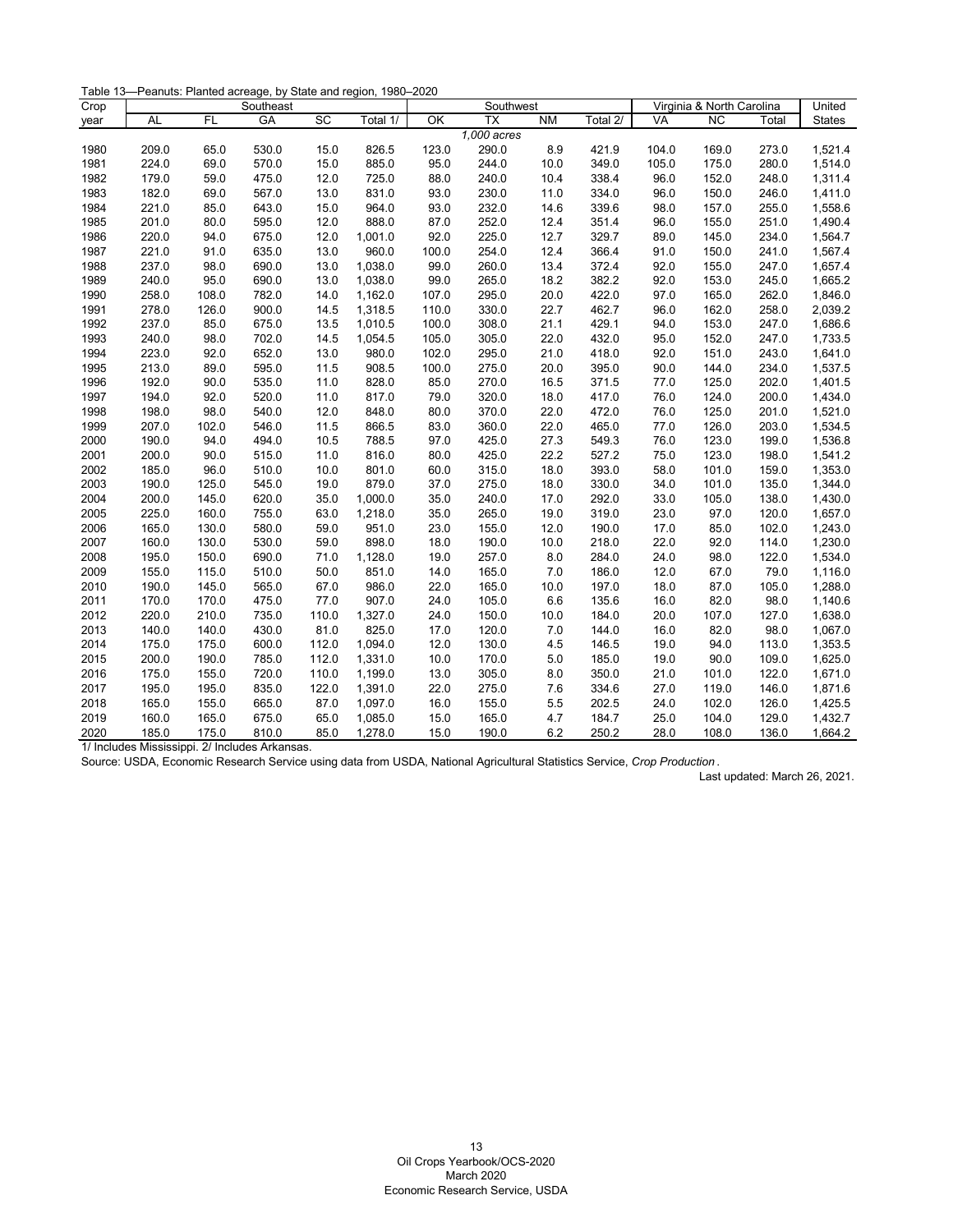| Crop |           |       | Southeast |       |          |       | Southwest                |                | Virginia & North Carolina | United    |                 |       |               |
|------|-----------|-------|-----------|-------|----------|-------|--------------------------|----------------|---------------------------|-----------|-----------------|-------|---------------|
| year | <b>AL</b> | FL    | <b>GA</b> | SC    | Total 1/ | OK    | $\overline{\mathsf{TX}}$ | N <sub>M</sub> | Total 2/                  | <b>VA</b> | $\overline{NC}$ | Total | <b>States</b> |
|      |           |       |           |       |          |       | 1,000 acres              |                |                           |           |                 |       |               |
| 1980 | 209.0     | 65.0  | 530.0     | 15.0  | 826.5    | 123.0 | 290.0                    | 8.9            | 421.9                     | 104.0     | 169.0           | 273.0 | 1,521.4       |
| 1981 | 224.0     | 69.0  | 570.0     | 15.0  | 885.0    | 95.0  | 244.0                    | 10.0           | 349.0                     | 105.0     | 175.0           | 280.0 | 1,514.0       |
| 1982 | 179.0     | 59.0  | 475.0     | 12.0  | 725.0    | 88.0  | 240.0                    | 10.4           | 338.4                     | 96.0      | 152.0           | 248.0 | 1,311.4       |
| 1983 | 182.0     | 69.0  | 567.0     | 13.0  | 831.0    | 93.0  | 230.0                    | 11.0           | 334.0                     | 96.0      | 150.0           | 246.0 | 1,411.0       |
| 1984 | 221.0     | 85.0  | 643.0     | 15.0  | 964.0    | 93.0  | 232.0                    | 14.6           | 339.6                     | 98.0      | 157.0           | 255.0 | 1,558.6       |
| 1985 | 201.0     | 80.0  | 595.0     | 12.0  | 888.0    | 87.0  | 252.0                    | 12.4           | 351.4                     | 96.0      | 155.0           | 251.0 | 1,490.4       |
| 1986 | 220.0     | 94.0  | 675.0     | 12.0  | 1,001.0  | 92.0  | 225.0                    | 12.7           | 329.7                     | 89.0      | 145.0           | 234.0 | 1,564.7       |
| 1987 | 221.0     | 91.0  | 635.0     | 13.0  | 960.0    | 100.0 | 254.0                    | 12.4           | 366.4                     | 91.0      | 150.0           | 241.0 | 1,567.4       |
| 1988 | 237.0     | 98.0  | 690.0     | 13.0  | 1,038.0  | 99.0  | 260.0                    | 13.4           | 372.4                     | 92.0      | 155.0           | 247.0 | 1,657.4       |
| 1989 | 240.0     | 95.0  | 690.0     | 13.0  | 1,038.0  | 99.0  | 265.0                    | 18.2           | 382.2                     | 92.0      | 153.0           | 245.0 | 1,665.2       |
| 1990 | 258.0     | 108.0 | 782.0     | 14.0  | 1,162.0  | 107.0 | 295.0                    | 20.0           | 422.0                     | 97.0      | 165.0           | 262.0 | 1,846.0       |
| 1991 | 278.0     | 126.0 | 900.0     | 14.5  | 1,318.5  | 110.0 | 330.0                    | 22.7           | 462.7                     | 96.0      | 162.0           | 258.0 | 2,039.2       |
| 1992 | 237.0     | 85.0  | 675.0     | 13.5  | 1,010.5  | 100.0 | 308.0                    | 21.1           | 429.1                     | 94.0      | 153.0           | 247.0 | 1,686.6       |
| 1993 | 240.0     | 98.0  | 702.0     | 14.5  | 1,054.5  | 105.0 | 305.0                    | 22.0           | 432.0                     | 95.0      | 152.0           | 247.0 | 1,733.5       |
| 1994 | 223.0     | 92.0  | 652.0     | 13.0  | 980.0    | 102.0 | 295.0                    | 21.0           | 418.0                     | 92.0      | 151.0           | 243.0 | 1,641.0       |
| 1995 | 213.0     | 89.0  | 595.0     | 11.5  | 908.5    | 100.0 | 275.0                    | 20.0           | 395.0                     | 90.0      | 144.0           | 234.0 | 1,537.5       |
| 1996 | 192.0     | 90.0  | 535.0     | 11.0  | 828.0    | 85.0  | 270.0                    | 16.5           | 371.5                     | 77.0      | 125.0           | 202.0 | 1,401.5       |
| 1997 | 194.0     | 92.0  | 520.0     | 11.0  | 817.0    | 79.0  | 320.0                    | 18.0           | 417.0                     | 76.0      | 124.0           | 200.0 | 1,434.0       |
| 1998 | 198.0     | 98.0  | 540.0     | 12.0  | 848.0    | 80.0  | 370.0                    | 22.0           | 472.0                     | 76.0      | 125.0           | 201.0 | 1,521.0       |
| 1999 | 207.0     | 102.0 | 546.0     | 11.5  | 866.5    | 83.0  | 360.0                    | 22.0           | 465.0                     | 77.0      | 126.0           | 203.0 | 1,534.5       |
| 2000 | 190.0     | 94.0  | 494.0     | 10.5  | 788.5    | 97.0  | 425.0                    | 27.3           | 549.3                     | 76.0      | 123.0           | 199.0 | 1,536.8       |
| 2001 | 200.0     | 90.0  | 515.0     | 11.0  | 816.0    | 80.0  | 425.0                    | 22.2           | 527.2                     | 75.0      | 123.0           | 198.0 | 1,541.2       |
| 2002 | 185.0     | 96.0  | 510.0     | 10.0  | 801.0    | 60.0  | 315.0                    | 18.0           | 393.0                     | 58.0      | 101.0           | 159.0 | 1,353.0       |
| 2003 | 190.0     | 125.0 | 545.0     | 19.0  | 879.0    | 37.0  | 275.0                    | 18.0           | 330.0                     | 34.0      | 101.0           | 135.0 | 1,344.0       |
| 2004 | 200.0     | 145.0 | 620.0     | 35.0  | 1,000.0  | 35.0  | 240.0                    | 17.0           | 292.0                     | 33.0      | 105.0           | 138.0 | 1,430.0       |
| 2005 | 225.0     | 160.0 | 755.0     | 63.0  | 1,218.0  | 35.0  | 265.0                    | 19.0           | 319.0                     | 23.0      | 97.0            | 120.0 | 1,657.0       |
| 2006 | 165.0     | 130.0 | 580.0     | 59.0  | 951.0    | 23.0  | 155.0                    | 12.0           | 190.0                     | 17.0      | 85.0            | 102.0 | 1,243.0       |
| 2007 | 160.0     | 130.0 | 530.0     | 59.0  | 898.0    | 18.0  | 190.0                    | 10.0           | 218.0                     | 22.0      | 92.0            | 114.0 | 1,230.0       |
| 2008 | 195.0     | 150.0 | 690.0     | 71.0  | 1,128.0  | 19.0  | 257.0                    | 8.0            | 284.0                     | 24.0      | 98.0            | 122.0 | 1,534.0       |
| 2009 | 155.0     | 115.0 | 510.0     | 50.0  | 851.0    | 14.0  | 165.0                    | 7.0            | 186.0                     | 12.0      | 67.0            | 79.0  | 1,116.0       |
| 2010 | 190.0     | 145.0 | 565.0     | 67.0  | 986.0    | 22.0  | 165.0                    | 10.0           | 197.0                     | 18.0      | 87.0            | 105.0 | 1,288.0       |
| 2011 | 170.0     | 170.0 | 475.0     | 77.0  | 907.0    | 24.0  | 105.0                    | 6.6            | 135.6                     | 16.0      | 82.0            | 98.0  | 1,140.6       |
| 2012 | 220.0     | 210.0 | 735.0     | 110.0 | 1,327.0  | 24.0  | 150.0                    | 10.0           | 184.0                     | 20.0      | 107.0           | 127.0 | 1,638.0       |
| 2013 | 140.0     | 140.0 | 430.0     | 81.0  | 825.0    | 17.0  | 120.0                    | 7.0            | 144.0                     | 16.0      | 82.0            | 98.0  | 1,067.0       |
| 2014 | 175.0     | 175.0 | 600.0     | 112.0 | 1,094.0  | 12.0  | 130.0                    | 4.5            | 146.5                     | 19.0      | 94.0            | 113.0 | 1,353.5       |
| 2015 | 200.0     | 190.0 | 785.0     | 112.0 | 1,331.0  | 10.0  | 170.0                    | 5.0            | 185.0                     | 19.0      | 90.0            | 109.0 | 1,625.0       |
| 2016 | 175.0     | 155.0 | 720.0     | 110.0 | 1,199.0  | 13.0  | 305.0                    | 8.0            | 350.0                     | 21.0      | 101.0           | 122.0 | 1,671.0       |
| 2017 | 195.0     | 195.0 | 835.0     | 122.0 | 1,391.0  | 22.0  | 275.0                    | 7.6            | 334.6                     | 27.0      | 119.0           | 146.0 | 1,871.6       |
| 2018 | 165.0     | 155.0 | 665.0     | 87.0  | 1,097.0  | 16.0  | 155.0                    | 5.5            | 202.5                     | 24.0      | 102.0           | 126.0 | 1,425.5       |
| 2019 | 160.0     | 165.0 | 675.0     | 65.0  | 1,085.0  | 15.0  | 165.0                    | 4.7            | 184.7                     | 25.0      | 104.0           | 129.0 | 1,432.7       |
| 2020 | 185.0     | 175.0 | 810.0     | 85.0  | 1,278.0  | 15.0  | 190.0                    | 6.2            | 250.2                     | 28.0      | 108.0           | 136.0 | 1,664.2       |

<span id="page-13-0"></span>Source: USDA, Economic Research Service using data from USDA, National Agricultural Statistics Service, *Crop Production* .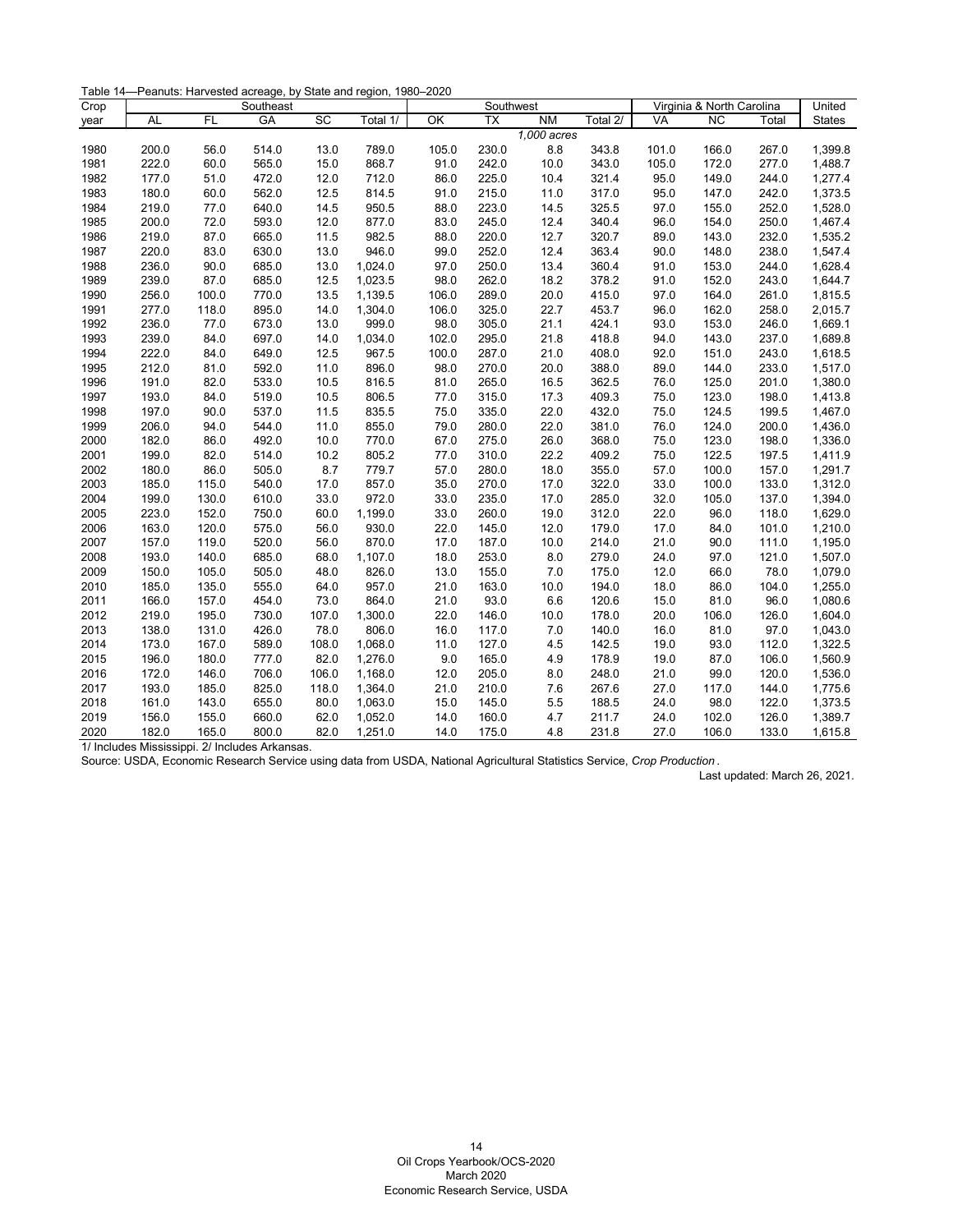| Table 14-Peanuts: Harvested acreage, by State and region, 1980-2020 |  |  |
|---------------------------------------------------------------------|--|--|
|---------------------------------------------------------------------|--|--|

| Crop |           |           | Southeast |       |          | Southwest |                 |             |          | Virginia & North Carolina | United          |       |               |
|------|-----------|-----------|-----------|-------|----------|-----------|-----------------|-------------|----------|---------------------------|-----------------|-------|---------------|
| year | <b>AL</b> | <b>FL</b> | <b>GA</b> | SC    | Total 1/ | OK        | $\overline{TX}$ | <b>NM</b>   | Total 2/ | <b>VA</b>                 | $\overline{NC}$ | Total | <b>States</b> |
|      |           |           |           |       |          |           |                 | 1,000 acres |          |                           |                 |       |               |
| 1980 | 200.0     | 56.0      | 514.0     | 13.0  | 789.0    | 105.0     | 230.0           | 8.8         | 343.8    | 101.0                     | 166.0           | 267.0 | 1,399.8       |
| 1981 | 222.0     | 60.0      | 565.0     | 15.0  | 868.7    | 91.0      | 242.0           | 10.0        | 343.0    | 105.0                     | 172.0           | 277.0 | 1,488.7       |
| 1982 | 177.0     | 51.0      | 472.0     | 12.0  | 712.0    | 86.0      | 225.0           | 10.4        | 321.4    | 95.0                      | 149.0           | 244.0 | 1,277.4       |
| 1983 | 180.0     | 60.0      | 562.0     | 12.5  | 814.5    | 91.0      | 215.0           | 11.0        | 317.0    | 95.0                      | 147.0           | 242.0 | 1,373.5       |
| 1984 | 219.0     | 77.0      | 640.0     | 14.5  | 950.5    | 88.0      | 223.0           | 14.5        | 325.5    | 97.0                      | 155.0           | 252.0 | 1,528.0       |
| 1985 | 200.0     | 72.0      | 593.0     | 12.0  | 877.0    | 83.0      | 245.0           | 12.4        | 340.4    | 96.0                      | 154.0           | 250.0 | 1,467.4       |
| 1986 | 219.0     | 87.0      | 665.0     | 11.5  | 982.5    | 88.0      | 220.0           | 12.7        | 320.7    | 89.0                      | 143.0           | 232.0 | 1,535.2       |
| 1987 | 220.0     | 83.0      | 630.0     | 13.0  | 946.0    | 99.0      | 252.0           | 12.4        | 363.4    | 90.0                      | 148.0           | 238.0 | 1,547.4       |
| 1988 | 236.0     | 90.0      | 685.0     | 13.0  | 1,024.0  | 97.0      | 250.0           | 13.4        | 360.4    | 91.0                      | 153.0           | 244.0 | 1,628.4       |
| 1989 | 239.0     | 87.0      | 685.0     | 12.5  | 1,023.5  | 98.0      | 262.0           | 18.2        | 378.2    | 91.0                      | 152.0           | 243.0 | 1,644.7       |
| 1990 | 256.0     | 100.0     | 770.0     | 13.5  | 1,139.5  | 106.0     | 289.0           | 20.0        | 415.0    | 97.0                      | 164.0           | 261.0 | 1,815.5       |
| 1991 | 277.0     | 118.0     | 895.0     | 14.0  | 1,304.0  | 106.0     | 325.0           | 22.7        | 453.7    | 96.0                      | 162.0           | 258.0 | 2,015.7       |
| 1992 | 236.0     | 77.0      | 673.0     | 13.0  | 999.0    | 98.0      | 305.0           | 21.1        | 424.1    | 93.0                      | 153.0           | 246.0 | 1,669.1       |
| 1993 | 239.0     | 84.0      | 697.0     | 14.0  | 1,034.0  | 102.0     | 295.0           | 21.8        | 418.8    | 94.0                      | 143.0           | 237.0 | 1,689.8       |
| 1994 | 222.0     | 84.0      | 649.0     | 12.5  | 967.5    | 100.0     | 287.0           | 21.0        | 408.0    | 92.0                      | 151.0           | 243.0 | 1,618.5       |
| 1995 | 212.0     | 81.0      | 592.0     | 11.0  | 896.0    | 98.0      | 270.0           | 20.0        | 388.0    | 89.0                      | 144.0           | 233.0 | 1,517.0       |
| 1996 | 191.0     | 82.0      | 533.0     | 10.5  | 816.5    | 81.0      | 265.0           | 16.5        | 362.5    | 76.0                      | 125.0           | 201.0 | 1,380.0       |
| 1997 | 193.0     | 84.0      | 519.0     | 10.5  | 806.5    | 77.0      | 315.0           | 17.3        | 409.3    | 75.0                      | 123.0           | 198.0 | 1,413.8       |
| 1998 | 197.0     | 90.0      | 537.0     | 11.5  | 835.5    | 75.0      | 335.0           | 22.0        | 432.0    | 75.0                      | 124.5           | 199.5 | 1,467.0       |
| 1999 | 206.0     | 94.0      | 544.0     | 11.0  | 855.0    | 79.0      | 280.0           | 22.0        | 381.0    | 76.0                      | 124.0           | 200.0 | 1,436.0       |
| 2000 | 182.0     | 86.0      | 492.0     | 10.0  | 770.0    | 67.0      | 275.0           | 26.0        | 368.0    | 75.0                      | 123.0           | 198.0 | 1,336.0       |
| 2001 | 199.0     | 82.0      | 514.0     | 10.2  | 805.2    | 77.0      | 310.0           | 22.2        | 409.2    | 75.0                      | 122.5           | 197.5 | 1,411.9       |
| 2002 | 180.0     | 86.0      | 505.0     | 8.7   | 779.7    | 57.0      | 280.0           | 18.0        | 355.0    | 57.0                      | 100.0           | 157.0 | 1,291.7       |
| 2003 | 185.0     | 115.0     | 540.0     | 17.0  | 857.0    | 35.0      | 270.0           | 17.0        | 322.0    | 33.0                      | 100.0           | 133.0 | 1,312.0       |
| 2004 | 199.0     | 130.0     | 610.0     | 33.0  | 972.0    | 33.0      | 235.0           | 17.0        | 285.0    | 32.0                      | 105.0           | 137.0 | 1,394.0       |
| 2005 | 223.0     | 152.0     | 750.0     | 60.0  | 1,199.0  | 33.0      | 260.0           | 19.0        | 312.0    | 22.0                      | 96.0            | 118.0 | 1,629.0       |
| 2006 | 163.0     | 120.0     | 575.0     | 56.0  | 930.0    | 22.0      | 145.0           | 12.0        | 179.0    | 17.0                      | 84.0            | 101.0 | 1,210.0       |
| 2007 | 157.0     | 119.0     | 520.0     | 56.0  | 870.0    | 17.0      | 187.0           | 10.0        | 214.0    | 21.0                      | 90.0            | 111.0 | 1,195.0       |
| 2008 | 193.0     | 140.0     | 685.0     | 68.0  | 1,107.0  | 18.0      | 253.0           | 8.0         | 279.0    | 24.0                      | 97.0            | 121.0 | 1,507.0       |
| 2009 | 150.0     | 105.0     | 505.0     | 48.0  | 826.0    | 13.0      | 155.0           | 7.0         | 175.0    | 12.0                      | 66.0            | 78.0  | 1,079.0       |
| 2010 | 185.0     | 135.0     | 555.0     | 64.0  | 957.0    | 21.0      | 163.0           | 10.0        | 194.0    | 18.0                      | 86.0            | 104.0 | 1,255.0       |
| 2011 | 166.0     | 157.0     | 454.0     | 73.0  | 864.0    | 21.0      | 93.0            | 6.6         | 120.6    | 15.0                      | 81.0            | 96.0  | 1,080.6       |
| 2012 | 219.0     | 195.0     | 730.0     | 107.0 | 1,300.0  | 22.0      | 146.0           | 10.0        | 178.0    | 20.0                      | 106.0           | 126.0 | 1,604.0       |
| 2013 | 138.0     | 131.0     | 426.0     | 78.0  | 806.0    | 16.0      | 117.0           | 7.0         | 140.0    | 16.0                      | 81.0            | 97.0  | 1,043.0       |
| 2014 | 173.0     | 167.0     | 589.0     | 108.0 | 1,068.0  | 11.0      | 127.0           | 4.5         | 142.5    | 19.0                      | 93.0            | 112.0 | 1,322.5       |
| 2015 | 196.0     | 180.0     | 777.0     | 82.0  | 1,276.0  | 9.0       | 165.0           | 4.9         | 178.9    | 19.0                      | 87.0            | 106.0 | 1,560.9       |
| 2016 | 172.0     | 146.0     | 706.0     | 106.0 | 1,168.0  | 12.0      | 205.0           | 8.0         | 248.0    | 21.0                      | 99.0            | 120.0 | 1,536.0       |
| 2017 | 193.0     | 185.0     | 825.0     | 118.0 | 1,364.0  | 21.0      | 210.0           | 7.6         | 267.6    | 27.0                      | 117.0           | 144.0 | 1,775.6       |
| 2018 | 161.0     | 143.0     | 655.0     | 80.0  | 1,063.0  | 15.0      | 145.0           | 5.5         | 188.5    | 24.0                      | 98.0            | 122.0 | 1,373.5       |
| 2019 | 156.0     | 155.0     | 660.0     | 62.0  | 1,052.0  | 14.0      | 160.0           | 4.7         | 211.7    | 24.0                      | 102.0           | 126.0 | 1,389.7       |
| 2020 | 182.0     | 165.0     | 800.0     | 82.0  | 1,251.0  | 14.0      | 175.0           | 4.8         | 231.8    | 27.0                      | 106.0           | 133.0 | 1,615.8       |

<span id="page-14-0"></span>Source: USDA, Economic Research Service using data from USDA, National Agricultural Statistics Service, *Crop Production* .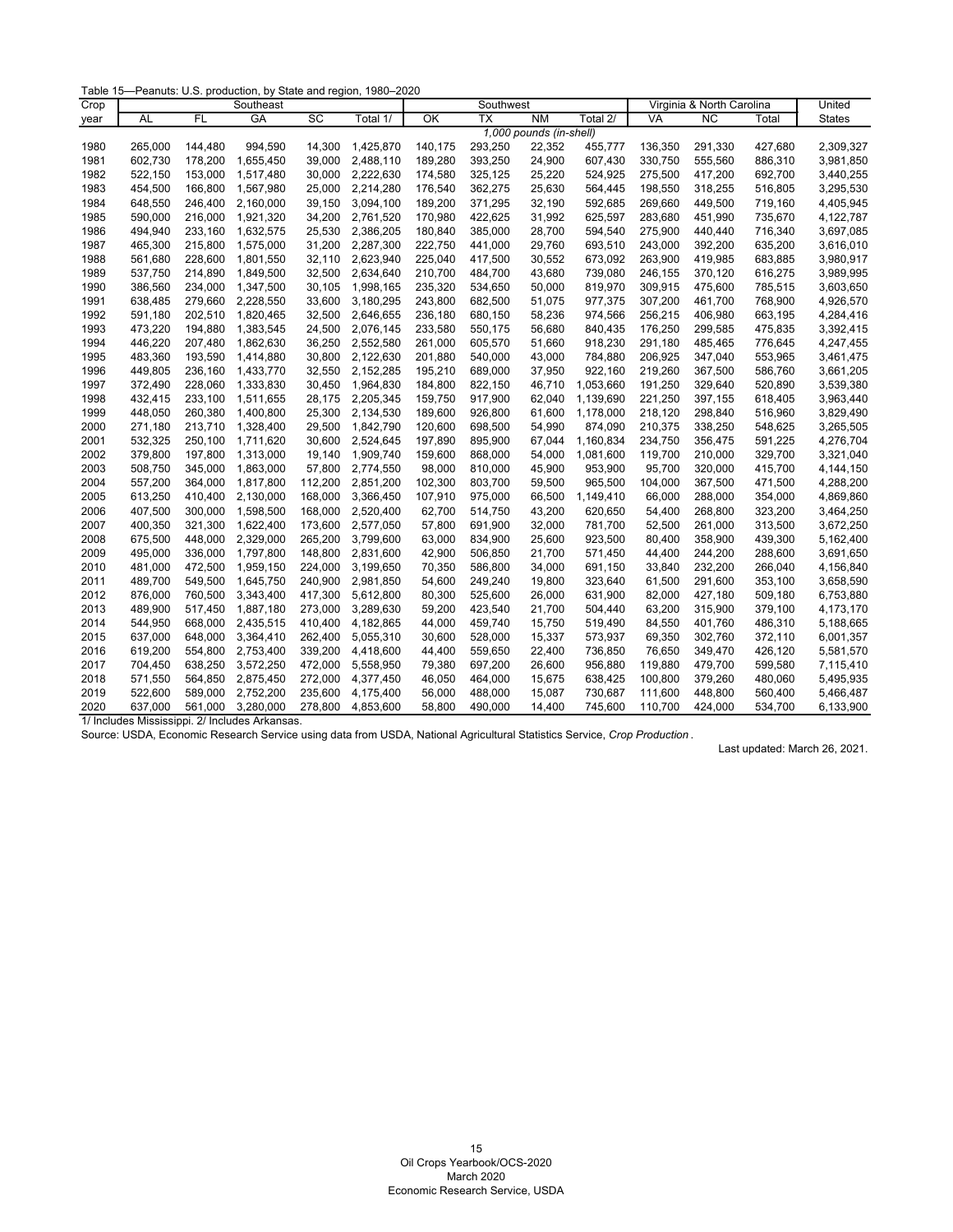Table 15—Peanuts: U.S. production, by State and region, 1980–2020

| Crop | Southeast |           |           |         |           |         | Southwest |                         |           | Virginia & North Carolina | United    |         |               |
|------|-----------|-----------|-----------|---------|-----------|---------|-----------|-------------------------|-----------|---------------------------|-----------|---------|---------------|
| year | AL        | <b>FL</b> | GA        | SC      | Total 1/  | OK      | <b>TX</b> | <b>NM</b>               | Total 2/  | VA                        | <b>NC</b> | Total   | <b>States</b> |
|      |           |           |           |         |           |         |           | 1,000 pounds (in-shell) |           |                           |           |         |               |
| 1980 | 265,000   | 144,480   | 994,590   | 14,300  | 1,425,870 | 140,175 | 293,250   | 22,352                  | 455,777   | 136,350                   | 291,330   | 427,680 | 2,309,327     |
| 1981 | 602,730   | 178,200   | 1,655,450 | 39,000  | 2,488,110 | 189,280 | 393,250   | 24,900                  | 607,430   | 330,750                   | 555,560   | 886,310 | 3,981,850     |
| 1982 | 522,150   | 153,000   | 1,517,480 | 30,000  | 2,222,630 | 174,580 | 325,125   | 25,220                  | 524,925   | 275,500                   | 417,200   | 692,700 | 3,440,255     |
| 1983 | 454,500   | 166,800   | 1,567,980 | 25,000  | 2,214,280 | 176,540 | 362,275   | 25,630                  | 564,445   | 198,550                   | 318,255   | 516,805 | 3,295,530     |
| 1984 | 648,550   | 246,400   | 2,160,000 | 39,150  | 3,094,100 | 189,200 | 371,295   | 32,190                  | 592,685   | 269,660                   | 449,500   | 719,160 | 4,405,945     |
| 1985 | 590,000   | 216,000   | 1,921,320 | 34,200  | 2,761,520 | 170,980 | 422,625   | 31,992                  | 625,597   | 283,680                   | 451,990   | 735,670 | 4,122,787     |
| 1986 | 494,940   | 233,160   | 1,632,575 | 25,530  | 2,386,205 | 180,840 | 385,000   | 28,700                  | 594,540   | 275,900                   | 440,440   | 716,340 | 3,697,085     |
| 1987 | 465,300   | 215,800   | 1,575,000 | 31,200  | 2,287,300 | 222,750 | 441,000   | 29,760                  | 693,510   | 243,000                   | 392,200   | 635,200 | 3,616,010     |
| 1988 | 561,680   | 228,600   | 1,801,550 | 32,110  | 2,623,940 | 225,040 | 417,500   | 30,552                  | 673,092   | 263,900                   | 419,985   | 683,885 | 3,980,917     |
| 1989 | 537,750   | 214.890   | 1,849,500 | 32,500  | 2,634,640 | 210,700 | 484,700   | 43,680                  | 739,080   | 246,155                   | 370,120   | 616,275 | 3,989,995     |
| 1990 | 386,560   | 234,000   | 1,347,500 | 30,105  | 1,998,165 | 235,320 | 534,650   | 50,000                  | 819,970   | 309,915                   | 475,600   | 785,515 | 3,603,650     |
| 1991 | 638,485   | 279,660   | 2,228,550 | 33,600  | 3,180,295 | 243,800 | 682,500   | 51,075                  | 977,375   | 307,200                   | 461,700   | 768,900 | 4,926,570     |
| 1992 | 591,180   | 202,510   | 1,820,465 | 32,500  | 2,646,655 | 236,180 | 680,150   | 58,236                  | 974,566   | 256,215                   | 406,980   | 663,195 | 4,284,416     |
| 1993 | 473,220   | 194,880   | 1,383,545 | 24,500  | 2,076,145 | 233,580 | 550,175   | 56,680                  | 840,435   | 176,250                   | 299,585   | 475,835 | 3,392,415     |
| 1994 | 446,220   | 207,480   | 1,862,630 | 36,250  | 2,552,580 | 261,000 | 605,570   | 51,660                  | 918,230   | 291,180                   | 485,465   | 776,645 | 4,247,455     |
| 1995 | 483,360   | 193,590   | 1,414,880 | 30,800  | 2,122,630 | 201,880 | 540,000   | 43,000                  | 784,880   | 206,925                   | 347,040   | 553,965 | 3,461,475     |
| 1996 | 449,805   | 236,160   | 1,433,770 | 32,550  | 2,152,285 | 195,210 | 689,000   | 37,950                  | 922.160   | 219,260                   | 367,500   | 586,760 | 3,661,205     |
| 1997 | 372,490   | 228,060   | 1,333,830 | 30,450  | 1,964,830 | 184,800 | 822,150   | 46,710                  | 1,053,660 | 191,250                   | 329,640   | 520,890 | 3,539,380     |
| 1998 | 432,415   | 233,100   | 1,511,655 | 28,175  | 2,205,345 | 159,750 | 917,900   | 62,040                  | 1,139,690 | 221,250                   | 397,155   | 618,405 | 3,963,440     |
| 1999 | 448,050   | 260,380   | 1,400,800 | 25,300  | 2,134,530 | 189,600 | 926,800   | 61,600                  | 1,178,000 | 218,120                   | 298,840   | 516,960 | 3,829,490     |
| 2000 | 271,180   | 213,710   | 1,328,400 | 29,500  | 1,842,790 | 120,600 | 698,500   | 54,990                  | 874,090   | 210,375                   | 338,250   | 548,625 | 3,265,505     |
| 2001 | 532,325   | 250,100   | 1,711,620 | 30,600  | 2,524,645 | 197,890 | 895,900   | 67,044                  | 1,160,834 | 234,750                   | 356,475   | 591,225 | 4,276,704     |
| 2002 | 379,800   | 197,800   | 1,313,000 | 19,140  | 1,909,740 | 159,600 | 868,000   | 54,000                  | 1,081,600 | 119,700                   | 210,000   | 329,700 | 3,321,040     |
| 2003 | 508,750   | 345,000   | 1,863,000 | 57,800  | 2,774,550 | 98,000  | 810,000   | 45,900                  | 953,900   | 95,700                    | 320,000   | 415,700 | 4,144,150     |
| 2004 | 557,200   | 364,000   | 1,817,800 | 112,200 | 2,851,200 | 102,300 | 803,700   | 59,500                  | 965,500   | 104,000                   | 367,500   | 471,500 | 4,288,200     |
| 2005 | 613,250   | 410,400   | 2,130,000 | 168,000 | 3,366,450 | 107,910 | 975,000   | 66,500                  | 1,149,410 | 66,000                    | 288,000   | 354,000 | 4,869,860     |
| 2006 | 407,500   | 300,000   | 1,598,500 | 168,000 | 2,520,400 | 62,700  | 514,750   | 43,200                  | 620,650   | 54,400                    | 268,800   | 323,200 | 3,464,250     |
| 2007 | 400,350   | 321,300   | 1,622,400 | 173,600 | 2,577,050 | 57,800  | 691,900   | 32,000                  | 781,700   | 52,500                    | 261,000   | 313,500 | 3,672,250     |
| 2008 | 675,500   | 448.000   | 2,329,000 | 265,200 | 3,799,600 | 63,000  | 834,900   | 25,600                  | 923,500   | 80,400                    | 358,900   | 439,300 | 5,162,400     |
| 2009 | 495,000   | 336.000   | 1,797,800 | 148,800 | 2,831,600 | 42,900  | 506,850   | 21,700                  | 571,450   | 44,400                    | 244,200   | 288,600 | 3,691,650     |
| 2010 | 481,000   | 472,500   | 1,959,150 | 224,000 | 3,199,650 | 70,350  | 586,800   | 34,000                  | 691,150   | 33,840                    | 232,200   | 266,040 | 4,156,840     |
| 2011 | 489,700   | 549,500   | 1,645,750 | 240,900 | 2,981,850 | 54,600  | 249,240   | 19,800                  | 323,640   | 61,500                    | 291,600   | 353,100 | 3,658,590     |
| 2012 | 876,000   | 760,500   | 3,343,400 | 417,300 | 5,612,800 | 80,300  | 525,600   | 26,000                  | 631,900   | 82,000                    | 427,180   | 509,180 | 6,753,880     |
| 2013 | 489,900   | 517,450   | 1,887,180 | 273,000 | 3,289,630 | 59,200  | 423,540   | 21,700                  | 504,440   | 63,200                    | 315,900   | 379,100 | 4,173,170     |
| 2014 | 544,950   | 668.000   | 2,435,515 | 410,400 | 4,182,865 | 44,000  | 459,740   | 15,750                  | 519,490   | 84,550                    | 401,760   | 486,310 | 5,188,665     |
| 2015 | 637,000   | 648.000   | 3,364,410 | 262,400 | 5,055,310 | 30,600  | 528,000   | 15,337                  | 573,937   | 69,350                    | 302,760   | 372,110 | 6,001,357     |
| 2016 | 619,200   | 554,800   | 2,753,400 | 339,200 | 4,418,600 | 44,400  | 559,650   | 22,400                  | 736,850   | 76,650                    | 349,470   | 426,120 | 5,581,570     |
| 2017 | 704,450   | 638,250   | 3,572,250 | 472,000 | 5,558,950 | 79,380  | 697,200   | 26,600                  | 956,880   | 119,880                   | 479,700   | 599,580 | 7,115,410     |
| 2018 | 571,550   | 564,850   | 2,875,450 | 272,000 | 4,377,450 | 46,050  | 464,000   | 15,675                  | 638,425   | 100,800                   | 379,260   | 480,060 | 5,495,935     |
| 2019 | 522,600   | 589,000   | 2,752,200 | 235,600 | 4,175,400 | 56,000  | 488,000   | 15,087                  | 730,687   | 111,600                   | 448,800   | 560,400 | 5,466,487     |
| 2020 | 637,000   | 561,000   | 3,280,000 | 278,800 | 4,853,600 | 58,800  | 490,000   | 14,400                  | 745,600   | 110,700                   | 424,000   | 534,700 | 6,133,900     |

<span id="page-15-0"></span>Source: USDA, Economic Research Service using data from USDA, National Agricultural Statistics Service, *Crop Production* .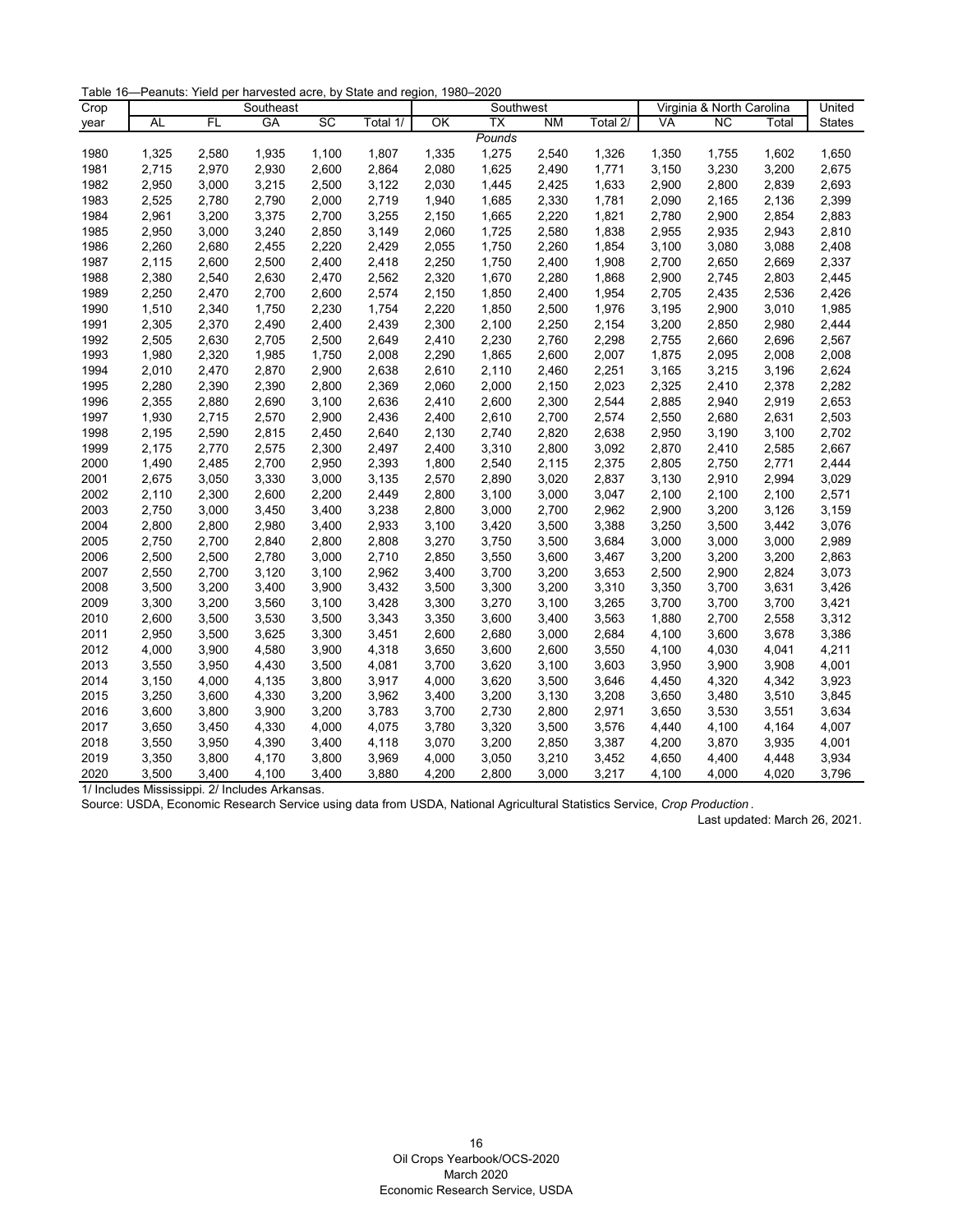Table 16—Peanuts: Yield per harvested acre, by State and region, 1980–2020

| Crop |       |       | Southeast |       |          | Virginia & North Carolina<br>Southwest |                 |           |          | United |                 |       |               |
|------|-------|-------|-----------|-------|----------|----------------------------------------|-----------------|-----------|----------|--------|-----------------|-------|---------------|
| year | AL    | FL    | GA        | SC    | Total 1/ | OK                                     | $\overline{TX}$ | <b>NM</b> | Total 2/ | VA     | $\overline{NC}$ | Total | <b>States</b> |
|      |       |       |           |       |          |                                        | Pounds          |           |          |        |                 |       |               |
| 1980 | 1,325 | 2,580 | 1,935     | 1,100 | 1,807    | 1,335                                  | 1,275           | 2,540     | 1,326    | 1,350  | 1,755           | 1,602 | 1,650         |
| 1981 | 2,715 | 2,970 | 2,930     | 2,600 | 2,864    | 2,080                                  | 1,625           | 2,490     | 1,771    | 3,150  | 3,230           | 3,200 | 2,675         |
| 1982 | 2,950 | 3,000 | 3,215     | 2,500 | 3,122    | 2,030                                  | 1,445           | 2,425     | 1,633    | 2,900  | 2,800           | 2,839 | 2,693         |
| 1983 | 2,525 | 2,780 | 2,790     | 2,000 | 2,719    | 1,940                                  | 1,685           | 2,330     | 1,781    | 2,090  | 2,165           | 2,136 | 2,399         |
| 1984 | 2,961 | 3,200 | 3,375     | 2,700 | 3,255    | 2,150                                  | 1,665           | 2,220     | 1,821    | 2,780  | 2,900           | 2,854 | 2,883         |
| 1985 | 2,950 | 3,000 | 3,240     | 2,850 | 3,149    | 2,060                                  | 1,725           | 2,580     | 1,838    | 2,955  | 2,935           | 2,943 | 2,810         |
| 1986 | 2,260 | 2,680 | 2,455     | 2,220 | 2,429    | 2,055                                  | 1,750           | 2,260     | 1,854    | 3,100  | 3,080           | 3,088 | 2,408         |
| 1987 | 2,115 | 2,600 | 2,500     | 2,400 | 2,418    | 2,250                                  | 1,750           | 2,400     | 1,908    | 2,700  | 2,650           | 2,669 | 2,337         |
| 1988 | 2,380 | 2,540 | 2,630     | 2,470 | 2,562    | 2,320                                  | 1,670           | 2,280     | 1,868    | 2,900  | 2,745           | 2,803 | 2,445         |
| 1989 | 2,250 | 2,470 | 2,700     | 2,600 | 2,574    | 2,150                                  | 1,850           | 2,400     | 1,954    | 2,705  | 2,435           | 2,536 | 2,426         |
| 1990 | 1,510 | 2,340 | 1,750     | 2,230 | 1,754    | 2,220                                  | 1,850           | 2,500     | 1,976    | 3,195  | 2,900           | 3,010 | 1,985         |
| 1991 | 2,305 | 2,370 | 2,490     | 2,400 | 2,439    | 2,300                                  | 2,100           | 2,250     | 2,154    | 3,200  | 2,850           | 2,980 | 2,444         |
| 1992 | 2,505 | 2,630 | 2,705     | 2,500 | 2,649    | 2,410                                  | 2,230           | 2,760     | 2,298    | 2,755  | 2,660           | 2,696 | 2,567         |
| 1993 | 1,980 | 2,320 | 1,985     | 1,750 | 2,008    | 2,290                                  | 1,865           | 2,600     | 2,007    | 1,875  | 2,095           | 2,008 | 2,008         |
| 1994 | 2,010 | 2,470 | 2,870     | 2,900 | 2,638    | 2,610                                  | 2,110           | 2,460     | 2,251    | 3,165  | 3,215           | 3,196 | 2,624         |
| 1995 | 2,280 | 2,390 | 2,390     | 2,800 | 2,369    | 2,060                                  | 2,000           | 2,150     | 2,023    | 2,325  | 2,410           | 2,378 | 2,282         |
| 1996 | 2,355 | 2,880 | 2,690     | 3,100 | 2,636    | 2,410                                  | 2,600           | 2,300     | 2,544    | 2,885  | 2,940           | 2,919 | 2,653         |
| 1997 | 1,930 | 2,715 | 2,570     | 2,900 | 2,436    | 2,400                                  | 2,610           | 2,700     | 2,574    | 2,550  | 2,680           | 2,631 | 2,503         |
| 1998 | 2,195 | 2,590 | 2,815     | 2,450 | 2,640    | 2,130                                  | 2,740           | 2,820     | 2,638    | 2,950  | 3,190           | 3,100 | 2,702         |
| 1999 | 2,175 | 2,770 | 2,575     | 2,300 | 2,497    | 2,400                                  | 3,310           | 2,800     | 3,092    | 2,870  | 2,410           | 2,585 | 2,667         |
| 2000 | 1,490 | 2,485 | 2,700     | 2,950 | 2,393    | 1,800                                  | 2,540           | 2,115     | 2,375    | 2,805  | 2,750           | 2,771 | 2,444         |
| 2001 | 2,675 | 3,050 | 3,330     | 3,000 | 3,135    | 2,570                                  | 2,890           | 3,020     | 2,837    | 3,130  | 2,910           | 2,994 | 3,029         |
| 2002 | 2,110 | 2,300 | 2,600     | 2,200 | 2,449    | 2,800                                  | 3,100           | 3,000     | 3,047    | 2,100  | 2,100           | 2,100 | 2,571         |
| 2003 | 2,750 | 3,000 | 3,450     | 3,400 | 3,238    | 2,800                                  | 3,000           | 2,700     | 2,962    | 2,900  | 3,200           | 3,126 | 3,159         |
| 2004 | 2,800 | 2,800 | 2,980     | 3,400 | 2,933    | 3,100                                  | 3,420           | 3,500     | 3,388    | 3,250  | 3,500           | 3,442 | 3,076         |
| 2005 | 2,750 | 2,700 | 2,840     | 2,800 | 2,808    | 3,270                                  | 3,750           | 3,500     | 3,684    | 3,000  | 3,000           | 3,000 | 2,989         |
| 2006 | 2,500 | 2,500 | 2,780     | 3,000 | 2,710    | 2,850                                  | 3,550           | 3,600     | 3,467    | 3,200  | 3,200           | 3,200 | 2,863         |
| 2007 | 2,550 | 2,700 | 3,120     | 3,100 | 2,962    | 3,400                                  | 3,700           | 3,200     | 3,653    | 2,500  | 2,900           | 2,824 | 3,073         |
| 2008 | 3,500 | 3,200 | 3,400     | 3,900 | 3,432    | 3,500                                  | 3,300           | 3,200     | 3,310    | 3,350  | 3,700           | 3,631 | 3,426         |
| 2009 | 3,300 | 3,200 | 3,560     | 3,100 | 3,428    | 3,300                                  | 3,270           | 3,100     | 3,265    | 3,700  | 3,700           | 3,700 | 3,421         |
| 2010 | 2,600 | 3,500 | 3,530     | 3,500 | 3,343    | 3,350                                  | 3,600           | 3,400     | 3,563    | 1,880  | 2,700           | 2,558 | 3,312         |
| 2011 | 2,950 | 3,500 | 3,625     | 3,300 | 3,451    | 2,600                                  | 2,680           | 3,000     | 2,684    | 4,100  | 3,600           | 3,678 | 3,386         |
| 2012 | 4,000 | 3,900 | 4,580     | 3,900 | 4,318    | 3,650                                  | 3,600           | 2,600     | 3,550    | 4,100  | 4,030           | 4,041 | 4,211         |
| 2013 | 3,550 | 3,950 | 4,430     | 3,500 | 4,081    | 3,700                                  | 3,620           | 3,100     | 3,603    | 3,950  | 3,900           | 3,908 | 4,001         |
| 2014 | 3,150 | 4,000 | 4,135     | 3,800 | 3,917    | 4,000                                  | 3,620           | 3,500     | 3,646    | 4,450  | 4,320           | 4,342 | 3,923         |
| 2015 | 3,250 | 3,600 | 4,330     | 3,200 | 3,962    | 3,400                                  | 3,200           | 3,130     | 3,208    | 3,650  | 3,480           | 3,510 | 3,845         |
| 2016 | 3,600 | 3,800 | 3,900     | 3,200 | 3,783    | 3,700                                  | 2,730           | 2,800     | 2,971    | 3,650  | 3,530           | 3,551 | 3,634         |
| 2017 | 3,650 | 3,450 | 4,330     | 4,000 | 4,075    | 3,780                                  | 3,320           | 3,500     | 3,576    | 4,440  | 4,100           | 4,164 | 4,007         |
| 2018 | 3,550 | 3,950 | 4,390     | 3,400 | 4,118    | 3,070                                  | 3,200           | 2,850     | 3,387    | 4,200  | 3,870           | 3,935 | 4,001         |
| 2019 | 3,350 | 3,800 | 4,170     | 3,800 | 3,969    | 4,000                                  | 3,050           | 3,210     | 3,452    | 4,650  | 4,400           | 4,448 | 3,934         |
| 2020 | 3,500 | 3,400 | 4,100     | 3,400 | 3,880    | 4,200                                  | 2,800           | 3,000     | 3,217    | 4,100  | 4,000           | 4,020 | 3,796         |

<span id="page-16-0"></span>Source: USDA, Economic Research Service using data from USDA, National Agricultural Statistics Service, *Crop Production* .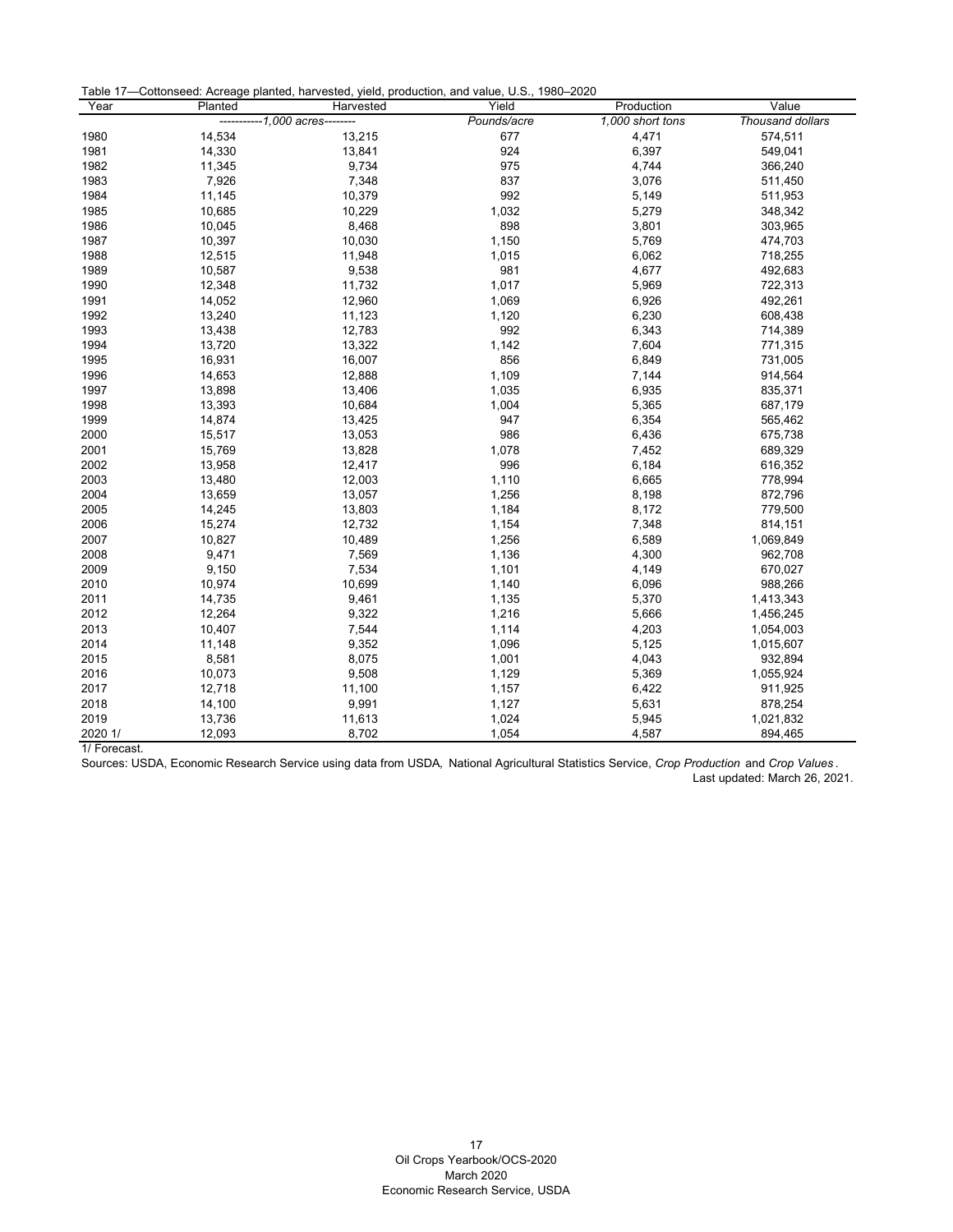| Table 17-Cottonseed: Acreage planted, harvested, yield, production, and value, U.S., 1980-2020 |  |
|------------------------------------------------------------------------------------------------|--|
|------------------------------------------------------------------------------------------------|--|

| Year    | Planted | Harvested                    | Yield       | Production       | Value            |
|---------|---------|------------------------------|-------------|------------------|------------------|
|         |         | $-1.000$ acres $-$<br>------ | Pounds/acre | 1,000 short tons | Thousand dollars |
| 1980    | 14,534  | 13,215                       | 677         | 4,471            | 574,511          |
| 1981    | 14,330  | 13,841                       | 924         | 6,397            | 549,041          |
| 1982    | 11,345  | 9,734                        | 975         | 4,744            | 366,240          |
| 1983    | 7,926   | 7,348                        | 837         | 3,076            | 511,450          |
| 1984    | 11,145  | 10,379                       | 992         | 5,149            | 511,953          |
| 1985    | 10,685  | 10,229                       | 1,032       | 5,279            | 348,342          |
| 1986    | 10,045  | 8,468                        | 898         | 3,801            | 303,965          |
| 1987    | 10,397  | 10,030                       | 1,150       | 5,769            | 474,703          |
| 1988    | 12,515  | 11,948                       | 1,015       | 6,062            | 718,255          |
| 1989    | 10,587  | 9,538                        | 981         | 4,677            | 492,683          |
| 1990    | 12,348  | 11,732                       | 1,017       | 5,969            | 722,313          |
| 1991    | 14,052  | 12,960                       | 1,069       | 6,926            | 492,261          |
| 1992    | 13,240  | 11,123                       | 1,120       | 6,230            | 608,438          |
| 1993    | 13,438  | 12,783                       | 992         | 6,343            | 714,389          |
| 1994    | 13,720  | 13,322                       | 1,142       | 7,604            | 771,315          |
| 1995    | 16,931  | 16,007                       | 856         | 6,849            | 731,005          |
| 1996    | 14,653  | 12,888                       | 1,109       | 7,144            | 914,564          |
| 1997    | 13,898  | 13,406                       | 1,035       | 6,935            | 835,371          |
| 1998    | 13,393  | 10,684                       | 1,004       | 5,365            | 687,179          |
| 1999    | 14,874  | 13,425                       | 947         | 6,354            | 565,462          |
| 2000    | 15,517  | 13,053                       | 986         | 6,436            | 675,738          |
| 2001    | 15,769  | 13,828                       | 1,078       | 7,452            | 689,329          |
| 2002    | 13,958  | 12,417                       | 996         | 6,184            | 616,352          |
| 2003    | 13,480  | 12,003                       | 1,110       | 6,665            | 778,994          |
| 2004    | 13,659  | 13,057                       | 1,256       | 8,198            | 872,796          |
| 2005    | 14,245  | 13,803                       | 1,184       | 8,172            | 779,500          |
| 2006    | 15,274  | 12,732                       | 1,154       | 7,348            | 814,151          |
| 2007    | 10,827  | 10,489                       | 1,256       | 6,589            | 1,069,849        |
| 2008    | 9,471   | 7,569                        | 1,136       | 4,300            | 962,708          |
| 2009    | 9,150   | 7,534                        | 1,101       | 4,149            | 670,027          |
| 2010    | 10,974  | 10,699                       | 1,140       | 6,096            | 988,266          |
| 2011    | 14,735  | 9,461                        | 1,135       | 5,370            | 1,413,343        |
| 2012    | 12,264  | 9,322                        | 1,216       | 5,666            | 1,456,245        |
| 2013    | 10,407  | 7,544                        | 1,114       | 4,203            | 1,054,003        |
| 2014    | 11,148  | 9,352                        | 1,096       | 5,125            | 1,015,607        |
| 2015    | 8,581   | 8,075                        | 1,001       | 4,043            | 932,894          |
| 2016    | 10,073  | 9,508                        | 1,129       | 5,369            | 1,055,924        |
| 2017    | 12,718  | 11,100                       | 1,157       | 6,422            | 911,925          |
| 2018    | 14,100  | 9,991                        | 1,127       | 5,631            | 878,254          |
| 2019    | 13,736  | 11,613                       | 1,024       | 5,945            | 1,021,832        |
| 2020 1/ | 12,093  | 8,702                        | 1,054       | 4,587            | 894,465          |

1/ Forecast.

<span id="page-17-0"></span>Sources: USDA, Economic Research Service using data from USDA*,* National Agricultural Statistics Service, *Crop Production* and *Crop Values* . Last updated: March 26, 2021.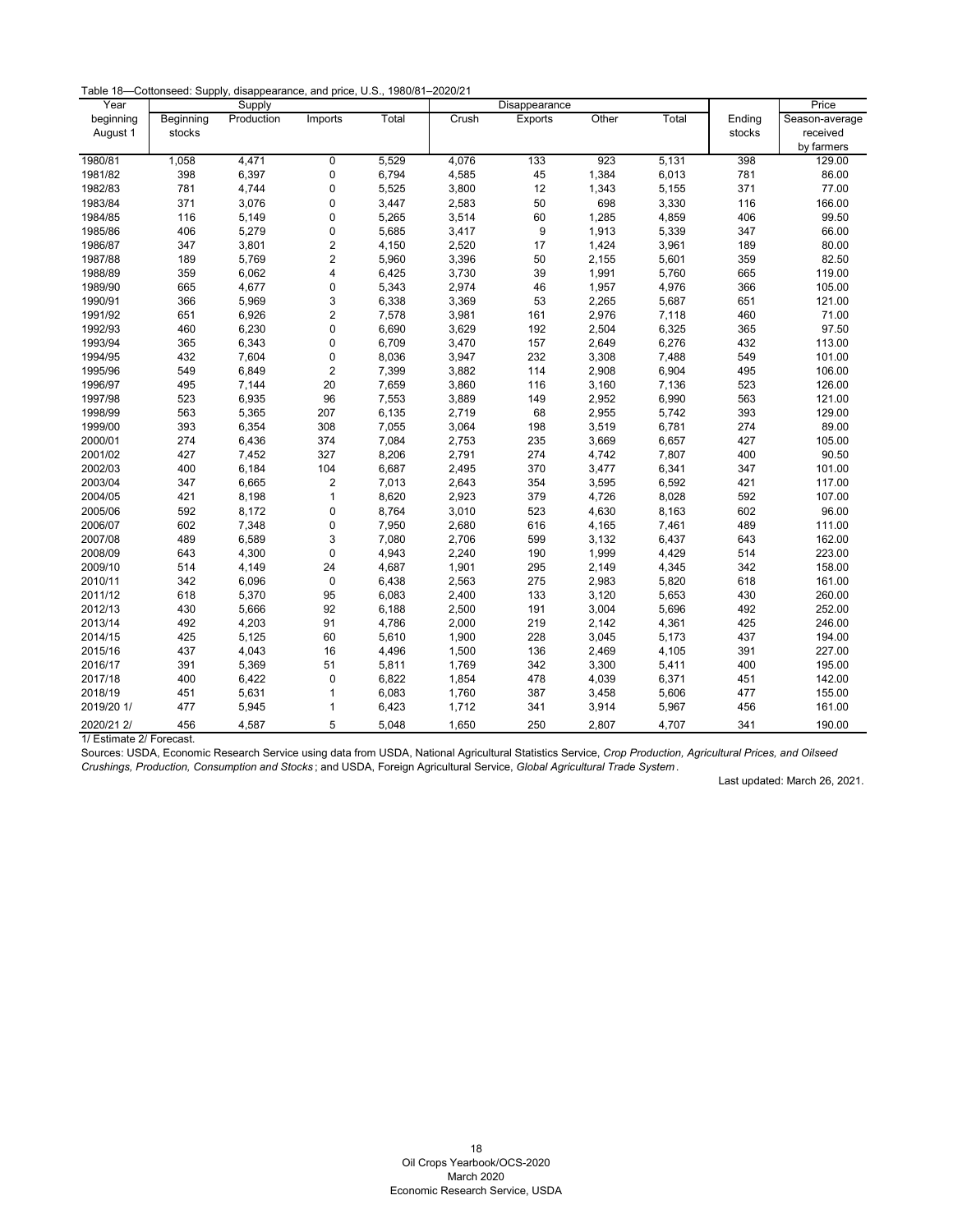Table 18—Cottonseed: Supply, disappearance, and price, U.S., 1980/81–2020/21

| Year       |           | Supply     |                         |       |       | Disappearance  |       |       |        | Price          |
|------------|-----------|------------|-------------------------|-------|-------|----------------|-------|-------|--------|----------------|
| beginning  | Beginning | Production | Imports                 | Total | Crush | <b>Exports</b> | Other | Total | Ending | Season-average |
| August 1   | stocks    |            |                         |       |       |                |       |       | stocks | received       |
|            |           |            |                         |       |       |                |       |       |        | by farmers     |
| 1980/81    | 1,058     | 4,471      | 0                       | 5,529 | 4,076 | 133            | 923   | 5,131 | 398    | 129.00         |
| 1981/82    | 398       | 6,397      | 0                       | 6,794 | 4,585 | 45             | 1,384 | 6,013 | 781    | 86.00          |
| 1982/83    | 781       | 4,744      | 0                       | 5,525 | 3,800 | 12             | 1,343 | 5,155 | 371    | 77.00          |
| 1983/84    | 371       | 3,076      | 0                       | 3,447 | 2,583 | 50             | 698   | 3,330 | 116    | 166.00         |
| 1984/85    | 116       | 5,149      | 0                       | 5,265 | 3,514 | 60             | 1,285 | 4,859 | 406    | 99.50          |
| 1985/86    | 406       | 5,279      | 0                       | 5,685 | 3,417 | 9              | 1,913 | 5,339 | 347    | 66.00          |
| 1986/87    | 347       | 3,801      | $\overline{\mathbf{c}}$ | 4,150 | 2,520 | 17             | 1,424 | 3,961 | 189    | 80.00          |
| 1987/88    | 189       | 5,769      | $\overline{c}$          | 5,960 | 3,396 | 50             | 2,155 | 5,601 | 359    | 82.50          |
| 1988/89    | 359       | 6,062      | $\overline{\mathbf{4}}$ | 6,425 | 3,730 | 39             | 1,991 | 5,760 | 665    | 119.00         |
| 1989/90    | 665       | 4,677      | 0                       | 5,343 | 2,974 | 46             | 1,957 | 4,976 | 366    | 105.00         |
| 1990/91    | 366       | 5,969      | 3                       | 6,338 | 3,369 | 53             | 2,265 | 5,687 | 651    | 121.00         |
| 1991/92    | 651       | 6,926      | $\overline{\mathbf{c}}$ | 7,578 | 3,981 | 161            | 2,976 | 7,118 | 460    | 71.00          |
| 1992/93    | 460       | 6,230      | 0                       | 6,690 | 3,629 | 192            | 2,504 | 6,325 | 365    | 97.50          |
| 1993/94    | 365       | 6,343      | $\pmb{0}$               | 6,709 | 3,470 | 157            | 2,649 | 6,276 | 432    | 113.00         |
| 1994/95    | 432       | 7,604      | 0                       | 8,036 | 3,947 | 232            | 3,308 | 7,488 | 549    | 101.00         |
| 1995/96    | 549       | 6,849      | $\overline{c}$          | 7,399 | 3,882 | 114            | 2,908 | 6,904 | 495    | 106.00         |
| 1996/97    | 495       | 7,144      | 20                      | 7,659 | 3,860 | 116            | 3,160 | 7,136 | 523    | 126.00         |
| 1997/98    | 523       | 6,935      | 96                      | 7,553 | 3,889 | 149            | 2,952 | 6,990 | 563    | 121.00         |
| 1998/99    | 563       | 5,365      | 207                     | 6,135 | 2,719 | 68             | 2,955 | 5,742 | 393    | 129.00         |
| 1999/00    | 393       | 6,354      | 308                     | 7,055 | 3,064 | 198            | 3,519 | 6,781 | 274    | 89.00          |
| 2000/01    | 274       | 6,436      | 374                     | 7,084 | 2,753 | 235            | 3,669 | 6,657 | 427    | 105.00         |
| 2001/02    | 427       | 7,452      | 327                     | 8,206 | 2,791 | 274            | 4,742 | 7,807 | 400    | 90.50          |
| 2002/03    | 400       | 6,184      | 104                     | 6,687 | 2,495 | 370            | 3,477 | 6,341 | 347    | 101.00         |
| 2003/04    | 347       | 6,665      | 2                       | 7,013 | 2,643 | 354            | 3,595 | 6,592 | 421    | 117.00         |
| 2004/05    | 421       | 8,198      | $\mathbf{1}$            | 8,620 | 2,923 | 379            | 4,726 | 8,028 | 592    | 107.00         |
| 2005/06    | 592       | 8,172      | $\pmb{0}$               | 8,764 | 3,010 | 523            | 4,630 | 8,163 | 602    | 96.00          |
| 2006/07    | 602       | 7,348      | 0                       | 7,950 | 2,680 | 616            | 4,165 | 7,461 | 489    | 111.00         |
| 2007/08    | 489       | 6,589      | 3                       | 7,080 | 2,706 | 599            | 3,132 | 6,437 | 643    | 162.00         |
| 2008/09    | 643       | 4,300      | $\pmb{0}$               | 4,943 | 2,240 | 190            | 1,999 | 4,429 | 514    | 223.00         |
| 2009/10    | 514       | 4,149      | 24                      | 4,687 | 1,901 | 295            | 2,149 | 4,345 | 342    | 158.00         |
| 2010/11    | 342       | 6,096      | $\pmb{0}$               | 6,438 | 2,563 | 275            | 2,983 | 5,820 | 618    | 161.00         |
| 2011/12    | 618       | 5,370      | 95                      | 6,083 | 2,400 | 133            | 3,120 | 5,653 | 430    | 260.00         |
| 2012/13    | 430       | 5,666      | 92                      | 6,188 | 2,500 | 191            | 3,004 | 5,696 | 492    | 252.00         |
| 2013/14    | 492       | 4,203      | 91                      | 4,786 | 2,000 | 219            | 2,142 | 4,361 | 425    | 246.00         |
| 2014/15    | 425       | 5,125      | 60                      | 5,610 | 1,900 | 228            | 3,045 | 5,173 | 437    | 194.00         |
| 2015/16    | 437       | 4,043      | 16                      | 4,496 | 1,500 | 136            | 2,469 | 4,105 | 391    | 227.00         |
| 2016/17    | 391       | 5,369      | 51                      | 5,811 | 1,769 | 342            | 3,300 | 5,411 | 400    | 195.00         |
| 2017/18    | 400       | 6,422      | 0                       | 6,822 | 1,854 | 478            | 4,039 | 6,371 | 451    | 142.00         |
| 2018/19    | 451       | 5,631      | $\mathbf{1}$            | 6,083 | 1,760 | 387            | 3,458 | 5,606 | 477    | 155.00         |
| 2019/20 1/ | 477       | 5,945      | 1                       | 6,423 | 1,712 | 341            | 3,914 | 5,967 | 456    | 161.00         |
| 2020/21 2/ | 456       | 4,587      | 5                       | 5,048 | 1,650 | 250            | 2,807 | 4,707 | 341    | 190.00         |

1/ Estimate 2/ Forecast.

<span id="page-18-0"></span>Sources: USDA, Economic Research Service using data from USDA, National Agricultural Statistics Service, *Crop Production, Agricultural Prices, and Oilseed Crushings, Production, Consumption and Stocks* ; and USDA, Foreign Agricultural Service, *Global Agricultural Trade System* .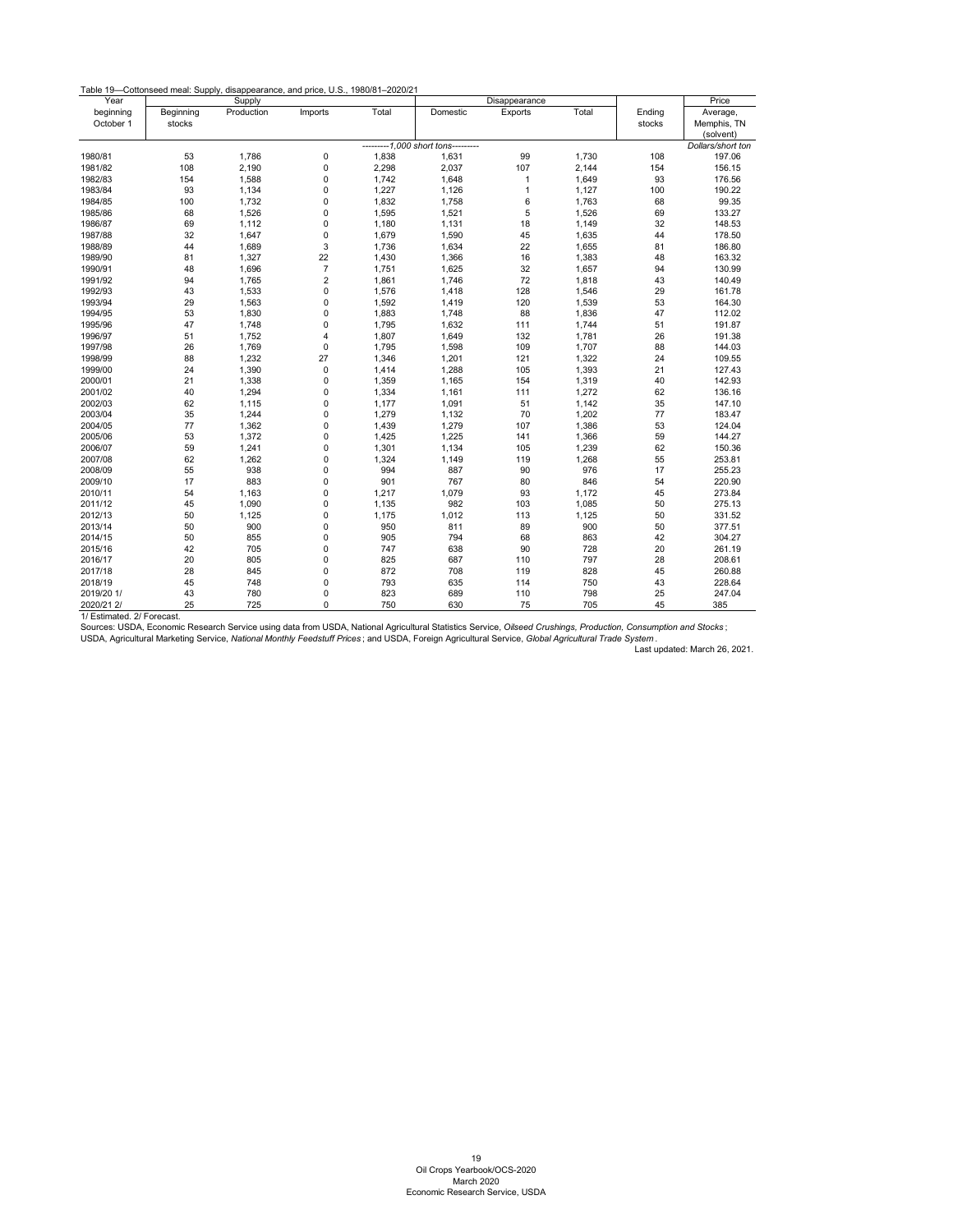| Table 19-Cottonseed meal: Supply, disappearance, and price, U.S., 1980/81-2020/21 |  |  |
|-----------------------------------------------------------------------------------|--|--|
|                                                                                   |  |  |

| Year       |           | Supply     |                           |       |                                    | Disappearance |       |        | Price             |
|------------|-----------|------------|---------------------------|-------|------------------------------------|---------------|-------|--------|-------------------|
| beginning  | Beginning | Production | Imports                   | Total | Domestic                           | Exports       | Total | Ending | Average,          |
| October 1  | stocks    |            |                           |       |                                    |               |       | stocks | Memphis, TN       |
|            |           |            |                           |       |                                    |               |       |        | (solvent)         |
|            |           |            |                           |       | ---------1,000 short tons--------- |               |       |        | Dollars/short ton |
| 1980/81    | 53        | 1,786      | 0                         | 1,838 | 1,631                              | 99            | 1,730 | 108    | 197.06            |
| 1981/82    | 108       | 2,190      | 0                         | 2,298 | 2,037                              | 107           | 2,144 | 154    | 156.15            |
| 1982/83    | 154       | 1,588      | 0                         | 1,742 | 1,648                              | $\mathbf{1}$  | 1,649 | 93     | 176.56            |
| 1983/84    | 93        | 1,134      | $\mathbf 0$               | 1,227 | 1,126                              | $\mathbf{1}$  | 1,127 | 100    | 190.22            |
| 1984/85    | 100       | 1,732      | 0                         | 1,832 | 1,758                              | 6             | 1,763 | 68     | 99.35             |
| 1985/86    | 68        | 1,526      | $\mathbf 0$               | 1,595 | 1,521                              | $\mathbf 5$   | 1,526 | 69     | 133.27            |
| 1986/87    | 69        | 1,112      | 0                         | 1,180 | 1,131                              | 18            | 1,149 | 32     | 148.53            |
| 1987/88    | 32        | 1,647      | $\pmb{0}$                 | 1,679 | 1,590                              | 45            | 1,635 | 44     | 178.50            |
| 1988/89    | 44        | 1,689      | $\ensuremath{\mathsf{3}}$ | 1,736 | 1,634                              | 22            | 1,655 | 81     | 186.80            |
| 1989/90    | 81        | 1,327      | 22                        | 1,430 | 1,366                              | 16            | 1,383 | 48     | 163.32            |
| 1990/91    | 48        | 1,696      | $\boldsymbol{7}$          | 1,751 | 1,625                              | 32            | 1,657 | 94     | 130.99            |
| 1991/92    | 94        | 1,765      | $\mathbf 2$               | 1,861 | 1,746                              | 72            | 1,818 | 43     | 140.49            |
| 1992/93    | 43        | 1,533      | $\pmb{0}$                 | 1,576 | 1,418                              | 128           | 1,546 | 29     | 161.78            |
| 1993/94    | 29        | 1,563      | 0                         | 1,592 | 1,419                              | 120           | 1,539 | 53     | 164.30            |
| 1994/95    | 53        | 1,830      | 0                         | 1,883 | 1,748                              | 88            | 1,836 | 47     | 112.02            |
| 1995/96    | 47        | 1,748      | 0                         | 1,795 | 1,632                              | 111           | 1,744 | 51     | 191.87            |
| 1996/97    | 51        | 1,752      | 4                         | 1,807 | 1,649                              | 132           | 1,781 | 26     | 191.38            |
| 1997/98    | 26        | 1,769      | $\mathbf 0$               | 1,795 | 1,598                              | 109           | 1,707 | 88     | 144.03            |
| 1998/99    | 88        | 1,232      | 27                        | 1,346 | 1,201                              | 121           | 1,322 | 24     | 109.55            |
| 1999/00    | 24        | 1,390      | $\pmb{0}$                 | 1,414 | 1,288                              | 105           | 1,393 | 21     | 127.43            |
| 2000/01    | 21        | 1,338      | $\mathbf 0$               | 1,359 | 1,165                              | 154           | 1,319 | 40     | 142.93            |
| 2001/02    | 40        | 1,294      | $\mathbf 0$               | 1,334 | 1,161                              | 111           | 1,272 | 62     | 136.16            |
| 2002/03    | 62        | 1,115      | $\mathbf 0$               | 1,177 | 1,091                              | 51            | 1,142 | 35     | 147.10            |
| 2003/04    | 35        | 1,244      | $\mathbf 0$               | 1,279 | 1,132                              | 70            | 1,202 | 77     | 183.47            |
| 2004/05    | 77        | 1,362      | $\mathbf 0$               | 1,439 | 1,279                              | 107           | 1,386 | 53     | 124.04            |
| 2005/06    | 53        | 1,372      | 0                         | 1,425 | 1,225                              | 141           | 1,366 | 59     | 144.27            |
| 2006/07    | 59        | 1,241      | $\pmb{0}$                 | 1,301 | 1,134                              | 105           | 1,239 | 62     | 150.36            |
| 2007/08    | 62        | 1,262      | 0                         | 1,324 | 1,149                              | 119           | 1,268 | 55     | 253.81            |
| 2008/09    | 55        | 938        | $\pmb{0}$                 | 994   | 887                                | $90\,$        | 976   | 17     | 255.23            |
| 2009/10    | 17        | 883        | 0                         | 901   | 767                                | 80            | 846   | 54     | 220.90            |
| 2010/11    | 54        | 1,163      | $\mathbf 0$               | 1,217 | 1,079                              | 93            | 1,172 | 45     | 273.84            |
| 2011/12    | 45        | 1,090      | 0                         | 1,135 | 982                                | 103           | 1,085 | 50     | 275.13            |
| 2012/13    | 50        | 1,125      | $\mathbf 0$               | 1,175 | 1,012                              | 113           | 1,125 | 50     | 331.52            |
| 2013/14    | 50        | 900        | $\mathbf 0$               | 950   | 811                                | 89            | 900   | 50     | 377.51            |
| 2014/15    | 50        | 855        | $\mathbf 0$               | 905   | 794                                | 68            | 863   | 42     | 304.27            |
| 2015/16    | 42        | 705        | $\Omega$                  | 747   | 638                                | 90            | 728   | $20\,$ | 261.19            |
| 2016/17    | 20        | 805        | 0                         | 825   | 687                                | 110           | 797   | 28     | 208.61            |
| 2017/18    | 28        | 845        | 0                         | 872   | 708                                | 119           | 828   | 45     | 260.88            |
| 2018/19    | 45        | 748        | $\mathbf 0$               | 793   | 635                                | 114           | 750   | 43     | 228.64            |
| 2019/20 1/ | 43        | 780        | 0                         | 823   | 689                                | 110           | 798   | 25     | 247.04            |
| 2020/21 2/ | 25        | 725        | 0                         | 750   | 630                                | 75            | 705   | 45     | 385               |

<span id="page-19-0"></span>1/ Estimated. 2/ Forecast.

Sources: USDA, Economic Research Service using data from USDA, National Agricultural Statistics Service, *Oilseed Crushings, Production, Consumption and Stocks* ;

USDA, Agricultural Marketing Service, *National Monthly Feedstuff Prices* ; and USDA, Foreign Agricultural Service, *Global Agricultural Trade System* . Last updated: March 26, 2021.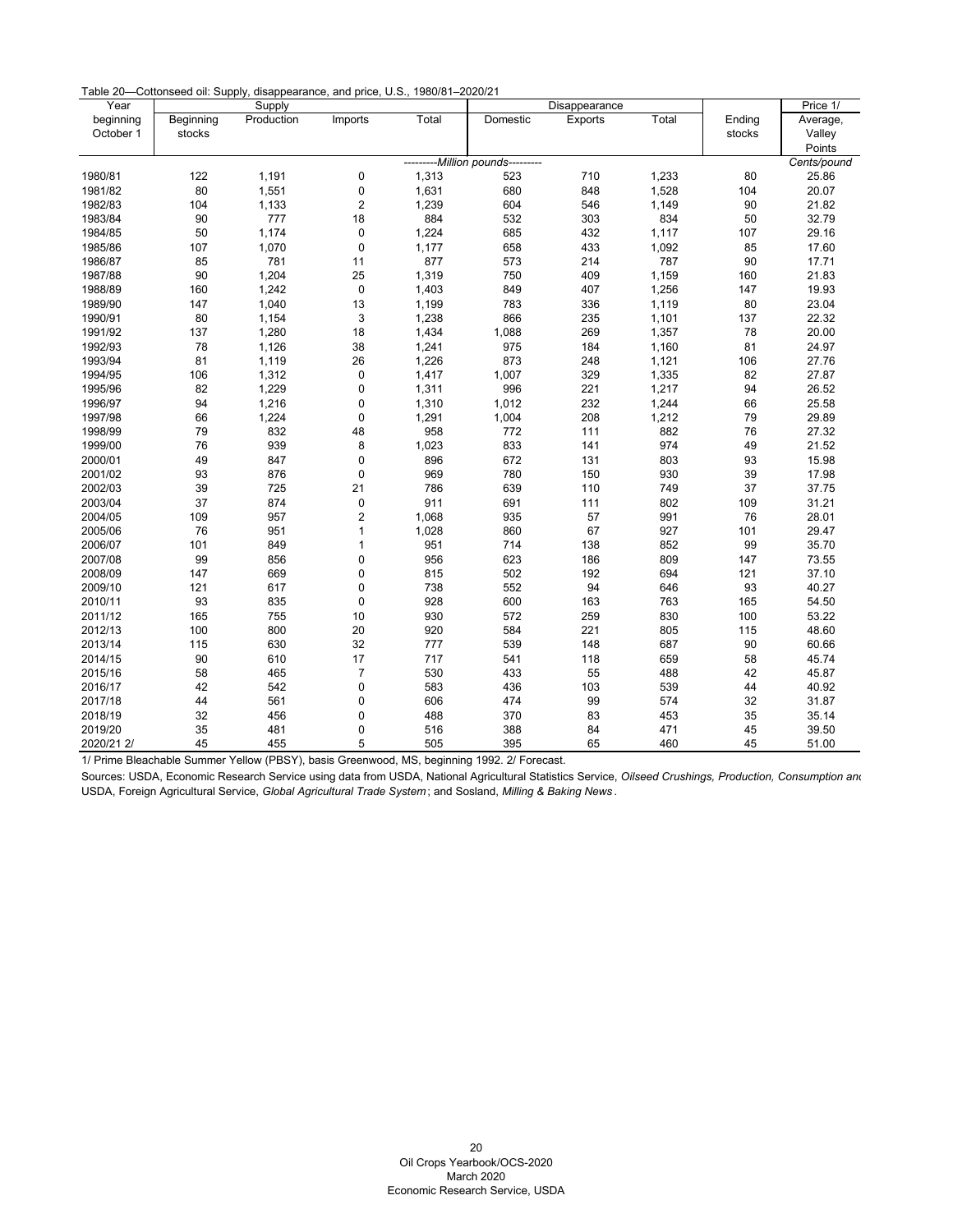| Table 20-Cottonseed oil: Supply, disappearance, and price, U.S., 1980/81-2020/21 |  |  |  |  |  |  |
|----------------------------------------------------------------------------------|--|--|--|--|--|--|
|----------------------------------------------------------------------------------|--|--|--|--|--|--|

| Year       |           | Supply     |                |       |                         | Disappearance |       |        | Price 1/    |
|------------|-----------|------------|----------------|-------|-------------------------|---------------|-------|--------|-------------|
| beginning  | Beginning | Production | Imports        | Total | Domestic                | Exports       | Total | Ending | Average,    |
| October 1  | stocks    |            |                |       |                         |               |       | stocks | Valley      |
|            |           |            |                |       |                         |               |       |        | Points      |
|            |           |            |                |       | -Million pounds-------- |               |       |        | Cents/pound |
| 1980/81    | 122       | 1,191      | 0              | 1,313 | 523                     | 710           | 1,233 | 80     | 25.86       |
| 1981/82    | 80        | 1,551      | 0              | 1,631 | 680                     | 848           | 1,528 | 104    | 20.07       |
| 1982/83    | 104       | 1,133      | $\overline{c}$ | 1,239 | 604                     | 546           | 1,149 | 90     | 21.82       |
| 1983/84    | 90        | 777        | 18             | 884   | 532                     | 303           | 834   | 50     | 32.79       |
| 1984/85    | 50        | 1,174      | $\pmb{0}$      | 1,224 | 685                     | 432           | 1,117 | 107    | 29.16       |
| 1985/86    | 107       | 1,070      | $\pmb{0}$      | 1,177 | 658                     | 433           | 1,092 | 85     | 17.60       |
| 1986/87    | 85        | 781        | 11             | 877   | 573                     | 214           | 787   | 90     | 17.71       |
| 1987/88    | 90        | 1,204      | 25             | 1,319 | 750                     | 409           | 1,159 | 160    | 21.83       |
| 1988/89    | 160       | 1,242      | $\pmb{0}$      | 1,403 | 849                     | 407           | 1,256 | 147    | 19.93       |
| 1989/90    | 147       | 1,040      | 13             | 1,199 | 783                     | 336           | 1,119 | 80     | 23.04       |
| 1990/91    | 80        | 1,154      | $\mathsf 3$    | 1,238 | 866                     | 235           | 1,101 | 137    | 22.32       |
| 1991/92    | 137       | 1,280      | 18             | 1,434 | 1,088                   | 269           | 1,357 | 78     | 20.00       |
| 1992/93    | 78        | 1,126      | 38             | 1,241 | 975                     | 184           | 1,160 | 81     | 24.97       |
| 1993/94    | 81        | 1,119      | 26             | 1,226 | 873                     | 248           | 1,121 | 106    | 27.76       |
| 1994/95    | 106       | 1,312      | $\pmb{0}$      | 1,417 | 1,007                   | 329           | 1,335 | 82     | 27.87       |
| 1995/96    | 82        | 1,229      | $\mathbf 0$    | 1,311 | 996                     | 221           | 1,217 | 94     | 26.52       |
| 1996/97    | 94        | 1,216      | $\pmb{0}$      | 1,310 | 1,012                   | 232           | 1,244 | 66     | 25.58       |
| 1997/98    | 66        | 1,224      | $\pmb{0}$      | 1,291 | 1,004                   | 208           | 1,212 | 79     | 29.89       |
| 1998/99    | 79        | 832        | 48             | 958   | 772                     | 111           | 882   | 76     | 27.32       |
| 1999/00    | 76        | 939        | 8              | 1,023 | 833                     | 141           | 974   | 49     | 21.52       |
| 2000/01    | 49        | 847        | $\mathbf 0$    | 896   | 672                     | 131           | 803   | 93     | 15.98       |
| 2001/02    | 93        | 876        | $\pmb{0}$      | 969   | 780                     | 150           | 930   | 39     | 17.98       |
| 2002/03    | 39        | 725        | 21             | 786   | 639                     | 110           | 749   | 37     | 37.75       |
| 2003/04    | 37        | 874        | $\pmb{0}$      | 911   | 691                     | 111           | 802   | 109    | 31.21       |
| 2004/05    | 109       | 957        | $\overline{c}$ | 1,068 | 935                     | 57            | 991   | 76     | 28.01       |
| 2005/06    | 76        | 951        | $\mathbf{1}$   | 1,028 | 860                     | 67            | 927   | 101    | 29.47       |
| 2006/07    | 101       | 849        | $\mathbf{1}$   | 951   | 714                     | 138           | 852   | 99     | 35.70       |
| 2007/08    | 99        | 856        | $\pmb{0}$      | 956   | 623                     | 186           | 809   | 147    | 73.55       |
| 2008/09    | 147       | 669        | $\pmb{0}$      | 815   | 502                     | 192           | 694   | 121    | 37.10       |
| 2009/10    | 121       | 617        | $\pmb{0}$      | 738   | 552                     | 94            | 646   | 93     | 40.27       |
| 2010/11    | 93        | 835        | $\pmb{0}$      | 928   | 600                     | 163           | 763   | 165    | 54.50       |
| 2011/12    | 165       | 755        | 10             | 930   | 572                     | 259           | 830   | 100    | 53.22       |
| 2012/13    | 100       | 800        | 20             | 920   | 584                     | 221           | 805   | 115    | 48.60       |
| 2013/14    | 115       | 630        | 32             | 777   | 539                     | 148           | 687   | 90     | 60.66       |
| 2014/15    | 90        | 610        | 17             | 717   | 541                     | 118           | 659   | 58     | 45.74       |
| 2015/16    | 58        | 465        | $\overline{7}$ | 530   | 433                     | 55            | 488   | 42     | 45.87       |
| 2016/17    | 42        | 542        | $\mathbf 0$    | 583   | 436                     | 103           | 539   | 44     | 40.92       |
| 2017/18    | 44        | 561        | $\pmb{0}$      | 606   | 474                     | 99            | 574   | 32     | 31.87       |
| 2018/19    | 32        | 456        | $\mathbf 0$    | 488   | 370                     | 83            | 453   | 35     | 35.14       |
| 2019/20    | 35        | 481        | $\mathbf 0$    | 516   | 388                     | 84            | 471   | 45     | 39.50       |
| 2020/21 2/ | 45        | 455        | 5              | 505   | 395                     | 65            | 460   | 45     | 51.00       |

1/ Prime Bleachable Summer Yellow (PBSY), basis Greenwood, MS, beginning 1992. 2/ Forecast.

<span id="page-20-0"></span>Sources: USDA, Economic Research Service using data from USDA, National Agricultural Statistics Service, *Oilseed Crushings, Production, Consumption and*  USDA, Foreign Agricultural Service, *Global Agricultural Trade System* ; and Sosland, *Milling & Baking News* .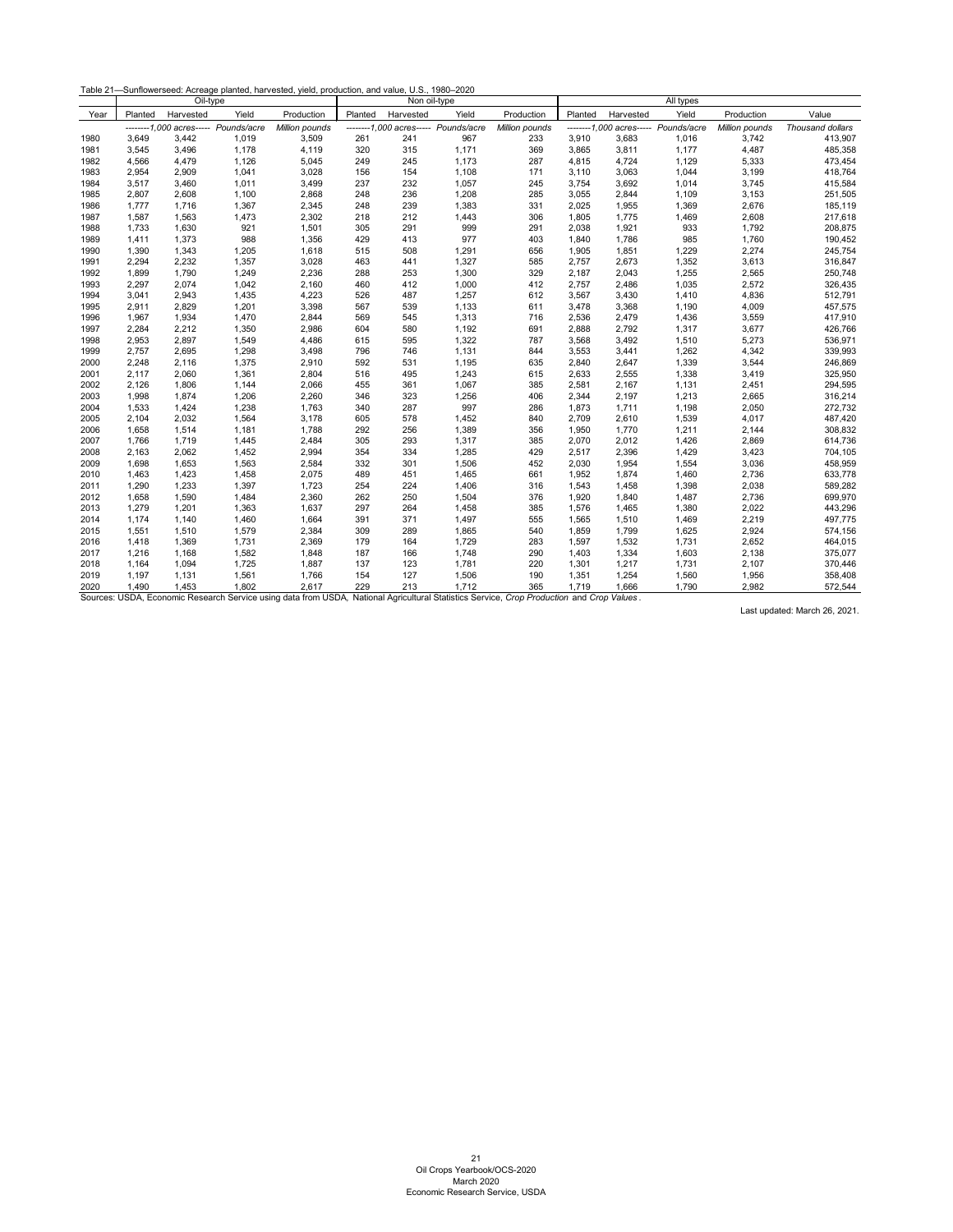| Table 21-Sunflowerseed: Acreage planted, harvested, yield, production, and value, U.S., 1980-2020 |  |  |  |  |
|---------------------------------------------------------------------------------------------------|--|--|--|--|
|                                                                                                   |  |  |  |  |

<span id="page-21-0"></span>

|      |         | Oil-type  |                                      |                |         | Non oil-type |                                      |                                                                                                                                           |         |           | All types                            |                |                  |
|------|---------|-----------|--------------------------------------|----------------|---------|--------------|--------------------------------------|-------------------------------------------------------------------------------------------------------------------------------------------|---------|-----------|--------------------------------------|----------------|------------------|
| Year | Planted | Harvested | Yield                                | Production     | Planted | Harvested    | Yield                                | Production                                                                                                                                | Planted | Harvested | Yield                                | Production     | Value            |
|      |         |           | --------1,000 acres----- Pounds/acre | Million pounds |         |              | --------1,000 acres----- Pounds/acre | Million pounds                                                                                                                            |         |           | --------1,000 acres----- Pounds/acre | Million pounds | Thousand dollars |
| 1980 | 3.649   | 3,442     | 1,019                                | 3,509          | 261     | 241          | 967                                  | 233                                                                                                                                       | 3,910   | 3,683     | 1,016                                | 3,742          | 413,907          |
| 1981 | 3,545   | 3,496     | 1,178                                | 4,119          | 320     | 315          | 1,171                                | 369                                                                                                                                       | 3,865   | 3,811     | 1,177                                | 4,487          | 485,358          |
| 1982 | 4,566   | 4,479     | 1,126                                | 5,045          | 249     | 245          | 1,173                                | 287                                                                                                                                       | 4,815   | 4,724     | 1,129                                | 5,333          | 473,454          |
| 1983 | 2,954   | 2,909     | 1,041                                | 3,028          | 156     | 154          | 1,108                                | 171                                                                                                                                       | 3,110   | 3,063     | 1,044                                | 3,199          | 418,764          |
| 1984 | 3,517   | 3,460     | 1,011                                | 3,499          | 237     | 232          | 1,057                                | 245                                                                                                                                       | 3,754   | 3,692     | 1,014                                | 3,745          | 415,584          |
| 1985 | 2,807   | 2,608     | 1,100                                | 2,868          | 248     | 236          | 1,208                                | 285                                                                                                                                       | 3,055   | 2,844     | 1,109                                | 3,153          | 251,505          |
| 1986 | 1,777   | 1,716     | 1,367                                | 2,345          | 248     | 239          | 1,383                                | 331                                                                                                                                       | 2,025   | 1,955     | 1,369                                | 2,676          | 185,119          |
| 1987 | 1,587   | 1,563     | 1,473                                | 2,302          | 218     | 212          | 1,443                                | 306                                                                                                                                       | 1,805   | 1,775     | 1,469                                | 2,608          | 217,618          |
| 1988 | 1,733   | 1,630     | 921                                  | 1,501          | 305     | 291          | 999                                  | 291                                                                                                                                       | 2,038   | 1,921     | 933                                  | 1,792          | 208,875          |
| 1989 | 1,411   | 1,373     | 988                                  | 1,356          | 429     | 413          | 977                                  | 403                                                                                                                                       | 1,840   | 1,786     | 985                                  | 1,760          | 190,452          |
| 1990 | 1,390   | 1,343     | 1,205                                | 1,618          | 515     | 508          | 1,291                                | 656                                                                                                                                       | 1,905   | 1,851     | 1,229                                | 2,274          | 245,754          |
| 1991 | 2,294   | 2,232     | 1,357                                | 3,028          | 463     | 441          | 1,327                                | 585                                                                                                                                       | 2,757   | 2,673     | 1,352                                | 3,613          | 316,847          |
| 1992 | 1,899   | 1,790     | 1,249                                | 2,236          | 288     | 253          | 1,300                                | 329                                                                                                                                       | 2,187   | 2,043     | 1,255                                | 2,565          | 250,748          |
| 1993 | 2,297   | 2,074     | 1,042                                | 2,160          | 460     | 412          | 1,000                                | 412                                                                                                                                       | 2,757   | 2,486     | 1,035                                | 2,572          | 326,435          |
| 1994 | 3,041   | 2,943     | 1,435                                | 4,223          | 526     | 487          | 1,257                                | 612                                                                                                                                       | 3,567   | 3,430     | 1,410                                | 4,836          | 512,791          |
| 1995 | 2,911   | 2,829     | 1,201                                | 3,398          | 567     | 539          | 1,133                                | 611                                                                                                                                       | 3,478   | 3,368     | 1,190                                | 4,009          | 457,575          |
| 1996 | 1,967   | 1,934     | 1,470                                | 2,844          | 569     | 545          | 1,313                                | 716                                                                                                                                       | 2,536   | 2,479     | 1,436                                | 3,559          | 417,910          |
| 1997 | 2,284   | 2,212     | 1,350                                | 2,986          | 604     | 580          | 1,192                                | 691                                                                                                                                       | 2,888   | 2,792     | 1,317                                | 3,677          | 426,766          |
| 1998 | 2,953   | 2,897     | 1,549                                | 4,486          | 615     | 595          | 1,322                                | 787                                                                                                                                       | 3,568   | 3,492     | 1,510                                | 5,273          | 536,971          |
| 1999 | 2,757   | 2,695     | 1,298                                | 3,498          | 796     | 746          | 1,131                                | 844                                                                                                                                       | 3,553   | 3,441     | 1,262                                | 4,342          | 339,993          |
| 2000 | 2,248   | 2,116     | 1,375                                | 2,910          | 592     | 531          | 1,195                                | 635                                                                                                                                       | 2,840   | 2,647     | 1,339                                | 3,544          | 246,869          |
| 2001 | 2,117   | 2,060     | 1,361                                | 2,804          | 516     | 495          | 1,243                                | 615                                                                                                                                       | 2,633   | 2,555     | 1,338                                | 3,419          | 325,950          |
| 2002 | 2,126   | 1,806     | 1,144                                | 2,066          | 455     | 361          | 1,067                                | 385                                                                                                                                       | 2,581   | 2,167     | 1,131                                | 2,451          | 294,595          |
| 2003 | 1,998   | 1,874     | 1,206                                | 2,260          | 346     | 323          | 1,256                                | 406                                                                                                                                       | 2,344   | 2,197     | 1,213                                | 2,665          | 316,214          |
| 2004 | 1,533   | 1,424     | 1,238                                | 1,763          | 340     | 287          | 997                                  | 286                                                                                                                                       | 1,873   | 1,711     | 1,198                                | 2,050          | 272,732          |
| 2005 | 2,104   | 2,032     | 1,564                                | 3,178          | 605     | 578          | 1,452                                | 840                                                                                                                                       | 2,709   | 2,610     | 1,539                                | 4,017          | 487,420          |
| 2006 | 1,658   | 1,514     | 1,181                                | 1,788          | 292     | 256          | 1,389                                | 356                                                                                                                                       | 1,950   | 1,770     | 1,211                                | 2,144          | 308,832          |
| 2007 | 1,766   | 1,719     | 1,445                                | 2,484          | 305     | 293          | 1,317                                | 385                                                                                                                                       | 2,070   | 2,012     | 1,426                                | 2,869          | 614,736          |
| 2008 | 2,163   | 2,062     | 1,452                                | 2,994          | 354     | 334          | 1,285                                | 429                                                                                                                                       | 2,517   | 2,396     | 1,429                                | 3,423          | 704,105          |
| 2009 | 1,698   | 1,653     | 1,563                                | 2,584          | 332     | 301          | 1,506                                | 452                                                                                                                                       | 2,030   | 1,954     | 1,554                                | 3,036          | 458,959          |
| 2010 | 1,463   | 1,423     | 1,458                                | 2,075          | 489     | 451          | 1,465                                | 661                                                                                                                                       | 1,952   | 1,874     | 1,460                                | 2,736          | 633,778          |
| 2011 | 1,290   | 1,233     | 1,397                                | 1,723          | 254     | 224          | 1,406                                | 316                                                                                                                                       | 1,543   | 1,458     | 1,398                                | 2,038          | 589,282          |
| 2012 | 1,658   | 1,590     | 1,484                                | 2,360          | 262     | 250          | 1,504                                | 376                                                                                                                                       | 1,920   | 1,840     | 1,487                                | 2,736          | 699,970          |
| 2013 | 1,279   | 1,201     | 1,363                                | 1,637          | 297     | 264          | 1,458                                | 385                                                                                                                                       | 1,576   | 1,465     | 1,380                                | 2,022          | 443,296          |
| 2014 | 1,174   | 1,140     | 1,460                                | 1,664          | 391     | 371          | 1,497                                | 555                                                                                                                                       | 1,565   | 1,510     | 1,469                                | 2,219          | 497,775          |
| 2015 | 1,551   | 1,510     | 1,579                                | 2,384          | 309     | 289          | 1,865                                | 540                                                                                                                                       | 1,859   | 1,799     | 1,625                                | 2,924          | 574,156          |
| 2016 | 1,418   | 1,369     | 1,731                                | 2,369          | 179     | 164          | 1,729                                | 283                                                                                                                                       | 1,597   | 1,532     | 1,731                                | 2,652          | 464,015          |
| 2017 | 1,216   | 1,168     | 1,582                                | 1,848          | 187     | 166          | 1,748                                | 290                                                                                                                                       | 1,403   | 1,334     | 1,603                                | 2,138          | 375,077          |
| 2018 | 1,164   | 1,094     | 1,725                                | 1,887          | 137     | 123          | 1,781                                | 220                                                                                                                                       | 1,301   | 1,217     | 1,731                                | 2,107          | 370,446          |
| 2019 | 1,197   | 1,131     | 1,561                                | 1,766          | 154     | 127          | 1,506                                | 190                                                                                                                                       | 1,351   | 1,254     | 1,560                                | 1,956          | 358,408          |
| 2020 | 1,490   | 1,453     | 1,802                                | 2,617          | 229     | 213          | 1,712                                | 365                                                                                                                                       | 1,719   | 1,666     | 1,790                                | 2,982          | 572,544          |
|      |         |           |                                      |                |         |              |                                      | Sources: USDA, Economic Research Service using data from USDA, National Agricultural Statistics Service, Crop Production and Crop Values. |         |           |                                      |                |                  |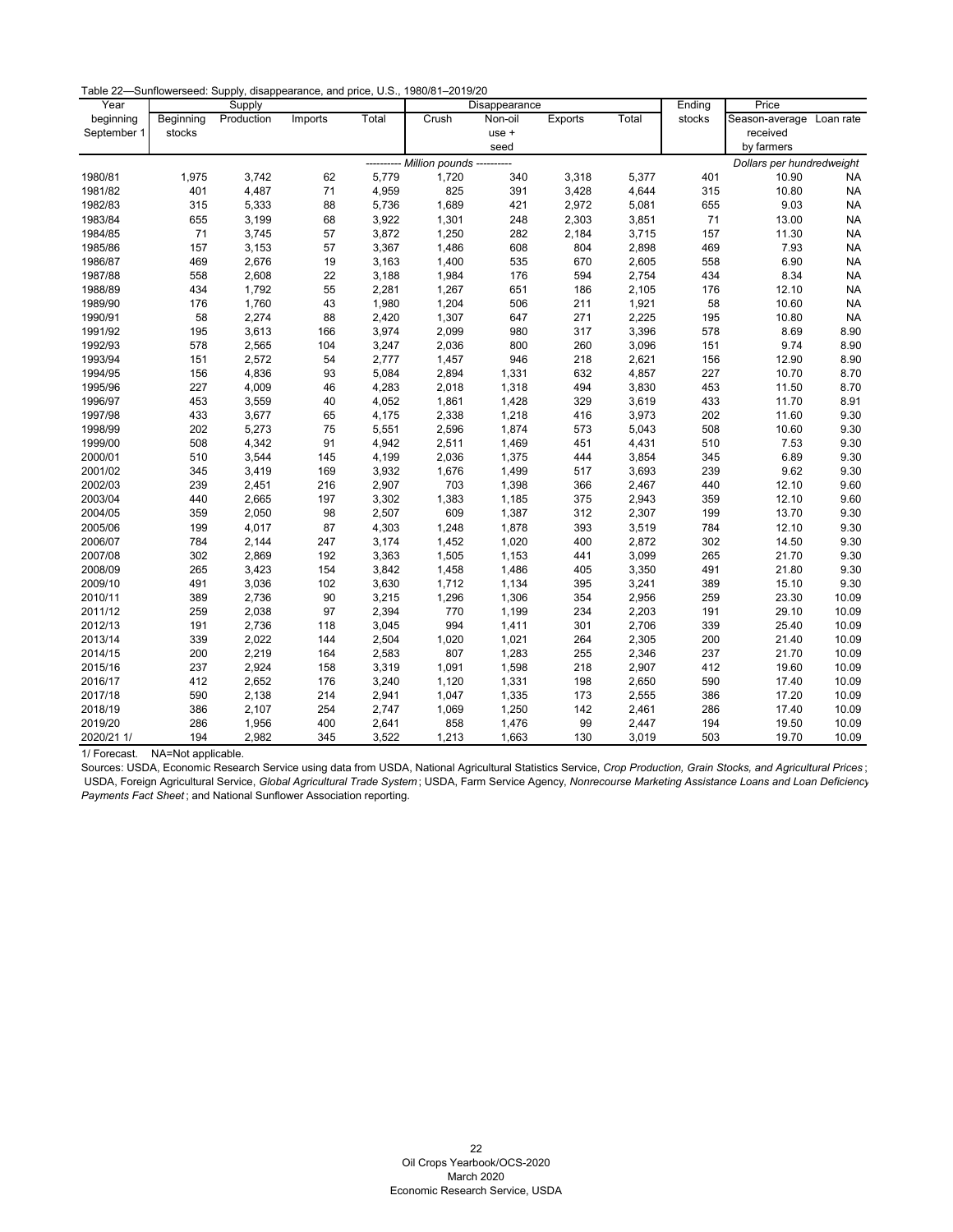|  | Table 22—Sunflowerseed: Supply, disappearance, and price, U.S., 1980/81–2019/20 |
|--|---------------------------------------------------------------------------------|
|--|---------------------------------------------------------------------------------|

| Year        |           | Supply     |         |       |                       | Disappearance |            |       | Ending | Price                     |           |
|-------------|-----------|------------|---------|-------|-----------------------|---------------|------------|-------|--------|---------------------------|-----------|
| beginning   | Beginning | Production | Imports | Total | Crush                 | Non-oil       | Exports    | Total | stocks | Season-average Loan rate  |           |
| September 1 | stocks    |            |         |       |                       | use +         |            |       |        | received                  |           |
|             |           |            |         |       |                       | seed          |            |       |        | by farmers                |           |
|             |           |            |         |       | --- Million pounds -- |               |            |       |        | Dollars per hundredweight |           |
| 1980/81     | 1,975     | 3,742      | 62      | 5,779 | 1,720                 | 340           | 3,318      | 5,377 | 401    | 10.90                     | NA        |
| 1981/82     | 401       | 4,487      | $71$    | 4,959 | 825                   | 391           | 3,428      | 4,644 | 315    | 10.80                     | <b>NA</b> |
| 1982/83     | 315       | 5,333      | 88      | 5,736 | 1,689                 | 421           | 2,972      | 5,081 | 655    | 9.03                      | <b>NA</b> |
| 1983/84     | 655       | 3,199      | 68      | 3,922 | 1,301                 | 248           | 2,303      | 3,851 | 71     | 13.00                     | <b>NA</b> |
| 1984/85     | 71        | 3,745      | 57      | 3,872 | 1,250                 | 282           | 2,184      | 3,715 | 157    | 11.30                     | <b>NA</b> |
| 1985/86     | 157       | 3,153      | 57      | 3,367 | 1,486                 | 608           | 804        | 2,898 | 469    | 7.93                      | <b>NA</b> |
| 1986/87     | 469       | 2,676      | 19      | 3,163 | 1,400                 | 535           | 670        | 2,605 | 558    | 6.90                      | <b>NA</b> |
| 1987/88     | 558       | 2,608      | 22      | 3,188 | 1,984                 | 176           | 594        | 2,754 | 434    | 8.34                      | <b>NA</b> |
| 1988/89     | 434       | 1,792      | 55      | 2,281 | 1,267                 | 651           | 186        | 2,105 | 176    | 12.10                     | <b>NA</b> |
| 1989/90     | 176       | 1,760      | 43      | 1,980 | 1,204                 | 506           | 211        | 1,921 | 58     | 10.60                     | <b>NA</b> |
| 1990/91     | 58        | 2,274      | 88      | 2,420 | 1,307                 | 647           | 271        | 2,225 | 195    | 10.80                     | <b>NA</b> |
| 1991/92     | 195       | 3,613      | 166     | 3,974 | 2,099                 | 980           | 317        | 3,396 | 578    | 8.69                      | 8.90      |
| 1992/93     | 578       | 2,565      | 104     | 3,247 | 2,036                 | 800           | 260        | 3,096 | 151    | 9.74                      | 8.90      |
| 1993/94     | 151       | 2,572      | 54      | 2,777 | 1,457                 | 946           | 218        | 2,621 | 156    | 12.90                     | 8.90      |
| 1994/95     | 156       | 4,836      | 93      | 5,084 | 2,894                 | 1,331         | 632        | 4,857 | 227    | 10.70                     | 8.70      |
| 1995/96     | 227       | 4,009      | 46      | 4,283 | 2,018                 | 1,318         | 494        | 3,830 | 453    | 11.50                     | 8.70      |
| 1996/97     | 453       | 3,559      | 40      | 4,052 | 1,861                 | 1,428         | 329        | 3,619 | 433    | 11.70                     | 8.91      |
| 1997/98     | 433       | 3,677      | 65      | 4,175 | 2,338                 | 1,218         | 416        | 3,973 | 202    | 11.60                     | 9.30      |
| 1998/99     | 202       | 5,273      | 75      | 5,551 | 2,596                 | 1,874         | 573        | 5,043 | 508    | 10.60                     | 9.30      |
| 1999/00     | 508       | 4,342      | 91      | 4,942 | 2,511                 | 1,469         | 451        | 4,431 | 510    | 7.53                      | 9.30      |
| 2000/01     | 510       | 3,544      | 145     | 4,199 | 2,036                 | 1,375         | 444        | 3,854 | 345    | 6.89                      | 9.30      |
| 2001/02     | 345       | 3,419      | 169     | 3,932 | 1,676                 | 1,499         | 517        | 3,693 | 239    | 9.62                      | 9.30      |
| 2002/03     | 239       | 2,451      | 216     | 2,907 | 703                   | 1,398         | 366        | 2,467 | 440    | 12.10                     | 9.60      |
| 2003/04     | 440       | 2,665      | 197     | 3,302 | 1,383                 | 1,185         | 375        | 2,943 | 359    | 12.10                     | 9.60      |
| 2004/05     | 359       | 2,050      | 98      | 2,507 | 609                   | 1,387         | 312        | 2,307 | 199    | 13.70                     | 9.30      |
| 2005/06     | 199       | 4,017      | 87      | 4,303 | 1,248                 | 1,878         | 393        | 3,519 | 784    | 12.10                     | 9.30      |
| 2006/07     | 784       | 2,144      | 247     | 3,174 | 1,452                 | 1,020         | 400        | 2,872 | 302    | 14.50                     | 9.30      |
| 2007/08     | 302       | 2,869      | 192     | 3,363 | 1,505                 | 1,153         | 441        | 3,099 | 265    | 21.70                     | 9.30      |
| 2008/09     | 265       | 3,423      | 154     | 3,842 | 1,458                 | 1,486         | 405        | 3,350 | 491    | 21.80                     | 9.30      |
| 2009/10     | 491       | 3,036      | 102     | 3,630 | 1,712                 | 1,134         | 395        | 3,241 | 389    | 15.10                     | 9.30      |
| 2010/11     | 389       | 2,736      | 90      | 3,215 | 1,296                 | 1,306         | 354        | 2,956 | 259    | 23.30                     | 10.09     |
| 2011/12     | 259       | 2,038      | 97      | 2,394 | 770                   | 1,199         | 234        | 2,203 | 191    | 29.10                     | 10.09     |
| 2012/13     | 191       | 2,736      | 118     | 3,045 | 994                   | 1,411         | 301        | 2,706 | 339    | 25.40                     | 10.09     |
| 2013/14     | 339       | 2,022      | 144     | 2,504 | 1,020                 | 1,021         | 264        | 2,305 | 200    | 21.40                     | 10.09     |
| 2014/15     | 200       | 2,219      | 164     | 2,583 | 807                   | 1,283         |            | 2,346 | 237    | 21.70                     | 10.09     |
| 2015/16     | 237       | 2,924      | 158     | 3,319 | 1,091                 | 1,598         | 255<br>218 | 2,907 | 412    | 19.60                     | 10.09     |
| 2016/17     | 412       |            | 176     |       |                       | 1,331         |            |       | 590    | 17.40                     | 10.09     |
|             | 590       | 2,652      |         | 3,240 | 1,120                 |               | 198        | 2,650 |        |                           |           |
| 2017/18     |           | 2,138      | 214     | 2,941 | 1,047                 | 1,335         | 173        | 2,555 | 386    | 17.20                     | 10.09     |
| 2018/19     | 386       | 2,107      | 254     | 2,747 | 1,069                 | 1,250         | 142        | 2,461 | 286    | 17.40                     | 10.09     |
| 2019/20     | 286       | 1,956      | 400     | 2,641 | 858                   | 1,476         | 99         | 2,447 | 194    | 19.50                     | 10.09     |
| 2020/21 1/  | 194       | 2,982      | 345     | 3,522 | 1,213                 | 1,663         | 130        | 3,019 | 503    | 19.70                     | 10.09     |

1/ Forecast. NA=Not applicable.

<span id="page-22-0"></span>Sources: USDA, Economic Research Service using data from USDA, National Agricultural Statistics Service, *Crop Production, Grain Stocks, and Agricultural Prices* ; USDA, Foreign Agricultural Service, *Global Agricultural Trade System* ; USDA, Farm Service Agency, *Nonrecourse Marketing Assistance Loans and Loan Deficiency Payments Fact Sheet* ; and National Sunflower Association reporting.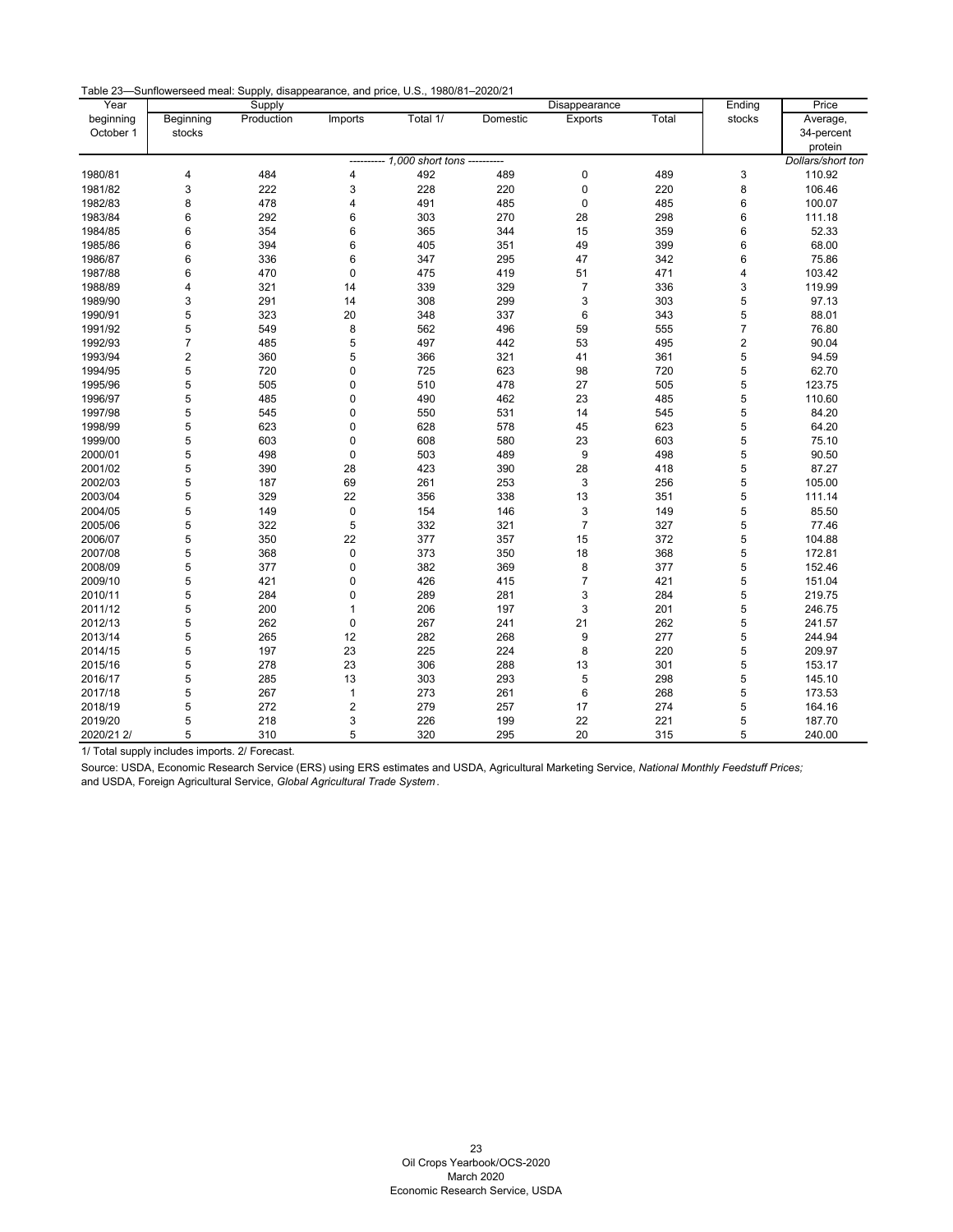| Table 23—Sunflowerseed meal: Supply, disappearance, and price, U.S., 1980/81–2020/21 |  |  |  |  |  |
|--------------------------------------------------------------------------------------|--|--|--|--|--|
|--------------------------------------------------------------------------------------|--|--|--|--|--|

| Year               |                         | Supply     |                         |                                       |          | Disappearance  |       | Ending           | Price             |
|--------------------|-------------------------|------------|-------------------------|---------------------------------------|----------|----------------|-------|------------------|-------------------|
| beginning          | Beginning               | Production | Imports                 | Total 1/                              | Domestic | Exports        | Total | stocks           | Average,          |
| October 1          | stocks                  |            |                         |                                       |          |                |       |                  | 34-percent        |
|                    |                         |            |                         |                                       |          |                |       |                  | protein           |
|                    |                         |            |                         | --------- 1,000 short tons ---------- |          |                |       |                  | Dollars/short ton |
| 1980/81            | 4                       | 484        | 4                       | 492                                   | 489      | $\mathbf 0$    | 489   | 3                | 110.92            |
| 1981/82            | 3                       | 222        | 3                       | 228                                   | 220      | $\pmb{0}$      | 220   | 8                | 106.46            |
| 1982/83            | 8                       | 478        | 4                       | 491                                   | 485      | $\mathbf 0$    | 485   | 6                | 100.07            |
| 1983/84            | 6                       | 292        | 6                       | 303                                   | 270      | 28             | 298   | 6                | 111.18            |
| 1984/85            | 6                       | 354        | 6                       | 365                                   | 344      | 15             | 359   | 6                | 52.33             |
| 1985/86            | 6                       | 394        | 6                       | 405                                   | 351      | 49             | 399   | 6                | 68.00             |
| 1986/87            | 6                       | 336        | 6                       | 347                                   | 295      | 47             | 342   | 6                | 75.86             |
| 1987/88            | 6                       | 470        | $\mathbf 0$             | 475                                   | 419      | 51             | 471   | 4                | 103.42            |
| 1988/89            | 4                       | 321        | 14                      | 339                                   | 329      | 7              | 336   | 3                | 119.99            |
| 1989/90            | 3                       | 291        | 14                      | 308                                   | 299      | 3              | 303   | 5                | 97.13             |
| 1990/91            | 5                       | 323        | 20                      | 348                                   | 337      | $\,6$          | 343   | 5                | 88.01             |
| 1991/92            | 5                       | 549        | 8                       | 562                                   | 496      | 59             | 555   | 7                | 76.80             |
| 1992/93            | 7                       | 485        | 5                       | 497                                   | 442      | 53             | 495   | $\boldsymbol{2}$ | 90.04             |
| 1993/94            | $\overline{\mathbf{c}}$ | 360        | 5                       | 366                                   | 321      | 41             | 361   | 5                | 94.59             |
| 1994/95            | 5                       | 720        | 0                       | 725                                   | 623      | 98             | 720   | 5                | 62.70             |
| 1995/96            | 5                       | 505        | 0                       | 510                                   | 478      | 27             | 505   | 5                | 123.75            |
| 1996/97            | 5                       | 485        | 0                       | 490                                   | 462      | 23             | 485   | 5                | 110.60            |
|                    | 5                       |            | 0                       |                                       |          | 14             | 545   | 5                | 84.20             |
| 1997/98<br>1998/99 | 5                       | 545<br>623 | 0                       | 550<br>628                            | 531      | 45             | 623   | 5                | 64.20             |
|                    |                         |            |                         |                                       | 578      |                |       |                  |                   |
| 1999/00            | 5                       | 603        | $\pmb{0}$               | 608                                   | 580      | 23             | 603   | 5                | 75.10             |
| 2000/01            | 5                       | 498        | 0                       | 503                                   | 489      | 9              | 498   | 5                | 90.50             |
| 2001/02            | 5                       | 390        | 28                      | 423                                   | 390      | 28             | 418   | 5                | 87.27             |
| 2002/03            | 5                       | 187        | 69                      | 261                                   | 253      | 3              | 256   | 5                | 105.00            |
| 2003/04            | 5                       | 329        | 22                      | 356                                   | 338      | 13             | 351   | 5                | 111.14            |
| 2004/05            | 5                       | 149        | 0                       | 154                                   | 146      | 3              | 149   | 5                | 85.50             |
| 2005/06            | 5                       | 322        | 5                       | 332                                   | 321      | $\overline{7}$ | 327   | 5                | 77.46             |
| 2006/07            | 5                       | 350        | 22                      | 377                                   | 357      | 15             | 372   | 5                | 104.88            |
| 2007/08            | 5                       | 368        | 0                       | 373                                   | 350      | 18             | 368   | 5                | 172.81            |
| 2008/09            | 5                       | 377        | 0                       | 382                                   | 369      | 8              | 377   | 5                | 152.46            |
| 2009/10            | 5                       | 421        | 0                       | 426                                   | 415      | 7              | 421   | 5                | 151.04            |
| 2010/11            | 5                       | 284        | $\mathsf 0$             | 289                                   | 281      | 3              | 284   | 5                | 219.75            |
| 2011/12            | 5                       | 200        | $\mathbf{1}$            | 206                                   | 197      | 3              | 201   | 5                | 246.75            |
| 2012/13            | 5                       | 262        | 0                       | 267                                   | 241      | 21             | 262   | 5                | 241.57            |
| 2013/14            | 5                       | 265        | 12                      | 282                                   | 268      | 9              | 277   | 5                | 244.94            |
| 2014/15            | 5                       | 197        | 23                      | 225                                   | 224      | 8              | 220   | 5                | 209.97            |
| 2015/16            | 5                       | 278        | 23                      | 306                                   | 288      | 13             | 301   | 5                | 153.17            |
| 2016/17            | 5                       | 285        | 13                      | 303                                   | 293      | 5              | 298   | 5                | 145.10            |
| 2017/18            | 5                       | 267        | $\mathbf{1}$            | 273                                   | 261      | $\,6\,$        | 268   | 5                | 173.53            |
| 2018/19            | 5                       | 272        | $\overline{\mathbf{c}}$ | 279                                   | 257      | 17             | 274   | 5                | 164.16            |
| 2019/20            | 5                       | 218        | 3                       | 226                                   | 199      | 22             | 221   | 5                | 187.70            |
| 2020/21 2/         | 5                       | 310        | 5                       | 320                                   | 295      | 20             | 315   | 5                | 240.00            |

1/ Total supply includes imports. 2/ Forecast.

<span id="page-23-0"></span>Source: USDA, Economic Research Service (ERS) using ERS estimates and USDA, Agricultural Marketing Service, *National Monthly Feedstuff Prices;* and USDA, Foreign Agricultural Service, *Global Agricultural Trade System* .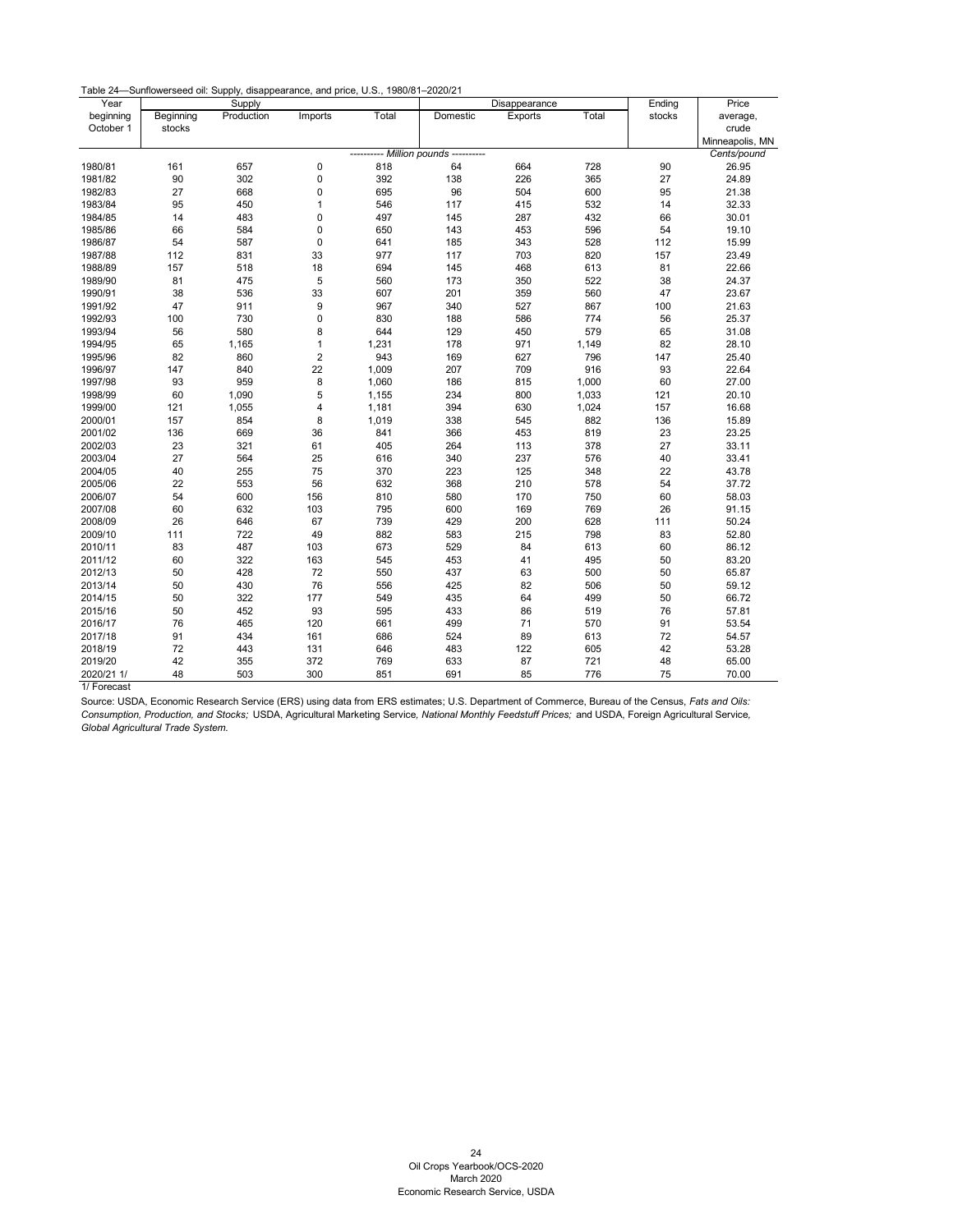| Table 24—Sunflowerseed oil: Supply, disappearance, and price, U.S., 1980/81–2020/21 |  |  |  |  |
|-------------------------------------------------------------------------------------|--|--|--|--|
|-------------------------------------------------------------------------------------|--|--|--|--|

| Year       |           | Supply     |                  |       |                            | Disappearance |       | Ending | Price           |
|------------|-----------|------------|------------------|-------|----------------------------|---------------|-------|--------|-----------------|
| beginning  | Beginning | Production | Imports          | Total | Domestic                   | Exports       | Total | stocks | average,        |
| October 1  | stocks    |            |                  |       |                            |               |       |        | crude           |
|            |           |            |                  |       |                            |               |       |        | Minneapolis, MN |
|            |           |            |                  |       | - Million pounds --------- |               |       |        | Cents/pound     |
| 1980/81    | 161       | 657        | 0                | 818   | 64                         | 664           | 728   | 90     | 26.95           |
| 1981/82    | 90        | 302        | $\mathbf 0$      | 392   | 138                        | 226           | 365   | 27     | 24.89           |
| 1982/83    | 27        | 668        | 0                | 695   | 96                         | 504           | 600   | 95     | 21.38           |
| 1983/84    | 95        | 450        | $\mathbf{1}$     | 546   | 117                        | 415           | 532   | 14     | 32.33           |
| 1984/85    | 14        | 483        | $\mathbf 0$      | 497   | 145                        | 287           | 432   | 66     | 30.01           |
| 1985/86    | 66        | 584        | $\mathbf 0$      | 650   | 143                        | 453           | 596   | 54     | 19.10           |
| 1986/87    | 54        | 587        | $\mathbf 0$      | 641   | 185                        | 343           | 528   | 112    | 15.99           |
| 1987/88    | 112       | 831        | 33               | 977   | 117                        | 703           | 820   | 157    | 23.49           |
| 1988/89    | 157       | 518        | 18               | 694   | 145                        | 468           | 613   | 81     | 22.66           |
| 1989/90    | 81        | 475        | 5                | 560   | 173                        | 350           | 522   | 38     | 24.37           |
| 1990/91    | 38        | 536        | 33               | 607   | 201                        | 359           | 560   | 47     | 23.67           |
| 1991/92    | 47        | 911        | 9                | 967   | 340                        | 527           | 867   | 100    | 21.63           |
| 1992/93    | 100       | 730        | $\pmb{0}$        | 830   | 188                        | 586           | 774   | 56     | 25.37           |
| 1993/94    | 56        | 580        | 8                | 644   | 129                        | 450           | 579   | 65     | 31.08           |
| 1994/95    | 65        | 1,165      | $\mathbf{1}$     | 1,231 | 178                        | 971           | 1,149 | 82     | 28.10           |
| 1995/96    | 82        | 860        | $\boldsymbol{2}$ | 943   | 169                        | 627           | 796   | 147    | 25.40           |
| 1996/97    | 147       | 840        | 22               | 1,009 | 207                        | 709           | 916   | 93     | 22.64           |
| 1997/98    | 93        | 959        | $\bf8$           | 1,060 | 186                        | 815           | 1,000 | 60     | 27.00           |
| 1998/99    | 60        | 1,090      | 5                | 1,155 | 234                        | 800           | 1,033 | 121    | 20.10           |
| 1999/00    | 121       | 1,055      | 4                | 1,181 | 394                        | 630           | 1,024 | 157    | 16.68           |
| 2000/01    | 157       | 854        | 8                | 1,019 | 338                        | 545           | 882   | 136    | 15.89           |
| 2001/02    | 136       | 669        | 36               | 841   | 366                        | 453           | 819   | 23     | 23.25           |
| 2002/03    | 23        | 321        | 61               | 405   | 264                        | 113           | 378   | 27     | 33.11           |
| 2003/04    | 27        | 564        | 25               | 616   | 340                        | 237           | 576   | 40     | 33.41           |
| 2004/05    | 40        | 255        | 75               | 370   | 223                        | 125           | 348   | 22     | 43.78           |
| 2005/06    | 22        | 553        | 56               | 632   | 368                        | 210           | 578   | 54     | 37.72           |
| 2006/07    | 54        | 600        | 156              | 810   | 580                        | 170           | 750   | 60     | 58.03           |
| 2007/08    | 60        | 632        | 103              | 795   | 600                        | 169           | 769   | 26     | 91.15           |
| 2008/09    | 26        | 646        | 67               | 739   | 429                        | 200           | 628   | 111    | 50.24           |
| 2009/10    | 111       | 722        | 49               | 882   | 583                        | 215           | 798   | 83     | 52.80           |
| 2010/11    | 83        | 487        | 103              | 673   | 529                        | 84            | 613   | 60     | 86.12           |
| 2011/12    | 60        | 322        | 163              | 545   | 453                        | 41            | 495   | 50     | 83.20           |
| 2012/13    | 50        | 428        | 72               | 550   | 437                        | 63            | 500   | 50     | 65.87           |
| 2013/14    | 50        | 430        | 76               | 556   | 425                        | 82            | 506   | 50     | 59.12           |
| 2014/15    | 50        | 322        | 177              | 549   | 435                        | 64            | 499   | 50     | 66.72           |
| 2015/16    | 50        | 452        | 93               | 595   | 433                        | 86            | 519   | 76     | 57.81           |
| 2016/17    | 76        | 465        | 120              | 661   | 499                        | 71            | 570   | 91     | 53.54           |
| 2017/18    | 91        | 434        | 161              | 686   | 524                        | 89            | 613   | $72\,$ | 54.57           |
| 2018/19    | 72        | 443        | 131              | 646   | 483                        | 122           | 605   | 42     | 53.28           |
| 2019/20    | 42        | 355        | 372              | 769   | 633                        | 87            | 721   | 48     | 65.00           |
| 2020/21 1/ | 48        | 503        | 300              | 851   | 691                        | 85            | 776   | 75     | 70.00           |

<span id="page-24-0"></span>1/ Forecast

Source: USDA, Economic Research Service (ERS) using data from ERS estimates; U.S. Department of Commerce, Bureau of the Census, *Fats and Oils: Consumption, Production, and Stocks;* USDA, Agricultural Marketing Service*, National Monthly Feedstuff Prices;* and USDA, Foreign Agricultural Service*, Global Agricultural Trade System.*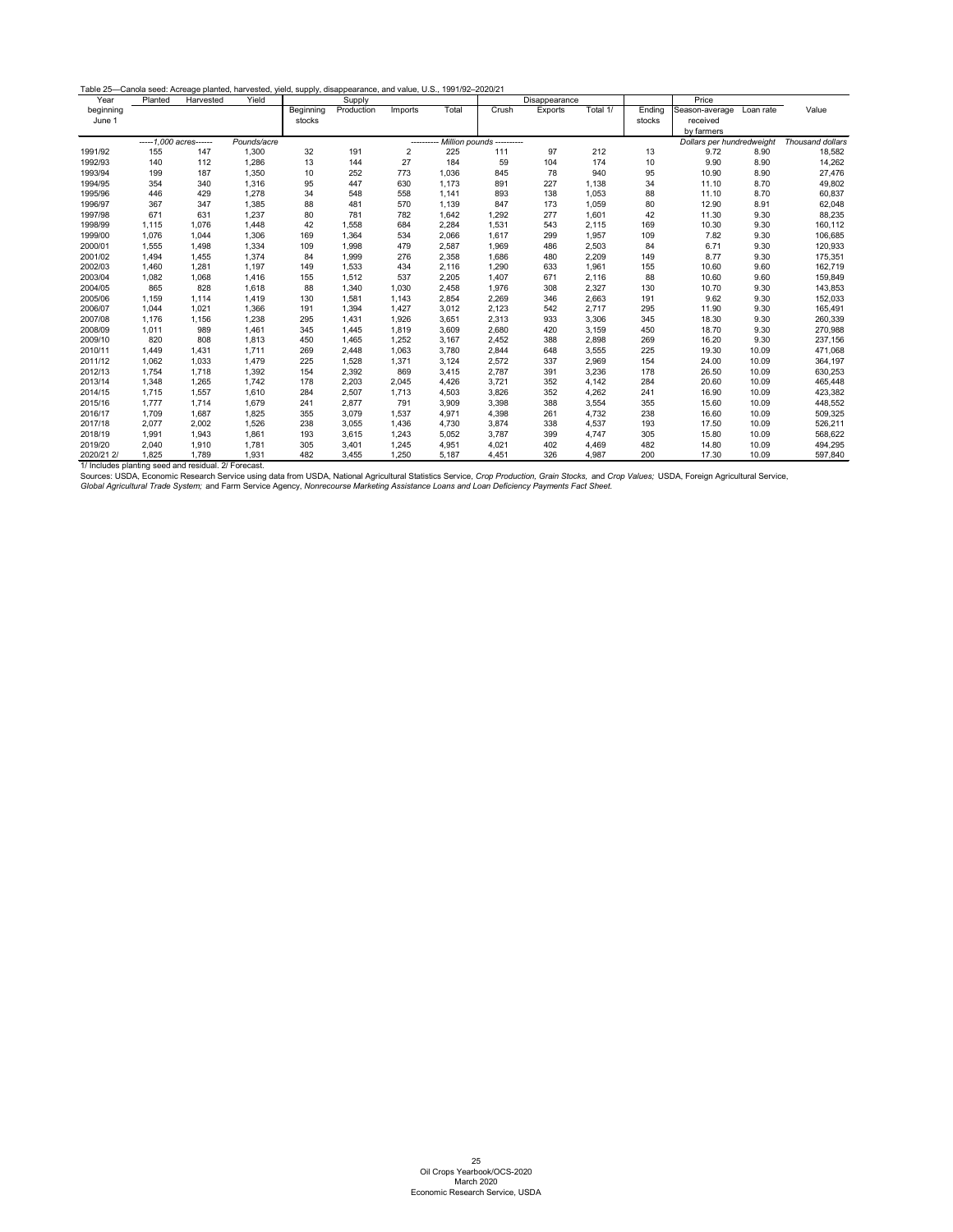| Table 25-Canola seed: Acreage planted, harvested, yield, supply, disappearance, and value, U.S., 1991/92-2020/21 |  |  |
|------------------------------------------------------------------------------------------------------------------|--|--|
|------------------------------------------------------------------------------------------------------------------|--|--|

| Year       | Planted                | Harvested | Yield       |           | Supply     |         |       |       | Disappearance             |          |        | Price                     |                  |         |
|------------|------------------------|-----------|-------------|-----------|------------|---------|-------|-------|---------------------------|----------|--------|---------------------------|------------------|---------|
| beginning  |                        |           |             | Beginning | Production | Imports | Total | Crush | Exports                   | Total 1/ | Ending | Season-average            | Loan rate        | Value   |
| June 1     |                        |           |             | stocks    |            |         |       |       |                           |          | stocks | received                  |                  |         |
|            |                        |           |             |           |            |         |       |       |                           |          |        | by farmers                |                  |         |
|            | -----1,000 acres------ |           | Pounds/acre |           |            | ------- |       |       | Million pounds ---------- |          |        | Dollars per hundredweight | Thousand dollars |         |
| 1991/92    | 155                    | 147       | 1,300       | 32        | 191        | 2       | 225   | 111   | 97                        | 212      | 13     | 9.72                      | 8.90             | 18,582  |
| 1992/93    | 140                    | 112       | 1,286       | 13        | 144        | 27      | 184   | 59    | 104                       | 174      | 10     | 9.90                      | 8.90             | 14,262  |
| 1993/94    | 199                    | 187       | 1,350       | 10        | 252        | 773     | 1,036 | 845   | 78                        | 940      | 95     | 10.90                     | 8.90             | 27,476  |
| 1994/95    | 354                    | 340       | 1,316       | 95        | 447        | 630     | 1,173 | 891   | 227                       | 1,138    | 34     | 11.10                     | 8.70             | 49,802  |
| 1995/96    | 446                    | 429       | 1,278       | 34        | 548        | 558     | 1,141 | 893   | 138                       | 1,053    | 88     | 11.10                     | 8.70             | 60,837  |
| 1996/97    | 367                    | 347       | 1,385       | 88        | 481        | 570     | 1,139 | 847   | 173                       | 1,059    | 80     | 12.90                     | 8.91             | 62,048  |
| 1997/98    | 671                    | 631       | 1,237       | 80        | 781        | 782     | 1,642 | 1,292 | 277                       | 1,601    | 42     | 11.30                     | 9.30             | 88,235  |
| 1998/99    | 1,115                  | 1,076     | 1,448       | 42        | 1,558      | 684     | 2,284 | 1,531 | 543                       | 2,115    | 169    | 10.30                     | 9.30             | 160,112 |
| 1999/00    | 1,076                  | 1,044     | 1,306       | 169       | 1,364      | 534     | 2,066 | 1,617 | 299                       | 1,957    | 109    | 7.82                      | 9.30             | 106,685 |
| 2000/01    | 1,555                  | 1,498     | 1,334       | 109       | 1,998      | 479     | 2,587 | 1,969 | 486                       | 2,503    | 84     | 6.71                      | 9.30             | 120,933 |
| 2001/02    | 1,494                  | 1,455     | 1,374       | 84        | 1,999      | 276     | 2,358 | 1,686 | 480                       | 2,209    | 149    | 8.77                      | 9.30             | 175,351 |
| 2002/03    | 1,460                  | 1,281     | 1,197       | 149       | 1,533      | 434     | 2,116 | 1,290 | 633                       | 1,961    | 155    | 10.60                     | 9.60             | 162,719 |
| 2003/04    | 1,082                  | 1,068     | 1,416       | 155       | 1,512      | 537     | 2,205 | 1,407 | 671                       | 2,116    | 88     | 10.60                     | 9.60             | 159,849 |
| 2004/05    | 865                    | 828       | 1,618       | 88        | 1,340      | 1,030   | 2,458 | 1,976 | 308                       | 2,327    | 130    | 10.70                     | 9.30             | 143,853 |
| 2005/06    | 1,159                  | 1,114     | 1,419       | 130       | 1,581      | 1,143   | 2,854 | 2,269 | 346                       | 2,663    | 191    | 9.62                      | 9.30             | 152,033 |
| 2006/07    | 1,044                  | 1,021     | 1,366       | 191       | 1,394      | 1,427   | 3,012 | 2,123 | 542                       | 2,717    | 295    | 11.90                     | 9.30             | 165,491 |
| 2007/08    | 1,176                  | 1,156     | 1,238       | 295       | 1,431      | 1,926   | 3,651 | 2,313 | 933                       | 3,306    | 345    | 18.30                     | 9.30             | 260,339 |
| 2008/09    | 1,011                  | 989       | 1,461       | 345       | 1,445      | 1,819   | 3,609 | 2,680 | 420                       | 3,159    | 450    | 18.70                     | 9.30             | 270,988 |
| 2009/10    | 820                    | 808       | 1,813       | 450       | 1,465      | 1,252   | 3,167 | 2,452 | 388                       | 2,898    | 269    | 16.20                     | 9.30             | 237,156 |
| 2010/11    | 1,449                  | 1,431     | 1,711       | 269       | 2,448      | 1,063   | 3,780 | 2,844 | 648                       | 3,555    | 225    | 19.30                     | 10.09            | 471,068 |
| 2011/12    | 1,062                  | 1,033     | 1,479       | 225       | 1,528      | 1,371   | 3,124 | 2,572 | 337                       | 2,969    | 154    | 24.00                     | 10.09            | 364,197 |
| 2012/13    | 1,754                  | 1,718     | 1,392       | 154       | 2,392      | 869     | 3,415 | 2,787 | 391                       | 3,236    | 178    | 26.50                     | 10.09            | 630,253 |
| 2013/14    | 1,348                  | 1,265     | 1,742       | 178       | 2,203      | 2,045   | 4,426 | 3,721 | 352                       | 4,142    | 284    | 20.60                     | 10.09            | 465,448 |
| 2014/15    | 1,715                  | 1,557     | 1,610       | 284       | 2,507      | 1,713   | 4,503 | 3,826 | 352                       | 4,262    | 241    | 16.90                     | 10.09            | 423,382 |
| 2015/16    | 1,777                  | 1,714     | 1,679       | 241       | 2,877      | 791     | 3,909 | 3,398 | 388                       | 3,554    | 355    | 15.60                     | 10.09            | 448,552 |
| 2016/17    | 1,709                  | 1,687     | 1,825       | 355       | 3,079      | 1,537   | 4,971 | 4,398 | 261                       | 4,732    | 238    | 16.60                     | 10.09            | 509,325 |
| 2017/18    | 2,077                  | 2,002     | 1,526       | 238       | 3,055      | 1,436   | 4,730 | 3,874 | 338                       | 4,537    | 193    | 17.50                     | 10.09            | 526,211 |
| 2018/19    | 1,991                  | 1,943     | 1,861       | 193       | 3,615      | 1,243   | 5,052 | 3,787 | 399                       | 4,747    | 305    | 15.80                     | 10.09            | 568,622 |
| 2019/20    | 2,040                  | 1,910     | 1,781       | 305       | 3,401      | 1,245   | 4,951 | 4,021 | 402                       | 4,469    | 482    | 14.80                     | 10.09            | 494,295 |
| 2020/21 2/ | 1,825                  | 1,789     | 1,931       | 482       | 3,455      | 1,250   | 5,187 | 4,451 | 326                       | 4,987    | 200    | 17.30                     | 10.09            | 597,840 |

<span id="page-25-0"></span>1/ Includes planting seed and residual. 2/ Forecast.

Sources: USDA, Economic Research Service using data from USDA, National Agricultural Statistics Service, *Crop Production, Grain Stocks,* and *Crop Values;* USDA, Foreign Agricultural Service,

*Global Agricultural Trade System;* and Farm Service Agency, *Nonrecourse Marketing Assistance Loans and Loan Deficiency Payments Fact Sheet.*

25 Oil Crops Yearbook/OCS-2020 March 2020 Economic Research Service, USDA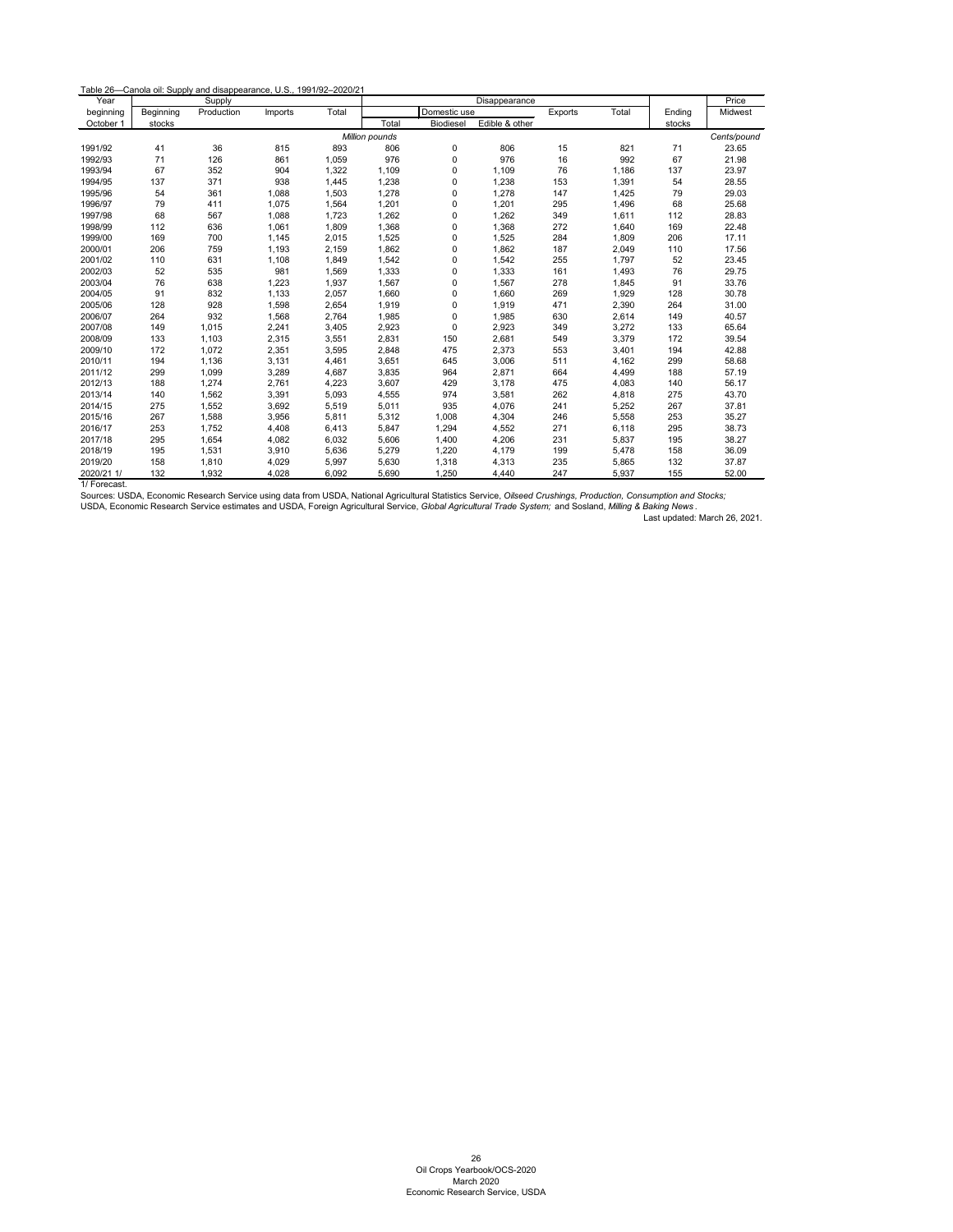| Year       |           | Supply     |         |       |                | Disappearance    |                |         |       |        | Price       |
|------------|-----------|------------|---------|-------|----------------|------------------|----------------|---------|-------|--------|-------------|
| beginning  | Beginning | Production | Imports | Total |                | Domestic use     |                | Exports | Total | Ending | Midwest     |
| October 1  | stocks    |            |         |       | Total          | <b>Biodiesel</b> | Edible & other |         |       | stocks |             |
|            |           |            |         |       | Million pounds |                  |                |         |       |        | Cents/pound |
| 1991/92    | 41        | 36         | 815     | 893   | 806            | 0                | 806            | 15      | 821   | 71     | 23.65       |
| 1992/93    | 71        | 126        | 861     | 1,059 | 976            | 0                | 976            | 16      | 992   | 67     | 21.98       |
| 1993/94    | 67        | 352        | 904     | 1,322 | 1,109          | 0                | 1,109          | 76      | 1,186 | 137    | 23.97       |
| 1994/95    | 137       | 371        | 938     | 1,445 | 1,238          | 0                | 1,238          | 153     | 1,391 | 54     | 28.55       |
| 1995/96    | 54        | 361        | 1,088   | 1,503 | 1,278          | 0                | 1,278          | 147     | 1,425 | 79     | 29.03       |
| 1996/97    | 79        | 411        | 1,075   | 1,564 | 1,201          | 0                | 1,201          | 295     | 1,496 | 68     | 25.68       |
| 1997/98    | 68        | 567        | 1,088   | 1,723 | 1,262          | 0                | 1,262          | 349     | 1,611 | 112    | 28.83       |
| 1998/99    | 112       | 636        | 1,061   | 1,809 | 1,368          | 0                | 1,368          | 272     | 1,640 | 169    | 22.48       |
| 1999/00    | 169       | 700        | 1,145   | 2,015 | 1,525          | 0                | 1,525          | 284     | 1,809 | 206    | 17.11       |
| 2000/01    | 206       | 759        | 1,193   | 2,159 | 1,862          | 0                | 1,862          | 187     | 2,049 | 110    | 17.56       |
| 2001/02    | 110       | 631        | 1,108   | 1,849 | 1,542          | 0                | 1,542          | 255     | 1,797 | 52     | 23.45       |
| 2002/03    | 52        | 535        | 981     | 1,569 | 1,333          | 0                | 1,333          | 161     | 1,493 | 76     | 29.75       |
| 2003/04    | 76        | 638        | 1,223   | 1,937 | 1,567          | 0                | 1,567          | 278     | 1,845 | 91     | 33.76       |
| 2004/05    | 91        | 832        | 1,133   | 2,057 | 1,660          | 0                | 1,660          | 269     | 1,929 | 128    | 30.78       |
| 2005/06    | 128       | 928        | 1,598   | 2,654 | 1,919          | 0                | 1,919          | 471     | 2,390 | 264    | 31.00       |
| 2006/07    | 264       | 932        | 1,568   | 2,764 | 1,985          | 0                | 1,985          | 630     | 2,614 | 149    | 40.57       |
| 2007/08    | 149       | 1,015      | 2,241   | 3,405 | 2,923          | 0                | 2,923          | 349     | 3,272 | 133    | 65.64       |
| 2008/09    | 133       | 1,103      | 2,315   | 3,551 | 2,831          | 150              | 2,681          | 549     | 3,379 | 172    | 39.54       |
| 2009/10    | 172       | 1,072      | 2,351   | 3,595 | 2,848          | 475              | 2,373          | 553     | 3,401 | 194    | 42.88       |
| 2010/11    | 194       | 1,136      | 3,131   | 4,461 | 3,651          | 645              | 3,006          | 511     | 4,162 | 299    | 58.68       |
| 2011/12    | 299       | 1,099      | 3,289   | 4,687 | 3,835          | 964              | 2,871          | 664     | 4,499 | 188    | 57.19       |
| 2012/13    | 188       | 1,274      | 2,761   | 4,223 | 3,607          | 429              | 3,178          | 475     | 4,083 | 140    | 56.17       |
| 2013/14    | 140       | 1,562      | 3,391   | 5,093 | 4,555          | 974              | 3,581          | 262     | 4,818 | 275    | 43.70       |
| 2014/15    | 275       | 1,552      | 3,692   | 5,519 | 5,011          | 935              | 4,076          | 241     | 5,252 | 267    | 37.81       |
| 2015/16    | 267       | 1,588      | 3,956   | 5,811 | 5,312          | 1,008            | 4,304          | 246     | 5,558 | 253    | 35.27       |
| 2016/17    | 253       | 1,752      | 4,408   | 6,413 | 5,847          | 1,294            | 4,552          | 271     | 6,118 | 295    | 38.73       |
| 2017/18    | 295       | 1,654      | 4,082   | 6,032 | 5,606          | 1,400            | 4,206          | 231     | 5,837 | 195    | 38.27       |
| 2018/19    | 195       | 1,531      | 3,910   | 5,636 | 5,279          | 1,220            | 4,179          | 199     | 5,478 | 158    | 36.09       |
| 2019/20    | 158       | 1,810      | 4,029   | 5,997 | 5,630          | 1,318            | 4,313          | 235     | 5,865 | 132    | 37.87       |
| 2020/21 1/ | 132       | 1,932      | 4,028   | 6,092 | 5,690          | 1,250            | 4,440          | 247     | 5,937 | 155    | 52.00       |

<span id="page-26-0"></span>1/ Forecast.

Sources: USDA, Economic Research Service using data from USDA, National Agricultural Statistics Service, *Oilseed Crushings, Production, Consumption and Stocks;* 

USDA, Economic Research Service estimates and USDA, Foreign Agricultural Service, *Global Agricultural Trade System;* and Sosland, *Milling & Baking News* . Last updated: March 26, 2021.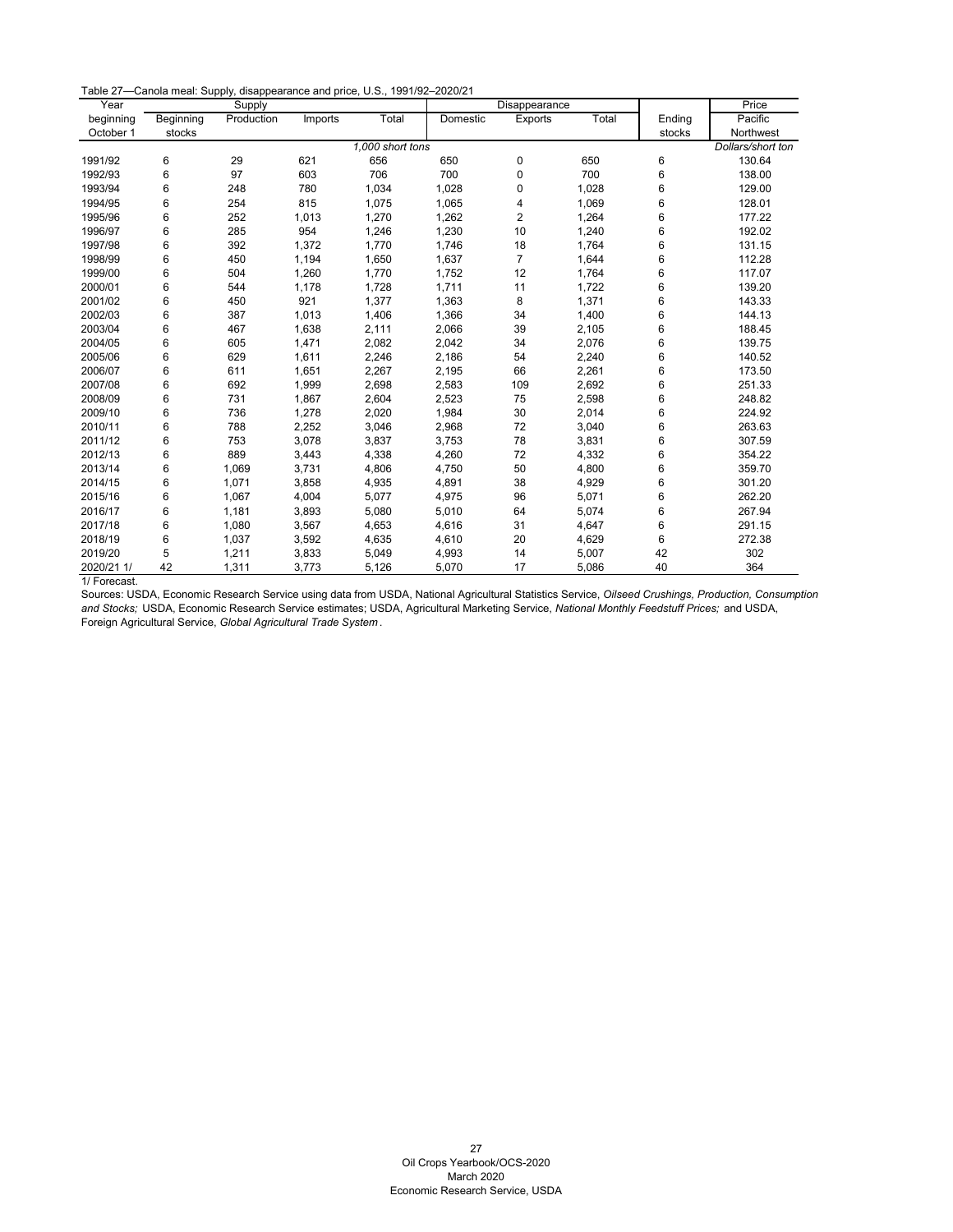Table 27—Canola meal: Supply, disappearance and price, U.S., 1991/92–2020/21

| Year       | Supply    |            |         |                  |          | Disappearance  |       | Price  |                   |
|------------|-----------|------------|---------|------------------|----------|----------------|-------|--------|-------------------|
| beginning  | Beginning | Production | Imports | Total            | Domestic | Exports        | Total | Ending | Pacific           |
| October 1  | stocks    |            |         |                  |          |                |       | stocks | Northwest         |
|            |           |            |         | 1,000 short tons |          |                |       |        | Dollars/short ton |
| 1991/92    | 6         | 29         | 621     | 656              | 650      | 0              | 650   | 6      | 130.64            |
| 1992/93    | 6         | 97         | 603     | 706              | 700      | 0              | 700   | 6      | 138.00            |
| 1993/94    | 6         | 248        | 780     | 1,034            | 1,028    | 0              | 1,028 | 6      | 129.00            |
| 1994/95    | 6         | 254        | 815     | 1,075            | 1,065    | 4              | 1,069 | 6      | 128.01            |
| 1995/96    | 6         | 252        | 1,013   | 1,270            | 1,262    | $\overline{2}$ | 1,264 | 6      | 177.22            |
| 1996/97    | 6         | 285        | 954     | 1,246            | 1,230    | 10             | 1,240 | 6      | 192.02            |
| 1997/98    | 6         | 392        | 1,372   | 1,770            | 1,746    | 18             | 1,764 | 6      | 131.15            |
| 1998/99    | 6         | 450        | 1,194   | 1,650            | 1,637    | $\overline{7}$ | 1,644 | 6      | 112.28            |
| 1999/00    | 6         | 504        | 1,260   | 1,770            | 1,752    | 12             | 1,764 | 6      | 117.07            |
| 2000/01    | 6         | 544        | 1,178   | 1,728            | 1,711    | 11             | 1,722 | 6      | 139.20            |
| 2001/02    | 6         | 450        | 921     | 1,377            | 1,363    | 8              | 1,371 | 6      | 143.33            |
| 2002/03    | 6         | 387        | 1,013   | 1,406            | 1,366    | 34             | 1,400 | 6      | 144.13            |
| 2003/04    | 6         | 467        | 1,638   | 2,111            | 2,066    | 39             | 2,105 | 6      | 188.45            |
| 2004/05    | 6         | 605        | 1,471   | 2,082            | 2,042    | 34             | 2,076 | 6      | 139.75            |
| 2005/06    | 6         | 629        | 1,611   | 2,246            | 2,186    | 54             | 2,240 | 6      | 140.52            |
| 2006/07    | 6         | 611        | 1,651   | 2,267            | 2,195    | 66             | 2,261 | 6      | 173.50            |
| 2007/08    | 6         | 692        | 1,999   | 2,698            | 2,583    | 109            | 2,692 | 6      | 251.33            |
| 2008/09    | 6         | 731        | 1,867   | 2,604            | 2,523    | 75             | 2,598 | 6      | 248.82            |
| 2009/10    | 6         | 736        | 1,278   | 2,020            | 1,984    | 30             | 2,014 | 6      | 224.92            |
| 2010/11    | 6         | 788        | 2,252   | 3,046            | 2,968    | 72             | 3,040 | 6      | 263.63            |
| 2011/12    | 6         | 753        | 3,078   | 3,837            | 3,753    | 78             | 3,831 | 6      | 307.59            |
| 2012/13    | 6         | 889        | 3,443   | 4,338            | 4,260    | 72             | 4,332 | 6      | 354.22            |
| 2013/14    | 6         | 1,069      | 3,731   | 4,806            | 4,750    | 50             | 4,800 | 6      | 359.70            |
| 2014/15    | 6         | 1,071      | 3,858   | 4,935            | 4,891    | 38             | 4,929 | 6      | 301.20            |
| 2015/16    | 6         | 1,067      | 4,004   | 5,077            | 4,975    | 96             | 5,071 | 6      | 262.20            |
| 2016/17    | 6         | 1,181      | 3,893   | 5,080            | 5,010    | 64             | 5,074 | 6      | 267.94            |
| 2017/18    | 6         | 1,080      | 3,567   | 4,653            | 4,616    | 31             | 4,647 | 6      | 291.15            |
| 2018/19    | 6         | 1,037      | 3,592   | 4,635            | 4,610    | 20             | 4,629 | 6      | 272.38            |
| 2019/20    | 5         | 1,211      | 3,833   | 5,049            | 4,993    | 14             | 5,007 | 42     | 302               |
| 2020/21 1/ | 42        | 1,311      | 3,773   | 5,126            | 5,070    | 17             | 5,086 | 40     | 364               |

1/ Forecast.

<span id="page-27-0"></span>Sources: USDA, Economic Research Service using data from USDA, National Agricultural Statistics Service, *Oilseed Crushings, Production, Consumption and Stocks;* USDA, Economic Research Service estimates; USDA, Agricultural Marketing Service, *National Monthly Feedstuff Prices;* and USDA, Foreign Agricultural Service, *Global Agricultural Trade System* .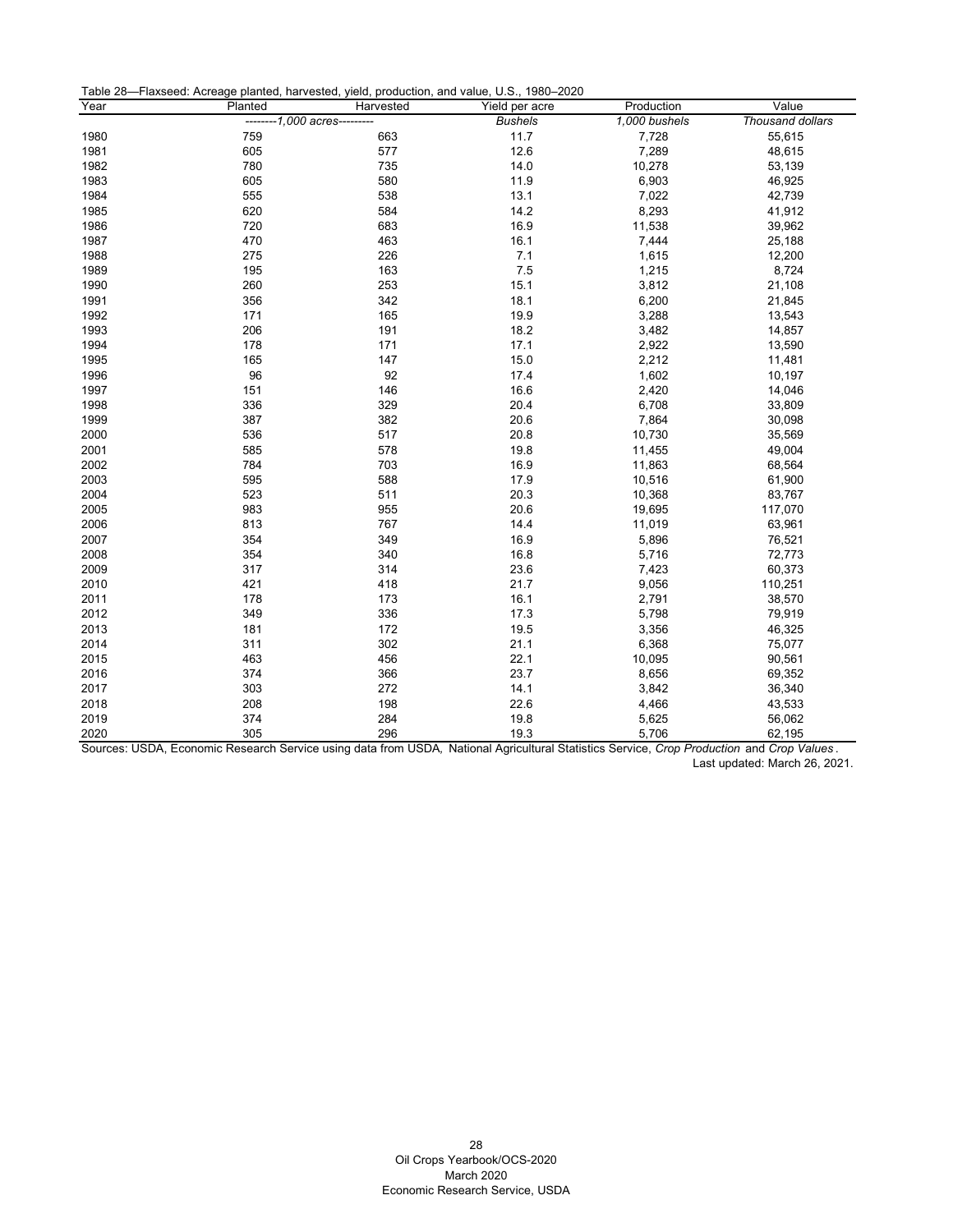| Table 28-Flaxseed: Acreage planted, harvested, yield, production, and value, U.S., 1980-2020 |  |
|----------------------------------------------------------------------------------------------|--|
|----------------------------------------------------------------------------------------------|--|

| Year | Planted                      | Harvested | Yield per acre | Production    | Value            |
|------|------------------------------|-----------|----------------|---------------|------------------|
|      | --------1,000 acres--------- |           | <b>Bushels</b> | 1,000 bushels | Thousand dollars |
| 1980 | 759                          | 663       | 11.7           | 7,728         | 55,615           |
| 1981 | 605                          | 577       | 12.6           | 7,289         | 48,615           |
| 1982 | 780                          | 735       | 14.0           | 10,278        | 53,139           |
| 1983 | 605                          | 580       | 11.9           | 6,903         | 46,925           |
| 1984 | 555                          | 538       | 13.1           | 7,022         | 42,739           |
| 1985 | 620                          | 584       | 14.2           | 8,293         | 41,912           |
| 1986 | 720                          | 683       | 16.9           | 11,538        | 39,962           |
| 1987 | 470                          | 463       | 16.1           | 7,444         | 25,188           |
| 1988 | 275                          | 226       | 7.1            | 1,615         | 12,200           |
| 1989 | 195                          | 163       | 7.5            | 1,215         | 8,724            |
| 1990 | 260                          | 253       | 15.1           | 3,812         | 21,108           |
| 1991 | 356                          | 342       | 18.1           | 6,200         | 21,845           |
| 1992 | 171                          | 165       | 19.9           | 3,288         | 13,543           |
| 1993 | 206                          | 191       | 18.2           | 3,482         | 14,857           |
| 1994 | 178                          | 171       | 17.1           | 2,922         | 13,590           |
| 1995 | 165                          | 147       | 15.0           | 2,212         | 11,481           |
| 1996 | 96                           | 92        | 17.4           | 1,602         | 10,197           |
| 1997 | 151                          | 146       | 16.6           | 2,420         | 14,046           |
| 1998 | 336                          | 329       | 20.4           | 6,708         | 33,809           |
| 1999 | 387                          | 382       | 20.6           | 7,864         | 30,098           |
| 2000 | 536                          | 517       | 20.8           | 10,730        | 35,569           |
| 2001 | 585                          | 578       | 19.8           | 11,455        | 49,004           |
| 2002 | 784                          | 703       | 16.9           | 11,863        | 68,564           |
| 2003 | 595                          | 588       | 17.9           | 10,516        | 61,900           |
| 2004 | 523                          | 511       | 20.3           | 10,368        | 83,767           |
| 2005 | 983                          | 955       | 20.6           | 19,695        | 117,070          |
| 2006 | 813                          | 767       | 14.4           | 11,019        | 63,961           |
| 2007 | 354                          | 349       | 16.9           | 5,896         | 76,521           |
| 2008 | 354                          | 340       | 16.8           | 5,716         | 72,773           |
| 2009 | 317                          | 314       | 23.6           | 7,423         | 60,373           |
| 2010 | 421                          | 418       | 21.7           | 9,056         | 110,251          |
| 2011 | 178                          | 173       | 16.1           | 2,791         | 38,570           |
| 2012 | 349                          | 336       | 17.3           | 5,798         | 79,919           |
| 2013 | 181                          | 172       | 19.5           | 3,356         | 46,325           |
| 2014 | 311                          | 302       | 21.1           | 6,368         | 75,077           |
| 2015 | 463                          | 456       | 22.1           | 10,095        | 90,561           |
| 2016 | 374                          | 366       | 23.7           | 8,656         | 69,352           |
| 2017 | 303                          | 272       | 14.1           | 3,842         | 36,340           |
| 2018 | 208                          | 198       | 22.6           | 4,466         | 43,533           |
| 2019 | 374                          | 284       | 19.8           | 5,625         | 56,062           |
| 2020 | 305                          | 296       | 19.3           | 5,706         | 62,195           |

<span id="page-28-0"></span>Sources: USDA, Economic Research Service using data from USDA*,* National Agricultural Statistics Service, *Crop Production* and *Crop Values* . Last updated: March 26, 2021.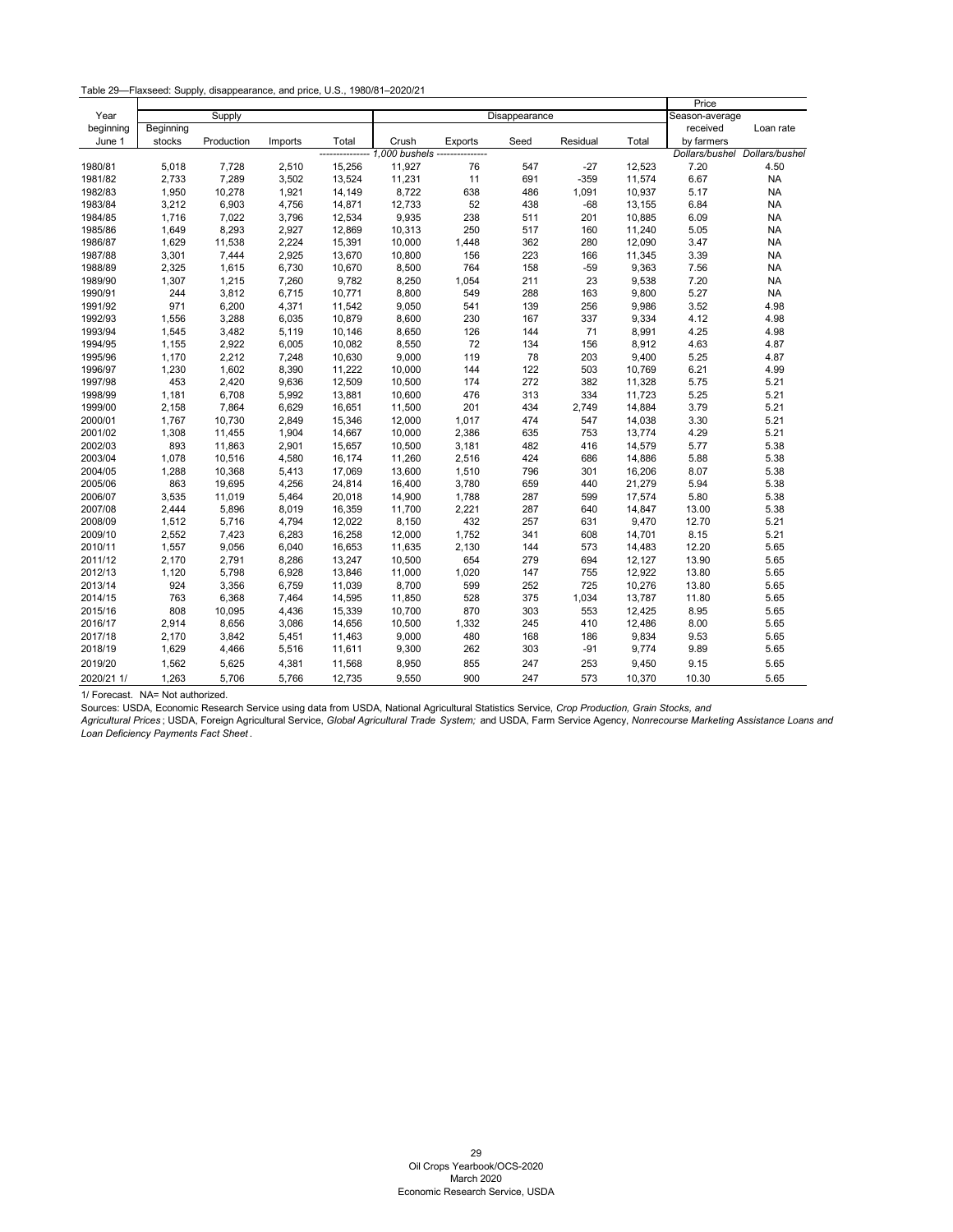Table 29—Flaxseed: Supply, disappearance, and price, U.S., 1980/81–2020/21

|            |           |            |         |        |        |         |               |          |        | Price          |                |
|------------|-----------|------------|---------|--------|--------|---------|---------------|----------|--------|----------------|----------------|
| Year       |           | Supply     |         |        |        |         | Disappearance |          |        | Season-average |                |
| beginning  | Beginning |            |         |        |        |         |               |          |        | received       | Loan rate      |
| June 1     | stocks    | Production | Imports | Total  | Crush  | Exports | Seed          | Residual | Total  | by farmers     |                |
|            |           |            |         |        |        | ------- |               |          |        | Dollars/bushel | Dollars/bushel |
| 1980/81    | 5,018     | 7,728      | 2,510   | 15,256 | 11,927 | 76      | 547           | $-27$    | 12,523 | 7.20           | 4.50           |
| 1981/82    | 2,733     | 7,289      | 3,502   | 13,524 | 11,231 | 11      | 691           | $-359$   | 11,574 | 6.67           | <b>NA</b>      |
| 1982/83    | 1,950     | 10,278     | 1,921   | 14,149 | 8,722  | 638     | 486           | 1,091    | 10,937 | 5.17           | <b>NA</b>      |
| 1983/84    | 3,212     | 6,903      | 4,756   | 14,871 | 12,733 | 52      | 438           | $-68$    | 13,155 | 6.84           | <b>NA</b>      |
| 1984/85    | 1,716     | 7,022      | 3,796   | 12,534 | 9,935  | 238     | 511           | 201      | 10,885 | 6.09           | <b>NA</b>      |
| 1985/86    | 1,649     | 8,293      | 2,927   | 12,869 | 10,313 | 250     | 517           | 160      | 11,240 | 5.05           | <b>NA</b>      |
| 1986/87    | 1,629     | 11,538     | 2,224   | 15,391 | 10,000 | 1,448   | 362           | 280      | 12,090 | 3.47           | <b>NA</b>      |
| 1987/88    | 3,301     | 7,444      | 2,925   | 13,670 | 10,800 | 156     | 223           | 166      | 11,345 | 3.39           | <b>NA</b>      |
| 1988/89    | 2,325     | 1,615      | 6,730   | 10,670 | 8,500  | 764     | 158           | $-59$    | 9,363  | 7.56           | <b>NA</b>      |
| 1989/90    | 1,307     | 1,215      | 7,260   | 9,782  | 8,250  | 1,054   | 211           | 23       | 9,538  | 7.20           | <b>NA</b>      |
| 1990/91    | 244       | 3,812      | 6,715   | 10,771 | 8,800  | 549     | 288           | 163      | 9,800  | 5.27           | <b>NA</b>      |
| 1991/92    | 971       | 6,200      | 4,371   | 11,542 | 9,050  | 541     | 139           | 256      | 9,986  | 3.52           | 4.98           |
| 1992/93    | 1,556     | 3,288      | 6,035   | 10,879 | 8,600  | 230     | 167           | 337      | 9,334  | 4.12           | 4.98           |
| 1993/94    | 1,545     | 3,482      | 5,119   | 10,146 | 8,650  | 126     | 144           | 71       | 8,991  | 4.25           | 4.98           |
| 1994/95    | 1,155     | 2,922      | 6,005   | 10,082 | 8,550  | 72      | 134           | 156      | 8,912  | 4.63           | 4.87           |
| 1995/96    | 1,170     | 2,212      | 7,248   | 10,630 | 9,000  | 119     | 78            | 203      | 9,400  | 5.25           | 4.87           |
| 1996/97    | 1,230     | 1,602      | 8,390   | 11,222 | 10,000 | 144     | 122           | 503      | 10,769 | 6.21           | 4.99           |
| 1997/98    | 453       | 2,420      | 9,636   | 12,509 | 10,500 | 174     | 272           | 382      | 11,328 | 5.75           | 5.21           |
| 1998/99    | 1,181     | 6,708      | 5,992   | 13,881 | 10,600 | 476     | 313           | 334      | 11,723 | 5.25           | 5.21           |
| 1999/00    | 2,158     | 7,864      | 6,629   | 16,651 | 11,500 | 201     | 434           | 2,749    | 14,884 | 3.79           | 5.21           |
| 2000/01    | 1,767     | 10,730     | 2,849   | 15,346 | 12,000 | 1,017   | 474           | 547      | 14,038 | 3.30           | 5.21           |
| 2001/02    | 1,308     | 11,455     | 1,904   | 14,667 | 10,000 | 2,386   | 635           | 753      | 13,774 | 4.29           | 5.21           |
| 2002/03    | 893       | 11,863     | 2,901   | 15,657 | 10,500 | 3,181   | 482           | 416      | 14,579 | 5.77           | 5.38           |
| 2003/04    | 1,078     | 10,516     | 4,580   | 16,174 | 11,260 | 2,516   | 424           | 686      | 14,886 | 5.88           | 5.38           |
| 2004/05    | 1,288     | 10,368     | 5,413   | 17,069 | 13,600 | 1,510   | 796           | 301      | 16,206 | 8.07           | 5.38           |
| 2005/06    | 863       | 19,695     | 4,256   | 24,814 | 16,400 | 3,780   | 659           | 440      | 21,279 | 5.94           | 5.38           |
| 2006/07    | 3,535     | 11,019     | 5,464   | 20,018 | 14,900 | 1,788   | 287           | 599      | 17,574 | 5.80           | 5.38           |
| 2007/08    | 2,444     | 5,896      | 8,019   | 16,359 | 11,700 | 2,221   | 287           | 640      | 14,847 | 13.00          | 5.38           |
| 2008/09    | 1,512     | 5,716      | 4,794   | 12,022 | 8,150  | 432     | 257           | 631      | 9,470  | 12.70          | 5.21           |
| 2009/10    | 2,552     | 7,423      | 6,283   | 16,258 | 12,000 | 1,752   | 341           | 608      | 14,701 | 8.15           | 5.21           |
| 2010/11    | 1,557     | 9,056      | 6,040   | 16,653 | 11,635 | 2,130   | 144           | 573      | 14,483 | 12.20          | 5.65           |
| 2011/12    | 2,170     | 2,791      | 8,286   | 13,247 | 10,500 | 654     | 279           | 694      | 12,127 | 13.90          | 5.65           |
| 2012/13    | 1,120     | 5,798      | 6,928   | 13,846 | 11,000 | 1,020   | 147           | 755      | 12,922 | 13.80          | 5.65           |
| 2013/14    | 924       | 3,356      | 6,759   | 11,039 | 8,700  | 599     | 252           | 725      | 10,276 | 13.80          | 5.65           |
| 2014/15    | 763       | 6,368      | 7,464   | 14,595 | 11,850 | 528     | 375           | 1,034    | 13,787 | 11.80          | 5.65           |
| 2015/16    | 808       | 10,095     | 4,436   | 15,339 | 10,700 | 870     | 303           | 553      | 12,425 | 8.95           | 5.65           |
| 2016/17    | 2,914     | 8,656      | 3,086   | 14,656 | 10,500 | 1,332   | 245           | 410      | 12,486 | 8.00           | 5.65           |
| 2017/18    | 2,170     | 3,842      | 5,451   | 11,463 | 9,000  | 480     | 168           | 186      | 9,834  | 9.53           | 5.65           |
| 2018/19    | 1,629     | 4,466      | 5,516   | 11,611 | 9,300  | 262     | 303           | $-91$    | 9,774  | 9.89           | 5.65           |
| 2019/20    | 1,562     | 5,625      | 4,381   | 11,568 | 8,950  | 855     | 247           | 253      | 9,450  | 9.15           | 5.65           |
| 2020/21 1/ | 1,263     | 5,706      | 5,766   | 12,735 | 9,550  | 900     | 247           | 573      | 10,370 | 10.30          | 5.65           |

<span id="page-29-0"></span>1/ Forecast. NA= Not authorized.

Sources: USDA, Economic Research Service using data from USDA, National Agricultural Statistics Service, *Crop Production, Grain Stocks, and* 

*Agricultural Prices* ; USDA, Foreign Agricultural Service, *Global Agricultural Trade System;* and USDA, Farm Service Agency, *Nonrecourse Marketing Assistance Loans and Loan Deficiency Payments Fact Sheet* .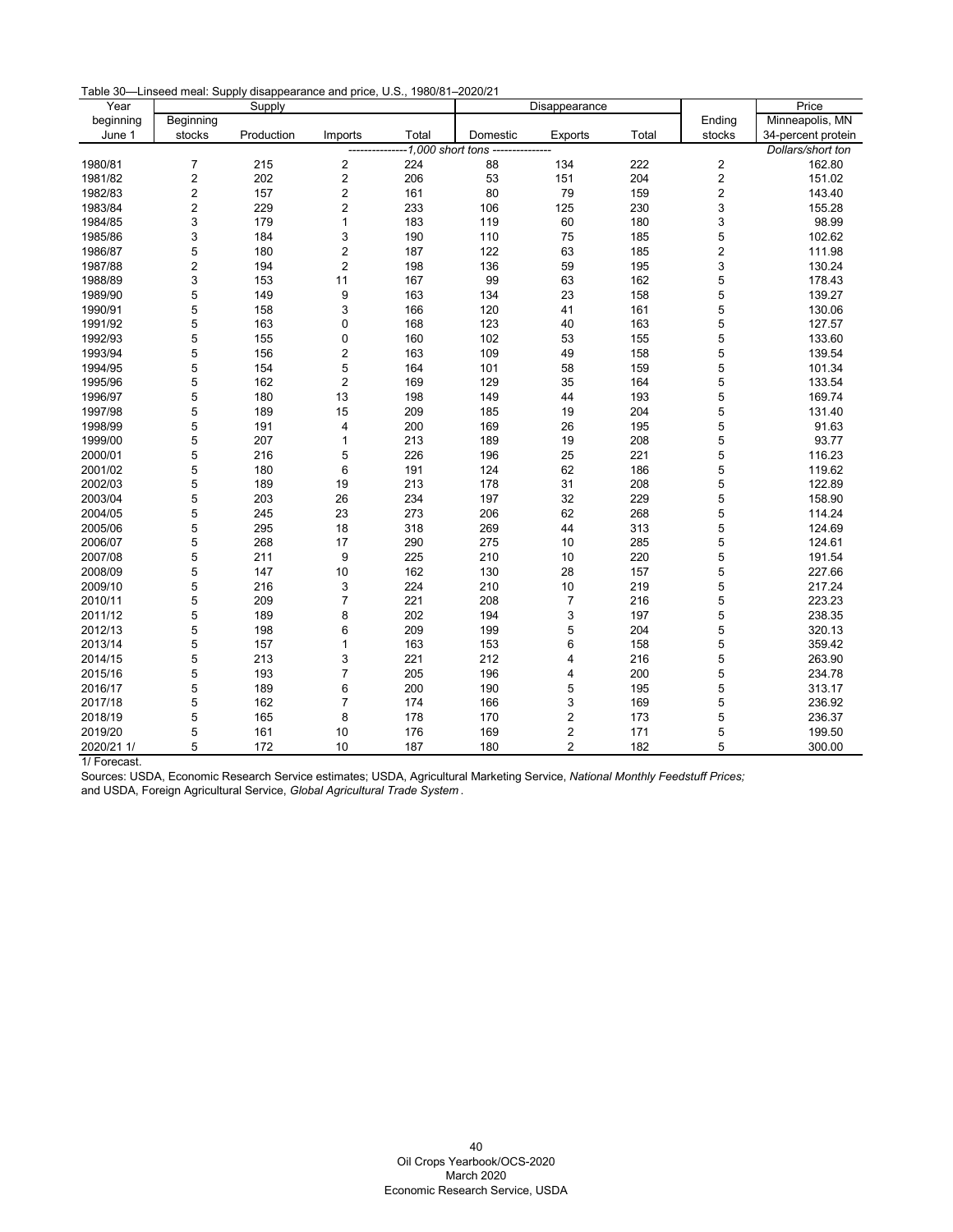Table 30—Linseed meal: Supply disappearance and price, U.S., 1980/81–2020/21

| Year       |                         | Supply     |                         |                  |          | Disappearance    |       |                         | Price              |
|------------|-------------------------|------------|-------------------------|------------------|----------|------------------|-------|-------------------------|--------------------|
| beginning  | Beginning               |            |                         |                  |          |                  |       | Ending                  | Minneapolis, MN    |
| June 1     | stocks                  | Production | Imports                 | Total            | Domestic | <b>Exports</b>   | Total | stocks                  | 34-percent protein |
|            |                         |            |                         | 1,000 short tons |          |                  |       |                         | Dollars/short ton  |
| 1980/81    | 7                       | 215        | 2                       | 224              | 88       | 134              | 222   | $\overline{\mathbf{c}}$ | 162.80             |
| 1981/82    | $\overline{\mathbf{c}}$ | 202        | 2                       | 206              | 53       | 151              | 204   | 2                       | 151.02             |
| 1982/83    | 2                       | 157        | 2                       | 161              | 80       | 79               | 159   | 2                       | 143.40             |
| 1983/84    | $\overline{2}$          | 229        | $\overline{c}$          | 233              | 106      | 125              | 230   | 3                       | 155.28             |
| 1984/85    | 3                       | 179        | $\mathbf{1}$            | 183              | 119      | 60               | 180   | 3                       | 98.99              |
| 1985/86    | 3                       | 184        | 3                       | 190              | 110      | 75               | 185   | 5                       | 102.62             |
| 1986/87    | 5                       | 180        | $\overline{\mathbf{c}}$ | 187              | 122      | 63               | 185   | 2                       | 111.98             |
| 1987/88    | $\overline{c}$          | 194        | $\overline{c}$          | 198              | 136      | 59               | 195   | 3                       | 130.24             |
| 1988/89    | 3                       | 153        | 11                      | 167              | 99       | 63               | 162   | 5                       | 178.43             |
| 1989/90    | 5                       | 149        | 9                       | 163              | 134      | 23               | 158   | 5                       | 139.27             |
| 1990/91    | 5                       | 158        | 3                       | 166              | 120      | 41               | 161   | 5                       | 130.06             |
| 1991/92    | 5                       | 163        | 0                       | 168              | 123      | 40               | 163   | 5                       | 127.57             |
| 1992/93    | 5                       | 155        | $\pmb{0}$               | 160              | 102      | 53               | 155   | 5                       | 133.60             |
| 1993/94    | 5                       | 156        | 2                       | 163              | 109      | 49               | 158   | 5                       | 139.54             |
| 1994/95    | 5                       | 154        | 5                       | 164              | 101      | 58               | 159   | 5                       | 101.34             |
| 1995/96    | 5                       | 162        | $\overline{c}$          | 169              | 129      | 35               | 164   | 5                       | 133.54             |
| 1996/97    | 5                       | 180        | 13                      | 198              | 149      | 44               | 193   | 5                       | 169.74             |
| 1997/98    | 5                       | 189        | 15                      | 209              | 185      | 19               | 204   | 5                       | 131.40             |
| 1998/99    | 5                       | 191        | 4                       | 200              | 169      | 26               | 195   | 5                       | 91.63              |
| 1999/00    | 5                       | 207        | $\mathbf{1}$            | 213              | 189      | 19               | 208   | 5                       | 93.77              |
| 2000/01    | 5                       | 216        | 5                       | 226              | 196      | 25               | 221   | 5                       | 116.23             |
| 2001/02    | 5                       | 180        | 6                       | 191              | 124      | 62               | 186   | 5                       | 119.62             |
| 2002/03    | 5                       | 189        | 19                      | 213              | 178      | 31               | 208   | 5                       | 122.89             |
| 2003/04    | 5                       | 203        | 26                      | 234              | 197      | 32               | 229   | 5                       | 158.90             |
| 2004/05    | 5                       | 245        | 23                      | 273              | 206      | 62               | 268   | 5                       | 114.24             |
| 2005/06    | 5                       | 295        | 18                      | 318              | 269      | 44               | 313   | 5                       | 124.69             |
| 2006/07    | 5                       | 268        | 17                      | 290              | 275      | 10               | 285   | 5                       | 124.61             |
| 2007/08    | 5                       | 211        | 9                       | 225              | 210      | 10               | 220   | 5                       | 191.54             |
| 2008/09    | 5                       | 147        | 10                      | 162              | 130      | 28               | 157   | 5                       | 227.66             |
| 2009/10    | 5                       | 216        | 3                       | 224              | 210      | 10               | 219   | 5                       | 217.24             |
| 2010/11    | 5                       | 209        | 7                       | 221              | 208      | $\overline{7}$   | 216   | 5                       | 223.23             |
| 2011/12    | 5                       | 189        | 8                       | 202              | 194      | 3                | 197   | 5                       | 238.35             |
| 2012/13    | 5                       | 198        | 6                       | 209              | 199      | 5                | 204   | 5                       | 320.13             |
| 2013/14    | 5                       | 157        | 1                       | 163              | 153      | $6\phantom{1}$   | 158   | 5                       | 359.42             |
| 2014/15    | 5                       | 213        | 3                       | 221              | 212      | 4                | 216   | 5                       | 263.90             |
| 2015/16    | 5                       | 193        | $\overline{7}$          | 205              | 196      | 4                | 200   | 5                       | 234.78             |
| 2016/17    | 5                       | 189        | 6                       | 200              | 190      | 5                | 195   | 5                       | 313.17             |
| 2017/18    | 5                       | 162        | 7                       | 174              | 166      | 3                | 169   | 5                       | 236.92             |
| 2018/19    | 5                       | 165        | 8                       | 178              | 170      | $\overline{2}$   | 173   | 5                       | 236.37             |
| 2019/20    | 5                       | 161        | 10                      | 176              | 169      | $\boldsymbol{2}$ | 171   | 5                       | 199.50             |
| 2020/21 1/ | 5                       | 172        | 10                      | 187              | 180      | $\overline{2}$   | 182   | 5                       | 300.00             |

1/ Forecast.

<span id="page-30-0"></span>Sources: USDA, Economic Research Service estimates; USDA, Agricultural Marketing Service, *National Monthly Feedstuff Prices;* and USDA, Foreign Agricultural Service, *Global Agricultural Trade System* .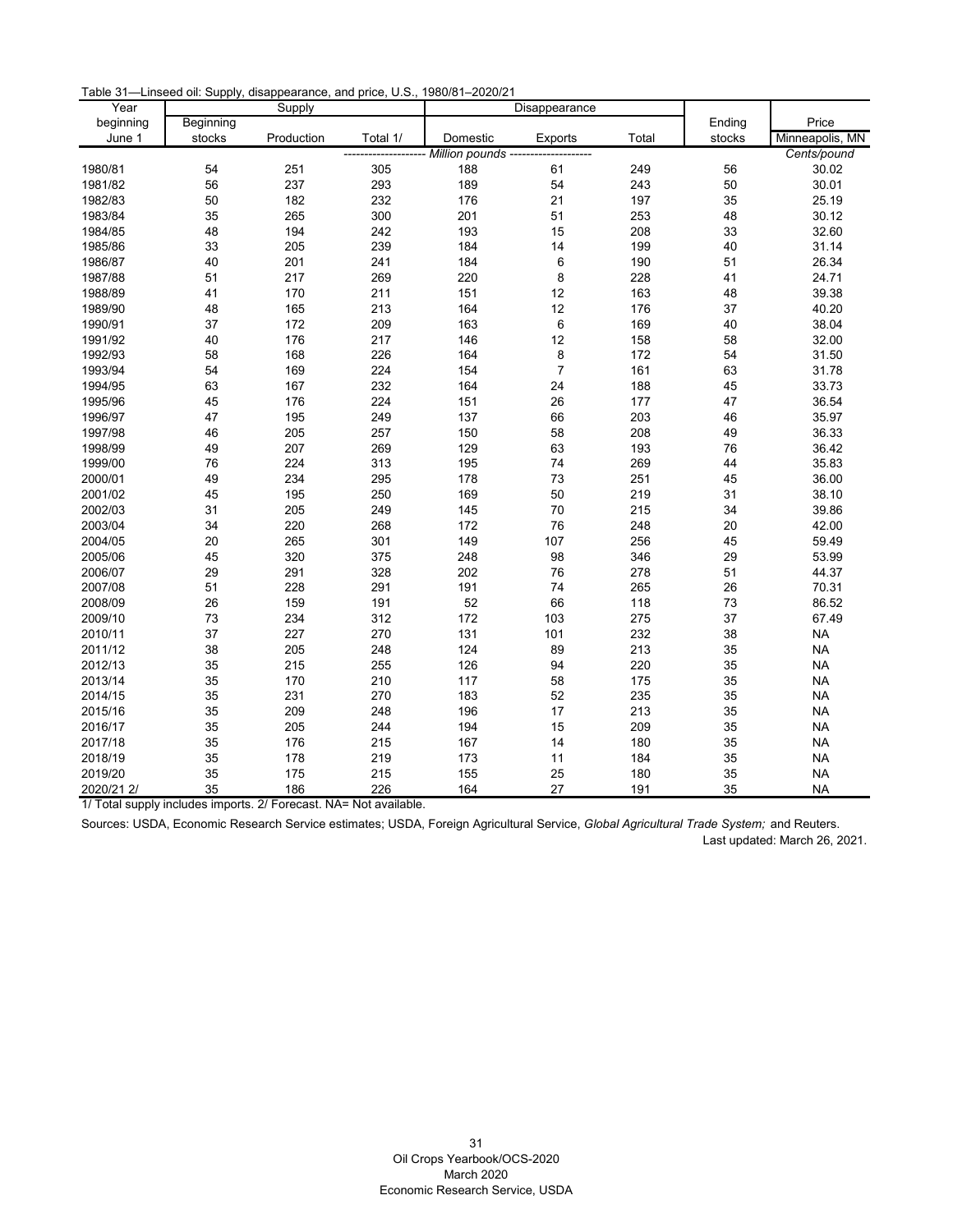Table 31—Linseed oil: Supply, disappearance, and price, U.S., 1980/81–2020/21

| Year       |           | Supply     |          |                         | Disappearance  |       |        |                 |
|------------|-----------|------------|----------|-------------------------|----------------|-------|--------|-----------------|
| beginning  | Beginning |            |          |                         |                |       | Ending | Price           |
| June 1     | stocks    | Production | Total 1/ | Domestic                | Exports        | Total | stocks | Minneapolis, MN |
|            |           |            |          | - Million pounds ------ |                |       |        | Cents/pound     |
| 1980/81    | 54        | 251        | 305      | 188                     | 61             | 249   | 56     | 30.02           |
| 1981/82    | 56        | 237        | 293      | 189                     | 54             | 243   | 50     | 30.01           |
| 1982/83    | 50        | 182        | 232      | 176                     | 21             | 197   | 35     | 25.19           |
| 1983/84    | 35        | 265        | 300      | 201                     | 51             | 253   | 48     | 30.12           |
| 1984/85    | 48        | 194        | 242      | 193                     | 15             | 208   | 33     | 32.60           |
| 1985/86    | 33        | 205        | 239      | 184                     | 14             | 199   | 40     | 31.14           |
| 1986/87    | 40        | 201        | 241      | 184                     | 6              | 190   | 51     | 26.34           |
| 1987/88    | 51        | 217        | 269      | 220                     | 8              | 228   | 41     | 24.71           |
| 1988/89    | 41        | 170        | 211      | 151                     | 12             | 163   | 48     | 39.38           |
| 1989/90    | 48        | 165        | 213      | 164                     | 12             | 176   | 37     | 40.20           |
| 1990/91    | 37        | 172        | 209      | 163                     | $\,6\,$        | 169   | 40     | 38.04           |
| 1991/92    | 40        | 176        | 217      | 146                     | 12             | 158   | 58     | 32.00           |
| 1992/93    | 58        | 168        | 226      | 164                     | 8              | 172   | 54     | 31.50           |
| 1993/94    | 54        | 169        | 224      | 154                     | $\overline{7}$ | 161   | 63     | 31.78           |
| 1994/95    | 63        | 167        | 232      | 164                     | 24             | 188   | 45     | 33.73           |
| 1995/96    | 45        | 176        | 224      | 151                     | 26             | 177   | 47     | 36.54           |
| 1996/97    | 47        | 195        | 249      | 137                     | 66             | 203   | 46     | 35.97           |
| 1997/98    | 46        | 205        | 257      | 150                     | 58             | 208   | 49     | 36.33           |
| 1998/99    | 49        | 207        | 269      | 129                     | 63             | 193   | 76     | 36.42           |
| 1999/00    | 76        | 224        | 313      | 195                     | 74             | 269   | 44     | 35.83           |
| 2000/01    | 49        | 234        | 295      | 178                     | 73             | 251   | 45     | 36.00           |
| 2001/02    | 45        | 195        | 250      | 169                     | 50             | 219   | 31     | 38.10           |
| 2002/03    | 31        | 205        | 249      | 145                     | 70             | 215   | 34     | 39.86           |
| 2003/04    | 34        | 220        | 268      | 172                     | 76             | 248   | 20     | 42.00           |
| 2004/05    | 20        | 265        | 301      | 149                     | 107            | 256   | 45     | 59.49           |
| 2005/06    | 45        | 320        | 375      | 248                     | 98             | 346   | 29     | 53.99           |
| 2006/07    | 29        | 291        | 328      | 202                     | 76             | 278   | 51     | 44.37           |
| 2007/08    | 51        | 228        | 291      | 191                     | 74             | 265   | 26     | 70.31           |
| 2008/09    | 26        | 159        | 191      | 52                      | 66             | 118   | 73     | 86.52           |
| 2009/10    | 73        | 234        | 312      | 172                     | 103            | 275   | 37     | 67.49           |
| 2010/11    | 37        | 227        | 270      | 131                     | 101            | 232   | 38     | <b>NA</b>       |
| 2011/12    | 38        | 205        | 248      | 124                     | 89             | 213   | 35     | <b>NA</b>       |
| 2012/13    | 35        | 215        | 255      | 126                     | 94             | 220   | 35     | <b>NA</b>       |
| 2013/14    | 35        | 170        | 210      | 117                     | 58             | 175   | 35     | <b>NA</b>       |
| 2014/15    | 35        | 231        | 270      | 183                     | 52             | 235   | 35     | <b>NA</b>       |
| 2015/16    | 35        | 209        | 248      | 196                     | 17             | 213   | 35     | <b>NA</b>       |
| 2016/17    | 35        | 205        | 244      | 194                     | 15             | 209   | 35     | <b>NA</b>       |
| 2017/18    | 35        | 176        | 215      | 167                     | 14             | 180   | 35     | <b>NA</b>       |
| 2018/19    | 35        | 178        | 219      | 173                     | 11             | 184   | 35     | <b>NA</b>       |
| 2019/20    | 35        | 175        | 215      | 155                     | 25             | 180   | 35     | <b>NA</b>       |
| 2020/21 2/ | 35        | 186        | 226      | 164                     | 27             | 191   | 35     | <b>NA</b>       |

1/ Total supply includes imports. 2/ Forecast. NA= Not available.

<span id="page-31-0"></span>Sources: USDA, Economic Research Service estimates; USDA, Foreign Agricultural Service, *Global Agricultural Trade System;* and Reuters. Last updated: March 26, 2021.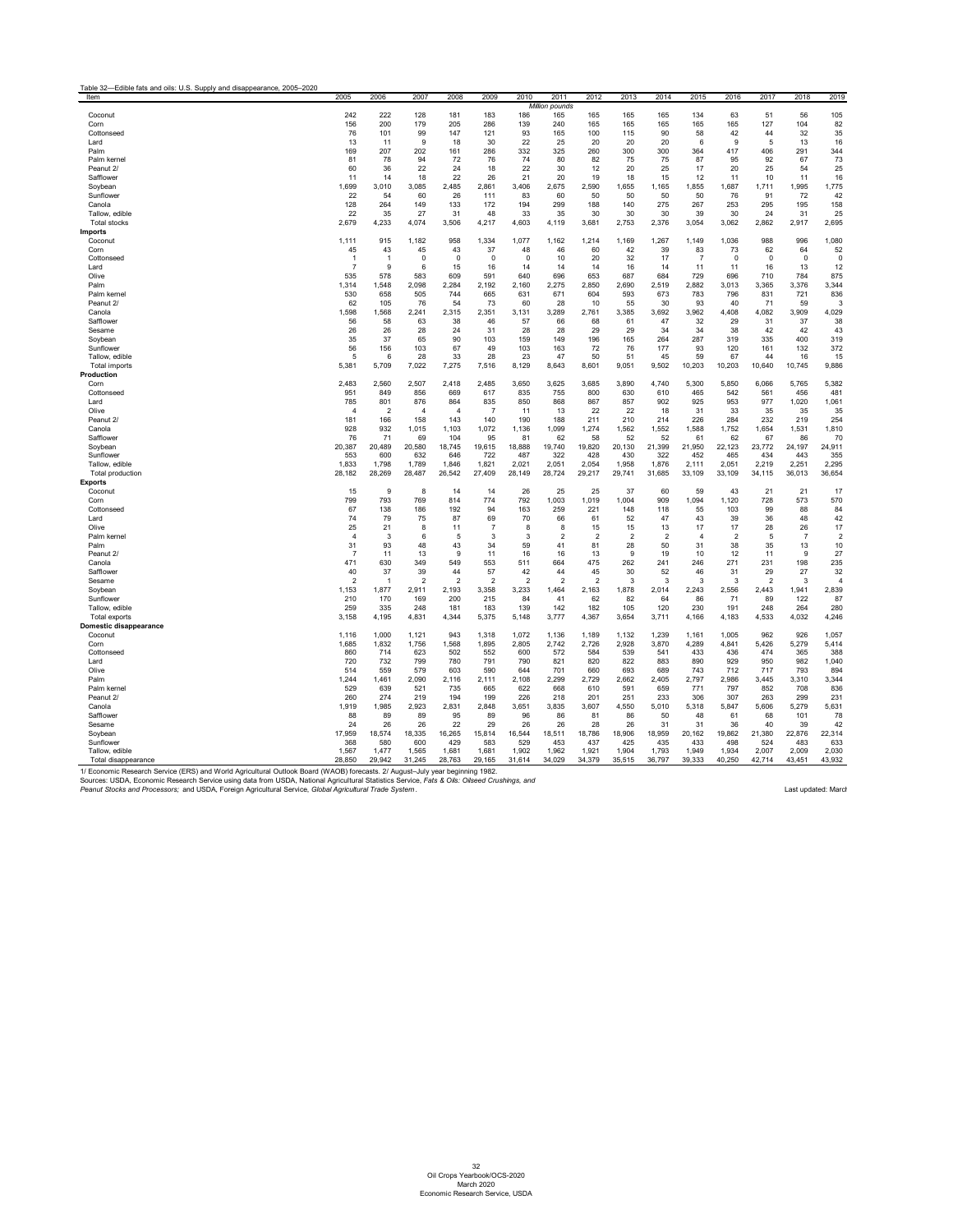<span id="page-32-0"></span>

| Item                    | 2005           | 2006                    | 2007           | 2008           | 2009           | 2010           | 2011                  | 2012           | 2013           | 2014           | 2015           | 2016           | 2017           | 2018           | 2019           |
|-------------------------|----------------|-------------------------|----------------|----------------|----------------|----------------|-----------------------|----------------|----------------|----------------|----------------|----------------|----------------|----------------|----------------|
|                         |                |                         |                |                |                |                | <b>Million pounds</b> |                |                |                |                |                |                |                |                |
| Coconut                 | 242            | 222                     | 128            | 181            | 183            | 186            | 165                   | 165            | 165            | 165            | 134            | 63             | 51             | 56             | 105            |
| Corn                    | 156            | 200                     | 179            | 205            | 286            | 139            | 240                   | 165            | 165            | 165            | 165            | 165            | 127            | 104            | 82             |
| Cottonseed              | 76             | 101                     | 99             | 147            | 121            | 93             | 165                   | 100            | 115            | 90             | 58             | 42             | 44             | 32             | 35             |
| Lard                    | 13             | 11                      | 9              | 18             | 30             | 22             | 25                    | 20             | 20             | 20             | 6              | 9              | 5              | 13             | 16             |
| Palm                    | 169            | 207                     | 202            | 161            | 286            | 332            | 325                   | 260            | 300            | 300            | 364            | 417            | 406            | 291            | 344            |
| Palm kernel             | 81             | 78                      | 94             | 72             | 76             | 74             | 80                    | 82             | 75             | 75             | 87             | 95             | 92             | 67             | 73             |
| Peanut 2/               | 60             | 36                      | 22             | 24             | 18             | 22             | 30                    | 12             | 20             | 25             | 17             | 20             | 25             | 54             | 25             |
| Safflower               | 11             | 14                      | 18             | 22             | 26             | 21             | 20                    | 19             | 18             | 15             | 12             | 11             | 10             | 11             | 16             |
| Soybean                 | 1,699          | 3,010                   | 3,085          | 2,485          | 2,861          | 3,406          | 2,675                 | 2,590          | 1,655          | 1,165          | 1,855          | 1,687          | 1,711          | 1,995          | 1,775          |
| Sunflower               | 22             | 54                      | 60             | 26             | 111            | 83             | 60                    | 50             | 50             | 50             | 50             | 76             | 91             | 72             | 42             |
| Canola                  | 128            | 264                     | 149            | 133            | 172            | 194            | 299                   | 188            | 140            | 275            | 267            | 253            | 295            | 195            | 158            |
| Tallow. edible          | 22             | 35                      | 27             | 31             | 48             | 33             | 35                    | 30             | 30             | 30             | 39             | 30             | 24             | 31             | 25             |
| <b>Total stocks</b>     | 2,679          | 4,233                   | 4,074          | 3,506          | 4,217          | 4,603          | 4,119                 | 3,681          | 2,753          | 2,376          | 3,054          | 3,062          | 2,862          | 2,917          | 2,695          |
| Imports                 |                |                         |                |                |                |                |                       |                |                |                |                |                |                |                |                |
| Coconut                 | 1,111          | 915                     | 1,182          | 958            | 1,334          | 1,077          | 1,162                 | 1,214          | 1,169          | 1,267          | 1,149          | 1,036          | 988            | 996            | 1,080          |
| Corn                    | 45             | 43                      | 45             | 43             | 37             | 48             | 46                    | 60             | 42             | 39             | 83             | 73             | 62             | 64             | 52             |
| Cottonseed              | -1             | $\overline{\mathbf{1}}$ | 0              | 0              | 0              | $\mathbf 0$    | 10                    | 20             | 32             | 17             | $\overline{7}$ | $\mathbf 0$    | 0              | $\mathbf 0$    | 0              |
| Lard                    | $\overline{7}$ | 9                       | 6              | 15             | 16             | 14             | 14                    | 14             | 16             | 14             | 11             | 11             | 16             | 13             | 12             |
| Olive                   | 535            | 578                     | 583            | 609            | 591            | 640            | 696                   | 653            | 687            | 684            | 729            | 696            | 710            | 784            | 875            |
| Palm                    | 1,314          | 1,548                   | 2,098          | 2,284          | 2,192          | 2,160          | 2,275                 | 2,850          | 2,690          | 2,519          | 2,882          | 3,013          | 3,365          | 3,376          | 3,344          |
| Palm kernel             | 530            | 658                     | 505            | 744            | 665            | 631            | 671                   | 604            | 593            | 673            | 783            | 796            | 831            | 721            | 836            |
| Peanut 2/               | 62             | 105                     | 76             | 54             | 73             | 60             | 28                    | 10             | 55             | 30             | 93             | 40             | 71             | 59             | 3              |
| Canola                  | 1,598          | 1,568                   | 2,241          | 2,315          | 2,351          | 3,131          | 3,289                 | 2,761          | 3,385          | 3,692          | 3,962          | 4,408          | 4,082          | 3,909          | 4,029          |
| Safflower               | 56             | 58                      | 63             | 38             | 46             | 57             | 66                    | 68             | 61             | 47             | 32             | 29             | 31             | 37             | 38             |
| Sesame                  | 26             | 26                      | 28             | 24             | 31             | 28             | 28                    | 29             | 29             | 34             | 34             | 38             | 42             | 42             | 43             |
| Soybean                 | 35             | 37                      | 65             | 90             | 103            | 159            | 149                   | 196            | 165            | 264            | 287            | 319            | 335            | 400            | 319            |
| Sunflower               | 56             | 156                     | 103            | 67             | 49             | 103            | 163                   | 72             | 76             | 177            | 93             | 120            | 161            | 132            | 372            |
| Tallow, edible          | 5              | 6                       | 28             | 33             | 28             | 23             | 47                    | 50             | 51             | 45             | 59             | 67             | 44             | 16             | 15             |
| Total imports           | 5,381          | 5,709                   | 7,022          | 7,275          | 7,516          | 8,129          | 8,643                 | 8,601          | 9,051          | 9,502          | 10,203         | 10,203         | 10,640         | 10,745         | 9,886          |
| Production              |                |                         |                |                |                |                |                       |                |                |                |                |                |                |                |                |
| Corn                    | 2,483          | 2,560                   | 2,507          | 2,418          | 2,485          | 3,650          | 3,625                 | 3,685          | 3,890          | 4,740          | 5,300          | 5,850          | 6,066          | 5,765          | 5,382          |
| Cottonseed              | 951            | 849                     | 856            | 669            | 617            | 835            | 755                   | 800            | 630            | 610            | 465            | 542            | 561            | 456            | 481            |
| Lard                    | 785            | 801                     | 876            | 864            | 835            | 850            | 868                   | 867            | 857            | 902            | 925            | 953            | 977            | 1,020          | 1,061          |
| Olive                   | $\overline{4}$ | $\overline{2}$          | $\overline{4}$ | $\overline{4}$ | $\overline{7}$ | -11            | 13                    | 22             | 22             | 18             | 31             | 33             | 35             | 35             | 35             |
| Peanut 2/               | 181            | 166                     | 158            | 143            | 140            | 190            | 188                   | 211            | 210            | 214            | 226            | 284            | 232            | 219            | 254            |
| Canola                  | 928            | 932                     | 1,015          | 1,103          | 1,072          | 1,136          | 1,099                 | 1,274          | 1,562          | 1,552          | 1,588          | 1,752          | 1,654          | 1,531          | 1,810          |
| Safflower               | 76             | 71                      | 69             | 104            | 95             | 81             | 62                    | 58             | 52             | 52             | 61             | 62             | 67             | 86             | 70             |
| Soybean                 | 20,387         | 20,489                  | 20,580         | 18,745         | 19,615         | 18,888         | 19,740                | 19,820         | 20,130         | 21,399         | 21,950         | 22,123         | 23,772         | 24,197         | 24,911         |
| Sunflower               | 553            | 600                     | 632            | 646            | 722            | 487            | 322                   | 428            | 430            | 322            | 452            | 465            | 434            | 443            | 355            |
| Tallow, edible          | 1,833          | 1,798                   | 1,789          | 1,846          | 1,821          | 2,021          | 2,051                 | 2,054          | 1,958          | 1,876          | 2,111          | 2,051          | 2,219          | 2,251          | 2,295          |
| <b>Total production</b> | 28,182         | 28,269                  | 28,487         | 26,542         | 27,409         | 28,149         | 28,724                | 29,217         | 29,741         | 31,685         | 33,109         | 33,109         | 34,115         | 36,013         | 36,654         |
| <b>Exports</b>          |                |                         |                |                |                |                |                       |                |                |                |                |                |                |                |                |
| Coconut                 | 15             | 9                       | 8              | 14             | 14             | 26             | 25                    | 25             | 37             | 60             | 59             | 43             | -21            | 21             | 17             |
| Corn                    | 799            | 793                     | 769            | 814            | 774            | 792            | 1,003                 | 1,019          | 1,004          | 909            | 1,094          | 1,120          | 728            | 573            | 570            |
| Cottonseed              | 67             | 138                     | 186            | 192            | 94             | 163            | 259                   | 221            | 148            | 118            | 55             | 103            | 99             | 88             | 84             |
| Lard                    | 74             | 79                      | 75             | 87             | 69             | 70             | 66                    | 61             | 52             | 47             | 43             | 39             | 36             | 48             | 42             |
| Olive                   | 25             | 21                      | 8              | 11             | $\overline{7}$ | 8              | 8                     | 15             | 15             | 13             | 17             | 17             | 28             | 26             | 17             |
| Palm kernel             | $\overline{4}$ | $\mathbf{3}$            | 6              | 5              | 3              | 3              | $\overline{2}$        | $\overline{2}$ | $\overline{2}$ | $\overline{2}$ | $\overline{4}$ | $\overline{2}$ | 5              | $\overline{7}$ | $\overline{c}$ |
| Palm                    | 31             | 93                      | 48             | 43             | 34             | 59             | 41                    | 81             | 28             | 50             | 31             | 38             | 35             | 13             | 10             |
| Peanut 2/               | $\overline{7}$ | 11                      | 13             | 9              | 11             | 16             | 16                    | 13             | 9              | 19             | 10             | 12             | 11             | 9              | 27             |
| Canola                  | 471            | 630                     | 349            | 549            | 553            | 511            | 664                   | 475            | 262            | 241            | 246            | 271            | 231            | 198            | 235            |
| Safflower               | 40             | 37                      | 39             | 44             | 57             | 42             | 44                    | 45             | 30             | 52             | 46             | 31             | 29             | 27             | 32             |
| Sesame                  | $\overline{2}$ | $\overline{1}$          | $\overline{2}$ | $\overline{2}$ | $\overline{2}$ | $\overline{2}$ | $\overline{2}$        | $\overline{2}$ | 3              | 3              | 3              | 3              | $\overline{2}$ | 3              | 4              |
| Soybean                 | 1,153          | 1,877                   | 2,911          | 2,193          | 3,358          | 3,233          | 1,464                 | 2,163          | 1,878          | 2,014          | 2,243          | 2,556          | 2,443          | 1,941          | 2,839          |
| Sunflower               | 210            | 170                     | 169            | 200            | 215            | 84             | 41                    | 62             | 82             | 64             | 86             | 71             | 89             | 122            | 87             |
| Tallow, edible          | 259            | 335                     | 248            | 181            | 183            | 139            | 142                   | 182            | 105            | 120            | 230            | 191            | 248            | 264            | 280            |
| Total exports           | 3,158          | 4,195                   | 4,831          | 4,344          | 5,375          | 5,148          | 3,777                 | 4,367          | 3,654          | 3,711          | 4,166          | 4,183          | 4,533          | 4,032          | 4,246          |
| Domestic disappearance  |                |                         |                |                |                |                |                       |                |                |                |                |                |                |                |                |
| Coconut                 | 1,116          | 1,000                   | 1,121          | 943            | 1,318          | 1,072          | 1,136                 | 1,189          | 1,132          | 1,239          | 1,161          | 1,005          | 962            | 926            | 1,057          |
| Corn                    | 1,685          | 1,832                   | 1,756          | 1,568          | 1,895          | 2,805          | 2,742                 | 2,726          | 2,928          | 3,870          | 4,289          | 4,841          | 5,426          | 5,279          | 5,414          |
| Cottonseed              | 860            | 714                     | 623            | 502            | 552            | 600            | 572                   | 584            | 539            | 541            | 433            | 436            | 474            | 365            | 388            |
| Lard                    | 720            | 732                     | 799            | 780            | 791            | 790            | 821                   | 820            | 822            | 883            | 890            | 929            | 950            | 982            | 1,040          |
| Olive                   | 514            | 559                     | 579            | 603            | 590            | 644            | 701                   | 660            | 693            | 689            | 743            | 712            | 717            | 793            | 894            |
| Palm                    | 1,244          | 1,461                   | 2,090          | 2,116          | 2,111          | 2,108          | 2,299                 | 2,729          | 2,662          | 2,405          | 2,797          | 2,986          | 3,445          | 3,310          | 3,344          |
| Palm kernel             | 529            | 639                     | 521            | 735            | 665            | 622            | 668                   | 610            | 591            | 659            | 771            | 797            | 852            | 708            | 836            |
| Peanut 2/               | 260            | 274                     | 219            | 194            | 199            | 226            | 218                   | 201            | 251            | 233            | 306            | 307            | 263            | 299            | 231            |
| Canola                  | 1,919          | 1,985                   | 2,923          | 2,831          | 2,848          | 3,651          | 3,835                 | 3,607          | 4,550          | 5,010          | 5,318          | 5,847          | 5,606          | 5,279          | 5,631          |
| Safflower               | 88             | 89                      | 89             | 95             | 89             | 96             | 86                    | 81             | 86             | 50             | 48             | 61             | 68             | 101            | 78             |
| Sesame                  | 24             | 26                      | 26             | 22             | 29             | 26             | 26                    | 28             | 26             | 31             | 31             | 36             | 40             | 39             | 42             |
| Soybean                 | 17,959         | 18,574                  | 18,335         | 16,265         | 15,814         | 16,544         | 18,511                | 18,786         | 18,906         | 18,959         | 20,162         | 19,862         | 21,380         | 22,876         | 22,314         |
| Sunflower               | 368            | 580                     | 600            | 429            | 583            | 529            | 453                   | 437            | 425            | 435            | 433            | 498            | 524            | 483            | 633            |
| Tallow, edible          | 1,567          | 1,477                   | 1,565          | 1,681          | 1,681          | 1,902          | 1,962                 | 1,921          | 1,904          | 1,793          | 1,949          | 1,934          | 2,007          | 2,009          | 2,030          |
| Total disappearance     | 28,850         | 29,942                  | 31,245         | 28,763         | 29,165         | 31,614         | 34,029                | 34,379         | 35,515         | 36,797         | 39,333         | 40,250         | 42,714         | 43,451         | 43,932         |

32 Oil Crops Yearbook/OCS-2020 March 2020 Economic Research Service, USDA

1/ Economic Research Service (ERS) and World Agricultural Outlook Board (WAOB) forecasts. 2/ August–July year beginning 1982.

Sources: USDA, Economic Research Service using data from USDA, National Agricultural Statistics Service, *Fats & Oils: Oilseed Crushings, and Peanut Stocks and Processors;* and USDA, Foreign Agricultural Service, *Global Agricultural Trade System* . Last updated: March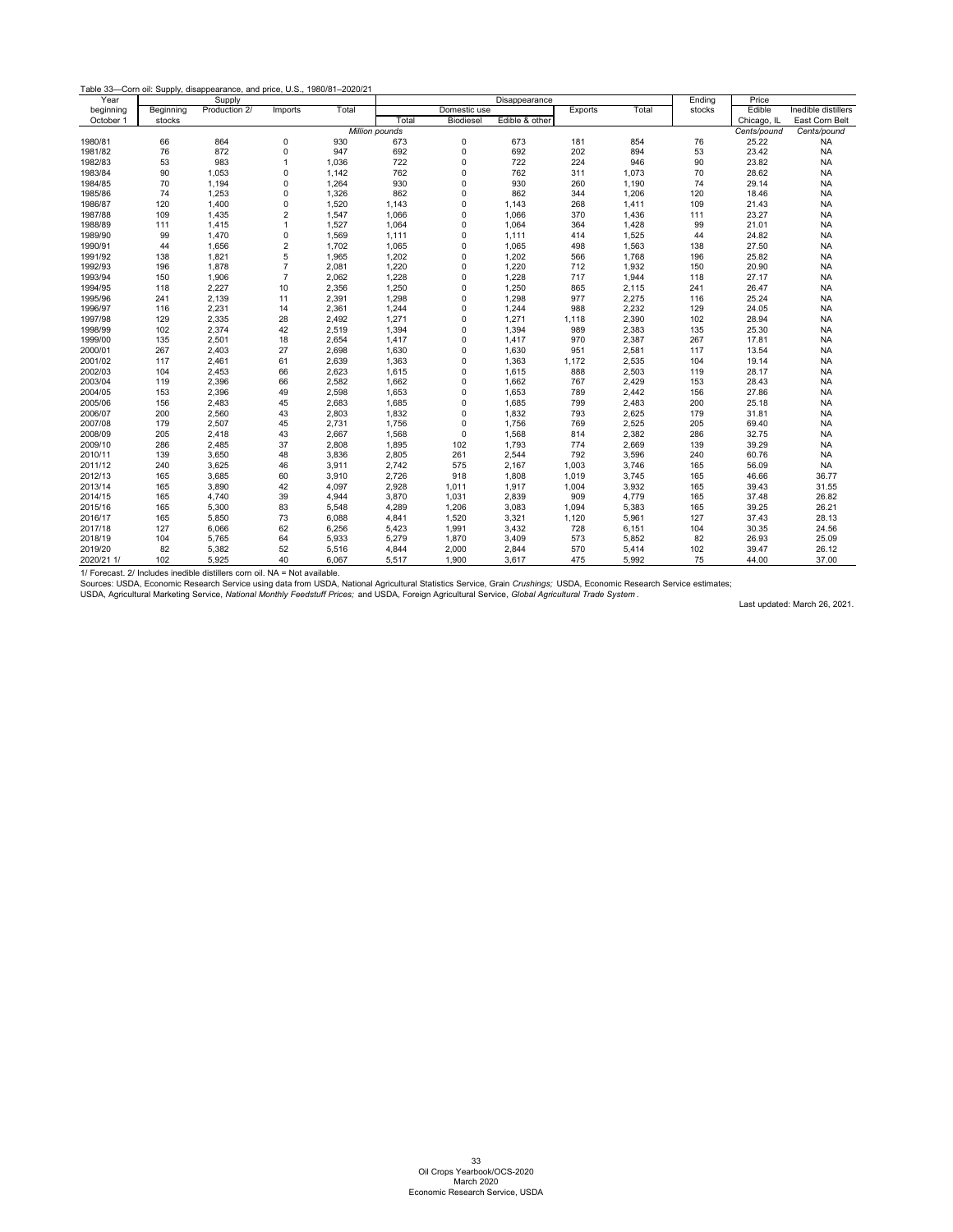| Table 33—Corn oil: Supply, disappearance, and price, U.S., 1980/81-2020/21 |  |
|----------------------------------------------------------------------------|--|
| <b>C</b> 1. .                                                              |  |

| Year       |           | Supply        |                  |       |                       |                  | Disappearance  |         |       | Ending | Price       |                     |
|------------|-----------|---------------|------------------|-------|-----------------------|------------------|----------------|---------|-------|--------|-------------|---------------------|
| beginning  | Beginning | Production 2/ | Imports          | Total |                       | Domestic use     |                | Exports | Total | stocks | Edible      | Inedible distillers |
| October 1  | stocks    |               |                  |       | Total                 | <b>Biodiesel</b> | Edible & other |         |       |        | Chicago, IL | East Corn Belt      |
|            |           |               |                  |       | <b>Million pounds</b> |                  |                |         |       |        | Cents/pound | Cents/pound         |
| 1980/81    | 66        | 864           | $\mathbf 0$      | 930   | 673                   | $\mathbf 0$      | 673            | 181     | 854   | 76     | 25.22       | <b>NA</b>           |
| 1981/82    | 76        | 872           | $\mathbf 0$      | 947   | 692                   | 0                | 692            | 202     | 894   | 53     | 23.42       | <b>NA</b>           |
| 1982/83    | 53        | 983           | $\mathbf{1}$     | 1,036 | 722                   | $\mathbf 0$      | 722            | 224     | 946   | $90\,$ | 23.82       | <b>NA</b>           |
| 1983/84    | 90        | 1,053         | $\mathbf 0$      | 1,142 | 762                   | $\mathbf 0$      | 762            | 311     | 1,073 | 70     | 28.62       | <b>NA</b>           |
| 1984/85    | 70        | 1,194         | $\mathbf 0$      | 1,264 | 930                   | $\mathbf 0$      | 930            | 260     | 1,190 | 74     | 29.14       | <b>NA</b>           |
| 1985/86    | 74        | 1,253         | $\mathbf 0$      | 1,326 | 862                   | $\mathbf 0$      | 862            | 344     | 1,206 | 120    | 18.46       | <b>NA</b>           |
| 1986/87    | 120       | 1,400         | $\mathbf 0$      | 1,520 | 1,143                 | $\Omega$         | 1,143          | 268     | 1,411 | 109    | 21.43       | <b>NA</b>           |
| 1987/88    | 109       | 1,435         | 2                | 1,547 | 1,066                 | $\mathbf 0$      | 1,066          | 370     | 1,436 | 111    | 23.27       | <b>NA</b>           |
| 1988/89    | 111       | 1,415         | $\mathbf{1}$     | 1,527 | 1,064                 | $\mathbf 0$      | 1,064          | 364     | 1,428 | 99     | 21.01       | <b>NA</b>           |
| 1989/90    | 99        | 1,470         | $\mathbf 0$      | 1,569 | 1,111                 | $\mathbf 0$      | 1,111          | 414     | 1,525 | 44     | 24.82       | <b>NA</b>           |
| 1990/91    | 44        | 1,656         | $\boldsymbol{2}$ | 1,702 | 1,065                 | $\mathbf 0$      | 1,065          | 498     | 1,563 | 138    | 27.50       | <b>NA</b>           |
| 1991/92    | 138       | 1,821         | 5                | 1,965 | 1,202                 | $\mathbf 0$      | 1,202          | 566     | 1,768 | 196    | 25.82       | <b>NA</b>           |
| 1992/93    | 196       | 1,878         | $\overline{7}$   | 2,081 | 1,220                 | $\Omega$         | 1,220          | 712     | 1,932 | 150    | 20.90       | <b>NA</b>           |
| 1993/94    | 150       | 1,906         | $\overline{7}$   | 2,062 | 1,228                 | $\mathbf 0$      | 1,228          | 717     | 1,944 | 118    | 27.17       | <b>NA</b>           |
| 1994/95    | 118       | 2,227         | 10               | 2,356 | 1,250                 | $\mathbf 0$      | 1,250          | 865     | 2,115 | 241    | 26.47       | <b>NA</b>           |
| 1995/96    | 241       | 2,139         | 11               | 2,391 | 1,298                 | $\Omega$         | 1,298          | 977     | 2,275 | 116    | 25.24       | <b>NA</b>           |
| 1996/97    | 116       | 2,231         | 14               | 2,361 | 1,244                 | $\mathbf 0$      | 1,244          | 988     | 2,232 | 129    | 24.05       | <b>NA</b>           |
| 1997/98    | 129       | 2,335         | 28               | 2,492 | 1,271                 | $\mathbf 0$      | 1,271          | 1,118   | 2,390 | 102    | 28.94       | <b>NA</b>           |
| 1998/99    | 102       | 2,374         | 42               | 2,519 | 1,394                 | $\Omega$         | 1,394          | 989     | 2,383 | 135    | 25.30       | <b>NA</b>           |
| 1999/00    | 135       | 2,501         | 18               | 2,654 | 1,417                 | $\mathbf 0$      | 1,417          | 970     | 2,387 | 267    | 17.81       | <b>NA</b>           |
| 2000/01    | 267       | 2,403         | 27               | 2,698 | 1,630                 | $\mathbf 0$      | 1,630          | 951     | 2,581 | 117    | 13.54       | <b>NA</b>           |
| 2001/02    | 117       | 2,461         | 61               | 2,639 | 1,363                 | $\Omega$         | 1,363          | 1,172   | 2,535 | 104    | 19.14       | <b>NA</b>           |
| 2002/03    | 104       | 2,453         | 66               | 2,623 | 1,615                 | 0                | 1,615          | 888     | 2,503 | 119    | 28.17       | <b>NA</b>           |
| 2003/04    | 119       | 2,396         | 66               | 2,582 | 1,662                 | $\mathbf 0$      | 1,662          | 767     | 2,429 | 153    | 28.43       | <b>NA</b>           |
| 2004/05    | 153       | 2,396         | 49               | 2,598 | 1,653                 | $\Omega$         | 1,653          | 789     | 2,442 | 156    | 27.86       | <b>NA</b>           |
| 2005/06    | 156       | 2,483         | 45               | 2,683 | 1,685                 | $\pmb{0}$        | 1,685          | 799     | 2,483 | 200    | 25.18       | <b>NA</b>           |
| 2006/07    | 200       | 2,560         | 43               | 2,803 | 1,832                 | $\pmb{0}$        | 1,832          | 793     | 2,625 | 179    | 31.81       | <b>NA</b>           |
| 2007/08    | 179       | 2,507         | 45               | 2,731 | 1,756                 | $\Omega$         | 1,756          | 769     | 2,525 | 205    | 69.40       | <b>NA</b>           |
| 2008/09    | 205       | 2,418         | 43               | 2,667 | 1,568                 | 0                | 1,568          | 814     | 2,382 | 286    | 32.75       | <b>NA</b>           |
| 2009/10    | 286       | 2,485         | 37               | 2,808 | 1,895                 | 102              | 1,793          | 774     | 2,669 | 139    | 39.29       | <b>NA</b>           |
| 2010/11    | 139       | 3,650         | 48               | 3,836 | 2,805                 | 261              | 2,544          | 792     | 3,596 | 240    | 60.76       | <b>NA</b>           |
| 2011/12    | 240       | 3,625         | 46               | 3,911 | 2,742                 | 575              | 2,167          | 1,003   | 3,746 | 165    | 56.09       | <b>NA</b>           |
| 2012/13    | 165       | 3,685         | 60               | 3,910 | 2,726                 | 918              | 1,808          | 1,019   | 3,745 | 165    | 46.66       | 36.77               |
| 2013/14    | 165       | 3,890         | 42               | 4,097 | 2,928                 | 1,011            | 1,917          | 1,004   | 3,932 | 165    | 39.43       | 31.55               |
| 2014/15    | 165       | 4,740         | 39               | 4,944 | 3,870                 | 1,031            | 2,839          | 909     | 4,779 | 165    | 37.48       | 26.82               |
| 2015/16    | 165       | 5,300         | 83               | 5,548 | 4,289                 | 1,206            | 3,083          | 1,094   | 5,383 | 165    | 39.25       | 26.21               |
| 2016/17    | 165       | 5,850         | 73               | 6,088 | 4,841                 | 1,520            | 3,321          | 1,120   | 5,961 | 127    | 37.43       | 28.13               |
| 2017/18    | 127       | 6,066         | 62               | 6,256 | 5,423                 | 1,991            | 3,432          | 728     | 6,151 | 104    | 30.35       | 24.56               |
| 2018/19    | 104       | 5,765         | 64               | 5,933 | 5,279                 | 1,870            | 3,409          | 573     | 5,852 | 82     | 26.93       | 25.09               |
| 2019/20    | 82        | 5,382         | 52               | 5,516 | 4,844                 | 2,000            | 2,844          | 570     | 5,414 | 102    | 39.47       | 26.12               |
| 2020/21 1/ | 102       | 5,925         | 40               | 6,067 | 5,517                 | 1,900            | 3,617          | 475     | 5,992 | 75     | 44.00       | 37.00               |

<span id="page-33-0"></span>1/ Forecast. 2/ Includes inedible distillers corn oil. NA = Not available.

Sources: USDA, Economic Research Service using data from USDA, National Agricultural Statistics Service, Grain *Crushings;* USDA, Economic Research Service estimates;

USDA, Agricultural Marketing Service, *National Monthly Feedstuff Prices;* and USDA, Foreign Agricultural Service, *Global Agricultural Trade System* .

Last updated: March 26, 2021.

33 Oil Crops Yearbook/OCS-2020 March 2020 Economic Research Service, USDA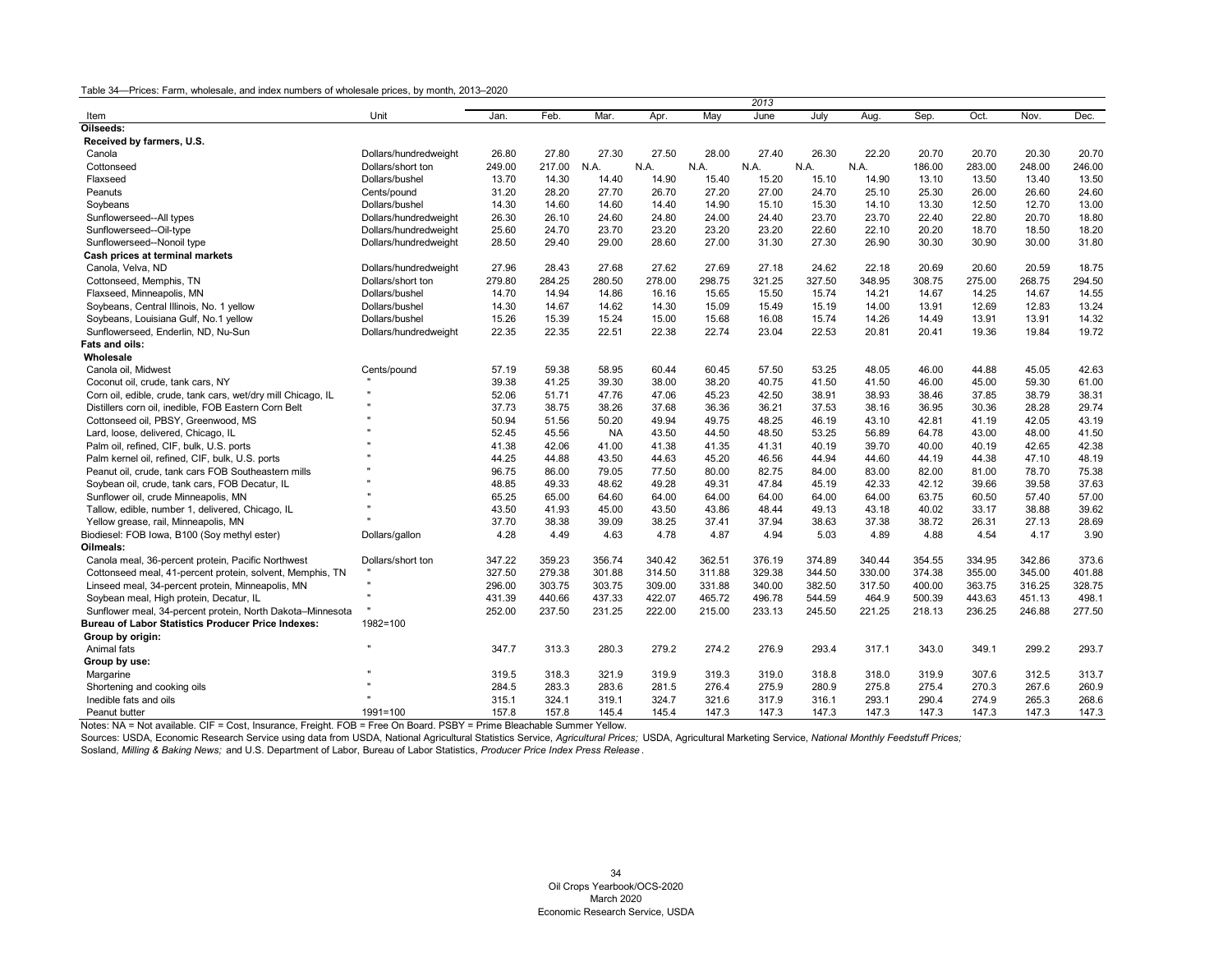|                                                              |                       |        |        |           |        |        | 2013   |        |        |        |        |        |        |
|--------------------------------------------------------------|-----------------------|--------|--------|-----------|--------|--------|--------|--------|--------|--------|--------|--------|--------|
| Item                                                         | Unit                  | Jan.   | Feb.   | Mar.      | Apr.   | May    | June   | July   | Aug.   | Sep.   | Oct.   | Nov.   | Dec.   |
| Oilseeds:                                                    |                       |        |        |           |        |        |        |        |        |        |        |        |        |
| Received by farmers, U.S.                                    |                       |        |        |           |        |        |        |        |        |        |        |        |        |
| Canola                                                       | Dollars/hundredweight | 26.80  | 27.80  | 27.30     | 27.50  | 28.00  | 27.40  | 26.30  | 22.20  | 20.70  | 20.70  | 20.30  | 20.70  |
| Cottonseed                                                   | Dollars/short ton     | 249.00 | 217.00 | N.A.      | N.A.   | N.A.   | N.A.   | N.A.   | N.A.   | 186.00 | 283.00 | 248.00 | 246.00 |
| Flaxseed                                                     | Dollars/bushel        | 13.70  | 14.30  | 14.40     | 14.90  | 15.40  | 15.20  | 15.10  | 14.90  | 13.10  | 13.50  | 13.40  | 13.50  |
| Peanuts                                                      | Cents/pound           | 31.20  | 28.20  | 27.70     | 26.70  | 27.20  | 27.00  | 24.70  | 25.10  | 25.30  | 26.00  | 26.60  | 24.60  |
| Soybeans                                                     | Dollars/bushel        | 14.30  | 14.60  | 14.60     | 14.40  | 14.90  | 15.10  | 15.30  | 14.10  | 13.30  | 12.50  | 12.70  | 13.00  |
| Sunflowerseed--All types                                     | Dollars/hundredweight | 26.30  | 26.10  | 24.60     | 24.80  | 24.00  | 24.40  | 23.70  | 23.70  | 22.40  | 22.80  | 20.70  | 18.80  |
| Sunflowerseed--Oil-type                                      | Dollars/hundredweight | 25.60  | 24.70  | 23.70     | 23.20  | 23.20  | 23.20  | 22.60  | 22.10  | 20.20  | 18.70  | 18.50  | 18.20  |
| Sunflowerseed--Nonoil type                                   | Dollars/hundredweight | 28.50  | 29.40  | 29.00     | 28.60  | 27.00  | 31.30  | 27.30  | 26.90  | 30.30  | 30.90  | 30.00  | 31.80  |
| Cash prices at terminal markets                              |                       |        |        |           |        |        |        |        |        |        |        |        |        |
| Canola, Velva, ND                                            | Dollars/hundredweight | 27.96  | 28.43  | 27.68     | 27.62  | 27.69  | 27.18  | 24.62  | 22.18  | 20.69  | 20.60  | 20.59  | 18.75  |
| Cottonseed, Memphis, TN                                      | Dollars/short ton     | 279.80 | 284.25 | 280.50    | 278.00 | 298.75 | 321.25 | 327.50 | 348.95 | 308.75 | 275.00 | 268.75 | 294.50 |
| Flaxseed, Minneapolis, MN                                    | Dollars/bushel        | 14.70  | 14.94  | 14.86     | 16.16  | 15.65  | 15.50  | 15.74  | 14.21  | 14.67  | 14.25  | 14.67  | 14.55  |
| Soybeans, Central Illinois, No. 1 yellow                     | Dollars/bushel        | 14.30  | 14.67  | 14.62     | 14.30  | 15.09  | 15.49  | 15.19  | 14.00  | 13.91  | 12.69  | 12.83  | 13.24  |
| Soybeans, Louisiana Gulf, No.1 yellow                        | Dollars/bushel        | 15.26  | 15.39  | 15.24     | 15.00  | 15.68  | 16.08  | 15.74  | 14.26  | 14.49  | 13.91  | 13.91  | 14.32  |
| Sunflowerseed, Enderlin, ND, Nu-Sun                          | Dollars/hundredweight | 22.35  | 22.35  | 22.51     | 22.38  | 22.74  | 23.04  | 22.53  | 20.81  | 20.41  | 19.36  | 19.84  | 19.72  |
| Fats and oils:                                               |                       |        |        |           |        |        |        |        |        |        |        |        |        |
| Wholesale                                                    |                       |        |        |           |        |        |        |        |        |        |        |        |        |
| Canola oil. Midwest                                          | Cents/pound           | 57.19  | 59.38  | 58.95     | 60.44  | 60.45  | 57.50  | 53.25  | 48.05  | 46.00  | 44.88  | 45.05  | 42.63  |
| Coconut oil, crude, tank cars, NY                            |                       | 39.38  | 41.25  | 39.30     | 38.00  | 38.20  | 40.75  | 41.50  | 41.50  | 46.00  | 45.00  | 59.30  | 61.00  |
| Corn oil, edible, crude, tank cars, wet/dry mill Chicago, IL |                       | 52.06  | 51.71  | 47.76     | 47.06  | 45.23  | 42.50  | 38.91  | 38.93  | 38.46  | 37.85  | 38.79  | 38.31  |
| Distillers corn oil, inedible, FOB Eastern Corn Belt         |                       | 37.73  | 38.75  | 38.26     | 37.68  | 36.36  | 36.21  | 37.53  | 38.16  | 36.95  | 30.36  | 28.28  | 29.74  |
| Cottonseed oil, PBSY, Greenwood, MS                          |                       | 50.94  | 51.56  | 50.20     | 49.94  | 49.75  | 48.25  | 46.19  | 43.10  | 42.81  | 41.19  | 42.05  | 43.19  |
| Lard, loose, delivered, Chicago, IL                          |                       | 52.45  | 45.56  | <b>NA</b> | 43.50  | 44.50  | 48.50  | 53.25  | 56.89  | 64.78  | 43.00  | 48.00  | 41.50  |
| Palm oil, refined, CIF, bulk, U.S. ports                     |                       | 41.38  | 42.06  | 41.00     | 41.38  | 41.35  | 41.31  | 40.19  | 39.70  | 40.00  | 40.19  | 42.65  | 42.38  |
| Palm kernel oil, refined, CIF, bulk, U.S. ports              |                       | 44.25  | 44.88  | 43.50     | 44.63  | 45.20  | 46.56  | 44.94  | 44.60  | 44.19  | 44.38  | 47.10  | 48.19  |
| Peanut oil, crude, tank cars FOB Southeastern mills          |                       | 96.75  | 86.00  | 79.05     | 77.50  | 80.00  | 82.75  | 84.00  | 83.00  | 82.00  | 81.00  | 78.70  | 75.38  |
| Soybean oil, crude, tank cars, FOB Decatur, IL               |                       | 48.85  | 49.33  | 48.62     | 49.28  | 49.31  | 47.84  | 45.19  | 42.33  | 42.12  | 39.66  | 39.58  | 37.63  |
| Sunflower oil, crude Minneapolis, MN                         |                       | 65.25  | 65.00  | 64.60     | 64.00  | 64.00  | 64.00  | 64.00  | 64.00  | 63.75  | 60.50  | 57.40  | 57.00  |
| Tallow, edible, number 1, delivered, Chicago, IL             |                       | 43.50  | 41.93  | 45.00     | 43.50  | 43.86  | 48.44  | 49.13  | 43.18  | 40.02  | 33.17  | 38.88  | 39.62  |
| Yellow grease, rail, Minneapolis, MN                         |                       | 37.70  | 38.38  | 39.09     | 38.25  | 37.41  | 37.94  | 38.63  | 37.38  | 38.72  | 26.31  | 27.13  | 28.69  |
| Biodiesel: FOB Iowa, B100 (Soy methyl ester)                 | Dollars/gallon        | 4.28   | 4.49   | 4.63      | 4.78   | 4.87   | 4.94   | 5.03   | 4.89   | 4.88   | 4.54   | 4.17   | 3.90   |
| Oilmeals:                                                    |                       |        |        |           |        |        |        |        |        |        |        |        |        |
| Canola meal, 36-percent protein, Pacific Northwest           | Dollars/short ton     | 347.22 | 359.23 | 356.74    | 340.42 | 362.51 | 376.19 | 374.89 | 340.44 | 354.55 | 334.95 | 342.86 | 373.6  |
| Cottonseed meal, 41-percent protein, solvent, Memphis, TN    |                       | 327.50 | 279.38 | 301.88    | 314.50 | 311.88 | 329.38 | 344.50 | 330.00 | 374.38 | 355.00 | 345.00 | 401.88 |
| Linseed meal, 34-percent protein, Minneapolis, MN            |                       | 296.00 | 303.75 | 303.75    | 309.00 | 331.88 | 340.00 | 382.50 | 317.50 | 400.00 | 363.75 | 316.25 | 328.75 |
| Soybean meal, High protein, Decatur, IL                      |                       | 431.39 | 440.66 | 437.33    | 422.07 | 465.72 | 496.78 | 544.59 | 464.9  | 500.39 | 443.63 | 451.13 | 498.1  |
| Sunflower meal, 34-percent protein, North Dakota-Minnesota   |                       | 252.00 | 237.50 | 231.25    | 222.00 | 215.00 | 233.13 | 245.50 | 221.25 | 218.13 | 236.25 | 246.88 | 277.50 |
| <b>Bureau of Labor Statistics Producer Price Indexes:</b>    | 1982=100              |        |        |           |        |        |        |        |        |        |        |        |        |
| Group by origin:                                             |                       |        |        |           |        |        |        |        |        |        |        |        |        |
| Animal fats                                                  |                       | 347.7  | 313.3  | 280.3     | 279.2  | 274.2  | 276.9  | 293.4  | 317.1  | 343.0  | 349.1  | 299.2  | 293.7  |
| Group by use:                                                |                       |        |        |           |        |        |        |        |        |        |        |        |        |
| Margarine                                                    |                       | 319.5  | 318.3  | 321.9     | 319.9  | 319.3  | 319.0  | 318.8  | 318.0  | 319.9  | 307.6  | 312.5  | 313.7  |
| Shortening and cooking oils                                  |                       | 284.5  | 283.3  | 283.6     | 281.5  | 276.4  | 275.9  | 280.9  | 275.8  | 275.4  | 270.3  | 267.6  | 260.9  |
| Inedible fats and oils                                       |                       | 315.1  | 324.1  | 319.1     | 324.7  | 321.6  | 317.9  | 316.1  | 293.1  | 290.4  | 274.9  | 265.3  | 268.6  |
| Peanut butter                                                | 1991=100              | 157.8  | 157.8  | 145.4     | 145.4  | 147.3  | 147.3  | 147.3  | 147.3  | 147.3  | 147.3  | 147.3  | 147.3  |

Notes: NA = Not available. CIF = Cost, Insurance, Freight. FOB = Free On Board. PSBY = Prime Bleachable Summer Yellow.

<span id="page-34-0"></span>Sources: USDA, Economic Research Service using data from USDA, National Agricultural Statistics Service, *Agricultural Prices;* USDA, Agricultural Marketing Service, *National Monthly Feedstuff Prices;*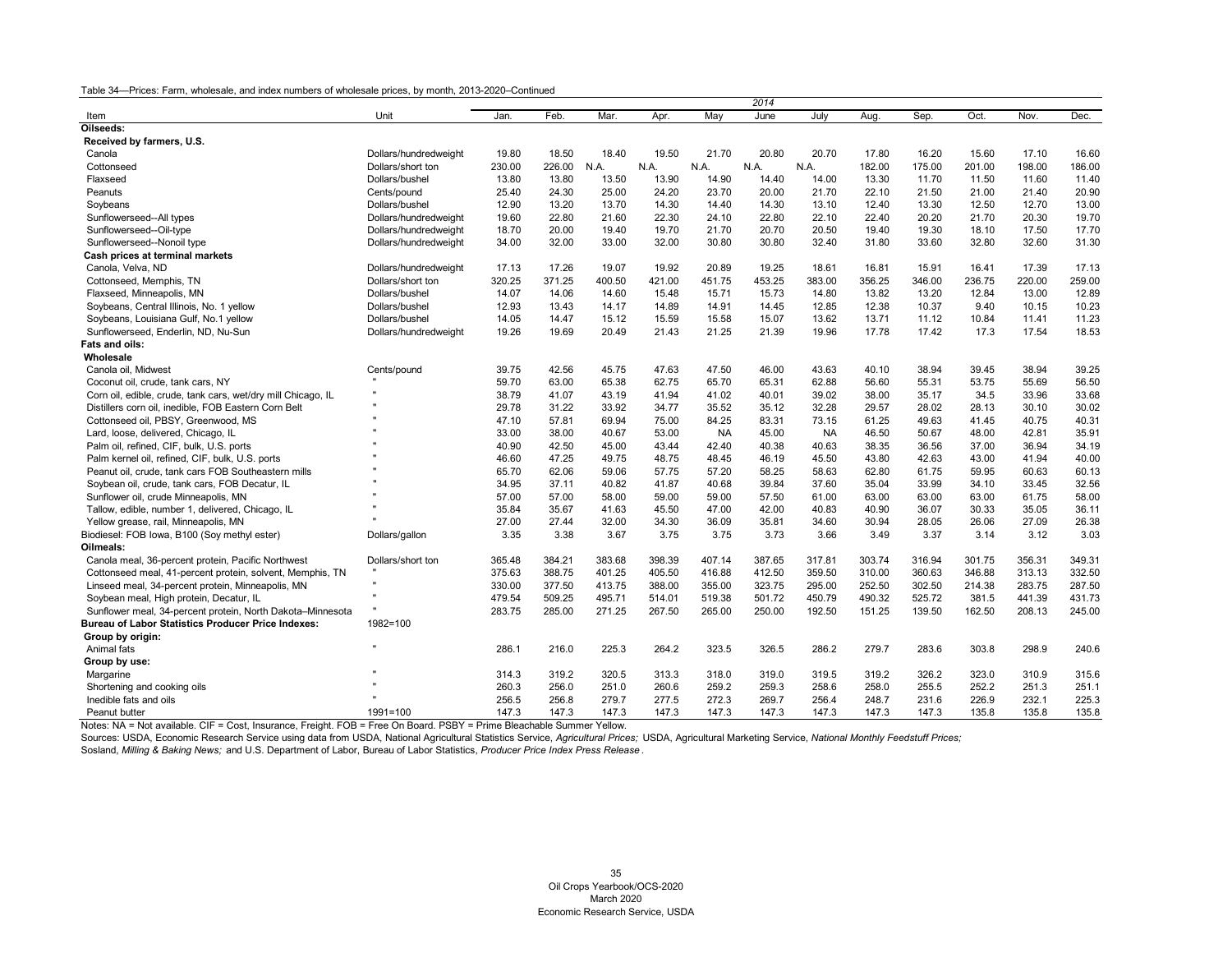|                                                              |                       |        |        |        |        |           | 2014   |           |        |        |        |        |        |
|--------------------------------------------------------------|-----------------------|--------|--------|--------|--------|-----------|--------|-----------|--------|--------|--------|--------|--------|
| Item                                                         | Unit                  | Jan    | Feb.   | Mar.   | Apr.   | May       | June   | July      | Aug.   | Sep.   | Oct.   | Nov.   | Dec.   |
| Oilseeds:                                                    |                       |        |        |        |        |           |        |           |        |        |        |        |        |
| Received by farmers, U.S.                                    |                       |        |        |        |        |           |        |           |        |        |        |        |        |
| Canola                                                       | Dollars/hundredweight | 19.80  | 18.50  | 18.40  | 19.50  | 21.70     | 20.80  | 20.70     | 17.80  | 16.20  | 15.60  | 17.10  | 16.60  |
| Cottonseed                                                   | Dollars/short ton     | 230.00 | 226.00 | N.A.   | N.A.   | N.A.      | N.A.   | N.A.      | 182.00 | 175.00 | 201.00 | 198.00 | 186.00 |
| Flaxseed                                                     | Dollars/bushel        | 13.80  | 13.80  | 13.50  | 13.90  | 14.90     | 14.40  | 14.00     | 13.30  | 11.70  | 11.50  | 11.60  | 11.40  |
| Peanuts                                                      | Cents/pound           | 25.40  | 24.30  | 25.00  | 24.20  | 23.70     | 20.00  | 21.70     | 22.10  | 21.50  | 21.00  | 21.40  | 20.90  |
| Soybeans                                                     | Dollars/bushel        | 12.90  | 13.20  | 13.70  | 14.30  | 14.40     | 14.30  | 13.10     | 12.40  | 13.30  | 12.50  | 12.70  | 13.00  |
| Sunflowerseed--All types                                     | Dollars/hundredweight | 19.60  | 22.80  | 21.60  | 22.30  | 24.10     | 22.80  | 22.10     | 22.40  | 20.20  | 21.70  | 20.30  | 19.70  |
| Sunflowerseed--Oil-type                                      | Dollars/hundredweight | 18.70  | 20.00  | 19.40  | 19.70  | 21.70     | 20.70  | 20.50     | 19.40  | 19.30  | 18.10  | 17.50  | 17.70  |
| Sunflowerseed--Nonoil type                                   | Dollars/hundredweight | 34.00  | 32.00  | 33.00  | 32.00  | 30.80     | 30.80  | 32.40     | 31.80  | 33.60  | 32.80  | 32.60  | 31.30  |
| Cash prices at terminal markets                              |                       |        |        |        |        |           |        |           |        |        |        |        |        |
| Canola, Velva, ND                                            | Dollars/hundredweight | 17.13  | 17.26  | 19.07  | 19.92  | 20.89     | 19.25  | 18.61     | 16.81  | 15.91  | 16.41  | 17.39  | 17.13  |
| Cottonseed, Memphis, TN                                      | Dollars/short ton     | 320.25 | 371.25 | 400.50 | 421.00 | 451.75    | 453.25 | 383.00    | 356.25 | 346.00 | 236.75 | 220.00 | 259.00 |
| Flaxseed, Minneapolis, MN                                    | Dollars/bushel        | 14.07  | 14.06  | 14.60  | 15.48  | 15.71     | 15.73  | 14.80     | 13.82  | 13.20  | 12.84  | 13.00  | 12.89  |
| Soybeans, Central Illinois, No. 1 yellow                     | Dollars/bushel        | 12.93  | 13.43  | 14.17  | 14.89  | 14.91     | 14.45  | 12.85     | 12.38  | 10.37  | 9.40   | 10.15  | 10.23  |
| Soybeans, Louisiana Gulf, No.1 yellow                        | Dollars/bushel        | 14.05  | 14.47  | 15.12  | 15.59  | 15.58     | 15.07  | 13.62     | 13.71  | 11.12  | 10.84  | 11.41  | 11.23  |
| Sunflowerseed, Enderlin, ND, Nu-Sun                          | Dollars/hundredweight | 19.26  | 19.69  | 20.49  | 21.43  | 21.25     | 21.39  | 19.96     | 17.78  | 17.42  | 17.3   | 17.54  | 18.53  |
| Fats and oils:                                               |                       |        |        |        |        |           |        |           |        |        |        |        |        |
| Wholesale                                                    |                       |        |        |        |        |           |        |           |        |        |        |        |        |
| Canola oil, Midwest                                          | Cents/pound           | 39.75  | 42.56  | 45.75  | 47.63  | 47.50     | 46.00  | 43.63     | 40.10  | 38.94  | 39.45  | 38.94  | 39.25  |
| Coconut oil, crude, tank cars, NY                            |                       | 59.70  | 63.00  | 65.38  | 62.75  | 65.70     | 65.31  | 62.88     | 56.60  | 55.31  | 53.75  | 55.69  | 56.50  |
| Corn oil, edible, crude, tank cars, wet/dry mill Chicago, IL |                       | 38.79  | 41.07  | 43.19  | 41.94  | 41.02     | 40.01  | 39.02     | 38.00  | 35.17  | 34.5   | 33.96  | 33.68  |
| Distillers corn oil, inedible, FOB Eastern Corn Belt         |                       | 29.78  | 31.22  | 33.92  | 34.77  | 35.52     | 35.12  | 32.28     | 29.57  | 28.02  | 28.13  | 30.10  | 30.02  |
| Cottonseed oil, PBSY, Greenwood, MS                          |                       | 47.10  | 57.81  | 69.94  | 75.00  | 84.25     | 83.31  | 73.15     | 61.25  | 49.63  | 41.45  | 40.75  | 40.31  |
| Lard, loose, delivered, Chicago, IL                          |                       | 33.00  | 38.00  | 40.67  | 53.00  | <b>NA</b> | 45.00  | <b>NA</b> | 46.50  | 50.67  | 48.00  | 42.81  | 35.91  |
| Palm oil, refined, CIF, bulk, U.S. ports                     |                       | 40.90  | 42.50  | 45.00  | 43.44  | 42.40     | 40.38  | 40.63     | 38.35  | 36.56  | 37.00  | 36.94  | 34.19  |
| Palm kernel oil, refined, CIF, bulk, U.S. ports              |                       | 46.60  | 47.25  | 49.75  | 48.75  | 48.45     | 46.19  | 45.50     | 43.80  | 42.63  | 43.00  | 41.94  | 40.00  |
| Peanut oil, crude, tank cars FOB Southeastern mills          |                       | 65.70  | 62.06  | 59.06  | 57.75  | 57.20     | 58.25  | 58.63     | 62.80  | 61.75  | 59.95  | 60.63  | 60.13  |
| Soybean oil, crude, tank cars, FOB Decatur, IL               |                       | 34.95  | 37.11  | 40.82  | 41.87  | 40.68     | 39.84  | 37.60     | 35.04  | 33.99  | 34.10  | 33.45  | 32.56  |
| Sunflower oil, crude Minneapolis, MN                         |                       | 57.00  | 57.00  | 58.00  | 59.00  | 59.00     | 57.50  | 61.00     | 63.00  | 63.00  | 63.00  | 61.75  | 58.00  |
| Tallow, edible, number 1, delivered, Chicago, IL             |                       | 35.84  | 35.67  | 41.63  | 45.50  | 47.00     | 42.00  | 40.83     | 40.90  | 36.07  | 30.33  | 35.05  | 36.11  |
| Yellow grease, rail, Minneapolis, MN                         |                       | 27.00  | 27.44  | 32.00  | 34.30  | 36.09     | 35.81  | 34.60     | 30.94  | 28.05  | 26.06  | 27.09  | 26.38  |
| Biodiesel: FOB Iowa, B100 (Soy methyl ester)                 | Dollars/gallon        | 3.35   | 3.38   | 3.67   | 3.75   | 3.75      | 3.73   | 3.66      | 3.49   | 3.37   | 3.14   | 3.12   | 3.03   |
| Oilmeals:                                                    |                       |        |        |        |        |           |        |           |        |        |        |        |        |
| Canola meal, 36-percent protein, Pacific Northwest           | Dollars/short ton     | 365.48 | 384.21 | 383.68 | 398.39 | 407.14    | 387.65 | 317.81    | 303.74 | 316.94 | 301.75 | 356.31 | 349.31 |
| Cottonseed meal, 41-percent protein, solvent, Memphis, TN    |                       | 375.63 | 388.75 | 401.25 | 405.50 | 416.88    | 412.50 | 359.50    | 310.00 | 360.63 | 346.88 | 313.13 | 332.50 |
| Linseed meal, 34-percent protein, Minneapolis, MN            | $\mathbf{u}$          | 330.00 | 377.50 | 413.75 | 388.00 | 355.00    | 323.75 | 295.00    | 252.50 | 302.50 | 214.38 | 283.75 | 287.50 |
| Soybean meal, High protein, Decatur, IL                      |                       | 479.54 | 509.25 | 495.71 | 514.01 | 519.38    | 501.72 | 450.79    | 490.32 | 525.72 | 381.5  | 441.39 | 431.73 |
| Sunflower meal, 34-percent protein, North Dakota-Minnesota   |                       | 283.75 | 285.00 | 271.25 | 267.50 | 265.00    | 250.00 | 192.50    | 151.25 | 139.50 | 162.50 | 208.13 | 245.00 |
| <b>Bureau of Labor Statistics Producer Price Indexes:</b>    | 1982=100              |        |        |        |        |           |        |           |        |        |        |        |        |
| Group by origin:                                             |                       |        |        |        |        |           |        |           |        |        |        |        |        |
| Animal fats                                                  | $\mathbf{u}$          | 286.1  | 216.0  | 225.3  | 264.2  | 323.5     | 326.5  | 286.2     | 279.7  | 283.6  | 303.8  | 298.9  | 240.6  |
| Group by use:                                                |                       |        |        |        |        |           |        |           |        |        |        |        |        |
| Margarine                                                    |                       | 314.3  | 319.2  | 320.5  | 313.3  | 318.0     | 319.0  | 319.5     | 319.2  | 326.2  | 323.0  | 310.9  | 315.6  |
| Shortening and cooking oils                                  |                       | 260.3  | 256.0  | 251.0  | 260.6  | 259.2     | 259.3  | 258.6     | 258.0  | 255.5  | 252.2  | 251.3  | 251.1  |
| Inedible fats and oils                                       |                       | 256.5  | 256.8  | 279.7  | 277.5  | 272.3     | 269.7  | 256.4     | 248.7  | 231.6  | 226.9  | 232.1  | 225.3  |
| Peanut butter                                                | $1991 = 100$          | 147.3  | 147.3  | 147.3  | 147.3  | 147.3     | 147.3  | 147.3     | 147.3  | 147.3  | 135.8  | 135.8  | 135.8  |

Notes: NA = Not available. CIF = Cost, Insurance, Freight. FOB = Free On Board. PSBY = Prime Bleachable Summer Yellow.

Sources: USDA, Economic Research Service using data from USDA, National Agricultural Statistics Service, *Agricultural Prices;* USDA, Agricultural Marketing Service, *National Monthly Feedstuff Prices;*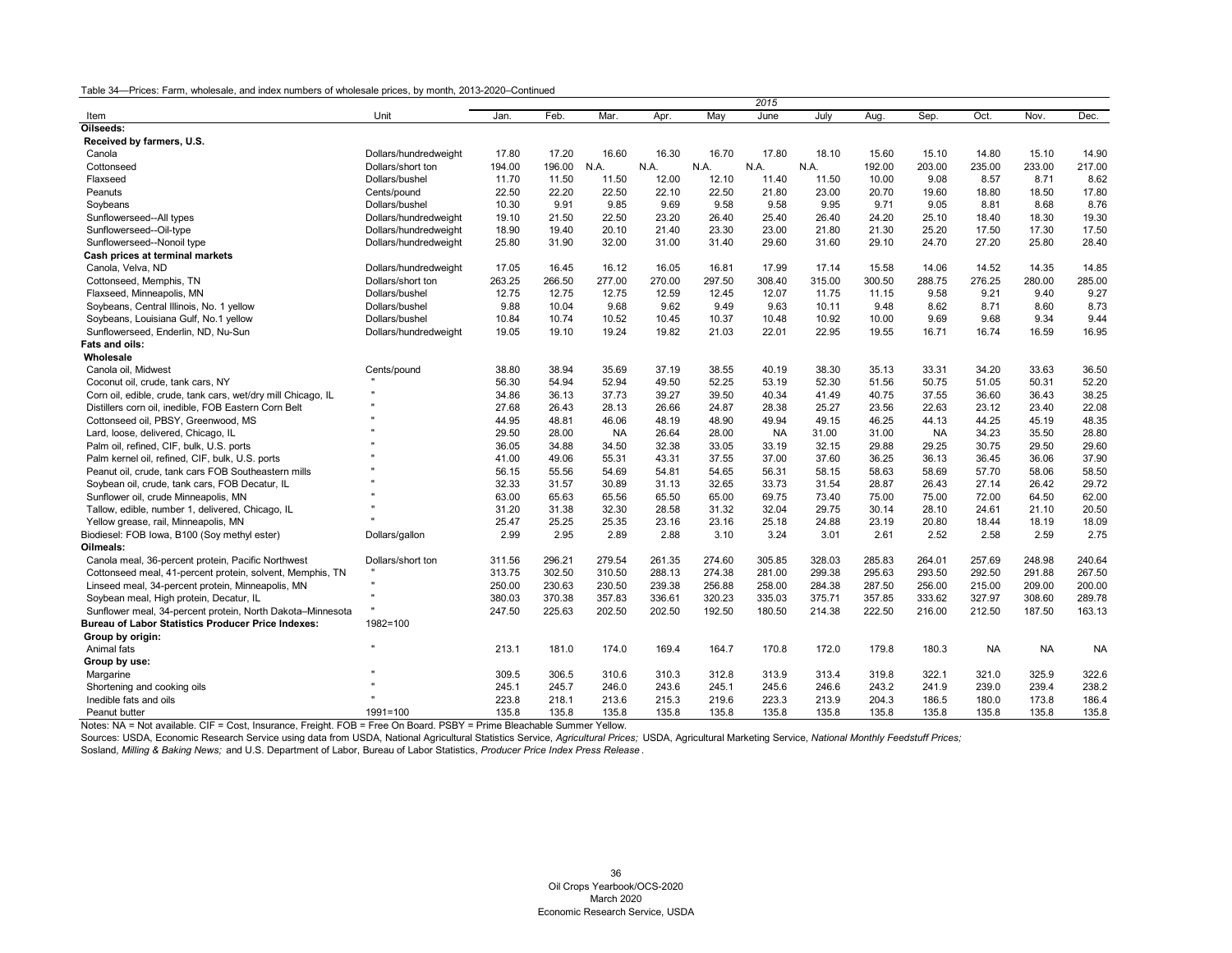|                                                              |                       |        |        |           |        |        | 2015      |        |        |           |           |           |           |
|--------------------------------------------------------------|-----------------------|--------|--------|-----------|--------|--------|-----------|--------|--------|-----------|-----------|-----------|-----------|
| Item                                                         | Unit                  | Jan.   | Feb.   | Mar.      | Apr.   | May    | June      | July   | Aug    | Sep.      | Oct.      | Nov.      | Dec.      |
| Oilseeds:                                                    |                       |        |        |           |        |        |           |        |        |           |           |           |           |
| Received by farmers, U.S.                                    |                       |        |        |           |        |        |           |        |        |           |           |           |           |
| Canola                                                       | Dollars/hundredweight | 17.80  | 17.20  | 16.60     | 16.30  | 16.70  | 17.80     | 18.10  | 15.60  | 15.10     | 14.80     | 15.10     | 14.90     |
| Cottonseed                                                   | Dollars/short ton     | 194.00 | 196.00 | N.A.      | N.A.   | N.A.   | N.A.      | N.A.   | 192.00 | 203.00    | 235.00    | 233.00    | 217.00    |
| Flaxseed                                                     | Dollars/bushel        | 11.70  | 11.50  | 11.50     | 12.00  | 12.10  | 11.40     | 11.50  | 10.00  | 9.08      | 8.57      | 8.71      | 8.62      |
| Peanuts                                                      | Cents/pound           | 22.50  | 22.20  | 22.50     | 22.10  | 22.50  | 21.80     | 23.00  | 20.70  | 19.60     | 18.80     | 18.50     | 17.80     |
| Soybeans                                                     | Dollars/bushel        | 10.30  | 9.91   | 9.85      | 9.69   | 9.58   | 9.58      | 9.95   | 9.71   | 9.05      | 8.81      | 8.68      | 8.76      |
| Sunflowerseed--All types                                     | Dollars/hundredweight | 19.10  | 21.50  | 22.50     | 23.20  | 26.40  | 25.40     | 26.40  | 24.20  | 25.10     | 18.40     | 18.30     | 19.30     |
| Sunflowerseed--Oil-type                                      | Dollars/hundredweight | 18.90  | 19.40  | 20.10     | 21.40  | 23.30  | 23.00     | 21.80  | 21.30  | 25.20     | 17.50     | 17.30     | 17.50     |
| Sunflowerseed--Nonoil type                                   | Dollars/hundredweight | 25.80  | 31.90  | 32.00     | 31.00  | 31.40  | 29.60     | 31.60  | 29.10  | 24.70     | 27.20     | 25.80     | 28.40     |
| Cash prices at terminal markets                              |                       |        |        |           |        |        |           |        |        |           |           |           |           |
| Canola, Velva, ND                                            | Dollars/hundredweight | 17.05  | 16.45  | 16.12     | 16.05  | 16.81  | 17.99     | 17.14  | 15.58  | 14.06     | 14.52     | 14.35     | 14.85     |
| Cottonseed, Memphis, TN                                      | Dollars/short ton     | 263.25 | 266.50 | 277.00    | 270.00 | 297.50 | 308.40    | 315.00 | 300.50 | 288.75    | 276.25    | 280.00    | 285.00    |
| Flaxseed, Minneapolis, MN                                    | Dollars/bushel        | 12.75  | 12.75  | 12.75     | 12.59  | 12.45  | 12.07     | 11.75  | 11.15  | 9.58      | 9.21      | 9.40      | 9.27      |
| Soybeans, Central Illinois, No. 1 yellow                     | Dollars/bushel        | 9.88   | 10.04  | 9.68      | 9.62   | 9.49   | 9.63      | 10.11  | 9.48   | 8.62      | 8.71      | 8.60      | 8.73      |
| Soybeans, Louisiana Gulf, No.1 yellow                        | Dollars/bushel        | 10.84  | 10.74  | 10.52     | 10.45  | 10.37  | 10.48     | 10.92  | 10.00  | 9.69      | 9.68      | 9.34      | 9.44      |
| Sunflowerseed, Enderlin, ND, Nu-Sun                          | Dollars/hundredweight | 19.05  | 19.10  | 19.24     | 19.82  | 21.03  | 22.01     | 22.95  | 19.55  | 16.71     | 16.74     | 16.59     | 16.95     |
| <b>Fats and oils:</b>                                        |                       |        |        |           |        |        |           |        |        |           |           |           |           |
| Wholesale                                                    |                       |        |        |           |        |        |           |        |        |           |           |           |           |
| Canola oil, Midwest                                          | Cents/pound           | 38.80  | 38.94  | 35.69     | 37.19  | 38.55  | 40.19     | 38.30  | 35.13  | 33.31     | 34.20     | 33.63     | 36.50     |
| Coconut oil, crude, tank cars, NY                            |                       | 56.30  | 54.94  | 52.94     | 49.50  | 52.25  | 53.19     | 52.30  | 51.56  | 50.75     | 51.05     | 50.31     | 52.20     |
| Corn oil, edible, crude, tank cars, wet/dry mill Chicago, IL |                       | 34.86  | 36.13  | 37.73     | 39.27  | 39.50  | 40.34     | 41.49  | 40.75  | 37.55     | 36.60     | 36.43     | 38.25     |
| Distillers corn oil, inedible, FOB Eastern Corn Belt         |                       | 27.68  | 26.43  | 28.13     | 26.66  | 24.87  | 28.38     | 25.27  | 23.56  | 22.63     | 23.12     | 23.40     | 22.08     |
| Cottonseed oil, PBSY, Greenwood, MS                          |                       | 44.95  | 48.81  | 46.06     | 48.19  | 48.90  | 49.94     | 49.15  | 46.25  | 44.13     | 44.25     | 45.19     | 48.35     |
| Lard, loose, delivered, Chicago, IL                          |                       | 29.50  | 28.00  | <b>NA</b> | 26.64  | 28.00  | <b>NA</b> | 31.00  | 31.00  | <b>NA</b> | 34.23     | 35.50     | 28.80     |
| Palm oil, refined, CIF, bulk, U.S. ports                     |                       | 36.05  | 34.88  | 34.50     | 32.38  | 33.05  | 33.19     | 32.15  | 29.88  | 29.25     | 30.75     | 29.50     | 29.60     |
| Palm kernel oil, refined, CIF, bulk, U.S. ports              |                       | 41.00  | 49.06  | 55.31     | 43.31  | 37.55  | 37.00     | 37.60  | 36.25  | 36.13     | 36.45     | 36.06     | 37.90     |
| Peanut oil, crude, tank cars FOB Southeastern mills          |                       | 56.15  | 55.56  | 54.69     | 54.81  | 54.65  | 56.31     | 58.15  | 58.63  | 58.69     | 57.70     | 58.06     | 58.50     |
| Soybean oil, crude, tank cars, FOB Decatur, IL               |                       | 32.33  | 31.57  | 30.89     | 31.13  | 32.65  | 33.73     | 31.54  | 28.87  | 26.43     | 27.14     | 26.42     | 29.72     |
| Sunflower oil, crude Minneapolis, MN                         |                       | 63.00  | 65.63  | 65.56     | 65.50  | 65.00  | 69.75     | 73.40  | 75.00  | 75.00     | 72.00     | 64.50     | 62.00     |
| Tallow, edible, number 1, delivered, Chicago, IL             |                       | 31.20  | 31.38  | 32.30     | 28.58  | 31.32  | 32.04     | 29.75  | 30.14  | 28.10     | 24.61     | 21.10     | 20.50     |
| Yellow grease, rail, Minneapolis, MN                         |                       | 25.47  | 25.25  | 25.35     | 23.16  | 23.16  | 25.18     | 24.88  | 23.19  | 20.80     | 18.44     | 18.19     | 18.09     |
| Biodiesel: FOB Iowa, B100 (Soy methyl ester)                 | Dollars/gallon        | 2.99   | 2.95   | 2.89      | 2.88   | 3.10   | 3.24      | 3.01   | 2.61   | 2.52      | 2.58      | 2.59      | 2.75      |
| Oilmeals:                                                    |                       |        |        |           |        |        |           |        |        |           |           |           |           |
| Canola meal, 36-percent protein, Pacific Northwest           | Dollars/short ton     | 311.56 | 296.21 | 279.54    | 261.35 | 274.60 | 305.85    | 328.03 | 285.83 | 264.01    | 257.69    | 248.98    | 240.64    |
| Cottonseed meal, 41-percent protein, solvent, Memphis, TN    |                       | 313.75 | 302.50 | 310.50    | 288.13 | 274.38 | 281.00    | 299.38 | 295.63 | 293.50    | 292.50    | 291.88    | 267.50    |
| Linseed meal, 34-percent protein, Minneapolis, MN            |                       | 250.00 | 230.63 | 230.50    | 239.38 | 256.88 | 258.00    | 284.38 | 287.50 | 256.00    | 215.00    | 209.00    | 200.00    |
| Soybean meal, High protein, Decatur, IL                      |                       | 380.03 | 370.38 | 357.83    | 336.61 | 320.23 | 335.03    | 375.71 | 357.85 | 333.62    | 327.97    | 308.60    | 289.78    |
| Sunflower meal, 34-percent protein, North Dakota-Minnesota   | $\pmb{\mathfrak{m}}$  | 247.50 | 225.63 | 202.50    | 202.50 | 192.50 | 180.50    | 214.38 | 222.50 | 216.00    | 212.50    | 187.50    | 163.13    |
| <b>Bureau of Labor Statistics Producer Price Indexes:</b>    | 1982=100              |        |        |           |        |        |           |        |        |           |           |           |           |
| Group by origin:                                             |                       |        |        |           |        |        |           |        |        |           |           |           |           |
| Animal fats                                                  | $\mathbf{u}$          | 213.1  | 181.0  | 174.0     | 169.4  | 164.7  | 170.8     | 172.0  | 179.8  | 180.3     | <b>NA</b> | <b>NA</b> | <b>NA</b> |
| Group by use:                                                |                       |        |        |           |        |        |           |        |        |           |           |           |           |
| Margarine                                                    |                       | 309.5  | 306.5  | 310.6     | 310.3  | 312.8  | 313.9     | 313.4  | 319.8  | 322.1     | 321.0     | 325.9     | 322.6     |
| Shortening and cooking oils                                  |                       | 245.1  | 245.7  | 246.0     | 243.6  | 245.1  | 245.6     | 246.6  | 243.2  | 241.9     | 239.0     | 239.4     | 238.2     |
| Inedible fats and oils                                       |                       | 223.8  | 218.1  | 213.6     | 215.3  | 219.6  | 223.3     | 213.9  | 204.3  | 186.5     | 180.0     | 173.8     | 186.4     |
| Peanut butter                                                | $1991 = 100$          | 135.8  | 135.8  | 135.8     | 135.8  | 135.8  | 135.8     | 135.8  | 135.8  | 135.8     | 135.8     | 135.8     | 135.8     |

Notes: NA = Not available. CIF = Cost, Insurance, Freight. FOB = Free On Board. PSBY = Prime Bleachable Summer Yellow.

Sources: USDA, Economic Research Service using data from USDA, National Agricultural Statistics Service, *Agricultural Prices;* USDA, Agricultural Marketing Service, *National Monthly Feedstuff Prices;*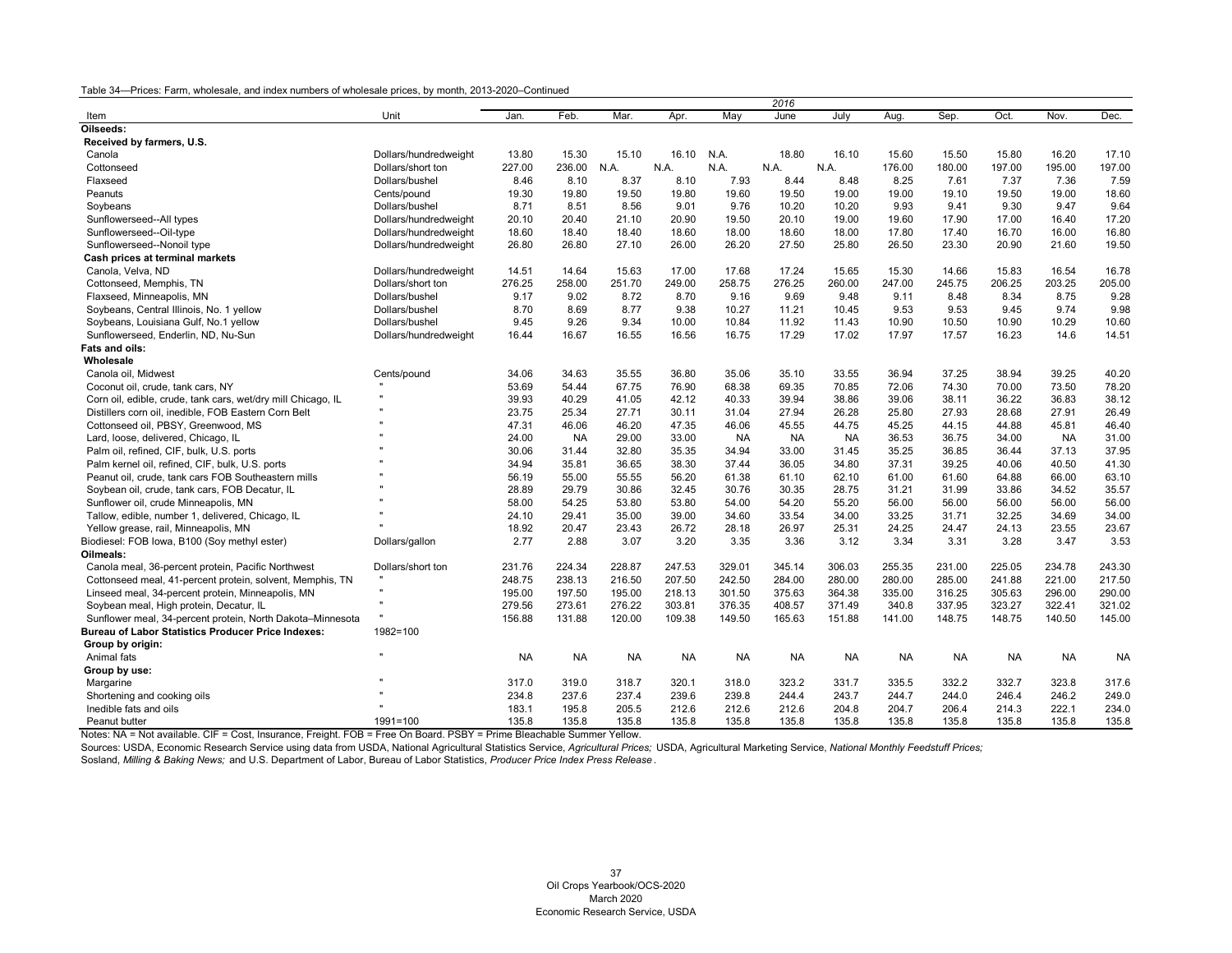| Unit<br>Feb.<br>Mar.<br>May<br>June<br>July<br>Sep.<br>Oct.<br>Nov.<br>Dec.<br>Jan.<br>Apr.<br>Aug.<br>Item<br>Oilseeds:<br>Received by farmers, U.S.<br>N.A.<br>18.80<br>16.20<br>Canola<br>Dollars/hundredweight<br>13.80<br>15.30<br>15.10<br>16.10<br>16.10<br>15.60<br>15.50<br>15.80<br>17.10<br>227.00<br>236.00<br>N.A.<br>N.A<br>176.00<br>180.00<br>197.00<br>195.00<br>197.00<br>Cottonseed<br>Dollars/short ton<br>N.A<br>N.A.<br>N.A.<br>7.93<br>8.48<br>8.25<br>7.61<br>7.37<br>7.36<br>7.59<br>Flaxseed<br>Dollars/bushel<br>8.46<br>8.10<br>8.37<br>8.10<br>8.44<br>Peanuts<br>19.30<br>19.80<br>19.50<br>19.80<br>19.60<br>19.50<br>19.00<br>19.00<br>19.10<br>19.50<br>19.00<br>18.60<br>Cents/pound<br>10.20<br>9.93<br>9.30<br>9.47<br>9.64<br>Dollars/bushel<br>8.71<br>8.51<br>8.56<br>9.01<br>9.76<br>10.20<br>9.41<br>Soybeans<br>17.00<br>17.20<br>20.10<br>20.40<br>21.10<br>20.90<br>19.50<br>20.10<br>19.00<br>19.60<br>17.90<br>16.40<br>Sunflowerseed--All types<br>Dollars/hundredweight<br>18.40<br>18.60<br>18.00<br>18.60<br>18.00<br>17.80<br>17.40<br>16.70<br>16.00<br>16.80<br>Sunflowerseed--Oil-type<br>Dollars/hundredweight<br>18.60<br>18.40<br>27.10<br>26.20<br>27.50<br>23.30<br>20.90<br>21.60<br>19.50<br>Sunflowerseed--Nonoil type<br>Dollars/hundredweight<br>26.80<br>26.80<br>26.00<br>25.80<br>26.50<br>Cash prices at terminal markets<br>Canola, Velva, ND<br>14.51<br>14.64<br>15.63<br>17.00<br>17.68<br>17.24<br>15.65<br>15.30<br>14.66<br>15.83<br>16.54<br>16.78<br>Dollars/hundredweight<br>Cottonseed, Memphis, TN<br>276.25<br>258.00<br>251.70<br>249.00<br>258.75<br>276.25<br>260.00<br>247.00<br>245.75<br>206.25<br>203.25<br>205.00<br>Dollars/short ton<br>9.17<br>9.02<br>9.69<br>9.11<br>8.48<br>8.34<br>8.75<br>9.28<br>Flaxseed, Minneapolis, MN<br>Dollars/bushel<br>8.72<br>8.70<br>9.16<br>9.48<br>8.70<br>8.69<br>8.77<br>9.38<br>10.27<br>9.53<br>9.53<br>9.45<br>9.74<br>9.98<br>Soybeans, Central Illinois, No. 1 yellow<br>Dollars/bushel<br>11.21<br>10.45<br>9.45<br>9.26<br>9.34<br>10.84<br>10.90<br>10.50<br>10.90<br>10.29<br>10.60<br>Soybeans, Louisiana Gulf, No.1 yellow<br>Dollars/bushel<br>10.00<br>11.92<br>11.43<br>17.57<br>16.23<br>Sunflowerseed, Enderlin, ND, Nu-Sun<br>16.67<br>16.55<br>16.56<br>16.75<br>17.29<br>17.02<br>17.97<br>14.6<br>14.51<br>Dollars/hundredweight<br>16.44<br>Fats and oils:<br>Wholesale<br>39.25<br>Canola oil, Midwest<br>Cents/pound<br>34.06<br>34.63<br>35.55<br>36.80<br>35.06<br>35.10<br>33.55<br>36.94<br>37.25<br>38.94<br>40.20<br>78.20<br>53.69<br>54.44<br>67.75<br>76.90<br>68.38<br>69.35<br>70.85<br>72.06<br>74.30<br>70.00<br>73.50<br>Coconut oil, crude, tank cars, NY<br>$\mathbf{u}$<br>39.93<br>40.29<br>41.05<br>42.12<br>40.33<br>39.94<br>38.86<br>39.06<br>38.11<br>36.22<br>36.83<br>38.12<br>Corn oil, edible, crude, tank cars, wet/dry mill Chicago, IL<br>Distillers corn oil, inedible, FOB Eastern Corn Belt<br>23.75<br>25.34<br>27.71<br>30.11<br>31.04<br>27.94<br>26.28<br>25.80<br>27.93<br>28.68<br>27.91<br>26.49<br>Cottonseed oil, PBSY, Greenwood, MS<br>47.31<br>46.06<br>46.20<br>47.35<br>46.06<br>44.75<br>45.25<br>44.15<br>44.88<br>45.81<br>46.40<br>45.55<br>24.00<br>29.00<br>33.00<br>36.53<br>36.75<br>34.00<br>31.00<br>Lard, loose, delivered, Chicago, IL<br><b>NA</b><br><b>NA</b><br><b>NA</b><br><b>NA</b><br><b>NA</b><br>32.80<br>35.35<br>36.85<br>37.13<br>37.95<br>Palm oil, refined, CIF, bulk, U.S. ports<br>30.06<br>31.44<br>34.94<br>33.00<br>31.45<br>35.25<br>36.44<br>41.30<br>Palm kernel oil, refined, CIF, bulk, U.S. ports<br>34.94<br>36.65<br>38.30<br>37.44<br>34.80<br>37.31<br>39.25<br>40.06<br>40.50<br>35.81<br>36.05<br>56.19<br>61.60<br>64.88<br>66.00<br>63.10<br>Peanut oil, crude, tank cars FOB Southeastern mills<br>55.00<br>55.55<br>56.20<br>61.38<br>61.10<br>62.10<br>61.00<br>35.57<br>Soybean oil, crude, tank cars, FOB Decatur, IL<br>28.89<br>29.79<br>30.86<br>32.45<br>30.76<br>30.35<br>28.75<br>31.21<br>31.99<br>33.86<br>34.52<br>58.00<br>54.25<br>53.80<br>56.00<br>56.00<br>56.00<br>Sunflower oil, crude Minneapolis, MN<br>53.80<br>54.00<br>54.20<br>55.20<br>56.00<br>56.00<br>Tallow, edible, number 1, delivered, Chicago, IL<br>24.10<br>29.41<br>35.00<br>39.00<br>34.60<br>33.54<br>34.00<br>33.25<br>31.71<br>32.25<br>34.69<br>34.00<br>18.92<br>20.47<br>23.43<br>26.72<br>28.18<br>26.97<br>25.31<br>24.25<br>24.47<br>24.13<br>23.55<br>23.67<br>Yellow grease, rail, Minneapolis, MN<br>Biodiesel: FOB Iowa, B100 (Soy methyl ester)<br>2.77<br>2.88<br>3.07<br>3.20<br>3.35<br>3.36<br>3.12<br>3.34<br>3.31<br>3.28<br>3.47<br>3.53<br>Dollars/gallon<br>Oilmeals:<br>Canola meal, 36-percent protein, Pacific Northwest<br>231.76<br>224.34<br>228.87<br>247.53<br>329.01<br>345.14<br>306.03<br>255.35<br>231.00<br>225.05<br>234.78<br>243.30<br>Dollars/short ton<br>217.50<br>Cottonseed meal, 41-percent protein, solvent, Memphis, TN<br>248.75<br>238.13<br>216.50<br>207.50<br>242.50<br>284.00<br>280.00<br>280.00<br>285.00<br>241.88<br>221.00<br>375.63<br>305.63<br>296.00<br>290.00<br>Linseed meal, 34-percent protein, Minneapolis, MN<br>195.00<br>197.50<br>195.00<br>218.13<br>301.50<br>364.38<br>335.00<br>316.25<br>Soybean meal, High protein, Decatur, IL<br>279.56<br>273.61<br>276.22<br>303.81<br>376.35<br>408.57<br>371.49<br>340.8<br>337.95<br>323.27<br>322.41<br>321.02<br>156.88<br>131.88<br>120.00<br>109.38<br>151.88<br>148.75<br>148.75<br>145.00<br>Sunflower meal, 34-percent protein, North Dakota-Minnesota<br>149.50<br>165.63<br>141.00<br>140.50<br><b>Bureau of Labor Statistics Producer Price Indexes:</b><br>1982=100<br>Group by origin: |              |  |  | 2016 |  |           |           |  |
|---------------------------------------------------------------------------------------------------------------------------------------------------------------------------------------------------------------------------------------------------------------------------------------------------------------------------------------------------------------------------------------------------------------------------------------------------------------------------------------------------------------------------------------------------------------------------------------------------------------------------------------------------------------------------------------------------------------------------------------------------------------------------------------------------------------------------------------------------------------------------------------------------------------------------------------------------------------------------------------------------------------------------------------------------------------------------------------------------------------------------------------------------------------------------------------------------------------------------------------------------------------------------------------------------------------------------------------------------------------------------------------------------------------------------------------------------------------------------------------------------------------------------------------------------------------------------------------------------------------------------------------------------------------------------------------------------------------------------------------------------------------------------------------------------------------------------------------------------------------------------------------------------------------------------------------------------------------------------------------------------------------------------------------------------------------------------------------------------------------------------------------------------------------------------------------------------------------------------------------------------------------------------------------------------------------------------------------------------------------------------------------------------------------------------------------------------------------------------------------------------------------------------------------------------------------------------------------------------------------------------------------------------------------------------------------------------------------------------------------------------------------------------------------------------------------------------------------------------------------------------------------------------------------------------------------------------------------------------------------------------------------------------------------------------------------------------------------------------------------------------------------------------------------------------------------------------------------------------------------------------------------------------------------------------------------------------------------------------------------------------------------------------------------------------------------------------------------------------------------------------------------------------------------------------------------------------------------------------------------------------------------------------------------------------------------------------------------------------------------------------------------------------------------------------------------------------------------------------------------------------------------------------------------------------------------------------------------------------------------------------------------------------------------------------------------------------------------------------------------------------------------------------------------------------------------------------------------------------------------------------------------------------------------------------------------------------------------------------------------------------------------------------------------------------------------------------------------------------------------------------------------------------------------------------------------------------------------------------------------------------------------------------------------------------------------------------------------------------------------------------------------------------------------------------------------------------------------------------------------------------------------------------------------------------------------------------------------------------------------------------------------------------------------------------------------------------------------------------------------------------------------------------------------------------------------------------------------------------------------------------------------------------------------------------------------------------------------------------------------------------------------------------------------------------------------------------------------------------------------------------------------------------------------------------------------------------------------------------------------------------------------------------------------------------------------------------------------------------------------------------------------------|--------------|--|--|------|--|-----------|-----------|--|
|                                                                                                                                                                                                                                                                                                                                                                                                                                                                                                                                                                                                                                                                                                                                                                                                                                                                                                                                                                                                                                                                                                                                                                                                                                                                                                                                                                                                                                                                                                                                                                                                                                                                                                                                                                                                                                                                                                                                                                                                                                                                                                                                                                                                                                                                                                                                                                                                                                                                                                                                                                                                                                                                                                                                                                                                                                                                                                                                                                                                                                                                                                                                                                                                                                                                                                                                                                                                                                                                                                                                                                                                                                                                                                                                                                                                                                                                                                                                                                                                                                                                                                                                                                                                                                                                                                                                                                                                                                                                                                                                                                                                                                                                                                                                                                                                                                                                                                                                                                                                                                                                                                                                                                                                                                                                                                                                                                                                                                                                                                                                                                                                                                                                                                                                                                     |              |  |  |      |  |           |           |  |
|                                                                                                                                                                                                                                                                                                                                                                                                                                                                                                                                                                                                                                                                                                                                                                                                                                                                                                                                                                                                                                                                                                                                                                                                                                                                                                                                                                                                                                                                                                                                                                                                                                                                                                                                                                                                                                                                                                                                                                                                                                                                                                                                                                                                                                                                                                                                                                                                                                                                                                                                                                                                                                                                                                                                                                                                                                                                                                                                                                                                                                                                                                                                                                                                                                                                                                                                                                                                                                                                                                                                                                                                                                                                                                                                                                                                                                                                                                                                                                                                                                                                                                                                                                                                                                                                                                                                                                                                                                                                                                                                                                                                                                                                                                                                                                                                                                                                                                                                                                                                                                                                                                                                                                                                                                                                                                                                                                                                                                                                                                                                                                                                                                                                                                                                                                     |              |  |  |      |  |           |           |  |
|                                                                                                                                                                                                                                                                                                                                                                                                                                                                                                                                                                                                                                                                                                                                                                                                                                                                                                                                                                                                                                                                                                                                                                                                                                                                                                                                                                                                                                                                                                                                                                                                                                                                                                                                                                                                                                                                                                                                                                                                                                                                                                                                                                                                                                                                                                                                                                                                                                                                                                                                                                                                                                                                                                                                                                                                                                                                                                                                                                                                                                                                                                                                                                                                                                                                                                                                                                                                                                                                                                                                                                                                                                                                                                                                                                                                                                                                                                                                                                                                                                                                                                                                                                                                                                                                                                                                                                                                                                                                                                                                                                                                                                                                                                                                                                                                                                                                                                                                                                                                                                                                                                                                                                                                                                                                                                                                                                                                                                                                                                                                                                                                                                                                                                                                                                     |              |  |  |      |  |           |           |  |
|                                                                                                                                                                                                                                                                                                                                                                                                                                                                                                                                                                                                                                                                                                                                                                                                                                                                                                                                                                                                                                                                                                                                                                                                                                                                                                                                                                                                                                                                                                                                                                                                                                                                                                                                                                                                                                                                                                                                                                                                                                                                                                                                                                                                                                                                                                                                                                                                                                                                                                                                                                                                                                                                                                                                                                                                                                                                                                                                                                                                                                                                                                                                                                                                                                                                                                                                                                                                                                                                                                                                                                                                                                                                                                                                                                                                                                                                                                                                                                                                                                                                                                                                                                                                                                                                                                                                                                                                                                                                                                                                                                                                                                                                                                                                                                                                                                                                                                                                                                                                                                                                                                                                                                                                                                                                                                                                                                                                                                                                                                                                                                                                                                                                                                                                                                     |              |  |  |      |  |           |           |  |
|                                                                                                                                                                                                                                                                                                                                                                                                                                                                                                                                                                                                                                                                                                                                                                                                                                                                                                                                                                                                                                                                                                                                                                                                                                                                                                                                                                                                                                                                                                                                                                                                                                                                                                                                                                                                                                                                                                                                                                                                                                                                                                                                                                                                                                                                                                                                                                                                                                                                                                                                                                                                                                                                                                                                                                                                                                                                                                                                                                                                                                                                                                                                                                                                                                                                                                                                                                                                                                                                                                                                                                                                                                                                                                                                                                                                                                                                                                                                                                                                                                                                                                                                                                                                                                                                                                                                                                                                                                                                                                                                                                                                                                                                                                                                                                                                                                                                                                                                                                                                                                                                                                                                                                                                                                                                                                                                                                                                                                                                                                                                                                                                                                                                                                                                                                     |              |  |  |      |  |           |           |  |
|                                                                                                                                                                                                                                                                                                                                                                                                                                                                                                                                                                                                                                                                                                                                                                                                                                                                                                                                                                                                                                                                                                                                                                                                                                                                                                                                                                                                                                                                                                                                                                                                                                                                                                                                                                                                                                                                                                                                                                                                                                                                                                                                                                                                                                                                                                                                                                                                                                                                                                                                                                                                                                                                                                                                                                                                                                                                                                                                                                                                                                                                                                                                                                                                                                                                                                                                                                                                                                                                                                                                                                                                                                                                                                                                                                                                                                                                                                                                                                                                                                                                                                                                                                                                                                                                                                                                                                                                                                                                                                                                                                                                                                                                                                                                                                                                                                                                                                                                                                                                                                                                                                                                                                                                                                                                                                                                                                                                                                                                                                                                                                                                                                                                                                                                                                     |              |  |  |      |  |           |           |  |
|                                                                                                                                                                                                                                                                                                                                                                                                                                                                                                                                                                                                                                                                                                                                                                                                                                                                                                                                                                                                                                                                                                                                                                                                                                                                                                                                                                                                                                                                                                                                                                                                                                                                                                                                                                                                                                                                                                                                                                                                                                                                                                                                                                                                                                                                                                                                                                                                                                                                                                                                                                                                                                                                                                                                                                                                                                                                                                                                                                                                                                                                                                                                                                                                                                                                                                                                                                                                                                                                                                                                                                                                                                                                                                                                                                                                                                                                                                                                                                                                                                                                                                                                                                                                                                                                                                                                                                                                                                                                                                                                                                                                                                                                                                                                                                                                                                                                                                                                                                                                                                                                                                                                                                                                                                                                                                                                                                                                                                                                                                                                                                                                                                                                                                                                                                     |              |  |  |      |  |           |           |  |
|                                                                                                                                                                                                                                                                                                                                                                                                                                                                                                                                                                                                                                                                                                                                                                                                                                                                                                                                                                                                                                                                                                                                                                                                                                                                                                                                                                                                                                                                                                                                                                                                                                                                                                                                                                                                                                                                                                                                                                                                                                                                                                                                                                                                                                                                                                                                                                                                                                                                                                                                                                                                                                                                                                                                                                                                                                                                                                                                                                                                                                                                                                                                                                                                                                                                                                                                                                                                                                                                                                                                                                                                                                                                                                                                                                                                                                                                                                                                                                                                                                                                                                                                                                                                                                                                                                                                                                                                                                                                                                                                                                                                                                                                                                                                                                                                                                                                                                                                                                                                                                                                                                                                                                                                                                                                                                                                                                                                                                                                                                                                                                                                                                                                                                                                                                     |              |  |  |      |  |           |           |  |
|                                                                                                                                                                                                                                                                                                                                                                                                                                                                                                                                                                                                                                                                                                                                                                                                                                                                                                                                                                                                                                                                                                                                                                                                                                                                                                                                                                                                                                                                                                                                                                                                                                                                                                                                                                                                                                                                                                                                                                                                                                                                                                                                                                                                                                                                                                                                                                                                                                                                                                                                                                                                                                                                                                                                                                                                                                                                                                                                                                                                                                                                                                                                                                                                                                                                                                                                                                                                                                                                                                                                                                                                                                                                                                                                                                                                                                                                                                                                                                                                                                                                                                                                                                                                                                                                                                                                                                                                                                                                                                                                                                                                                                                                                                                                                                                                                                                                                                                                                                                                                                                                                                                                                                                                                                                                                                                                                                                                                                                                                                                                                                                                                                                                                                                                                                     |              |  |  |      |  |           |           |  |
|                                                                                                                                                                                                                                                                                                                                                                                                                                                                                                                                                                                                                                                                                                                                                                                                                                                                                                                                                                                                                                                                                                                                                                                                                                                                                                                                                                                                                                                                                                                                                                                                                                                                                                                                                                                                                                                                                                                                                                                                                                                                                                                                                                                                                                                                                                                                                                                                                                                                                                                                                                                                                                                                                                                                                                                                                                                                                                                                                                                                                                                                                                                                                                                                                                                                                                                                                                                                                                                                                                                                                                                                                                                                                                                                                                                                                                                                                                                                                                                                                                                                                                                                                                                                                                                                                                                                                                                                                                                                                                                                                                                                                                                                                                                                                                                                                                                                                                                                                                                                                                                                                                                                                                                                                                                                                                                                                                                                                                                                                                                                                                                                                                                                                                                                                                     |              |  |  |      |  |           |           |  |
|                                                                                                                                                                                                                                                                                                                                                                                                                                                                                                                                                                                                                                                                                                                                                                                                                                                                                                                                                                                                                                                                                                                                                                                                                                                                                                                                                                                                                                                                                                                                                                                                                                                                                                                                                                                                                                                                                                                                                                                                                                                                                                                                                                                                                                                                                                                                                                                                                                                                                                                                                                                                                                                                                                                                                                                                                                                                                                                                                                                                                                                                                                                                                                                                                                                                                                                                                                                                                                                                                                                                                                                                                                                                                                                                                                                                                                                                                                                                                                                                                                                                                                                                                                                                                                                                                                                                                                                                                                                                                                                                                                                                                                                                                                                                                                                                                                                                                                                                                                                                                                                                                                                                                                                                                                                                                                                                                                                                                                                                                                                                                                                                                                                                                                                                                                     |              |  |  |      |  |           |           |  |
|                                                                                                                                                                                                                                                                                                                                                                                                                                                                                                                                                                                                                                                                                                                                                                                                                                                                                                                                                                                                                                                                                                                                                                                                                                                                                                                                                                                                                                                                                                                                                                                                                                                                                                                                                                                                                                                                                                                                                                                                                                                                                                                                                                                                                                                                                                                                                                                                                                                                                                                                                                                                                                                                                                                                                                                                                                                                                                                                                                                                                                                                                                                                                                                                                                                                                                                                                                                                                                                                                                                                                                                                                                                                                                                                                                                                                                                                                                                                                                                                                                                                                                                                                                                                                                                                                                                                                                                                                                                                                                                                                                                                                                                                                                                                                                                                                                                                                                                                                                                                                                                                                                                                                                                                                                                                                                                                                                                                                                                                                                                                                                                                                                                                                                                                                                     |              |  |  |      |  |           |           |  |
|                                                                                                                                                                                                                                                                                                                                                                                                                                                                                                                                                                                                                                                                                                                                                                                                                                                                                                                                                                                                                                                                                                                                                                                                                                                                                                                                                                                                                                                                                                                                                                                                                                                                                                                                                                                                                                                                                                                                                                                                                                                                                                                                                                                                                                                                                                                                                                                                                                                                                                                                                                                                                                                                                                                                                                                                                                                                                                                                                                                                                                                                                                                                                                                                                                                                                                                                                                                                                                                                                                                                                                                                                                                                                                                                                                                                                                                                                                                                                                                                                                                                                                                                                                                                                                                                                                                                                                                                                                                                                                                                                                                                                                                                                                                                                                                                                                                                                                                                                                                                                                                                                                                                                                                                                                                                                                                                                                                                                                                                                                                                                                                                                                                                                                                                                                     |              |  |  |      |  |           |           |  |
|                                                                                                                                                                                                                                                                                                                                                                                                                                                                                                                                                                                                                                                                                                                                                                                                                                                                                                                                                                                                                                                                                                                                                                                                                                                                                                                                                                                                                                                                                                                                                                                                                                                                                                                                                                                                                                                                                                                                                                                                                                                                                                                                                                                                                                                                                                                                                                                                                                                                                                                                                                                                                                                                                                                                                                                                                                                                                                                                                                                                                                                                                                                                                                                                                                                                                                                                                                                                                                                                                                                                                                                                                                                                                                                                                                                                                                                                                                                                                                                                                                                                                                                                                                                                                                                                                                                                                                                                                                                                                                                                                                                                                                                                                                                                                                                                                                                                                                                                                                                                                                                                                                                                                                                                                                                                                                                                                                                                                                                                                                                                                                                                                                                                                                                                                                     |              |  |  |      |  |           |           |  |
|                                                                                                                                                                                                                                                                                                                                                                                                                                                                                                                                                                                                                                                                                                                                                                                                                                                                                                                                                                                                                                                                                                                                                                                                                                                                                                                                                                                                                                                                                                                                                                                                                                                                                                                                                                                                                                                                                                                                                                                                                                                                                                                                                                                                                                                                                                                                                                                                                                                                                                                                                                                                                                                                                                                                                                                                                                                                                                                                                                                                                                                                                                                                                                                                                                                                                                                                                                                                                                                                                                                                                                                                                                                                                                                                                                                                                                                                                                                                                                                                                                                                                                                                                                                                                                                                                                                                                                                                                                                                                                                                                                                                                                                                                                                                                                                                                                                                                                                                                                                                                                                                                                                                                                                                                                                                                                                                                                                                                                                                                                                                                                                                                                                                                                                                                                     |              |  |  |      |  |           |           |  |
|                                                                                                                                                                                                                                                                                                                                                                                                                                                                                                                                                                                                                                                                                                                                                                                                                                                                                                                                                                                                                                                                                                                                                                                                                                                                                                                                                                                                                                                                                                                                                                                                                                                                                                                                                                                                                                                                                                                                                                                                                                                                                                                                                                                                                                                                                                                                                                                                                                                                                                                                                                                                                                                                                                                                                                                                                                                                                                                                                                                                                                                                                                                                                                                                                                                                                                                                                                                                                                                                                                                                                                                                                                                                                                                                                                                                                                                                                                                                                                                                                                                                                                                                                                                                                                                                                                                                                                                                                                                                                                                                                                                                                                                                                                                                                                                                                                                                                                                                                                                                                                                                                                                                                                                                                                                                                                                                                                                                                                                                                                                                                                                                                                                                                                                                                                     |              |  |  |      |  |           |           |  |
|                                                                                                                                                                                                                                                                                                                                                                                                                                                                                                                                                                                                                                                                                                                                                                                                                                                                                                                                                                                                                                                                                                                                                                                                                                                                                                                                                                                                                                                                                                                                                                                                                                                                                                                                                                                                                                                                                                                                                                                                                                                                                                                                                                                                                                                                                                                                                                                                                                                                                                                                                                                                                                                                                                                                                                                                                                                                                                                                                                                                                                                                                                                                                                                                                                                                                                                                                                                                                                                                                                                                                                                                                                                                                                                                                                                                                                                                                                                                                                                                                                                                                                                                                                                                                                                                                                                                                                                                                                                                                                                                                                                                                                                                                                                                                                                                                                                                                                                                                                                                                                                                                                                                                                                                                                                                                                                                                                                                                                                                                                                                                                                                                                                                                                                                                                     |              |  |  |      |  |           |           |  |
|                                                                                                                                                                                                                                                                                                                                                                                                                                                                                                                                                                                                                                                                                                                                                                                                                                                                                                                                                                                                                                                                                                                                                                                                                                                                                                                                                                                                                                                                                                                                                                                                                                                                                                                                                                                                                                                                                                                                                                                                                                                                                                                                                                                                                                                                                                                                                                                                                                                                                                                                                                                                                                                                                                                                                                                                                                                                                                                                                                                                                                                                                                                                                                                                                                                                                                                                                                                                                                                                                                                                                                                                                                                                                                                                                                                                                                                                                                                                                                                                                                                                                                                                                                                                                                                                                                                                                                                                                                                                                                                                                                                                                                                                                                                                                                                                                                                                                                                                                                                                                                                                                                                                                                                                                                                                                                                                                                                                                                                                                                                                                                                                                                                                                                                                                                     |              |  |  |      |  |           |           |  |
|                                                                                                                                                                                                                                                                                                                                                                                                                                                                                                                                                                                                                                                                                                                                                                                                                                                                                                                                                                                                                                                                                                                                                                                                                                                                                                                                                                                                                                                                                                                                                                                                                                                                                                                                                                                                                                                                                                                                                                                                                                                                                                                                                                                                                                                                                                                                                                                                                                                                                                                                                                                                                                                                                                                                                                                                                                                                                                                                                                                                                                                                                                                                                                                                                                                                                                                                                                                                                                                                                                                                                                                                                                                                                                                                                                                                                                                                                                                                                                                                                                                                                                                                                                                                                                                                                                                                                                                                                                                                                                                                                                                                                                                                                                                                                                                                                                                                                                                                                                                                                                                                                                                                                                                                                                                                                                                                                                                                                                                                                                                                                                                                                                                                                                                                                                     |              |  |  |      |  |           |           |  |
|                                                                                                                                                                                                                                                                                                                                                                                                                                                                                                                                                                                                                                                                                                                                                                                                                                                                                                                                                                                                                                                                                                                                                                                                                                                                                                                                                                                                                                                                                                                                                                                                                                                                                                                                                                                                                                                                                                                                                                                                                                                                                                                                                                                                                                                                                                                                                                                                                                                                                                                                                                                                                                                                                                                                                                                                                                                                                                                                                                                                                                                                                                                                                                                                                                                                                                                                                                                                                                                                                                                                                                                                                                                                                                                                                                                                                                                                                                                                                                                                                                                                                                                                                                                                                                                                                                                                                                                                                                                                                                                                                                                                                                                                                                                                                                                                                                                                                                                                                                                                                                                                                                                                                                                                                                                                                                                                                                                                                                                                                                                                                                                                                                                                                                                                                                     |              |  |  |      |  |           |           |  |
|                                                                                                                                                                                                                                                                                                                                                                                                                                                                                                                                                                                                                                                                                                                                                                                                                                                                                                                                                                                                                                                                                                                                                                                                                                                                                                                                                                                                                                                                                                                                                                                                                                                                                                                                                                                                                                                                                                                                                                                                                                                                                                                                                                                                                                                                                                                                                                                                                                                                                                                                                                                                                                                                                                                                                                                                                                                                                                                                                                                                                                                                                                                                                                                                                                                                                                                                                                                                                                                                                                                                                                                                                                                                                                                                                                                                                                                                                                                                                                                                                                                                                                                                                                                                                                                                                                                                                                                                                                                                                                                                                                                                                                                                                                                                                                                                                                                                                                                                                                                                                                                                                                                                                                                                                                                                                                                                                                                                                                                                                                                                                                                                                                                                                                                                                                     |              |  |  |      |  |           |           |  |
|                                                                                                                                                                                                                                                                                                                                                                                                                                                                                                                                                                                                                                                                                                                                                                                                                                                                                                                                                                                                                                                                                                                                                                                                                                                                                                                                                                                                                                                                                                                                                                                                                                                                                                                                                                                                                                                                                                                                                                                                                                                                                                                                                                                                                                                                                                                                                                                                                                                                                                                                                                                                                                                                                                                                                                                                                                                                                                                                                                                                                                                                                                                                                                                                                                                                                                                                                                                                                                                                                                                                                                                                                                                                                                                                                                                                                                                                                                                                                                                                                                                                                                                                                                                                                                                                                                                                                                                                                                                                                                                                                                                                                                                                                                                                                                                                                                                                                                                                                                                                                                                                                                                                                                                                                                                                                                                                                                                                                                                                                                                                                                                                                                                                                                                                                                     |              |  |  |      |  |           |           |  |
|                                                                                                                                                                                                                                                                                                                                                                                                                                                                                                                                                                                                                                                                                                                                                                                                                                                                                                                                                                                                                                                                                                                                                                                                                                                                                                                                                                                                                                                                                                                                                                                                                                                                                                                                                                                                                                                                                                                                                                                                                                                                                                                                                                                                                                                                                                                                                                                                                                                                                                                                                                                                                                                                                                                                                                                                                                                                                                                                                                                                                                                                                                                                                                                                                                                                                                                                                                                                                                                                                                                                                                                                                                                                                                                                                                                                                                                                                                                                                                                                                                                                                                                                                                                                                                                                                                                                                                                                                                                                                                                                                                                                                                                                                                                                                                                                                                                                                                                                                                                                                                                                                                                                                                                                                                                                                                                                                                                                                                                                                                                                                                                                                                                                                                                                                                     |              |  |  |      |  |           |           |  |
|                                                                                                                                                                                                                                                                                                                                                                                                                                                                                                                                                                                                                                                                                                                                                                                                                                                                                                                                                                                                                                                                                                                                                                                                                                                                                                                                                                                                                                                                                                                                                                                                                                                                                                                                                                                                                                                                                                                                                                                                                                                                                                                                                                                                                                                                                                                                                                                                                                                                                                                                                                                                                                                                                                                                                                                                                                                                                                                                                                                                                                                                                                                                                                                                                                                                                                                                                                                                                                                                                                                                                                                                                                                                                                                                                                                                                                                                                                                                                                                                                                                                                                                                                                                                                                                                                                                                                                                                                                                                                                                                                                                                                                                                                                                                                                                                                                                                                                                                                                                                                                                                                                                                                                                                                                                                                                                                                                                                                                                                                                                                                                                                                                                                                                                                                                     |              |  |  |      |  |           |           |  |
|                                                                                                                                                                                                                                                                                                                                                                                                                                                                                                                                                                                                                                                                                                                                                                                                                                                                                                                                                                                                                                                                                                                                                                                                                                                                                                                                                                                                                                                                                                                                                                                                                                                                                                                                                                                                                                                                                                                                                                                                                                                                                                                                                                                                                                                                                                                                                                                                                                                                                                                                                                                                                                                                                                                                                                                                                                                                                                                                                                                                                                                                                                                                                                                                                                                                                                                                                                                                                                                                                                                                                                                                                                                                                                                                                                                                                                                                                                                                                                                                                                                                                                                                                                                                                                                                                                                                                                                                                                                                                                                                                                                                                                                                                                                                                                                                                                                                                                                                                                                                                                                                                                                                                                                                                                                                                                                                                                                                                                                                                                                                                                                                                                                                                                                                                                     |              |  |  |      |  |           |           |  |
|                                                                                                                                                                                                                                                                                                                                                                                                                                                                                                                                                                                                                                                                                                                                                                                                                                                                                                                                                                                                                                                                                                                                                                                                                                                                                                                                                                                                                                                                                                                                                                                                                                                                                                                                                                                                                                                                                                                                                                                                                                                                                                                                                                                                                                                                                                                                                                                                                                                                                                                                                                                                                                                                                                                                                                                                                                                                                                                                                                                                                                                                                                                                                                                                                                                                                                                                                                                                                                                                                                                                                                                                                                                                                                                                                                                                                                                                                                                                                                                                                                                                                                                                                                                                                                                                                                                                                                                                                                                                                                                                                                                                                                                                                                                                                                                                                                                                                                                                                                                                                                                                                                                                                                                                                                                                                                                                                                                                                                                                                                                                                                                                                                                                                                                                                                     |              |  |  |      |  |           |           |  |
|                                                                                                                                                                                                                                                                                                                                                                                                                                                                                                                                                                                                                                                                                                                                                                                                                                                                                                                                                                                                                                                                                                                                                                                                                                                                                                                                                                                                                                                                                                                                                                                                                                                                                                                                                                                                                                                                                                                                                                                                                                                                                                                                                                                                                                                                                                                                                                                                                                                                                                                                                                                                                                                                                                                                                                                                                                                                                                                                                                                                                                                                                                                                                                                                                                                                                                                                                                                                                                                                                                                                                                                                                                                                                                                                                                                                                                                                                                                                                                                                                                                                                                                                                                                                                                                                                                                                                                                                                                                                                                                                                                                                                                                                                                                                                                                                                                                                                                                                                                                                                                                                                                                                                                                                                                                                                                                                                                                                                                                                                                                                                                                                                                                                                                                                                                     |              |  |  |      |  |           |           |  |
|                                                                                                                                                                                                                                                                                                                                                                                                                                                                                                                                                                                                                                                                                                                                                                                                                                                                                                                                                                                                                                                                                                                                                                                                                                                                                                                                                                                                                                                                                                                                                                                                                                                                                                                                                                                                                                                                                                                                                                                                                                                                                                                                                                                                                                                                                                                                                                                                                                                                                                                                                                                                                                                                                                                                                                                                                                                                                                                                                                                                                                                                                                                                                                                                                                                                                                                                                                                                                                                                                                                                                                                                                                                                                                                                                                                                                                                                                                                                                                                                                                                                                                                                                                                                                                                                                                                                                                                                                                                                                                                                                                                                                                                                                                                                                                                                                                                                                                                                                                                                                                                                                                                                                                                                                                                                                                                                                                                                                                                                                                                                                                                                                                                                                                                                                                     |              |  |  |      |  |           |           |  |
|                                                                                                                                                                                                                                                                                                                                                                                                                                                                                                                                                                                                                                                                                                                                                                                                                                                                                                                                                                                                                                                                                                                                                                                                                                                                                                                                                                                                                                                                                                                                                                                                                                                                                                                                                                                                                                                                                                                                                                                                                                                                                                                                                                                                                                                                                                                                                                                                                                                                                                                                                                                                                                                                                                                                                                                                                                                                                                                                                                                                                                                                                                                                                                                                                                                                                                                                                                                                                                                                                                                                                                                                                                                                                                                                                                                                                                                                                                                                                                                                                                                                                                                                                                                                                                                                                                                                                                                                                                                                                                                                                                                                                                                                                                                                                                                                                                                                                                                                                                                                                                                                                                                                                                                                                                                                                                                                                                                                                                                                                                                                                                                                                                                                                                                                                                     |              |  |  |      |  |           |           |  |
|                                                                                                                                                                                                                                                                                                                                                                                                                                                                                                                                                                                                                                                                                                                                                                                                                                                                                                                                                                                                                                                                                                                                                                                                                                                                                                                                                                                                                                                                                                                                                                                                                                                                                                                                                                                                                                                                                                                                                                                                                                                                                                                                                                                                                                                                                                                                                                                                                                                                                                                                                                                                                                                                                                                                                                                                                                                                                                                                                                                                                                                                                                                                                                                                                                                                                                                                                                                                                                                                                                                                                                                                                                                                                                                                                                                                                                                                                                                                                                                                                                                                                                                                                                                                                                                                                                                                                                                                                                                                                                                                                                                                                                                                                                                                                                                                                                                                                                                                                                                                                                                                                                                                                                                                                                                                                                                                                                                                                                                                                                                                                                                                                                                                                                                                                                     |              |  |  |      |  |           |           |  |
|                                                                                                                                                                                                                                                                                                                                                                                                                                                                                                                                                                                                                                                                                                                                                                                                                                                                                                                                                                                                                                                                                                                                                                                                                                                                                                                                                                                                                                                                                                                                                                                                                                                                                                                                                                                                                                                                                                                                                                                                                                                                                                                                                                                                                                                                                                                                                                                                                                                                                                                                                                                                                                                                                                                                                                                                                                                                                                                                                                                                                                                                                                                                                                                                                                                                                                                                                                                                                                                                                                                                                                                                                                                                                                                                                                                                                                                                                                                                                                                                                                                                                                                                                                                                                                                                                                                                                                                                                                                                                                                                                                                                                                                                                                                                                                                                                                                                                                                                                                                                                                                                                                                                                                                                                                                                                                                                                                                                                                                                                                                                                                                                                                                                                                                                                                     |              |  |  |      |  |           |           |  |
|                                                                                                                                                                                                                                                                                                                                                                                                                                                                                                                                                                                                                                                                                                                                                                                                                                                                                                                                                                                                                                                                                                                                                                                                                                                                                                                                                                                                                                                                                                                                                                                                                                                                                                                                                                                                                                                                                                                                                                                                                                                                                                                                                                                                                                                                                                                                                                                                                                                                                                                                                                                                                                                                                                                                                                                                                                                                                                                                                                                                                                                                                                                                                                                                                                                                                                                                                                                                                                                                                                                                                                                                                                                                                                                                                                                                                                                                                                                                                                                                                                                                                                                                                                                                                                                                                                                                                                                                                                                                                                                                                                                                                                                                                                                                                                                                                                                                                                                                                                                                                                                                                                                                                                                                                                                                                                                                                                                                                                                                                                                                                                                                                                                                                                                                                                     |              |  |  |      |  |           |           |  |
|                                                                                                                                                                                                                                                                                                                                                                                                                                                                                                                                                                                                                                                                                                                                                                                                                                                                                                                                                                                                                                                                                                                                                                                                                                                                                                                                                                                                                                                                                                                                                                                                                                                                                                                                                                                                                                                                                                                                                                                                                                                                                                                                                                                                                                                                                                                                                                                                                                                                                                                                                                                                                                                                                                                                                                                                                                                                                                                                                                                                                                                                                                                                                                                                                                                                                                                                                                                                                                                                                                                                                                                                                                                                                                                                                                                                                                                                                                                                                                                                                                                                                                                                                                                                                                                                                                                                                                                                                                                                                                                                                                                                                                                                                                                                                                                                                                                                                                                                                                                                                                                                                                                                                                                                                                                                                                                                                                                                                                                                                                                                                                                                                                                                                                                                                                     |              |  |  |      |  |           |           |  |
|                                                                                                                                                                                                                                                                                                                                                                                                                                                                                                                                                                                                                                                                                                                                                                                                                                                                                                                                                                                                                                                                                                                                                                                                                                                                                                                                                                                                                                                                                                                                                                                                                                                                                                                                                                                                                                                                                                                                                                                                                                                                                                                                                                                                                                                                                                                                                                                                                                                                                                                                                                                                                                                                                                                                                                                                                                                                                                                                                                                                                                                                                                                                                                                                                                                                                                                                                                                                                                                                                                                                                                                                                                                                                                                                                                                                                                                                                                                                                                                                                                                                                                                                                                                                                                                                                                                                                                                                                                                                                                                                                                                                                                                                                                                                                                                                                                                                                                                                                                                                                                                                                                                                                                                                                                                                                                                                                                                                                                                                                                                                                                                                                                                                                                                                                                     |              |  |  |      |  |           |           |  |
|                                                                                                                                                                                                                                                                                                                                                                                                                                                                                                                                                                                                                                                                                                                                                                                                                                                                                                                                                                                                                                                                                                                                                                                                                                                                                                                                                                                                                                                                                                                                                                                                                                                                                                                                                                                                                                                                                                                                                                                                                                                                                                                                                                                                                                                                                                                                                                                                                                                                                                                                                                                                                                                                                                                                                                                                                                                                                                                                                                                                                                                                                                                                                                                                                                                                                                                                                                                                                                                                                                                                                                                                                                                                                                                                                                                                                                                                                                                                                                                                                                                                                                                                                                                                                                                                                                                                                                                                                                                                                                                                                                                                                                                                                                                                                                                                                                                                                                                                                                                                                                                                                                                                                                                                                                                                                                                                                                                                                                                                                                                                                                                                                                                                                                                                                                     |              |  |  |      |  |           |           |  |
|                                                                                                                                                                                                                                                                                                                                                                                                                                                                                                                                                                                                                                                                                                                                                                                                                                                                                                                                                                                                                                                                                                                                                                                                                                                                                                                                                                                                                                                                                                                                                                                                                                                                                                                                                                                                                                                                                                                                                                                                                                                                                                                                                                                                                                                                                                                                                                                                                                                                                                                                                                                                                                                                                                                                                                                                                                                                                                                                                                                                                                                                                                                                                                                                                                                                                                                                                                                                                                                                                                                                                                                                                                                                                                                                                                                                                                                                                                                                                                                                                                                                                                                                                                                                                                                                                                                                                                                                                                                                                                                                                                                                                                                                                                                                                                                                                                                                                                                                                                                                                                                                                                                                                                                                                                                                                                                                                                                                                                                                                                                                                                                                                                                                                                                                                                     |              |  |  |      |  |           |           |  |
|                                                                                                                                                                                                                                                                                                                                                                                                                                                                                                                                                                                                                                                                                                                                                                                                                                                                                                                                                                                                                                                                                                                                                                                                                                                                                                                                                                                                                                                                                                                                                                                                                                                                                                                                                                                                                                                                                                                                                                                                                                                                                                                                                                                                                                                                                                                                                                                                                                                                                                                                                                                                                                                                                                                                                                                                                                                                                                                                                                                                                                                                                                                                                                                                                                                                                                                                                                                                                                                                                                                                                                                                                                                                                                                                                                                                                                                                                                                                                                                                                                                                                                                                                                                                                                                                                                                                                                                                                                                                                                                                                                                                                                                                                                                                                                                                                                                                                                                                                                                                                                                                                                                                                                                                                                                                                                                                                                                                                                                                                                                                                                                                                                                                                                                                                                     |              |  |  |      |  |           |           |  |
|                                                                                                                                                                                                                                                                                                                                                                                                                                                                                                                                                                                                                                                                                                                                                                                                                                                                                                                                                                                                                                                                                                                                                                                                                                                                                                                                                                                                                                                                                                                                                                                                                                                                                                                                                                                                                                                                                                                                                                                                                                                                                                                                                                                                                                                                                                                                                                                                                                                                                                                                                                                                                                                                                                                                                                                                                                                                                                                                                                                                                                                                                                                                                                                                                                                                                                                                                                                                                                                                                                                                                                                                                                                                                                                                                                                                                                                                                                                                                                                                                                                                                                                                                                                                                                                                                                                                                                                                                                                                                                                                                                                                                                                                                                                                                                                                                                                                                                                                                                                                                                                                                                                                                                                                                                                                                                                                                                                                                                                                                                                                                                                                                                                                                                                                                                     |              |  |  |      |  |           |           |  |
|                                                                                                                                                                                                                                                                                                                                                                                                                                                                                                                                                                                                                                                                                                                                                                                                                                                                                                                                                                                                                                                                                                                                                                                                                                                                                                                                                                                                                                                                                                                                                                                                                                                                                                                                                                                                                                                                                                                                                                                                                                                                                                                                                                                                                                                                                                                                                                                                                                                                                                                                                                                                                                                                                                                                                                                                                                                                                                                                                                                                                                                                                                                                                                                                                                                                                                                                                                                                                                                                                                                                                                                                                                                                                                                                                                                                                                                                                                                                                                                                                                                                                                                                                                                                                                                                                                                                                                                                                                                                                                                                                                                                                                                                                                                                                                                                                                                                                                                                                                                                                                                                                                                                                                                                                                                                                                                                                                                                                                                                                                                                                                                                                                                                                                                                                                     |              |  |  |      |  |           |           |  |
|                                                                                                                                                                                                                                                                                                                                                                                                                                                                                                                                                                                                                                                                                                                                                                                                                                                                                                                                                                                                                                                                                                                                                                                                                                                                                                                                                                                                                                                                                                                                                                                                                                                                                                                                                                                                                                                                                                                                                                                                                                                                                                                                                                                                                                                                                                                                                                                                                                                                                                                                                                                                                                                                                                                                                                                                                                                                                                                                                                                                                                                                                                                                                                                                                                                                                                                                                                                                                                                                                                                                                                                                                                                                                                                                                                                                                                                                                                                                                                                                                                                                                                                                                                                                                                                                                                                                                                                                                                                                                                                                                                                                                                                                                                                                                                                                                                                                                                                                                                                                                                                                                                                                                                                                                                                                                                                                                                                                                                                                                                                                                                                                                                                                                                                                                                     |              |  |  |      |  |           |           |  |
|                                                                                                                                                                                                                                                                                                                                                                                                                                                                                                                                                                                                                                                                                                                                                                                                                                                                                                                                                                                                                                                                                                                                                                                                                                                                                                                                                                                                                                                                                                                                                                                                                                                                                                                                                                                                                                                                                                                                                                                                                                                                                                                                                                                                                                                                                                                                                                                                                                                                                                                                                                                                                                                                                                                                                                                                                                                                                                                                                                                                                                                                                                                                                                                                                                                                                                                                                                                                                                                                                                                                                                                                                                                                                                                                                                                                                                                                                                                                                                                                                                                                                                                                                                                                                                                                                                                                                                                                                                                                                                                                                                                                                                                                                                                                                                                                                                                                                                                                                                                                                                                                                                                                                                                                                                                                                                                                                                                                                                                                                                                                                                                                                                                                                                                                                                     |              |  |  |      |  |           |           |  |
|                                                                                                                                                                                                                                                                                                                                                                                                                                                                                                                                                                                                                                                                                                                                                                                                                                                                                                                                                                                                                                                                                                                                                                                                                                                                                                                                                                                                                                                                                                                                                                                                                                                                                                                                                                                                                                                                                                                                                                                                                                                                                                                                                                                                                                                                                                                                                                                                                                                                                                                                                                                                                                                                                                                                                                                                                                                                                                                                                                                                                                                                                                                                                                                                                                                                                                                                                                                                                                                                                                                                                                                                                                                                                                                                                                                                                                                                                                                                                                                                                                                                                                                                                                                                                                                                                                                                                                                                                                                                                                                                                                                                                                                                                                                                                                                                                                                                                                                                                                                                                                                                                                                                                                                                                                                                                                                                                                                                                                                                                                                                                                                                                                                                                                                                                                     |              |  |  |      |  |           |           |  |
| Animal fats<br><b>NA</b><br><b>NA</b><br><b>NA</b><br><b>NA</b><br><b>NA</b><br><b>NA</b><br><b>NA</b><br><b>NA</b><br><b>NA</b><br><b>NA</b>                                                                                                                                                                                                                                                                                                                                                                                                                                                                                                                                                                                                                                                                                                                                                                                                                                                                                                                                                                                                                                                                                                                                                                                                                                                                                                                                                                                                                                                                                                                                                                                                                                                                                                                                                                                                                                                                                                                                                                                                                                                                                                                                                                                                                                                                                                                                                                                                                                                                                                                                                                                                                                                                                                                                                                                                                                                                                                                                                                                                                                                                                                                                                                                                                                                                                                                                                                                                                                                                                                                                                                                                                                                                                                                                                                                                                                                                                                                                                                                                                                                                                                                                                                                                                                                                                                                                                                                                                                                                                                                                                                                                                                                                                                                                                                                                                                                                                                                                                                                                                                                                                                                                                                                                                                                                                                                                                                                                                                                                                                                                                                                                                       | $\mathbf{u}$ |  |  |      |  | <b>NA</b> | <b>NA</b> |  |
| Group by use:                                                                                                                                                                                                                                                                                                                                                                                                                                                                                                                                                                                                                                                                                                                                                                                                                                                                                                                                                                                                                                                                                                                                                                                                                                                                                                                                                                                                                                                                                                                                                                                                                                                                                                                                                                                                                                                                                                                                                                                                                                                                                                                                                                                                                                                                                                                                                                                                                                                                                                                                                                                                                                                                                                                                                                                                                                                                                                                                                                                                                                                                                                                                                                                                                                                                                                                                                                                                                                                                                                                                                                                                                                                                                                                                                                                                                                                                                                                                                                                                                                                                                                                                                                                                                                                                                                                                                                                                                                                                                                                                                                                                                                                                                                                                                                                                                                                                                                                                                                                                                                                                                                                                                                                                                                                                                                                                                                                                                                                                                                                                                                                                                                                                                                                                                       |              |  |  |      |  |           |           |  |
| 323.2<br>332.2<br>332.7<br>317.6<br>317.0<br>319.0<br>318.7<br>320.1<br>318.0<br>331.7<br>335.5<br>323.8<br>Margarine                                                                                                                                                                                                                                                                                                                                                                                                                                                                                                                                                                                                                                                                                                                                                                                                                                                                                                                                                                                                                                                                                                                                                                                                                                                                                                                                                                                                                                                                                                                                                                                                                                                                                                                                                                                                                                                                                                                                                                                                                                                                                                                                                                                                                                                                                                                                                                                                                                                                                                                                                                                                                                                                                                                                                                                                                                                                                                                                                                                                                                                                                                                                                                                                                                                                                                                                                                                                                                                                                                                                                                                                                                                                                                                                                                                                                                                                                                                                                                                                                                                                                                                                                                                                                                                                                                                                                                                                                                                                                                                                                                                                                                                                                                                                                                                                                                                                                                                                                                                                                                                                                                                                                                                                                                                                                                                                                                                                                                                                                                                                                                                                                                               |              |  |  |      |  |           |           |  |
| 237.6<br>243.7<br>246.4<br>246.2<br>249.0<br>234.8<br>237.4<br>239.6<br>239.8<br>244.4<br>244.7<br>244.0<br>Shortening and cooking oils                                                                                                                                                                                                                                                                                                                                                                                                                                                                                                                                                                                                                                                                                                                                                                                                                                                                                                                                                                                                                                                                                                                                                                                                                                                                                                                                                                                                                                                                                                                                                                                                                                                                                                                                                                                                                                                                                                                                                                                                                                                                                                                                                                                                                                                                                                                                                                                                                                                                                                                                                                                                                                                                                                                                                                                                                                                                                                                                                                                                                                                                                                                                                                                                                                                                                                                                                                                                                                                                                                                                                                                                                                                                                                                                                                                                                                                                                                                                                                                                                                                                                                                                                                                                                                                                                                                                                                                                                                                                                                                                                                                                                                                                                                                                                                                                                                                                                                                                                                                                                                                                                                                                                                                                                                                                                                                                                                                                                                                                                                                                                                                                                             |              |  |  |      |  |           |           |  |
| 234.0<br>Inedible fats and oils<br>183.1<br>195.8<br>205.5<br>212.6<br>212.6<br>212.6<br>204.8<br>204.7<br>206.4<br>214.3<br>222.1                                                                                                                                                                                                                                                                                                                                                                                                                                                                                                                                                                                                                                                                                                                                                                                                                                                                                                                                                                                                                                                                                                                                                                                                                                                                                                                                                                                                                                                                                                                                                                                                                                                                                                                                                                                                                                                                                                                                                                                                                                                                                                                                                                                                                                                                                                                                                                                                                                                                                                                                                                                                                                                                                                                                                                                                                                                                                                                                                                                                                                                                                                                                                                                                                                                                                                                                                                                                                                                                                                                                                                                                                                                                                                                                                                                                                                                                                                                                                                                                                                                                                                                                                                                                                                                                                                                                                                                                                                                                                                                                                                                                                                                                                                                                                                                                                                                                                                                                                                                                                                                                                                                                                                                                                                                                                                                                                                                                                                                                                                                                                                                                                                  |              |  |  |      |  |           |           |  |
| $1991 = 100$<br>135.8<br>135.8<br>135.8<br>135.8<br>135.8<br>135.8<br>135.8<br>135.8<br>135.8<br>135.8<br>135.8<br>135.8<br>Peanut butter                                                                                                                                                                                                                                                                                                                                                                                                                                                                                                                                                                                                                                                                                                                                                                                                                                                                                                                                                                                                                                                                                                                                                                                                                                                                                                                                                                                                                                                                                                                                                                                                                                                                                                                                                                                                                                                                                                                                                                                                                                                                                                                                                                                                                                                                                                                                                                                                                                                                                                                                                                                                                                                                                                                                                                                                                                                                                                                                                                                                                                                                                                                                                                                                                                                                                                                                                                                                                                                                                                                                                                                                                                                                                                                                                                                                                                                                                                                                                                                                                                                                                                                                                                                                                                                                                                                                                                                                                                                                                                                                                                                                                                                                                                                                                                                                                                                                                                                                                                                                                                                                                                                                                                                                                                                                                                                                                                                                                                                                                                                                                                                                                           |              |  |  |      |  |           |           |  |

Notes: NA = Not available. CIF = Cost, Insurance, Freight. FOB = Free On Board. PSBY = Prime Bleachable Summer Yellow.

Sources: USDA, Economic Research Service using data from USDA, National Agricultural Statistics Service, *Agricultural Prices;* USDA, Agricultural Marketing Service, *National Monthly Feedstuff Prices;*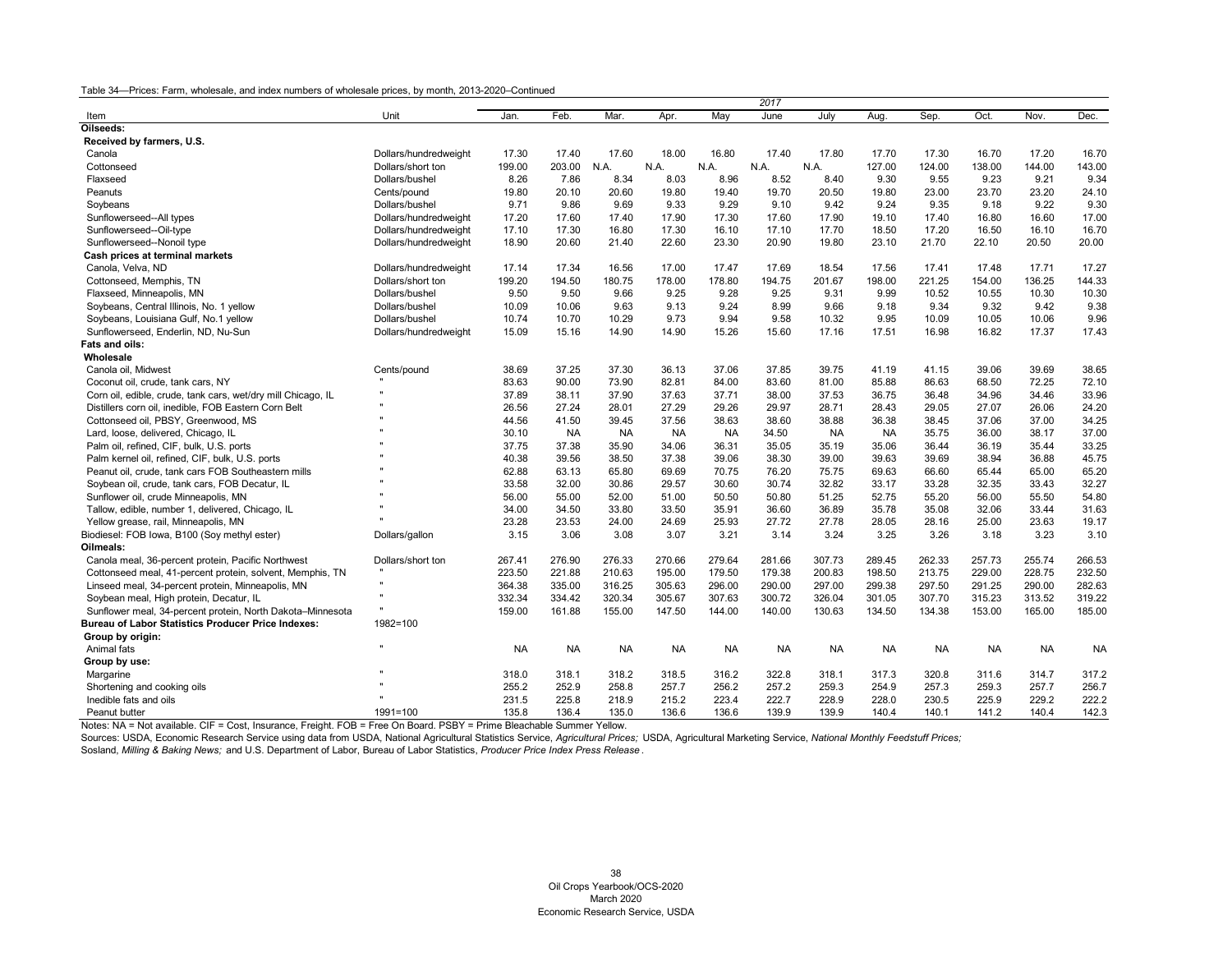| Unit<br>Feb.<br>Mar.<br>May<br>June<br>July<br>Sep.<br>Oct.<br>Nov.<br>Dec.<br>Jan.<br>Apr.<br>Aug.<br>Item<br>Oilseeds:<br>Received by farmers, U.S.<br>17.20<br>Canola<br>Dollars/hundredweight<br>17.30<br>17.40<br>17.60<br>18.00<br>16.80<br>17.40<br>17.80<br>17.70<br>17.30<br>16.70<br>16.70<br>Dollars/short ton<br>199.00<br>203.00<br>N.A.<br>N.A.<br>N.A.<br>127.00<br>124.00<br>138.00<br>144.00<br>143.00<br>Cottonseed<br>N.A.<br>N.A.<br>Dollars/bushel<br>8.26<br>7.86<br>8.34<br>8.96<br>8.52<br>8.40<br>9.30<br>9.55<br>9.23<br>9.21<br>9.34<br>Flaxseed<br>8.03<br>20.50<br>23.00<br>23.70<br>23.20<br>24.10<br>Peanuts<br>Cents/pound<br>19.80<br>20.10<br>20.60<br>19.80<br>19.40<br>19.70<br>19.80<br>9.22<br>9.30<br>9.71<br>9.86<br>9.69<br>9.33<br>9.29<br>9.10<br>9.42<br>9.24<br>9.35<br>9.18<br>Soybeans<br>Dollars/bushel<br>16.80<br>16.60<br>17.00<br>17.20<br>17.60<br>17.40<br>17.90<br>17.30<br>17.60<br>17.90<br>19.10<br>17.40<br>Sunflowerseed--All types<br>Dollars/hundredweight<br>17.30<br>16.80<br>17.30<br>16.10<br>17.10<br>17.70<br>18.50<br>17.20<br>16.50<br>16.10<br>16.70<br>Sunflowerseed--Oil-type<br>Dollars/hundredweight<br>17.10<br>18.90<br>22.60<br>23.30<br>20.90<br>21.70<br>22.10<br>20.50<br>20.00<br>Sunflowerseed--Nonoil type<br>20.60<br>21.40<br>19.80<br>23.10<br>Dollars/hundredweight<br>Cash prices at terminal markets<br>Canola, Velva, ND<br>17.69<br>17.56<br>17.41<br>17.71<br>17.27<br>Dollars/hundredweight<br>17.14<br>17.34<br>16.56<br>17.00<br>17.47<br>18.54<br>17.48<br>199.20<br>194.50<br>180.75<br>178.00<br>178.80<br>194.75<br>201.67<br>198.00<br>221.25<br>154.00<br>136.25<br>144.33<br>Cottonseed, Memphis, TN<br>Dollars/short ton<br>9.99<br>10.30<br>Flaxseed, Minneapolis, MN<br>Dollars/bushel<br>9.50<br>9.50<br>9.66<br>9.25<br>9.28<br>9.25<br>9.31<br>10.52<br>10.55<br>10.30<br>10.09<br>10.06<br>9.63<br>9.13<br>9.24<br>8.99<br>9.66<br>9.18<br>9.34<br>9.32<br>9.42<br>9.38<br>Soybeans, Central Illinois, No. 1 yellow<br>Dollars/bushel<br>9.96<br>Dollars/bushel<br>10.74<br>10.70<br>10.29<br>9.73<br>9.94<br>9.58<br>10.32<br>9.95<br>10.09<br>10.05<br>10.06<br>Soybeans, Louisiana Gulf, No.1 yellow<br>14.90<br>14.90<br>15.60<br>17.16<br>17.51<br>16.98<br>16.82<br>17.37<br>17.43<br>Sunflowerseed, Enderlin, ND, Nu-Sun<br>15.09<br>15.16<br>15.26<br>Dollars/hundredweight<br>Fats and oils:<br>Wholesale<br>37.85<br>39.75<br>39.69<br>Canola oil, Midwest<br>Cents/pound<br>38.69<br>37.25<br>37.30<br>36.13<br>37.06<br>41.19<br>41.15<br>39.06<br>38.65<br>83.63<br>90.00<br>73.90<br>82.81<br>84.00<br>83.60<br>81.00<br>85.88<br>86.63<br>68.50<br>72.25<br>72.10<br>Coconut oil, crude, tank cars, NY<br>37.89<br>37.90<br>37.63<br>37.71<br>38.00<br>37.53<br>36.75<br>36.48<br>34.96<br>34.46<br>33.96<br>Corn oil, edible, crude, tank cars, wet/dry mill Chicago, IL<br>38.11<br>Distillers corn oil, inedible, FOB Eastern Corn Belt<br>26.56<br>27.24<br>28.01<br>27.29<br>29.26<br>29.97<br>28.71<br>29.05<br>27.07<br>26.06<br>24.20<br>28.43<br>Cottonseed oil, PBSY, Greenwood, MS<br>41.50<br>37.56<br>38.63<br>38.60<br>38.88<br>36.38<br>38.45<br>37.06<br>37.00<br>34.25<br>44.56<br>39.45<br>35.75<br>38.17<br>37.00<br>Lard, loose, delivered, Chicago, IL<br>30.10<br><b>NA</b><br><b>NA</b><br><b>NA</b><br><b>NA</b><br>34.50<br><b>NA</b><br><b>NA</b><br>36.00<br>37.75<br>37.38<br>35.90<br>34.06<br>36.31<br>35.05<br>35.19<br>35.06<br>36.44<br>36.19<br>35.44<br>33.25<br>Palm oil, refined, CIF, bulk, U.S. ports<br>40.38<br>39.56<br>37.38<br>39.63<br>39.69<br>36.88<br>45.75<br>Palm kernel oil, refined, CIF, bulk, U.S. ports<br>38.50<br>39.06<br>38.30<br>39.00<br>38.94<br>66.60<br>Peanut oil, crude, tank cars FOB Southeastern mills<br>62.88<br>63.13<br>65.80<br>69.69<br>70.75<br>76.20<br>75.75<br>69.63<br>65.44<br>65.00<br>65.20<br>Soybean oil, crude, tank cars, FOB Decatur, IL<br>33.58<br>32.00<br>30.86<br>29.57<br>30.60<br>30.74<br>32.82<br>33.17<br>33.28<br>32.35<br>33.43<br>32.27<br>56.00<br>52.00<br>51.00<br>52.75<br>55.20<br>56.00<br>55.50<br>54.80<br>Sunflower oil, crude Minneapolis, MN<br>55.00<br>50.50<br>50.80<br>51.25<br>Tallow, edible, number 1, delivered, Chicago, IL<br>34.00<br>34.50<br>33.80<br>33.50<br>35.91<br>36.60<br>36.89<br>35.78<br>35.08<br>32.06<br>33.44<br>31.63<br>Yellow grease, rail, Minneapolis, MN<br>23.28<br>23.53<br>24.00<br>24.69<br>25.93<br>27.72<br>27.78<br>28.05<br>28.16<br>25.00<br>23.63<br>19.17<br>Biodiesel: FOB Iowa, B100 (Soy methyl ester)<br>3.15<br>3.06<br>3.08<br>3.21<br>3.14<br>3.24<br>3.25<br>3.26<br>3.18<br>3.23<br>3.10<br>3.07<br>Dollars/gallon<br>Oilmeals:<br>262.33<br>255.74<br>Canola meal, 36-percent protein, Pacific Northwest<br>267.41<br>276.90<br>276.33<br>270.66<br>279.64<br>307.73<br>289.45<br>257.73<br>266.53<br>Dollars/short ton<br>281.66<br>200.83<br>228.75<br>232.50<br>223.50<br>221.88<br>210.63<br>195.00<br>179.50<br>179.38<br>198.50<br>213.75<br>229.00<br>Cottonseed meal, 41-percent protein, solvent, Memphis, TN<br>290.00<br>297.00<br>299.38<br>297.50<br>290.00<br>282.63<br>Linseed meal, 34-percent protein, Minneapolis, MN<br>364.38<br>335.00<br>316.25<br>305.63<br>296.00<br>291.25<br>332.34<br>334.42<br>320.34<br>305.67<br>307.63<br>300.72<br>326.04<br>301.05<br>307.70<br>315.23<br>313.52<br>319.22<br>Soybean meal, High protein, Decatur, IL<br>Sunflower meal, 34-percent protein, North Dakota-Minnesota<br>159.00<br>161.88<br>155.00<br>147.50<br>144.00<br>140.00<br>130.63<br>134.50<br>134.38<br>153.00<br>165.00<br>185.00<br><b>Bureau of Labor Statistics Producer Price Indexes:</b><br>1982=100<br>Group by origin:<br><b>NA</b><br><b>NA</b><br><b>NA</b><br><b>NA</b><br>Animal fats<br><b>NA</b><br><b>NA</b><br><b>NA</b><br><b>NA</b><br><b>NA</b><br><b>NA</b><br><b>NA</b><br><b>NA</b><br>Group by use:<br>Margarine<br>318.0<br>318.1<br>318.2<br>318.5<br>316.2<br>322.8<br>318.1<br>317.3<br>320.8<br>311.6<br>314.7<br>317.2<br>255.2<br>252.9<br>256.2<br>257.2<br>259.3<br>254.9<br>257.3<br>259.3<br>257.7<br>256.7<br>258.8<br>257.7<br>Shortening and cooking oils<br>229.2<br>222.2<br>Inedible fats and oils<br>231.5<br>225.8<br>218.9<br>215.2<br>223.4<br>222.7<br>228.9<br>228.0<br>230.5<br>225.9 |               |              |       |       |       |       |       | 2017  |       |       |       |       |       |       |
|-------------------------------------------------------------------------------------------------------------------------------------------------------------------------------------------------------------------------------------------------------------------------------------------------------------------------------------------------------------------------------------------------------------------------------------------------------------------------------------------------------------------------------------------------------------------------------------------------------------------------------------------------------------------------------------------------------------------------------------------------------------------------------------------------------------------------------------------------------------------------------------------------------------------------------------------------------------------------------------------------------------------------------------------------------------------------------------------------------------------------------------------------------------------------------------------------------------------------------------------------------------------------------------------------------------------------------------------------------------------------------------------------------------------------------------------------------------------------------------------------------------------------------------------------------------------------------------------------------------------------------------------------------------------------------------------------------------------------------------------------------------------------------------------------------------------------------------------------------------------------------------------------------------------------------------------------------------------------------------------------------------------------------------------------------------------------------------------------------------------------------------------------------------------------------------------------------------------------------------------------------------------------------------------------------------------------------------------------------------------------------------------------------------------------------------------------------------------------------------------------------------------------------------------------------------------------------------------------------------------------------------------------------------------------------------------------------------------------------------------------------------------------------------------------------------------------------------------------------------------------------------------------------------------------------------------------------------------------------------------------------------------------------------------------------------------------------------------------------------------------------------------------------------------------------------------------------------------------------------------------------------------------------------------------------------------------------------------------------------------------------------------------------------------------------------------------------------------------------------------------------------------------------------------------------------------------------------------------------------------------------------------------------------------------------------------------------------------------------------------------------------------------------------------------------------------------------------------------------------------------------------------------------------------------------------------------------------------------------------------------------------------------------------------------------------------------------------------------------------------------------------------------------------------------------------------------------------------------------------------------------------------------------------------------------------------------------------------------------------------------------------------------------------------------------------------------------------------------------------------------------------------------------------------------------------------------------------------------------------------------------------------------------------------------------------------------------------------------------------------------------------------------------------------------------------------------------------------------------------------------------------------------------------------------------------------------------------------------------------------------------------------------------------------------------------------------------------------------------------------------------------------------------------------------------------------------------------------------------------------------------------------------------------------------------------------------------------------------------------------------------------------------------------------------------------------------------------------------------------------------------------------------------------------------------------------------------------------------------------------------------------------------------------------------------------------------------------------------------------------------------------------------------------------------------------------------------------------------------------------------------------------------------------------------------------------------------------------------------------------------------------------------------------------------------------------------------------------------------------------------------------------------------------------------------------------------------------------------------------------------------------------------------------------------------------------------------------------------------------------|---------------|--------------|-------|-------|-------|-------|-------|-------|-------|-------|-------|-------|-------|-------|
|                                                                                                                                                                                                                                                                                                                                                                                                                                                                                                                                                                                                                                                                                                                                                                                                                                                                                                                                                                                                                                                                                                                                                                                                                                                                                                                                                                                                                                                                                                                                                                                                                                                                                                                                                                                                                                                                                                                                                                                                                                                                                                                                                                                                                                                                                                                                                                                                                                                                                                                                                                                                                                                                                                                                                                                                                                                                                                                                                                                                                                                                                                                                                                                                                                                                                                                                                                                                                                                                                                                                                                                                                                                                                                                                                                                                                                                                                                                                                                                                                                                                                                                                                                                                                                                                                                                                                                                                                                                                                                                                                                                                                                                                                                                                                                                                                                                                                                                                                                                                                                                                                                                                                                                                                                                                                                                                                                                                                                                                                                                                                                                                                                                                                                                                                                                                                                                                                                                                                                                                                                                                                                                                                                                                                                                                                                                                                                   |               |              |       |       |       |       |       |       |       |       |       |       |       |       |
|                                                                                                                                                                                                                                                                                                                                                                                                                                                                                                                                                                                                                                                                                                                                                                                                                                                                                                                                                                                                                                                                                                                                                                                                                                                                                                                                                                                                                                                                                                                                                                                                                                                                                                                                                                                                                                                                                                                                                                                                                                                                                                                                                                                                                                                                                                                                                                                                                                                                                                                                                                                                                                                                                                                                                                                                                                                                                                                                                                                                                                                                                                                                                                                                                                                                                                                                                                                                                                                                                                                                                                                                                                                                                                                                                                                                                                                                                                                                                                                                                                                                                                                                                                                                                                                                                                                                                                                                                                                                                                                                                                                                                                                                                                                                                                                                                                                                                                                                                                                                                                                                                                                                                                                                                                                                                                                                                                                                                                                                                                                                                                                                                                                                                                                                                                                                                                                                                                                                                                                                                                                                                                                                                                                                                                                                                                                                                                   |               |              |       |       |       |       |       |       |       |       |       |       |       |       |
|                                                                                                                                                                                                                                                                                                                                                                                                                                                                                                                                                                                                                                                                                                                                                                                                                                                                                                                                                                                                                                                                                                                                                                                                                                                                                                                                                                                                                                                                                                                                                                                                                                                                                                                                                                                                                                                                                                                                                                                                                                                                                                                                                                                                                                                                                                                                                                                                                                                                                                                                                                                                                                                                                                                                                                                                                                                                                                                                                                                                                                                                                                                                                                                                                                                                                                                                                                                                                                                                                                                                                                                                                                                                                                                                                                                                                                                                                                                                                                                                                                                                                                                                                                                                                                                                                                                                                                                                                                                                                                                                                                                                                                                                                                                                                                                                                                                                                                                                                                                                                                                                                                                                                                                                                                                                                                                                                                                                                                                                                                                                                                                                                                                                                                                                                                                                                                                                                                                                                                                                                                                                                                                                                                                                                                                                                                                                                                   |               |              |       |       |       |       |       |       |       |       |       |       |       |       |
|                                                                                                                                                                                                                                                                                                                                                                                                                                                                                                                                                                                                                                                                                                                                                                                                                                                                                                                                                                                                                                                                                                                                                                                                                                                                                                                                                                                                                                                                                                                                                                                                                                                                                                                                                                                                                                                                                                                                                                                                                                                                                                                                                                                                                                                                                                                                                                                                                                                                                                                                                                                                                                                                                                                                                                                                                                                                                                                                                                                                                                                                                                                                                                                                                                                                                                                                                                                                                                                                                                                                                                                                                                                                                                                                                                                                                                                                                                                                                                                                                                                                                                                                                                                                                                                                                                                                                                                                                                                                                                                                                                                                                                                                                                                                                                                                                                                                                                                                                                                                                                                                                                                                                                                                                                                                                                                                                                                                                                                                                                                                                                                                                                                                                                                                                                                                                                                                                                                                                                                                                                                                                                                                                                                                                                                                                                                                                                   |               |              |       |       |       |       |       |       |       |       |       |       |       |       |
|                                                                                                                                                                                                                                                                                                                                                                                                                                                                                                                                                                                                                                                                                                                                                                                                                                                                                                                                                                                                                                                                                                                                                                                                                                                                                                                                                                                                                                                                                                                                                                                                                                                                                                                                                                                                                                                                                                                                                                                                                                                                                                                                                                                                                                                                                                                                                                                                                                                                                                                                                                                                                                                                                                                                                                                                                                                                                                                                                                                                                                                                                                                                                                                                                                                                                                                                                                                                                                                                                                                                                                                                                                                                                                                                                                                                                                                                                                                                                                                                                                                                                                                                                                                                                                                                                                                                                                                                                                                                                                                                                                                                                                                                                                                                                                                                                                                                                                                                                                                                                                                                                                                                                                                                                                                                                                                                                                                                                                                                                                                                                                                                                                                                                                                                                                                                                                                                                                                                                                                                                                                                                                                                                                                                                                                                                                                                                                   |               |              |       |       |       |       |       |       |       |       |       |       |       |       |
|                                                                                                                                                                                                                                                                                                                                                                                                                                                                                                                                                                                                                                                                                                                                                                                                                                                                                                                                                                                                                                                                                                                                                                                                                                                                                                                                                                                                                                                                                                                                                                                                                                                                                                                                                                                                                                                                                                                                                                                                                                                                                                                                                                                                                                                                                                                                                                                                                                                                                                                                                                                                                                                                                                                                                                                                                                                                                                                                                                                                                                                                                                                                                                                                                                                                                                                                                                                                                                                                                                                                                                                                                                                                                                                                                                                                                                                                                                                                                                                                                                                                                                                                                                                                                                                                                                                                                                                                                                                                                                                                                                                                                                                                                                                                                                                                                                                                                                                                                                                                                                                                                                                                                                                                                                                                                                                                                                                                                                                                                                                                                                                                                                                                                                                                                                                                                                                                                                                                                                                                                                                                                                                                                                                                                                                                                                                                                                   |               |              |       |       |       |       |       |       |       |       |       |       |       |       |
|                                                                                                                                                                                                                                                                                                                                                                                                                                                                                                                                                                                                                                                                                                                                                                                                                                                                                                                                                                                                                                                                                                                                                                                                                                                                                                                                                                                                                                                                                                                                                                                                                                                                                                                                                                                                                                                                                                                                                                                                                                                                                                                                                                                                                                                                                                                                                                                                                                                                                                                                                                                                                                                                                                                                                                                                                                                                                                                                                                                                                                                                                                                                                                                                                                                                                                                                                                                                                                                                                                                                                                                                                                                                                                                                                                                                                                                                                                                                                                                                                                                                                                                                                                                                                                                                                                                                                                                                                                                                                                                                                                                                                                                                                                                                                                                                                                                                                                                                                                                                                                                                                                                                                                                                                                                                                                                                                                                                                                                                                                                                                                                                                                                                                                                                                                                                                                                                                                                                                                                                                                                                                                                                                                                                                                                                                                                                                                   |               |              |       |       |       |       |       |       |       |       |       |       |       |       |
|                                                                                                                                                                                                                                                                                                                                                                                                                                                                                                                                                                                                                                                                                                                                                                                                                                                                                                                                                                                                                                                                                                                                                                                                                                                                                                                                                                                                                                                                                                                                                                                                                                                                                                                                                                                                                                                                                                                                                                                                                                                                                                                                                                                                                                                                                                                                                                                                                                                                                                                                                                                                                                                                                                                                                                                                                                                                                                                                                                                                                                                                                                                                                                                                                                                                                                                                                                                                                                                                                                                                                                                                                                                                                                                                                                                                                                                                                                                                                                                                                                                                                                                                                                                                                                                                                                                                                                                                                                                                                                                                                                                                                                                                                                                                                                                                                                                                                                                                                                                                                                                                                                                                                                                                                                                                                                                                                                                                                                                                                                                                                                                                                                                                                                                                                                                                                                                                                                                                                                                                                                                                                                                                                                                                                                                                                                                                                                   |               |              |       |       |       |       |       |       |       |       |       |       |       |       |
|                                                                                                                                                                                                                                                                                                                                                                                                                                                                                                                                                                                                                                                                                                                                                                                                                                                                                                                                                                                                                                                                                                                                                                                                                                                                                                                                                                                                                                                                                                                                                                                                                                                                                                                                                                                                                                                                                                                                                                                                                                                                                                                                                                                                                                                                                                                                                                                                                                                                                                                                                                                                                                                                                                                                                                                                                                                                                                                                                                                                                                                                                                                                                                                                                                                                                                                                                                                                                                                                                                                                                                                                                                                                                                                                                                                                                                                                                                                                                                                                                                                                                                                                                                                                                                                                                                                                                                                                                                                                                                                                                                                                                                                                                                                                                                                                                                                                                                                                                                                                                                                                                                                                                                                                                                                                                                                                                                                                                                                                                                                                                                                                                                                                                                                                                                                                                                                                                                                                                                                                                                                                                                                                                                                                                                                                                                                                                                   |               |              |       |       |       |       |       |       |       |       |       |       |       |       |
|                                                                                                                                                                                                                                                                                                                                                                                                                                                                                                                                                                                                                                                                                                                                                                                                                                                                                                                                                                                                                                                                                                                                                                                                                                                                                                                                                                                                                                                                                                                                                                                                                                                                                                                                                                                                                                                                                                                                                                                                                                                                                                                                                                                                                                                                                                                                                                                                                                                                                                                                                                                                                                                                                                                                                                                                                                                                                                                                                                                                                                                                                                                                                                                                                                                                                                                                                                                                                                                                                                                                                                                                                                                                                                                                                                                                                                                                                                                                                                                                                                                                                                                                                                                                                                                                                                                                                                                                                                                                                                                                                                                                                                                                                                                                                                                                                                                                                                                                                                                                                                                                                                                                                                                                                                                                                                                                                                                                                                                                                                                                                                                                                                                                                                                                                                                                                                                                                                                                                                                                                                                                                                                                                                                                                                                                                                                                                                   |               |              |       |       |       |       |       |       |       |       |       |       |       |       |
|                                                                                                                                                                                                                                                                                                                                                                                                                                                                                                                                                                                                                                                                                                                                                                                                                                                                                                                                                                                                                                                                                                                                                                                                                                                                                                                                                                                                                                                                                                                                                                                                                                                                                                                                                                                                                                                                                                                                                                                                                                                                                                                                                                                                                                                                                                                                                                                                                                                                                                                                                                                                                                                                                                                                                                                                                                                                                                                                                                                                                                                                                                                                                                                                                                                                                                                                                                                                                                                                                                                                                                                                                                                                                                                                                                                                                                                                                                                                                                                                                                                                                                                                                                                                                                                                                                                                                                                                                                                                                                                                                                                                                                                                                                                                                                                                                                                                                                                                                                                                                                                                                                                                                                                                                                                                                                                                                                                                                                                                                                                                                                                                                                                                                                                                                                                                                                                                                                                                                                                                                                                                                                                                                                                                                                                                                                                                                                   |               |              |       |       |       |       |       |       |       |       |       |       |       |       |
|                                                                                                                                                                                                                                                                                                                                                                                                                                                                                                                                                                                                                                                                                                                                                                                                                                                                                                                                                                                                                                                                                                                                                                                                                                                                                                                                                                                                                                                                                                                                                                                                                                                                                                                                                                                                                                                                                                                                                                                                                                                                                                                                                                                                                                                                                                                                                                                                                                                                                                                                                                                                                                                                                                                                                                                                                                                                                                                                                                                                                                                                                                                                                                                                                                                                                                                                                                                                                                                                                                                                                                                                                                                                                                                                                                                                                                                                                                                                                                                                                                                                                                                                                                                                                                                                                                                                                                                                                                                                                                                                                                                                                                                                                                                                                                                                                                                                                                                                                                                                                                                                                                                                                                                                                                                                                                                                                                                                                                                                                                                                                                                                                                                                                                                                                                                                                                                                                                                                                                                                                                                                                                                                                                                                                                                                                                                                                                   |               |              |       |       |       |       |       |       |       |       |       |       |       |       |
|                                                                                                                                                                                                                                                                                                                                                                                                                                                                                                                                                                                                                                                                                                                                                                                                                                                                                                                                                                                                                                                                                                                                                                                                                                                                                                                                                                                                                                                                                                                                                                                                                                                                                                                                                                                                                                                                                                                                                                                                                                                                                                                                                                                                                                                                                                                                                                                                                                                                                                                                                                                                                                                                                                                                                                                                                                                                                                                                                                                                                                                                                                                                                                                                                                                                                                                                                                                                                                                                                                                                                                                                                                                                                                                                                                                                                                                                                                                                                                                                                                                                                                                                                                                                                                                                                                                                                                                                                                                                                                                                                                                                                                                                                                                                                                                                                                                                                                                                                                                                                                                                                                                                                                                                                                                                                                                                                                                                                                                                                                                                                                                                                                                                                                                                                                                                                                                                                                                                                                                                                                                                                                                                                                                                                                                                                                                                                                   |               |              |       |       |       |       |       |       |       |       |       |       |       |       |
|                                                                                                                                                                                                                                                                                                                                                                                                                                                                                                                                                                                                                                                                                                                                                                                                                                                                                                                                                                                                                                                                                                                                                                                                                                                                                                                                                                                                                                                                                                                                                                                                                                                                                                                                                                                                                                                                                                                                                                                                                                                                                                                                                                                                                                                                                                                                                                                                                                                                                                                                                                                                                                                                                                                                                                                                                                                                                                                                                                                                                                                                                                                                                                                                                                                                                                                                                                                                                                                                                                                                                                                                                                                                                                                                                                                                                                                                                                                                                                                                                                                                                                                                                                                                                                                                                                                                                                                                                                                                                                                                                                                                                                                                                                                                                                                                                                                                                                                                                                                                                                                                                                                                                                                                                                                                                                                                                                                                                                                                                                                                                                                                                                                                                                                                                                                                                                                                                                                                                                                                                                                                                                                                                                                                                                                                                                                                                                   |               |              |       |       |       |       |       |       |       |       |       |       |       |       |
|                                                                                                                                                                                                                                                                                                                                                                                                                                                                                                                                                                                                                                                                                                                                                                                                                                                                                                                                                                                                                                                                                                                                                                                                                                                                                                                                                                                                                                                                                                                                                                                                                                                                                                                                                                                                                                                                                                                                                                                                                                                                                                                                                                                                                                                                                                                                                                                                                                                                                                                                                                                                                                                                                                                                                                                                                                                                                                                                                                                                                                                                                                                                                                                                                                                                                                                                                                                                                                                                                                                                                                                                                                                                                                                                                                                                                                                                                                                                                                                                                                                                                                                                                                                                                                                                                                                                                                                                                                                                                                                                                                                                                                                                                                                                                                                                                                                                                                                                                                                                                                                                                                                                                                                                                                                                                                                                                                                                                                                                                                                                                                                                                                                                                                                                                                                                                                                                                                                                                                                                                                                                                                                                                                                                                                                                                                                                                                   |               |              |       |       |       |       |       |       |       |       |       |       |       |       |
|                                                                                                                                                                                                                                                                                                                                                                                                                                                                                                                                                                                                                                                                                                                                                                                                                                                                                                                                                                                                                                                                                                                                                                                                                                                                                                                                                                                                                                                                                                                                                                                                                                                                                                                                                                                                                                                                                                                                                                                                                                                                                                                                                                                                                                                                                                                                                                                                                                                                                                                                                                                                                                                                                                                                                                                                                                                                                                                                                                                                                                                                                                                                                                                                                                                                                                                                                                                                                                                                                                                                                                                                                                                                                                                                                                                                                                                                                                                                                                                                                                                                                                                                                                                                                                                                                                                                                                                                                                                                                                                                                                                                                                                                                                                                                                                                                                                                                                                                                                                                                                                                                                                                                                                                                                                                                                                                                                                                                                                                                                                                                                                                                                                                                                                                                                                                                                                                                                                                                                                                                                                                                                                                                                                                                                                                                                                                                                   |               |              |       |       |       |       |       |       |       |       |       |       |       |       |
|                                                                                                                                                                                                                                                                                                                                                                                                                                                                                                                                                                                                                                                                                                                                                                                                                                                                                                                                                                                                                                                                                                                                                                                                                                                                                                                                                                                                                                                                                                                                                                                                                                                                                                                                                                                                                                                                                                                                                                                                                                                                                                                                                                                                                                                                                                                                                                                                                                                                                                                                                                                                                                                                                                                                                                                                                                                                                                                                                                                                                                                                                                                                                                                                                                                                                                                                                                                                                                                                                                                                                                                                                                                                                                                                                                                                                                                                                                                                                                                                                                                                                                                                                                                                                                                                                                                                                                                                                                                                                                                                                                                                                                                                                                                                                                                                                                                                                                                                                                                                                                                                                                                                                                                                                                                                                                                                                                                                                                                                                                                                                                                                                                                                                                                                                                                                                                                                                                                                                                                                                                                                                                                                                                                                                                                                                                                                                                   |               |              |       |       |       |       |       |       |       |       |       |       |       |       |
|                                                                                                                                                                                                                                                                                                                                                                                                                                                                                                                                                                                                                                                                                                                                                                                                                                                                                                                                                                                                                                                                                                                                                                                                                                                                                                                                                                                                                                                                                                                                                                                                                                                                                                                                                                                                                                                                                                                                                                                                                                                                                                                                                                                                                                                                                                                                                                                                                                                                                                                                                                                                                                                                                                                                                                                                                                                                                                                                                                                                                                                                                                                                                                                                                                                                                                                                                                                                                                                                                                                                                                                                                                                                                                                                                                                                                                                                                                                                                                                                                                                                                                                                                                                                                                                                                                                                                                                                                                                                                                                                                                                                                                                                                                                                                                                                                                                                                                                                                                                                                                                                                                                                                                                                                                                                                                                                                                                                                                                                                                                                                                                                                                                                                                                                                                                                                                                                                                                                                                                                                                                                                                                                                                                                                                                                                                                                                                   |               |              |       |       |       |       |       |       |       |       |       |       |       |       |
|                                                                                                                                                                                                                                                                                                                                                                                                                                                                                                                                                                                                                                                                                                                                                                                                                                                                                                                                                                                                                                                                                                                                                                                                                                                                                                                                                                                                                                                                                                                                                                                                                                                                                                                                                                                                                                                                                                                                                                                                                                                                                                                                                                                                                                                                                                                                                                                                                                                                                                                                                                                                                                                                                                                                                                                                                                                                                                                                                                                                                                                                                                                                                                                                                                                                                                                                                                                                                                                                                                                                                                                                                                                                                                                                                                                                                                                                                                                                                                                                                                                                                                                                                                                                                                                                                                                                                                                                                                                                                                                                                                                                                                                                                                                                                                                                                                                                                                                                                                                                                                                                                                                                                                                                                                                                                                                                                                                                                                                                                                                                                                                                                                                                                                                                                                                                                                                                                                                                                                                                                                                                                                                                                                                                                                                                                                                                                                   |               |              |       |       |       |       |       |       |       |       |       |       |       |       |
|                                                                                                                                                                                                                                                                                                                                                                                                                                                                                                                                                                                                                                                                                                                                                                                                                                                                                                                                                                                                                                                                                                                                                                                                                                                                                                                                                                                                                                                                                                                                                                                                                                                                                                                                                                                                                                                                                                                                                                                                                                                                                                                                                                                                                                                                                                                                                                                                                                                                                                                                                                                                                                                                                                                                                                                                                                                                                                                                                                                                                                                                                                                                                                                                                                                                                                                                                                                                                                                                                                                                                                                                                                                                                                                                                                                                                                                                                                                                                                                                                                                                                                                                                                                                                                                                                                                                                                                                                                                                                                                                                                                                                                                                                                                                                                                                                                                                                                                                                                                                                                                                                                                                                                                                                                                                                                                                                                                                                                                                                                                                                                                                                                                                                                                                                                                                                                                                                                                                                                                                                                                                                                                                                                                                                                                                                                                                                                   |               |              |       |       |       |       |       |       |       |       |       |       |       |       |
|                                                                                                                                                                                                                                                                                                                                                                                                                                                                                                                                                                                                                                                                                                                                                                                                                                                                                                                                                                                                                                                                                                                                                                                                                                                                                                                                                                                                                                                                                                                                                                                                                                                                                                                                                                                                                                                                                                                                                                                                                                                                                                                                                                                                                                                                                                                                                                                                                                                                                                                                                                                                                                                                                                                                                                                                                                                                                                                                                                                                                                                                                                                                                                                                                                                                                                                                                                                                                                                                                                                                                                                                                                                                                                                                                                                                                                                                                                                                                                                                                                                                                                                                                                                                                                                                                                                                                                                                                                                                                                                                                                                                                                                                                                                                                                                                                                                                                                                                                                                                                                                                                                                                                                                                                                                                                                                                                                                                                                                                                                                                                                                                                                                                                                                                                                                                                                                                                                                                                                                                                                                                                                                                                                                                                                                                                                                                                                   |               |              |       |       |       |       |       |       |       |       |       |       |       |       |
|                                                                                                                                                                                                                                                                                                                                                                                                                                                                                                                                                                                                                                                                                                                                                                                                                                                                                                                                                                                                                                                                                                                                                                                                                                                                                                                                                                                                                                                                                                                                                                                                                                                                                                                                                                                                                                                                                                                                                                                                                                                                                                                                                                                                                                                                                                                                                                                                                                                                                                                                                                                                                                                                                                                                                                                                                                                                                                                                                                                                                                                                                                                                                                                                                                                                                                                                                                                                                                                                                                                                                                                                                                                                                                                                                                                                                                                                                                                                                                                                                                                                                                                                                                                                                                                                                                                                                                                                                                                                                                                                                                                                                                                                                                                                                                                                                                                                                                                                                                                                                                                                                                                                                                                                                                                                                                                                                                                                                                                                                                                                                                                                                                                                                                                                                                                                                                                                                                                                                                                                                                                                                                                                                                                                                                                                                                                                                                   |               |              |       |       |       |       |       |       |       |       |       |       |       |       |
|                                                                                                                                                                                                                                                                                                                                                                                                                                                                                                                                                                                                                                                                                                                                                                                                                                                                                                                                                                                                                                                                                                                                                                                                                                                                                                                                                                                                                                                                                                                                                                                                                                                                                                                                                                                                                                                                                                                                                                                                                                                                                                                                                                                                                                                                                                                                                                                                                                                                                                                                                                                                                                                                                                                                                                                                                                                                                                                                                                                                                                                                                                                                                                                                                                                                                                                                                                                                                                                                                                                                                                                                                                                                                                                                                                                                                                                                                                                                                                                                                                                                                                                                                                                                                                                                                                                                                                                                                                                                                                                                                                                                                                                                                                                                                                                                                                                                                                                                                                                                                                                                                                                                                                                                                                                                                                                                                                                                                                                                                                                                                                                                                                                                                                                                                                                                                                                                                                                                                                                                                                                                                                                                                                                                                                                                                                                                                                   |               |              |       |       |       |       |       |       |       |       |       |       |       |       |
|                                                                                                                                                                                                                                                                                                                                                                                                                                                                                                                                                                                                                                                                                                                                                                                                                                                                                                                                                                                                                                                                                                                                                                                                                                                                                                                                                                                                                                                                                                                                                                                                                                                                                                                                                                                                                                                                                                                                                                                                                                                                                                                                                                                                                                                                                                                                                                                                                                                                                                                                                                                                                                                                                                                                                                                                                                                                                                                                                                                                                                                                                                                                                                                                                                                                                                                                                                                                                                                                                                                                                                                                                                                                                                                                                                                                                                                                                                                                                                                                                                                                                                                                                                                                                                                                                                                                                                                                                                                                                                                                                                                                                                                                                                                                                                                                                                                                                                                                                                                                                                                                                                                                                                                                                                                                                                                                                                                                                                                                                                                                                                                                                                                                                                                                                                                                                                                                                                                                                                                                                                                                                                                                                                                                                                                                                                                                                                   |               |              |       |       |       |       |       |       |       |       |       |       |       |       |
|                                                                                                                                                                                                                                                                                                                                                                                                                                                                                                                                                                                                                                                                                                                                                                                                                                                                                                                                                                                                                                                                                                                                                                                                                                                                                                                                                                                                                                                                                                                                                                                                                                                                                                                                                                                                                                                                                                                                                                                                                                                                                                                                                                                                                                                                                                                                                                                                                                                                                                                                                                                                                                                                                                                                                                                                                                                                                                                                                                                                                                                                                                                                                                                                                                                                                                                                                                                                                                                                                                                                                                                                                                                                                                                                                                                                                                                                                                                                                                                                                                                                                                                                                                                                                                                                                                                                                                                                                                                                                                                                                                                                                                                                                                                                                                                                                                                                                                                                                                                                                                                                                                                                                                                                                                                                                                                                                                                                                                                                                                                                                                                                                                                                                                                                                                                                                                                                                                                                                                                                                                                                                                                                                                                                                                                                                                                                                                   |               |              |       |       |       |       |       |       |       |       |       |       |       |       |
|                                                                                                                                                                                                                                                                                                                                                                                                                                                                                                                                                                                                                                                                                                                                                                                                                                                                                                                                                                                                                                                                                                                                                                                                                                                                                                                                                                                                                                                                                                                                                                                                                                                                                                                                                                                                                                                                                                                                                                                                                                                                                                                                                                                                                                                                                                                                                                                                                                                                                                                                                                                                                                                                                                                                                                                                                                                                                                                                                                                                                                                                                                                                                                                                                                                                                                                                                                                                                                                                                                                                                                                                                                                                                                                                                                                                                                                                                                                                                                                                                                                                                                                                                                                                                                                                                                                                                                                                                                                                                                                                                                                                                                                                                                                                                                                                                                                                                                                                                                                                                                                                                                                                                                                                                                                                                                                                                                                                                                                                                                                                                                                                                                                                                                                                                                                                                                                                                                                                                                                                                                                                                                                                                                                                                                                                                                                                                                   |               |              |       |       |       |       |       |       |       |       |       |       |       |       |
|                                                                                                                                                                                                                                                                                                                                                                                                                                                                                                                                                                                                                                                                                                                                                                                                                                                                                                                                                                                                                                                                                                                                                                                                                                                                                                                                                                                                                                                                                                                                                                                                                                                                                                                                                                                                                                                                                                                                                                                                                                                                                                                                                                                                                                                                                                                                                                                                                                                                                                                                                                                                                                                                                                                                                                                                                                                                                                                                                                                                                                                                                                                                                                                                                                                                                                                                                                                                                                                                                                                                                                                                                                                                                                                                                                                                                                                                                                                                                                                                                                                                                                                                                                                                                                                                                                                                                                                                                                                                                                                                                                                                                                                                                                                                                                                                                                                                                                                                                                                                                                                                                                                                                                                                                                                                                                                                                                                                                                                                                                                                                                                                                                                                                                                                                                                                                                                                                                                                                                                                                                                                                                                                                                                                                                                                                                                                                                   |               |              |       |       |       |       |       |       |       |       |       |       |       |       |
|                                                                                                                                                                                                                                                                                                                                                                                                                                                                                                                                                                                                                                                                                                                                                                                                                                                                                                                                                                                                                                                                                                                                                                                                                                                                                                                                                                                                                                                                                                                                                                                                                                                                                                                                                                                                                                                                                                                                                                                                                                                                                                                                                                                                                                                                                                                                                                                                                                                                                                                                                                                                                                                                                                                                                                                                                                                                                                                                                                                                                                                                                                                                                                                                                                                                                                                                                                                                                                                                                                                                                                                                                                                                                                                                                                                                                                                                                                                                                                                                                                                                                                                                                                                                                                                                                                                                                                                                                                                                                                                                                                                                                                                                                                                                                                                                                                                                                                                                                                                                                                                                                                                                                                                                                                                                                                                                                                                                                                                                                                                                                                                                                                                                                                                                                                                                                                                                                                                                                                                                                                                                                                                                                                                                                                                                                                                                                                   |               |              |       |       |       |       |       |       |       |       |       |       |       |       |
|                                                                                                                                                                                                                                                                                                                                                                                                                                                                                                                                                                                                                                                                                                                                                                                                                                                                                                                                                                                                                                                                                                                                                                                                                                                                                                                                                                                                                                                                                                                                                                                                                                                                                                                                                                                                                                                                                                                                                                                                                                                                                                                                                                                                                                                                                                                                                                                                                                                                                                                                                                                                                                                                                                                                                                                                                                                                                                                                                                                                                                                                                                                                                                                                                                                                                                                                                                                                                                                                                                                                                                                                                                                                                                                                                                                                                                                                                                                                                                                                                                                                                                                                                                                                                                                                                                                                                                                                                                                                                                                                                                                                                                                                                                                                                                                                                                                                                                                                                                                                                                                                                                                                                                                                                                                                                                                                                                                                                                                                                                                                                                                                                                                                                                                                                                                                                                                                                                                                                                                                                                                                                                                                                                                                                                                                                                                                                                   |               |              |       |       |       |       |       |       |       |       |       |       |       |       |
|                                                                                                                                                                                                                                                                                                                                                                                                                                                                                                                                                                                                                                                                                                                                                                                                                                                                                                                                                                                                                                                                                                                                                                                                                                                                                                                                                                                                                                                                                                                                                                                                                                                                                                                                                                                                                                                                                                                                                                                                                                                                                                                                                                                                                                                                                                                                                                                                                                                                                                                                                                                                                                                                                                                                                                                                                                                                                                                                                                                                                                                                                                                                                                                                                                                                                                                                                                                                                                                                                                                                                                                                                                                                                                                                                                                                                                                                                                                                                                                                                                                                                                                                                                                                                                                                                                                                                                                                                                                                                                                                                                                                                                                                                                                                                                                                                                                                                                                                                                                                                                                                                                                                                                                                                                                                                                                                                                                                                                                                                                                                                                                                                                                                                                                                                                                                                                                                                                                                                                                                                                                                                                                                                                                                                                                                                                                                                                   |               |              |       |       |       |       |       |       |       |       |       |       |       |       |
|                                                                                                                                                                                                                                                                                                                                                                                                                                                                                                                                                                                                                                                                                                                                                                                                                                                                                                                                                                                                                                                                                                                                                                                                                                                                                                                                                                                                                                                                                                                                                                                                                                                                                                                                                                                                                                                                                                                                                                                                                                                                                                                                                                                                                                                                                                                                                                                                                                                                                                                                                                                                                                                                                                                                                                                                                                                                                                                                                                                                                                                                                                                                                                                                                                                                                                                                                                                                                                                                                                                                                                                                                                                                                                                                                                                                                                                                                                                                                                                                                                                                                                                                                                                                                                                                                                                                                                                                                                                                                                                                                                                                                                                                                                                                                                                                                                                                                                                                                                                                                                                                                                                                                                                                                                                                                                                                                                                                                                                                                                                                                                                                                                                                                                                                                                                                                                                                                                                                                                                                                                                                                                                                                                                                                                                                                                                                                                   |               |              |       |       |       |       |       |       |       |       |       |       |       |       |
|                                                                                                                                                                                                                                                                                                                                                                                                                                                                                                                                                                                                                                                                                                                                                                                                                                                                                                                                                                                                                                                                                                                                                                                                                                                                                                                                                                                                                                                                                                                                                                                                                                                                                                                                                                                                                                                                                                                                                                                                                                                                                                                                                                                                                                                                                                                                                                                                                                                                                                                                                                                                                                                                                                                                                                                                                                                                                                                                                                                                                                                                                                                                                                                                                                                                                                                                                                                                                                                                                                                                                                                                                                                                                                                                                                                                                                                                                                                                                                                                                                                                                                                                                                                                                                                                                                                                                                                                                                                                                                                                                                                                                                                                                                                                                                                                                                                                                                                                                                                                                                                                                                                                                                                                                                                                                                                                                                                                                                                                                                                                                                                                                                                                                                                                                                                                                                                                                                                                                                                                                                                                                                                                                                                                                                                                                                                                                                   |               |              |       |       |       |       |       |       |       |       |       |       |       |       |
|                                                                                                                                                                                                                                                                                                                                                                                                                                                                                                                                                                                                                                                                                                                                                                                                                                                                                                                                                                                                                                                                                                                                                                                                                                                                                                                                                                                                                                                                                                                                                                                                                                                                                                                                                                                                                                                                                                                                                                                                                                                                                                                                                                                                                                                                                                                                                                                                                                                                                                                                                                                                                                                                                                                                                                                                                                                                                                                                                                                                                                                                                                                                                                                                                                                                                                                                                                                                                                                                                                                                                                                                                                                                                                                                                                                                                                                                                                                                                                                                                                                                                                                                                                                                                                                                                                                                                                                                                                                                                                                                                                                                                                                                                                                                                                                                                                                                                                                                                                                                                                                                                                                                                                                                                                                                                                                                                                                                                                                                                                                                                                                                                                                                                                                                                                                                                                                                                                                                                                                                                                                                                                                                                                                                                                                                                                                                                                   |               |              |       |       |       |       |       |       |       |       |       |       |       |       |
|                                                                                                                                                                                                                                                                                                                                                                                                                                                                                                                                                                                                                                                                                                                                                                                                                                                                                                                                                                                                                                                                                                                                                                                                                                                                                                                                                                                                                                                                                                                                                                                                                                                                                                                                                                                                                                                                                                                                                                                                                                                                                                                                                                                                                                                                                                                                                                                                                                                                                                                                                                                                                                                                                                                                                                                                                                                                                                                                                                                                                                                                                                                                                                                                                                                                                                                                                                                                                                                                                                                                                                                                                                                                                                                                                                                                                                                                                                                                                                                                                                                                                                                                                                                                                                                                                                                                                                                                                                                                                                                                                                                                                                                                                                                                                                                                                                                                                                                                                                                                                                                                                                                                                                                                                                                                                                                                                                                                                                                                                                                                                                                                                                                                                                                                                                                                                                                                                                                                                                                                                                                                                                                                                                                                                                                                                                                                                                   |               |              |       |       |       |       |       |       |       |       |       |       |       |       |
|                                                                                                                                                                                                                                                                                                                                                                                                                                                                                                                                                                                                                                                                                                                                                                                                                                                                                                                                                                                                                                                                                                                                                                                                                                                                                                                                                                                                                                                                                                                                                                                                                                                                                                                                                                                                                                                                                                                                                                                                                                                                                                                                                                                                                                                                                                                                                                                                                                                                                                                                                                                                                                                                                                                                                                                                                                                                                                                                                                                                                                                                                                                                                                                                                                                                                                                                                                                                                                                                                                                                                                                                                                                                                                                                                                                                                                                                                                                                                                                                                                                                                                                                                                                                                                                                                                                                                                                                                                                                                                                                                                                                                                                                                                                                                                                                                                                                                                                                                                                                                                                                                                                                                                                                                                                                                                                                                                                                                                                                                                                                                                                                                                                                                                                                                                                                                                                                                                                                                                                                                                                                                                                                                                                                                                                                                                                                                                   |               |              |       |       |       |       |       |       |       |       |       |       |       |       |
|                                                                                                                                                                                                                                                                                                                                                                                                                                                                                                                                                                                                                                                                                                                                                                                                                                                                                                                                                                                                                                                                                                                                                                                                                                                                                                                                                                                                                                                                                                                                                                                                                                                                                                                                                                                                                                                                                                                                                                                                                                                                                                                                                                                                                                                                                                                                                                                                                                                                                                                                                                                                                                                                                                                                                                                                                                                                                                                                                                                                                                                                                                                                                                                                                                                                                                                                                                                                                                                                                                                                                                                                                                                                                                                                                                                                                                                                                                                                                                                                                                                                                                                                                                                                                                                                                                                                                                                                                                                                                                                                                                                                                                                                                                                                                                                                                                                                                                                                                                                                                                                                                                                                                                                                                                                                                                                                                                                                                                                                                                                                                                                                                                                                                                                                                                                                                                                                                                                                                                                                                                                                                                                                                                                                                                                                                                                                                                   |               |              |       |       |       |       |       |       |       |       |       |       |       |       |
|                                                                                                                                                                                                                                                                                                                                                                                                                                                                                                                                                                                                                                                                                                                                                                                                                                                                                                                                                                                                                                                                                                                                                                                                                                                                                                                                                                                                                                                                                                                                                                                                                                                                                                                                                                                                                                                                                                                                                                                                                                                                                                                                                                                                                                                                                                                                                                                                                                                                                                                                                                                                                                                                                                                                                                                                                                                                                                                                                                                                                                                                                                                                                                                                                                                                                                                                                                                                                                                                                                                                                                                                                                                                                                                                                                                                                                                                                                                                                                                                                                                                                                                                                                                                                                                                                                                                                                                                                                                                                                                                                                                                                                                                                                                                                                                                                                                                                                                                                                                                                                                                                                                                                                                                                                                                                                                                                                                                                                                                                                                                                                                                                                                                                                                                                                                                                                                                                                                                                                                                                                                                                                                                                                                                                                                                                                                                                                   |               |              |       |       |       |       |       |       |       |       |       |       |       |       |
|                                                                                                                                                                                                                                                                                                                                                                                                                                                                                                                                                                                                                                                                                                                                                                                                                                                                                                                                                                                                                                                                                                                                                                                                                                                                                                                                                                                                                                                                                                                                                                                                                                                                                                                                                                                                                                                                                                                                                                                                                                                                                                                                                                                                                                                                                                                                                                                                                                                                                                                                                                                                                                                                                                                                                                                                                                                                                                                                                                                                                                                                                                                                                                                                                                                                                                                                                                                                                                                                                                                                                                                                                                                                                                                                                                                                                                                                                                                                                                                                                                                                                                                                                                                                                                                                                                                                                                                                                                                                                                                                                                                                                                                                                                                                                                                                                                                                                                                                                                                                                                                                                                                                                                                                                                                                                                                                                                                                                                                                                                                                                                                                                                                                                                                                                                                                                                                                                                                                                                                                                                                                                                                                                                                                                                                                                                                                                                   |               |              |       |       |       |       |       |       |       |       |       |       |       |       |
|                                                                                                                                                                                                                                                                                                                                                                                                                                                                                                                                                                                                                                                                                                                                                                                                                                                                                                                                                                                                                                                                                                                                                                                                                                                                                                                                                                                                                                                                                                                                                                                                                                                                                                                                                                                                                                                                                                                                                                                                                                                                                                                                                                                                                                                                                                                                                                                                                                                                                                                                                                                                                                                                                                                                                                                                                                                                                                                                                                                                                                                                                                                                                                                                                                                                                                                                                                                                                                                                                                                                                                                                                                                                                                                                                                                                                                                                                                                                                                                                                                                                                                                                                                                                                                                                                                                                                                                                                                                                                                                                                                                                                                                                                                                                                                                                                                                                                                                                                                                                                                                                                                                                                                                                                                                                                                                                                                                                                                                                                                                                                                                                                                                                                                                                                                                                                                                                                                                                                                                                                                                                                                                                                                                                                                                                                                                                                                   |               |              |       |       |       |       |       |       |       |       |       |       |       |       |
|                                                                                                                                                                                                                                                                                                                                                                                                                                                                                                                                                                                                                                                                                                                                                                                                                                                                                                                                                                                                                                                                                                                                                                                                                                                                                                                                                                                                                                                                                                                                                                                                                                                                                                                                                                                                                                                                                                                                                                                                                                                                                                                                                                                                                                                                                                                                                                                                                                                                                                                                                                                                                                                                                                                                                                                                                                                                                                                                                                                                                                                                                                                                                                                                                                                                                                                                                                                                                                                                                                                                                                                                                                                                                                                                                                                                                                                                                                                                                                                                                                                                                                                                                                                                                                                                                                                                                                                                                                                                                                                                                                                                                                                                                                                                                                                                                                                                                                                                                                                                                                                                                                                                                                                                                                                                                                                                                                                                                                                                                                                                                                                                                                                                                                                                                                                                                                                                                                                                                                                                                                                                                                                                                                                                                                                                                                                                                                   |               |              |       |       |       |       |       |       |       |       |       |       |       |       |
|                                                                                                                                                                                                                                                                                                                                                                                                                                                                                                                                                                                                                                                                                                                                                                                                                                                                                                                                                                                                                                                                                                                                                                                                                                                                                                                                                                                                                                                                                                                                                                                                                                                                                                                                                                                                                                                                                                                                                                                                                                                                                                                                                                                                                                                                                                                                                                                                                                                                                                                                                                                                                                                                                                                                                                                                                                                                                                                                                                                                                                                                                                                                                                                                                                                                                                                                                                                                                                                                                                                                                                                                                                                                                                                                                                                                                                                                                                                                                                                                                                                                                                                                                                                                                                                                                                                                                                                                                                                                                                                                                                                                                                                                                                                                                                                                                                                                                                                                                                                                                                                                                                                                                                                                                                                                                                                                                                                                                                                                                                                                                                                                                                                                                                                                                                                                                                                                                                                                                                                                                                                                                                                                                                                                                                                                                                                                                                   |               |              |       |       |       |       |       |       |       |       |       |       |       |       |
|                                                                                                                                                                                                                                                                                                                                                                                                                                                                                                                                                                                                                                                                                                                                                                                                                                                                                                                                                                                                                                                                                                                                                                                                                                                                                                                                                                                                                                                                                                                                                                                                                                                                                                                                                                                                                                                                                                                                                                                                                                                                                                                                                                                                                                                                                                                                                                                                                                                                                                                                                                                                                                                                                                                                                                                                                                                                                                                                                                                                                                                                                                                                                                                                                                                                                                                                                                                                                                                                                                                                                                                                                                                                                                                                                                                                                                                                                                                                                                                                                                                                                                                                                                                                                                                                                                                                                                                                                                                                                                                                                                                                                                                                                                                                                                                                                                                                                                                                                                                                                                                                                                                                                                                                                                                                                                                                                                                                                                                                                                                                                                                                                                                                                                                                                                                                                                                                                                                                                                                                                                                                                                                                                                                                                                                                                                                                                                   |               |              |       |       |       |       |       |       |       |       |       |       |       |       |
|                                                                                                                                                                                                                                                                                                                                                                                                                                                                                                                                                                                                                                                                                                                                                                                                                                                                                                                                                                                                                                                                                                                                                                                                                                                                                                                                                                                                                                                                                                                                                                                                                                                                                                                                                                                                                                                                                                                                                                                                                                                                                                                                                                                                                                                                                                                                                                                                                                                                                                                                                                                                                                                                                                                                                                                                                                                                                                                                                                                                                                                                                                                                                                                                                                                                                                                                                                                                                                                                                                                                                                                                                                                                                                                                                                                                                                                                                                                                                                                                                                                                                                                                                                                                                                                                                                                                                                                                                                                                                                                                                                                                                                                                                                                                                                                                                                                                                                                                                                                                                                                                                                                                                                                                                                                                                                                                                                                                                                                                                                                                                                                                                                                                                                                                                                                                                                                                                                                                                                                                                                                                                                                                                                                                                                                                                                                                                                   |               |              |       |       |       |       |       |       |       |       |       |       |       |       |
|                                                                                                                                                                                                                                                                                                                                                                                                                                                                                                                                                                                                                                                                                                                                                                                                                                                                                                                                                                                                                                                                                                                                                                                                                                                                                                                                                                                                                                                                                                                                                                                                                                                                                                                                                                                                                                                                                                                                                                                                                                                                                                                                                                                                                                                                                                                                                                                                                                                                                                                                                                                                                                                                                                                                                                                                                                                                                                                                                                                                                                                                                                                                                                                                                                                                                                                                                                                                                                                                                                                                                                                                                                                                                                                                                                                                                                                                                                                                                                                                                                                                                                                                                                                                                                                                                                                                                                                                                                                                                                                                                                                                                                                                                                                                                                                                                                                                                                                                                                                                                                                                                                                                                                                                                                                                                                                                                                                                                                                                                                                                                                                                                                                                                                                                                                                                                                                                                                                                                                                                                                                                                                                                                                                                                                                                                                                                                                   |               |              |       |       |       |       |       |       |       |       |       |       |       |       |
|                                                                                                                                                                                                                                                                                                                                                                                                                                                                                                                                                                                                                                                                                                                                                                                                                                                                                                                                                                                                                                                                                                                                                                                                                                                                                                                                                                                                                                                                                                                                                                                                                                                                                                                                                                                                                                                                                                                                                                                                                                                                                                                                                                                                                                                                                                                                                                                                                                                                                                                                                                                                                                                                                                                                                                                                                                                                                                                                                                                                                                                                                                                                                                                                                                                                                                                                                                                                                                                                                                                                                                                                                                                                                                                                                                                                                                                                                                                                                                                                                                                                                                                                                                                                                                                                                                                                                                                                                                                                                                                                                                                                                                                                                                                                                                                                                                                                                                                                                                                                                                                                                                                                                                                                                                                                                                                                                                                                                                                                                                                                                                                                                                                                                                                                                                                                                                                                                                                                                                                                                                                                                                                                                                                                                                                                                                                                                                   |               |              |       |       |       |       |       |       |       |       |       |       |       |       |
|                                                                                                                                                                                                                                                                                                                                                                                                                                                                                                                                                                                                                                                                                                                                                                                                                                                                                                                                                                                                                                                                                                                                                                                                                                                                                                                                                                                                                                                                                                                                                                                                                                                                                                                                                                                                                                                                                                                                                                                                                                                                                                                                                                                                                                                                                                                                                                                                                                                                                                                                                                                                                                                                                                                                                                                                                                                                                                                                                                                                                                                                                                                                                                                                                                                                                                                                                                                                                                                                                                                                                                                                                                                                                                                                                                                                                                                                                                                                                                                                                                                                                                                                                                                                                                                                                                                                                                                                                                                                                                                                                                                                                                                                                                                                                                                                                                                                                                                                                                                                                                                                                                                                                                                                                                                                                                                                                                                                                                                                                                                                                                                                                                                                                                                                                                                                                                                                                                                                                                                                                                                                                                                                                                                                                                                                                                                                                                   |               |              |       |       |       |       |       |       |       |       |       |       |       |       |
|                                                                                                                                                                                                                                                                                                                                                                                                                                                                                                                                                                                                                                                                                                                                                                                                                                                                                                                                                                                                                                                                                                                                                                                                                                                                                                                                                                                                                                                                                                                                                                                                                                                                                                                                                                                                                                                                                                                                                                                                                                                                                                                                                                                                                                                                                                                                                                                                                                                                                                                                                                                                                                                                                                                                                                                                                                                                                                                                                                                                                                                                                                                                                                                                                                                                                                                                                                                                                                                                                                                                                                                                                                                                                                                                                                                                                                                                                                                                                                                                                                                                                                                                                                                                                                                                                                                                                                                                                                                                                                                                                                                                                                                                                                                                                                                                                                                                                                                                                                                                                                                                                                                                                                                                                                                                                                                                                                                                                                                                                                                                                                                                                                                                                                                                                                                                                                                                                                                                                                                                                                                                                                                                                                                                                                                                                                                                                                   |               |              |       |       |       |       |       |       |       |       |       |       |       |       |
|                                                                                                                                                                                                                                                                                                                                                                                                                                                                                                                                                                                                                                                                                                                                                                                                                                                                                                                                                                                                                                                                                                                                                                                                                                                                                                                                                                                                                                                                                                                                                                                                                                                                                                                                                                                                                                                                                                                                                                                                                                                                                                                                                                                                                                                                                                                                                                                                                                                                                                                                                                                                                                                                                                                                                                                                                                                                                                                                                                                                                                                                                                                                                                                                                                                                                                                                                                                                                                                                                                                                                                                                                                                                                                                                                                                                                                                                                                                                                                                                                                                                                                                                                                                                                                                                                                                                                                                                                                                                                                                                                                                                                                                                                                                                                                                                                                                                                                                                                                                                                                                                                                                                                                                                                                                                                                                                                                                                                                                                                                                                                                                                                                                                                                                                                                                                                                                                                                                                                                                                                                                                                                                                                                                                                                                                                                                                                                   | Peanut butter | $1991 = 100$ | 135.8 | 136.4 | 135.0 | 136.6 | 136.6 | 139.9 | 139.9 | 140.4 | 140.1 | 141.2 | 140.4 | 142.3 |

Notes: NA = Not available. CIF = Cost, Insurance, Freight. FOB = Free On Board. PSBY = Prime Bleachable Summer Yellow.

Sources: USDA, Economic Research Service using data from USDA, National Agricultural Statistics Service, *Agricultural Prices;* USDA, Agricultural Marketing Service, *National Monthly Feedstuff Prices;*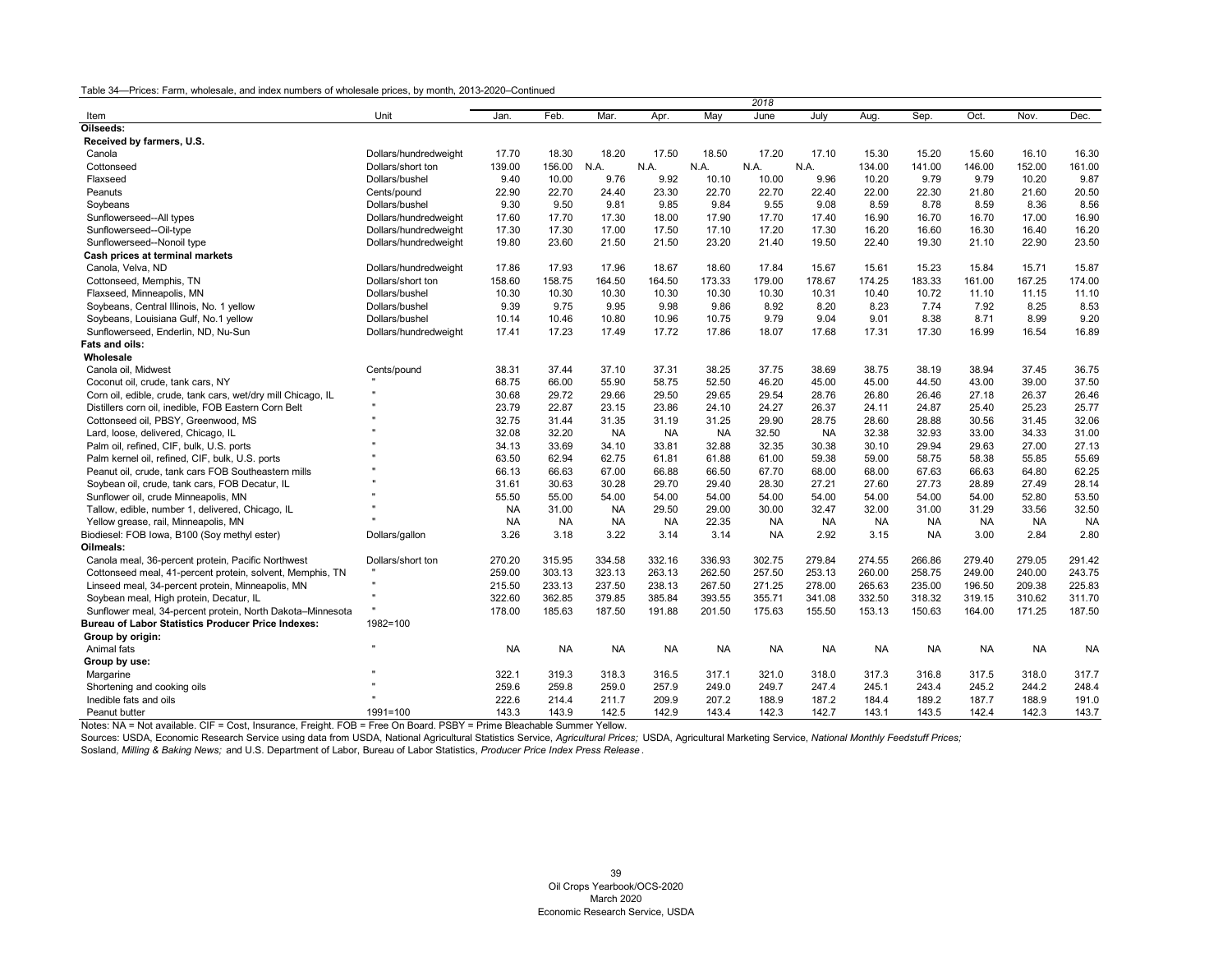|                                                              |                       |           |           |           |           |           | 2018      |           |           |           |           |           |           |
|--------------------------------------------------------------|-----------------------|-----------|-----------|-----------|-----------|-----------|-----------|-----------|-----------|-----------|-----------|-----------|-----------|
| Item                                                         | Unit                  | Jan.      | Feb.      | Mar.      | Apr.      | May       | June      | July      | Aug.      | Sep.      | Oct.      | Nov.      | Dec.      |
| Oilseeds:                                                    |                       |           |           |           |           |           |           |           |           |           |           |           |           |
| Received by farmers, U.S.                                    |                       |           |           |           |           |           |           |           |           |           |           |           |           |
| Canola                                                       | Dollars/hundredweight | 17.70     | 18.30     | 18.20     | 17.50     | 18.50     | 17.20     | 17.10     | 15.30     | 15.20     | 15.60     | 16.10     | 16.30     |
| Cottonseed                                                   | Dollars/short ton     | 139.00    | 156.00    | N.A.      | N.A.      | N.A.      | N.A.      | N.A       | 134.00    | 141.00    | 146.00    | 152.00    | 161.00    |
| Flaxseed                                                     | Dollars/bushel        | 9.40      | 10.00     | 9.76      | 9.92      | 10.10     | 10.00     | 9.96      | 10.20     | 9.79      | 9.79      | 10.20     | 9.87      |
| Peanuts                                                      | Cents/pound           | 22.90     | 22.70     | 24.40     | 23.30     | 22.70     | 22.70     | 22.40     | 22.00     | 22.30     | 21.80     | 21.60     | 20.50     |
| Soybeans                                                     | Dollars/bushel        | 9.30      | 9.50      | 9.81      | 9.85      | 9.84      | 9.55      | 9.08      | 8.59      | 8.78      | 8.59      | 8.36      | 8.56      |
| Sunflowerseed--All types                                     | Dollars/hundredweight | 17.60     | 17.70     | 17.30     | 18.00     | 17.90     | 17.70     | 17.40     | 16.90     | 16.70     | 16.70     | 17.00     | 16.90     |
| Sunflowerseed--Oil-type                                      | Dollars/hundredweight | 17.30     | 17.30     | 17.00     | 17.50     | 17.10     | 17.20     | 17.30     | 16.20     | 16.60     | 16.30     | 16.40     | 16.20     |
| Sunflowerseed--Nonoil type                                   | Dollars/hundredweight | 19.80     | 23.60     | 21.50     | 21.50     | 23.20     | 21.40     | 19.50     | 22.40     | 19.30     | 21.10     | 22.90     | 23.50     |
| Cash prices at terminal markets                              |                       |           |           |           |           |           |           |           |           |           |           |           |           |
| Canola, Velva, ND                                            | Dollars/hundredweight | 17.86     | 17.93     | 17.96     | 18.67     | 18.60     | 17.84     | 15.67     | 15.61     | 15.23     | 15.84     | 15.71     | 15.87     |
| Cottonseed, Memphis, TN                                      | Dollars/short ton     | 158.60    | 158.75    | 164.50    | 164.50    | 173.33    | 179.00    | 178.67    | 174.25    | 183.33    | 161.00    | 167.25    | 174.00    |
| Flaxseed, Minneapolis, MN                                    | Dollars/bushel        | 10.30     | 10.30     | 10.30     | 10.30     | 10.30     | 10.30     | 10.31     | 10.40     | 10.72     | 11.10     | 11.15     | 11.10     |
| Soybeans, Central Illinois, No. 1 yellow                     | Dollars/bushel        | 9.39      | 9.75      | 9.95      | 9.98      | 9.86      | 8.92      | 8.20      | 8.23      | 7.74      | 7.92      | 8.25      | 8.53      |
| Soybeans, Louisiana Gulf, No.1 yellow                        | Dollars/bushel        | 10.14     | 10.46     | 10.80     | 10.96     | 10.75     | 9.79      | 9.04      | 9.01      | 8.38      | 8.71      | 8.99      | 9.20      |
| Sunflowerseed, Enderlin, ND, Nu-Sun                          | Dollars/hundredweight | 17.41     | 17.23     | 17.49     | 17.72     | 17.86     | 18.07     | 17.68     | 17.31     | 17.30     | 16.99     | 16.54     | 16.89     |
| Fats and oils:                                               |                       |           |           |           |           |           |           |           |           |           |           |           |           |
| Wholesale                                                    |                       |           |           |           |           |           |           |           |           |           |           |           |           |
| Canola oil, Midwest                                          | Cents/pound           | 38.31     | 37.44     | 37.10     | 37.31     | 38.25     | 37.75     | 38.69     | 38.75     | 38.19     | 38.94     | 37.45     | 36.75     |
| Coconut oil, crude, tank cars, NY                            |                       | 68.75     | 66.00     | 55.90     | 58.75     | 52.50     | 46.20     | 45.00     | 45.00     | 44.50     | 43.00     | 39.00     | 37.50     |
| Corn oil, edible, crude, tank cars, wet/dry mill Chicago, IL |                       | 30.68     | 29.72     | 29.66     | 29.50     | 29.65     | 29.54     | 28.76     | 26.80     | 26.46     | 27.18     | 26.37     | 26.46     |
| Distillers corn oil, inedible, FOB Eastern Corn Belt         |                       | 23.79     | 22.87     | 23.15     | 23.86     | 24.10     | 24.27     | 26.37     | 24.11     | 24.87     | 25.40     | 25.23     | 25.77     |
| Cottonseed oil, PBSY, Greenwood, MS                          |                       | 32.75     | 31.44     | 31.35     | 31.19     | 31.25     | 29.90     | 28.75     | 28.60     | 28.88     | 30.56     | 31.45     | 32.06     |
| Lard, loose, delivered, Chicago, IL                          |                       | 32.08     | 32.20     | <b>NA</b> | <b>NA</b> | <b>NA</b> | 32.50     | <b>NA</b> | 32.38     | 32.93     | 33.00     | 34.33     | 31.00     |
| Palm oil, refined, CIF, bulk, U.S. ports                     |                       | 34.13     | 33.69     | 34.10     | 33.81     | 32.88     | 32.35     | 30.38     | 30.10     | 29.94     | 29.63     | 27.00     | 27.13     |
| Palm kernel oil, refined, CIF, bulk, U.S. ports              |                       | 63.50     | 62.94     | 62.75     | 61.81     | 61.88     | 61.00     | 59.38     | 59.00     | 58.75     | 58.38     | 55.85     | 55.69     |
| Peanut oil, crude, tank cars FOB Southeastern mills          |                       | 66.13     | 66.63     | 67.00     | 66.88     | 66.50     | 67.70     | 68.00     | 68.00     | 67.63     | 66.63     | 64.80     | 62.25     |
| Soybean oil, crude, tank cars, FOB Decatur, IL               |                       | 31.61     | 30.63     | 30.28     | 29.70     | 29.40     | 28.30     | 27.21     | 27.60     | 27.73     | 28.89     | 27.49     | 28.14     |
| Sunflower oil, crude Minneapolis, MN                         |                       | 55.50     | 55.00     | 54.00     | 54.00     | 54.00     | 54.00     | 54.00     | 54.00     | 54.00     | 54.00     | 52.80     | 53.50     |
| Tallow, edible, number 1, delivered, Chicago, IL             |                       | <b>NA</b> | 31.00     | <b>NA</b> | 29.50     | 29.00     | 30.00     | 32.47     | 32.00     | 31.00     | 31.29     | 33.56     | 32.50     |
| Yellow grease, rail, Minneapolis, MN                         |                       | <b>NA</b> | <b>NA</b> | <b>NA</b> | <b>NA</b> | 22.35     | <b>NA</b> | <b>NA</b> | <b>NA</b> | <b>NA</b> | NA        | <b>NA</b> | <b>NA</b> |
| Biodiesel: FOB Iowa, B100 (Soy methyl ester)                 | Dollars/gallon        | 3.26      | 3.18      | 3.22      | 3.14      | 3.14      | <b>NA</b> | 2.92      | 3.15      | <b>NA</b> | 3.00      | 2.84      | 2.80      |
| Oilmeals:                                                    |                       |           |           |           |           |           |           |           |           |           |           |           |           |
| Canola meal, 36-percent protein, Pacific Northwest           | Dollars/short ton     | 270.20    | 315.95    | 334.58    | 332.16    | 336.93    | 302.75    | 279.84    | 274.55    | 266.86    | 279.40    | 279.05    | 291.42    |
| Cottonseed meal, 41-percent protein, solvent, Memphis, TN    |                       | 259.00    | 303.13    | 323.13    | 263.13    | 262.50    | 257.50    | 253.13    | 260.00    | 258.75    | 249.00    | 240.00    | 243.75    |
| Linseed meal, 34-percent protein, Minneapolis, MN            | $\mathbf{u}$          | 215.50    | 233.13    | 237.50    | 238.13    | 267.50    | 271.25    | 278.00    | 265.63    | 235.00    | 196.50    | 209.38    | 225.83    |
| Soybean meal, High protein, Decatur, IL                      |                       | 322.60    | 362.85    | 379.85    | 385.84    | 393.55    | 355.71    | 341.08    | 332.50    | 318.32    | 319.15    | 310.62    | 311.70    |
| Sunflower meal, 34-percent protein, North Dakota-Minnesota   |                       | 178.00    | 185.63    | 187.50    | 191.88    | 201.50    | 175.63    | 155.50    | 153.13    | 150.63    | 164.00    | 171.25    | 187.50    |
| <b>Bureau of Labor Statistics Producer Price Indexes:</b>    | $1982 = 100$          |           |           |           |           |           |           |           |           |           |           |           |           |
| Group by origin:                                             |                       |           |           |           |           |           |           |           |           |           |           |           |           |
| Animal fats                                                  | $\mathbf{u}$          | <b>NA</b> | <b>NA</b> | <b>NA</b> | <b>NA</b> | <b>NA</b> | <b>NA</b> | <b>NA</b> | <b>NA</b> | <b>NA</b> | <b>NA</b> | <b>NA</b> | <b>NA</b> |
| Group by use:                                                |                       |           |           |           |           |           |           |           |           |           |           |           |           |
| Margarine                                                    |                       | 322.1     | 319.3     | 318.3     | 316.5     | 317.1     | 321.0     | 318.0     | 317.3     | 316.8     | 317.5     | 318.0     | 317.7     |
| Shortening and cooking oils                                  |                       | 259.6     | 259.8     | 259.0     | 257.9     | 249.0     | 249.7     | 247.4     | 245.1     | 243.4     | 245.2     | 244.2     | 248.4     |
| Inedible fats and oils                                       |                       | 222.6     | 214.4     | 211.7     | 209.9     | 207.2     | 188.9     | 187.2     | 184.4     | 189.2     | 187.7     | 188.9     | 191.0     |
| Peanut butter                                                | $1991 = 100$          | 143.3     | 143.9     | 142.5     | 142.9     | 143.4     | 142.3     | 142.7     | 143.1     | 143.5     | 142.4     | 142.3     | 143.7     |

Notes: NA = Not available. CIF = Cost, Insurance, Freight. FOB = Free On Board. PSBY = Prime Bleachable Summer Yellow.

Sources: USDA, Economic Research Service using data from USDA, National Agricultural Statistics Service, *Agricultural Prices;* USDA, Agricultural Marketing Service, *National Monthly Feedstuff Prices;*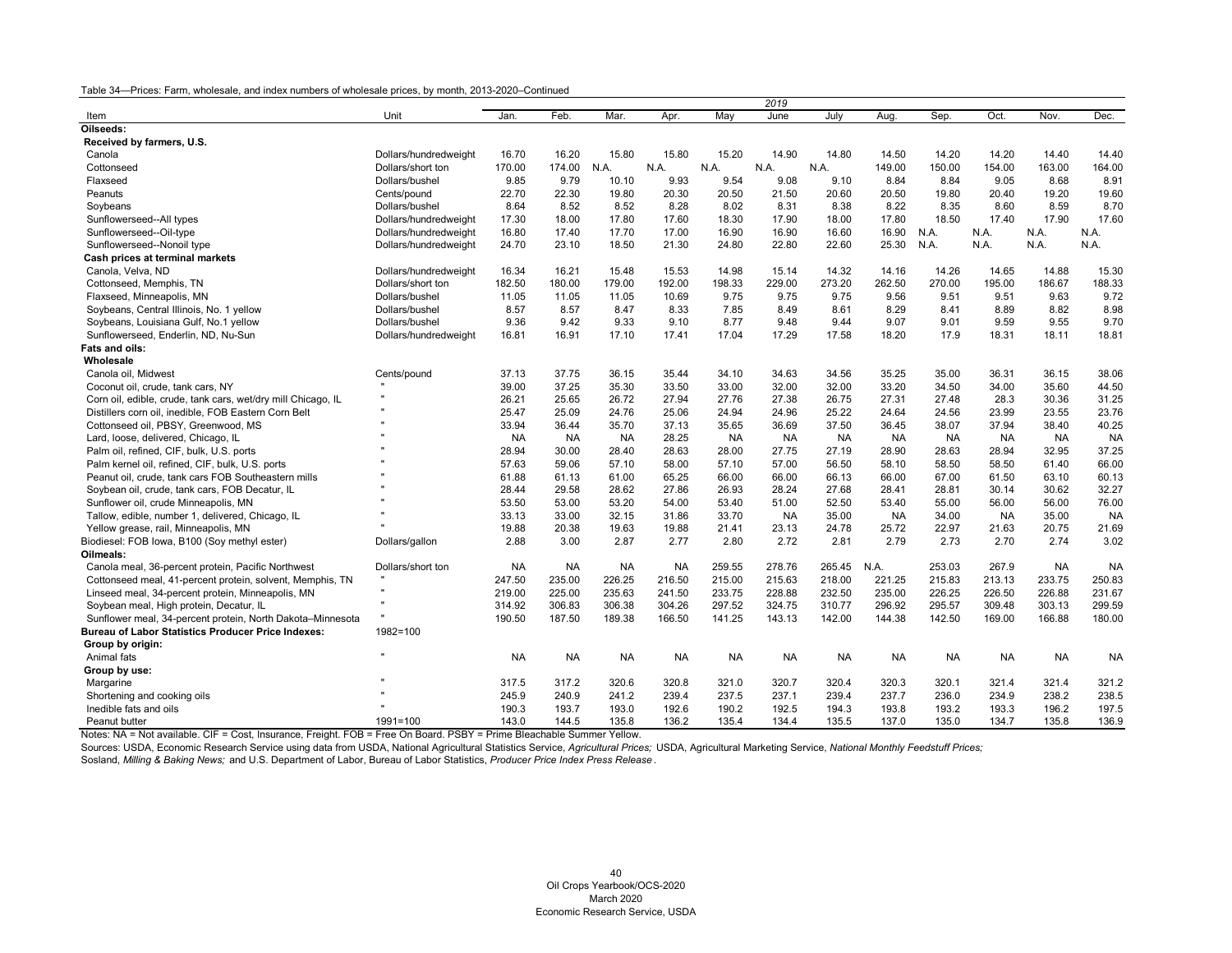|                                                              |                       |           |           |           |           |           | 2019      |           |           |           |           |           |           |
|--------------------------------------------------------------|-----------------------|-----------|-----------|-----------|-----------|-----------|-----------|-----------|-----------|-----------|-----------|-----------|-----------|
| Item                                                         | Unit                  | Jan.      | Feb.      | Mar.      | Apr.      | May       | June      | July      | Aug       | Sep.      | Oct       | Nov.      | Dec.      |
| Oilseeds:                                                    |                       |           |           |           |           |           |           |           |           |           |           |           |           |
| Received by farmers, U.S.                                    |                       |           |           |           |           |           |           |           |           |           |           |           |           |
| Canola                                                       | Dollars/hundredweight | 16.70     | 16.20     | 15.80     | 15.80     | 15.20     | 14.90     | 14.80     | 14.50     | 14.20     | 14.20     | 14.40     | 14.40     |
| Cottonseed                                                   | Dollars/short ton     | 170.00    | 174.00    | N.A.      | N.A.      | N.A.      | N.A       | N.A.      | 149.00    | 150.00    | 154.00    | 163.00    | 164.00    |
| Flaxseed                                                     | Dollars/bushel        | 9.85      | 9.79      | 10.10     | 9.93      | 9.54      | 9.08      | 9.10      | 8.84      | 8.84      | 9.05      | 8.68      | 8.91      |
| Peanuts                                                      | Cents/pound           | 22.70     | 22.30     | 19.80     | 20.30     | 20.50     | 21.50     | 20.60     | 20.50     | 19.80     | 20.40     | 19.20     | 19.60     |
| Soybeans                                                     | Dollars/bushel        | 8.64      | 8.52      | 8.52      | 8.28      | 8.02      | 8.31      | 8.38      | 8.22      | 8.35      | 8.60      | 8.59      | 8.70      |
| Sunflowerseed--All types                                     | Dollars/hundredweight | 17.30     | 18.00     | 17.80     | 17.60     | 18.30     | 17.90     | 18.00     | 17.80     | 18.50     | 17.40     | 17.90     | 17.60     |
| Sunflowerseed--Oil-type                                      | Dollars/hundredweight | 16.80     | 17.40     | 17.70     | 17.00     | 16.90     | 16.90     | 16.60     | 16.90     | N.A.      | N.A.      | N.A.      | N.A.      |
| Sunflowerseed--Nonoil type                                   | Dollars/hundredweight | 24.70     | 23.10     | 18.50     | 21.30     | 24.80     | 22.80     | 22.60     | 25.30     | N.A.      | N.A.      | N.A.      | N.A.      |
| Cash prices at terminal markets                              |                       |           |           |           |           |           |           |           |           |           |           |           |           |
| Canola, Velva, ND                                            | Dollars/hundredweight | 16.34     | 16.21     | 15.48     | 15.53     | 14.98     | 15.14     | 14.32     | 14.16     | 14.26     | 14.65     | 14.88     | 15.30     |
| Cottonseed, Memphis, TN                                      | Dollars/short ton     | 182.50    | 180.00    | 179.00    | 192.00    | 198.33    | 229.00    | 273.20    | 262.50    | 270.00    | 195.00    | 186.67    | 188.33    |
| Flaxseed, Minneapolis, MN                                    | Dollars/bushel        | 11.05     | 11.05     | 11.05     | 10.69     | 9.75      | 9.75      | 9.75      | 9.56      | 9.51      | 9.51      | 9.63      | 9.72      |
| Soybeans, Central Illinois, No. 1 yellow                     | Dollars/bushel        | 8.57      | 8.57      | 8.47      | 8.33      | 7.85      | 8.49      | 8.61      | 8.29      | 8.41      | 8.89      | 8.82      | 8.98      |
| Soybeans, Louisiana Gulf, No.1 yellow                        | Dollars/bushel        | 9.36      | 9.42      | 9.33      | 9.10      | 8.77      | 9.48      | 9.44      | 9.07      | 9.01      | 9.59      | 9.55      | 9.70      |
| Sunflowerseed, Enderlin, ND, Nu-Sun                          | Dollars/hundredweight | 16.81     | 16.91     | 17.10     | 17.41     | 17.04     | 17.29     | 17.58     | 18.20     | 17.9      | 18.31     | 18.11     | 18.81     |
| Fats and oils:                                               |                       |           |           |           |           |           |           |           |           |           |           |           |           |
| Wholesale                                                    |                       |           |           |           |           |           |           |           |           |           |           |           |           |
| Canola oil, Midwest                                          | Cents/pound           | 37.13     | 37.75     | 36.15     | 35.44     | 34.10     | 34.63     | 34.56     | 35.25     | 35.00     | 36.31     | 36.15     | 38.06     |
| Coconut oil, crude, tank cars, NY                            |                       | 39.00     | 37.25     | 35.30     | 33.50     | 33.00     | 32.00     | 32.00     | 33.20     | 34.50     | 34.00     | 35.60     | 44.50     |
| Corn oil, edible, crude, tank cars, wet/dry mill Chicago, IL | $\mathbf{u}$          | 26.21     | 25.65     | 26.72     | 27.94     | 27.76     | 27.38     | 26.75     | 27.31     | 27.48     | 28.3      | 30.36     | 31.25     |
| Distillers corn oil, inedible, FOB Eastern Corn Belt         |                       | 25.47     | 25.09     | 24.76     | 25.06     | 24.94     | 24.96     | 25.22     | 24.64     | 24.56     | 23.99     | 23.55     | 23.76     |
| Cottonseed oil, PBSY, Greenwood, MS                          |                       | 33.94     | 36.44     | 35.70     | 37.13     | 35.65     | 36.69     | 37.50     | 36.45     | 38.07     | 37.94     | 38.40     | 40.25     |
| Lard, loose, delivered, Chicago, IL                          |                       | <b>NA</b> | NA.       | <b>NA</b> | 28.25     | <b>NA</b> | <b>NA</b> | <b>NA</b> | <b>NA</b> | <b>NA</b> | <b>NA</b> | <b>NA</b> | <b>NA</b> |
| Palm oil, refined, CIF, bulk, U.S. ports                     |                       | 28.94     | 30.00     | 28.40     | 28.63     | 28.00     | 27.75     | 27.19     | 28.90     | 28.63     | 28.94     | 32.95     | 37.25     |
| Palm kernel oil, refined, CIF, bulk, U.S. ports              |                       | 57.63     | 59.06     | 57.10     | 58.00     | 57.10     | 57.00     | 56.50     | 58.10     | 58.50     | 58.50     | 61.40     | 66.00     |
| Peanut oil, crude, tank cars FOB Southeastern mills          |                       | 61.88     | 61.13     | 61.00     | 65.25     | 66.00     | 66.00     | 66.13     | 66.00     | 67.00     | 61.50     | 63.10     | 60.13     |
| Soybean oil, crude, tank cars, FOB Decatur, IL               |                       | 28.44     | 29.58     | 28.62     | 27.86     | 26.93     | 28.24     | 27.68     | 28.41     | 28.81     | 30.14     | 30.62     | 32.27     |
| Sunflower oil, crude Minneapolis, MN                         |                       | 53.50     | 53.00     | 53.20     | 54.00     | 53.40     | 51.00     | 52.50     | 53.40     | 55.00     | 56.00     | 56.00     | 76.00     |
| Tallow, edible, number 1, delivered, Chicago, IL             |                       | 33.13     | 33.00     | 32.15     | 31.86     | 33.70     | <b>NA</b> | 35.00     | <b>NA</b> | 34.00     | <b>NA</b> | 35.00     | <b>NA</b> |
| Yellow grease, rail, Minneapolis, MN                         |                       | 19.88     | 20.38     | 19.63     | 19.88     | 21.41     | 23.13     | 24.78     | 25.72     | 22.97     | 21.63     | 20.75     | 21.69     |
| Biodiesel: FOB Iowa, B100 (Soy methyl ester)                 | Dollars/gallon        | 2.88      | 3.00      | 2.87      | 2.77      | 2.80      | 2.72      | 2.81      | 2.79      | 2.73      | 2.70      | 2.74      | 3.02      |
| Oilmeals:                                                    |                       |           |           |           |           |           |           |           |           |           |           |           |           |
| Canola meal, 36-percent protein, Pacific Northwest           | Dollars/short ton     | <b>NA</b> | <b>NA</b> | <b>NA</b> | <b>NA</b> | 259.55    | 278.76    | 265.45    | N.A.      | 253.03    | 267.9     | <b>NA</b> | <b>NA</b> |
| Cottonseed meal, 41-percent protein, solvent, Memphis, TN    |                       | 247.50    | 235.00    | 226.25    | 216.50    | 215.00    | 215.63    | 218.00    | 221.25    | 215.83    | 213.13    | 233.75    | 250.83    |
| Linseed meal, 34-percent protein, Minneapolis, MN            |                       | 219.00    | 225.00    | 235.63    | 241.50    | 233.75    | 228.88    | 232.50    | 235.00    | 226.25    | 226.50    | 226.88    | 231.67    |
| Soybean meal, High protein, Decatur, IL                      |                       | 314.92    | 306.83    | 306.38    | 304.26    | 297.52    | 324.75    | 310.77    | 296.92    | 295.57    | 309.48    | 303.13    | 299.59    |
| Sunflower meal, 34-percent protein, North Dakota-Minnesota   |                       | 190.50    | 187.50    | 189.38    | 166.50    | 141.25    | 143.13    | 142.00    | 144.38    | 142.50    | 169.00    | 166.88    | 180.00    |
| <b>Bureau of Labor Statistics Producer Price Indexes:</b>    | 1982=100              |           |           |           |           |           |           |           |           |           |           |           |           |
| Group by origin:                                             |                       |           |           |           |           |           |           |           |           |           |           |           |           |
| Animal fats                                                  |                       | <b>NA</b> | NA        | NA        | NA        | <b>NA</b> | NA        | <b>NA</b> | <b>NA</b> | <b>NA</b> | <b>NA</b> | <b>NA</b> | <b>NA</b> |
| Group by use:                                                |                       |           |           |           |           |           |           |           |           |           |           |           |           |
| Margarine                                                    |                       | 317.5     | 317.2     | 320.6     | 320.8     | 321.0     | 320.7     | 320.4     | 320.3     | 320.1     | 321.4     | 321.4     | 321.2     |
| Shortening and cooking oils                                  |                       | 245.9     | 240.9     | 241.2     | 239.4     | 237.5     | 237.1     | 239.4     | 237.7     | 236.0     | 234.9     | 238.2     | 238.5     |
| Inedible fats and oils                                       |                       | 190.3     | 193.7     | 193.0     | 192.6     | 190.2     | 192.5     | 194.3     | 193.8     | 193.2     | 193.3     | 196.2     | 197.5     |
| Peanut butter                                                | $1991 = 100$          | 143.0     | 144.5     | 135.8     | 136.2     | 135.4     | 134.4     | 135.5     | 137.0     | 135.0     | 134.7     | 135.8     | 136.9     |

Notes: NA = Not available. CIF = Cost, Insurance, Freight. FOB = Free On Board. PSBY = Prime Bleachable Summer Yellow.

Sources: USDA, Economic Research Service using data from USDA, National Agricultural Statistics Service, *Agricultural Prices;* USDA, Agricultural Marketing Service, *National Monthly Feedstuff Prices;*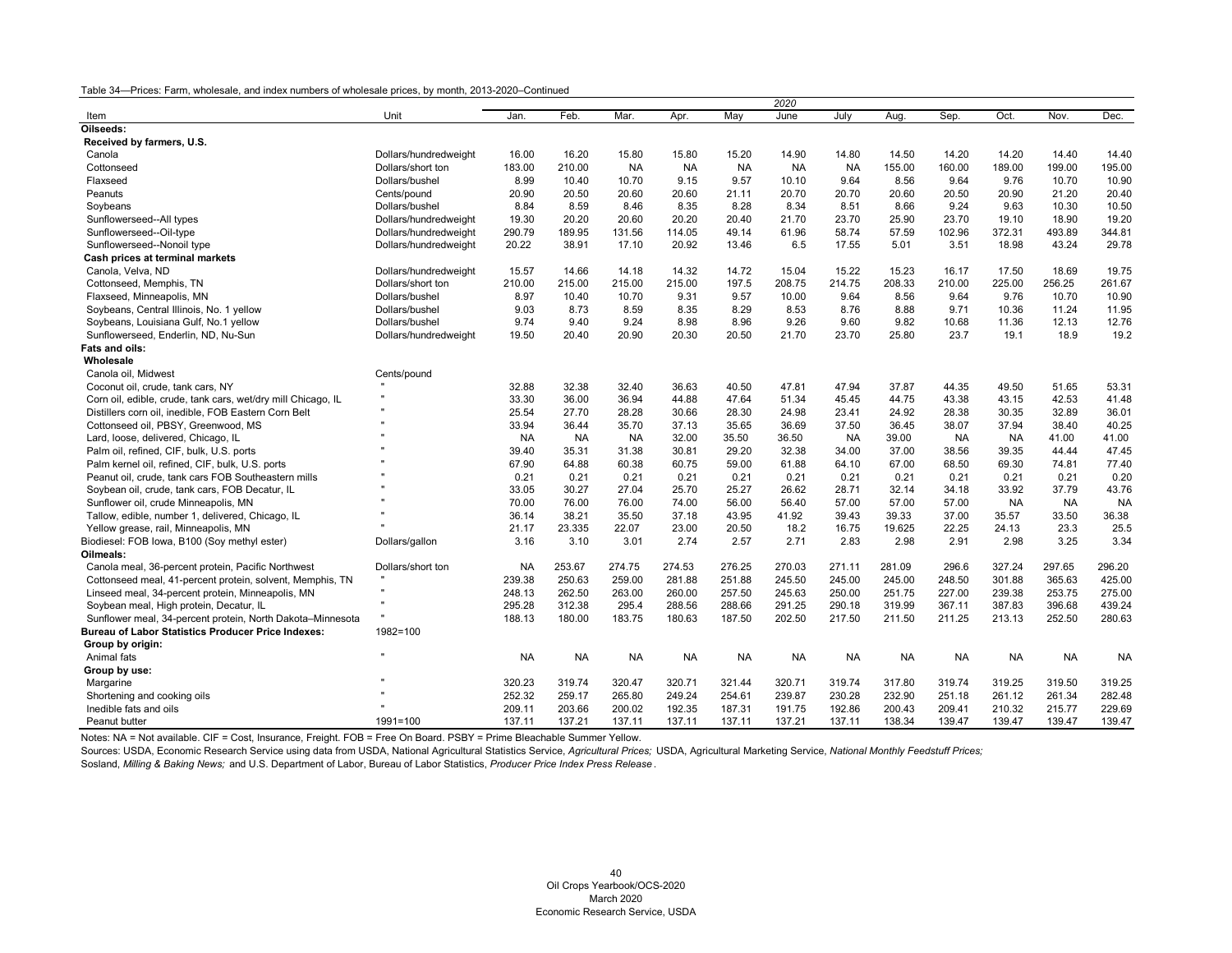| Mar.<br>May<br>July<br>Sep.<br>Oct.<br>Nov.<br>Unit<br>Jan<br>Feb.<br>Apr.<br>June<br>Aug<br>Item                                                                                       | Dec.      |
|-----------------------------------------------------------------------------------------------------------------------------------------------------------------------------------------|-----------|
|                                                                                                                                                                                         |           |
| Oilseeds:                                                                                                                                                                               |           |
| Received by farmers, U.S.                                                                                                                                                               |           |
| Dollars/hundredweight<br>16.00<br>16.20<br>15.80<br>15.80<br>15.20<br>14.90<br>14.80<br>14.50<br>14.20<br>14.20<br>14.40<br>Canola                                                      | 14.40     |
| 199.00<br>Dollars/short ton<br>183.00<br>210.00<br><b>NA</b><br><b>NA</b><br><b>NA</b><br><b>NA</b><br><b>NA</b><br>155.00<br>160.00<br>189.00<br>Cottonseed                            | 195.00    |
| 8.99<br>10.40<br>9.15<br>9.57<br>10.10<br>9.64<br>8.56<br>9.64<br>9.76<br>10.70<br>Flaxseed<br>Dollars/bushel<br>10.70                                                                  | 10.90     |
| 20.90<br>20.50<br>20.60<br>20.70<br>20.70<br>20.60<br>20.50<br>20.90<br>21.20<br>Peanuts<br>Cents/pound<br>20.60<br>21.11                                                               | 20.40     |
| 9.24<br>10.30<br>8.84<br>8.59<br>8.46<br>8.35<br>8.28<br>8.34<br>8.51<br>8.66<br>9.63<br>Dollars/bushel<br>Soybeans                                                                     | 10.50     |
| 19.30<br>20.20<br>20.20<br>25.90<br>23.70<br>18.90<br>Sunflowerseed--All types<br>Dollars/hundredweight<br>20.60<br>20.40<br>21.70<br>23.70<br>19.10                                    | 19.20     |
| 189.95<br>57.59<br>102.96<br>372.31<br>493.89<br>Sunflowerseed--Oil-type<br>Dollars/hundredweight<br>290.79<br>131.56<br>114.05<br>49.14<br>61.96<br>58.74                              | 344.81    |
| 17.10<br>20.92<br>13.46<br>6.5<br>17.55<br>5.01<br>3.51<br>18.98<br>43.24<br>Sunflowerseed--Nonoil type<br>Dollars/hundredweight<br>20.22<br>38.91                                      | 29.78     |
| Cash prices at terminal markets                                                                                                                                                         |           |
| Canola, Velva, ND<br>15.57<br>14.66<br>14.18<br>14.32<br>14.72<br>15.04<br>15.22<br>15.23<br>16.17<br>17.50<br>18.69<br>Dollars/hundredweight                                           | 19.75     |
| 210.00<br>215.00<br>215.00<br>197.5<br>208.75<br>214.75<br>208.33<br>210.00<br>225.00<br>256.25<br>Cottonseed, Memphis, TN<br>Dollars/short ton<br>215.00                               | 261.67    |
| 8.97<br>9.57<br>9.64<br>9.64<br>9.76<br>Flaxseed, Minneapolis, MN<br>Dollars/bushel<br>10.40<br>10.70<br>9.31<br>10.00<br>8.56<br>10.70                                                 | 10.90     |
| 8.73<br>8.29<br>8.53<br>8.88<br>9.71<br>10.36<br>11.24<br>Soybeans, Central Illinois, No. 1 yellow<br>Dollars/bushel<br>9.03<br>8.59<br>8.35<br>8.76                                    | 11.95     |
| 9.74<br>9.40<br>9.24<br>8.96<br>9.26<br>9.60<br>9.82<br>10.68<br>12.13<br>Dollars/bushel<br>8.98<br>11.36<br>Soybeans, Louisiana Gulf, No.1 yellow                                      | 12.76     |
| 20.90<br>20.50<br>23.70<br>25.80<br>23.7<br>19.1<br>18.9<br>Sunflowerseed, Enderlin, ND, Nu-Sun<br>19.50<br>20.40<br>20.30<br>21.70<br>Dollars/hundredweight                            | 19.2      |
| <b>Fats and oils:</b>                                                                                                                                                                   |           |
| Wholesale                                                                                                                                                                               |           |
| Canola oil, Midwest<br>Cents/pound                                                                                                                                                      |           |
| Coconut oil, crude, tank cars, NY<br>32.88<br>32.38<br>32.40<br>36.63<br>40.50<br>47.81<br>47.94<br>37.87<br>44.35<br>49.50<br>51.65                                                    | 53.31     |
| 42.53<br>Corn oil, edible, crude, tank cars, wet/dry mill Chicago, IL<br>33.30<br>36.00<br>36.94<br>44.88<br>47.64<br>51.34<br>45.45<br>44.75<br>43.38<br>43.15                         | 41.48     |
| 32.89<br>Distillers corn oil, inedible, FOB Eastern Corn Belt<br>25.54<br>27.70<br>28.28<br>30.66<br>28.30<br>24.98<br>23.41<br>24.92<br>28.38<br>30.35                                 | 36.01     |
| Cottonseed oil, PBSY, Greenwood, MS<br>33.94<br>36.44<br>35.70<br>37.13<br>35.65<br>36.69<br>37.50<br>36.45<br>38.07<br>37.94<br>38.40                                                  | 40.25     |
| Lard, loose, delivered, Chicago, IL<br><b>NA</b><br><b>NA</b><br>32.00<br>35.50<br>36.50<br><b>NA</b><br>39.00<br><b>NA</b><br><b>NA</b><br>41.00<br>NA.                                | 41.00     |
| 39.40<br>35.31<br>31.38<br>30.81<br>29.20<br>32.38<br>37.00<br>39.35<br>44.44<br>Palm oil, refined, CIF, bulk, U.S. ports<br>34.00<br>38.56                                             | 47.45     |
| 67.90<br>60.38<br>59.00<br>67.00<br>68.50<br>69.30<br>74.81<br>Palm kernel oil, refined, CIF, bulk, U.S. ports<br>64.88<br>60.75<br>61.88<br>64.10                                      | 77.40     |
| 0.21<br>0.21<br>0.21<br>0.21<br>0.21<br>0.21<br>0.21<br>0.21<br>0.21<br>0.21<br>0.21<br>Peanut oil, crude, tank cars FOB Southeastern mills                                             | 0.20      |
| 30.27<br>32.14<br>33.92<br>37.79<br>Soybean oil, crude, tank cars, FOB Decatur, IL<br>33.05<br>27.04<br>25.70<br>25.27<br>26.62<br>28.71<br>34.18                                       | 43.76     |
| <b>NA</b><br>Sunflower oil, crude Minneapolis, MN<br>70.00<br>76.00<br>76.00<br>74.00<br>56.00<br>56.40<br>57.00<br>57.00<br>57.00<br><b>NA</b>                                         | <b>NA</b> |
| Tallow, edible, number 1, delivered, Chicago, IL<br>36.14<br>38.21<br>35.50<br>37.18<br>43.95<br>41.92<br>39.43<br>39.33<br>37.00<br>35.57<br>33.50                                     | 36.38     |
| 21.17<br>23.335<br>22.07<br>23.00<br>18.2<br>16.75<br>19.625<br>22.25<br>24.13<br>23.3<br>Yellow grease, rail, Minneapolis, MN<br>20.50                                                 | 25.5      |
| 3.16<br>3.10<br>3.01<br>2.74<br>2.57<br>2.71<br>2.83<br>2.98<br>2.91<br>2.98<br>3.25<br>Biodiesel: FOB Iowa, B100 (Soy methyl ester)<br>Dollars/gallon                                  | 3.34      |
| Oilmeals:                                                                                                                                                                               |           |
| 253.67<br>274.53<br>276.25<br>296.6<br>327.24<br>297.65<br>Canola meal, 36-percent protein, Pacific Northwest<br>Dollars/short ton<br><b>NA</b><br>274.75<br>270.03<br>271.11<br>281.09 | 296.20    |
| 239.38<br>250.63<br>259.00<br>245.50<br>245.00<br>245.00<br>248.50<br>301.88<br>365.63<br>Cottonseed meal, 41-percent protein, solvent, Memphis, TN<br>281.88<br>251.88                 | 425.00    |
| $\mathbf{u}$<br>Linseed meal, 34-percent protein, Minneapolis, MN<br>248.13<br>262.50<br>263.00<br>260.00<br>257.50<br>245.63<br>250.00<br>251.75<br>227.00<br>239.38<br>253.75         | 275.00    |
| Soybean meal, High protein, Decatur, IL<br>295.28<br>312.38<br>295.4<br>288.56<br>288.66<br>291.25<br>290.18<br>319.99<br>367.11<br>387.83<br>396.68                                    | 439.24    |
| 188.13<br>180.00<br>183.75<br>202.50<br>217.50<br>211.50<br>211.25<br>213.13<br>252.50<br>Sunflower meal, 34-percent protein, North Dakota-Minnesota<br>180.63<br>187.50                | 280.63    |
| <b>Bureau of Labor Statistics Producer Price Indexes:</b><br>1982=100                                                                                                                   |           |
| Group by origin:                                                                                                                                                                        |           |
| 'n<br><b>NA</b><br><b>NA</b><br><b>NA</b><br><b>NA</b><br><b>NA</b><br><b>NA</b><br>Animal fats<br>NA<br><b>NA</b><br><b>NA</b><br><b>NA</b><br><b>NA</b>                               | <b>NA</b> |
| Group by use:                                                                                                                                                                           |           |
| 320.23<br>319.74<br>320.47<br>320.71<br>321.44<br>320.71<br>319.74<br>317.80<br>319.74<br>319.25<br>319.50<br>Margarine                                                                 | 319.25    |
| 252.32<br>259.17<br>265.80<br>249.24<br>254.61<br>239.87<br>230.28<br>232.90<br>251.18<br>261.12<br>261.34<br>Shortening and cooking oils                                               | 282.48    |
| Inedible fats and oils<br>209.11<br>203.66<br>200.02<br>192.35<br>187.31<br>191.75<br>192.86<br>200.43<br>209.41<br>210.32<br>215.77                                                    | 229.69    |
| 137.11<br>137.21<br>137.11<br>137.11<br>137.11<br>137.21<br>137.11<br>138.34<br>139.47<br>139.47<br>139.47<br>Peanut butter<br>$1991 = 100$                                             | 139.47    |

Notes: NA = Not available. CIF = Cost, Insurance, Freight. FOB = Free On Board. PSBY = Prime Bleachable Summer Yellow.

Sources: USDA, Economic Research Service using data from USDA, National Agricultural Statistics Service, *Agricultural Prices;* USDA, Agricultural Marketing Service, *National Monthly Feedstuff Prices;* Sosland, *Milling & Baking News;* and U.S. Department of Labor, Bureau of Labor Statistics, *Producer Price Index Press Release* .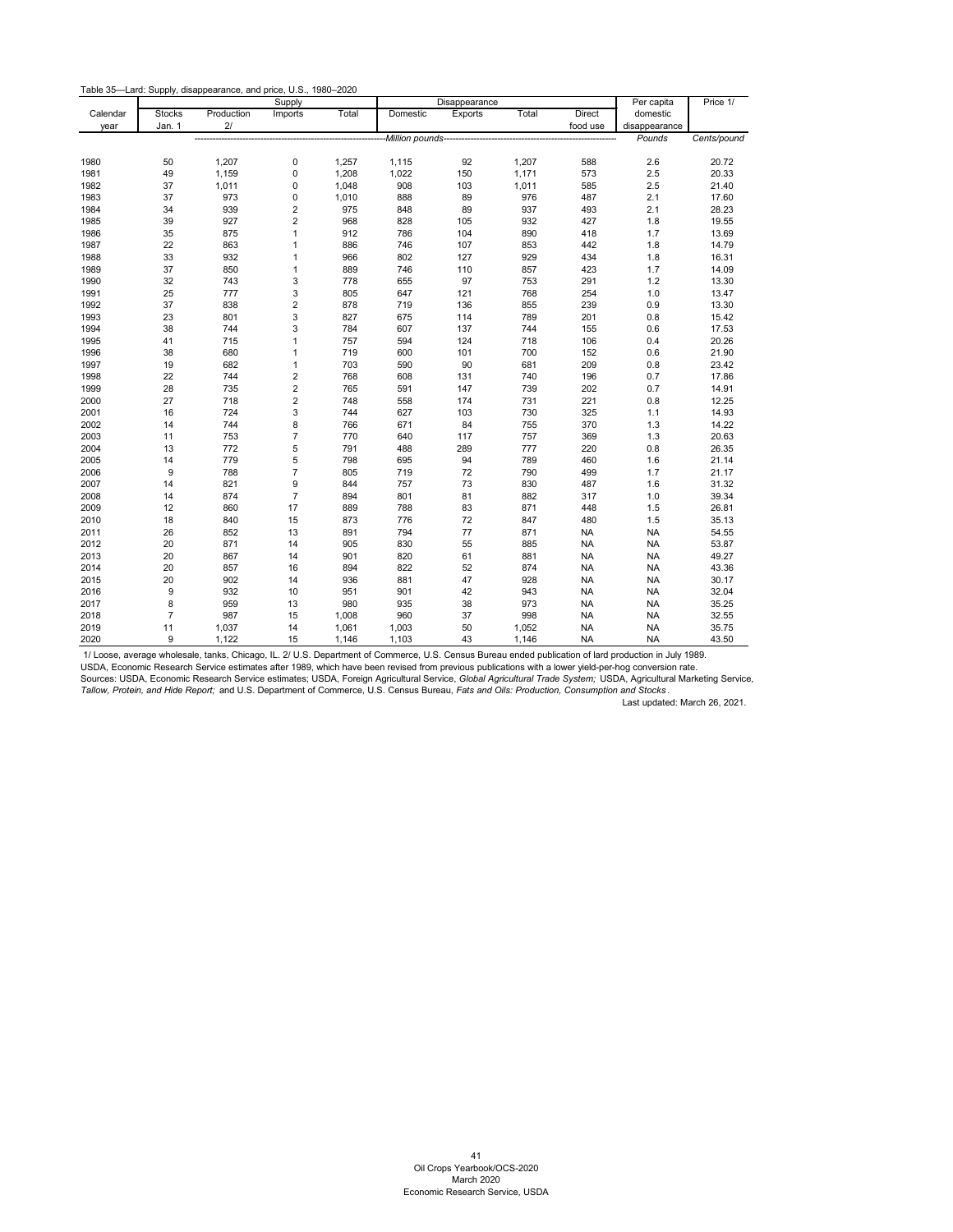Table 35—Lard: Supply, disappearance, and price, U.S., 1980–2020

|          |                |            | Supply                    |       |                 | Disappearance |       |               | Per capita    | Price 1/    |
|----------|----------------|------------|---------------------------|-------|-----------------|---------------|-------|---------------|---------------|-------------|
| Calendar | <b>Stocks</b>  | Production | Imports                   | Total | Domestic        | Exports       | Total | <b>Direct</b> | domestic      |             |
| year     | Jan. 1         | 2/         |                           |       |                 |               |       | food use      | disappearance |             |
|          |                |            |                           |       | Million pounds- |               |       |               | Pounds        | Cents/pound |
|          |                |            |                           |       |                 |               |       |               |               |             |
| 1980     | 50             | 1,207      | 0                         | 1,257 | 1,115           | 92            | 1,207 | 588           | 2.6           | 20.72       |
| 1981     | 49             | 1,159      | 0                         | 1,208 | 1,022           | 150           | 1,171 | 573           | 2.5           | 20.33       |
| 1982     | 37             | 1,011      | $\pmb{0}$                 | 1,048 | 908             | 103           | 1,011 | 585           | 2.5           | 21.40       |
| 1983     | 37             | 973        | $\pmb{0}$                 | 1,010 | 888             | 89            | 976   | 487           | 2.1           | 17.60       |
| 1984     | 34             | 939        | $\overline{c}$            | 975   | 848             | 89            | 937   | 493           | 2.1           | 28.23       |
| 1985     | 39             | 927        | $\overline{c}$            | 968   | 828             | 105           | 932   | 427           | 1.8           | 19.55       |
| 1986     | 35             | 875        | $\mathbf{1}$              | 912   | 786             | 104           | 890   | 418           | 1.7           | 13.69       |
| 1987     | 22             | 863        | $\mathbf{1}$              | 886   | 746             | 107           | 853   | 442           | 1.8           | 14.79       |
| 1988     | 33             | 932        | $\mathbf{1}$              | 966   | 802             | 127           | 929   | 434           | 1.8           | 16.31       |
| 1989     | 37             | 850        | $\mathbf{1}$              | 889   | 746             | 110           | 857   | 423           | 1.7           | 14.09       |
| 1990     | 32             | 743        | $\mathsf 3$               | 778   | 655             | 97            | 753   | 291           | $1.2$         | 13.30       |
| 1991     | 25             | 777        | $\mathsf 3$               | 805   | 647             | 121           | 768   | 254           | 1.0           | 13.47       |
| 1992     | 37             | 838        | $\mathbf 2$               | 878   | 719             | 136           | 855   | 239           | 0.9           | 13.30       |
| 1993     | 23             | 801        | $\ensuremath{\mathsf{3}}$ | 827   | 675             | 114           | 789   | 201           | 0.8           | 15.42       |
| 1994     | 38             | 744        | 3                         | 784   | 607             | 137           | 744   | 155           | 0.6           | 17.53       |
| 1995     | 41             | 715        | $\mathbf{1}$              | 757   | 594             | 124           | 718   | 106           | 0.4           | 20.26       |
| 1996     | 38             | 680        | $\mathbf{1}$              | 719   | 600             | 101           | 700   | 152           | 0.6           | 21.90       |
| 1997     | 19             | 682        | $\mathbf{1}$              | 703   | 590             | 90            | 681   | 209           | 0.8           | 23.42       |
| 1998     | 22             | 744        | $\sqrt{2}$                | 768   | 608             | 131           | 740   | 196           | 0.7           | 17.86       |
| 1999     | 28             | 735        | $\sqrt{2}$                | 765   | 591             | 147           | 739   | 202           | 0.7           | 14.91       |
| 2000     | 27             | 718        | $\sqrt{2}$                | 748   | 558             | 174           | 731   | 221           | 0.8           | 12.25       |
| 2001     | 16             | 724        | 3                         | 744   | 627             | 103           | 730   | 325           | 1.1           | 14.93       |
| 2002     | 14             | 744        | $\bf8$                    | 766   | 671             | 84            | 755   | 370           | 1.3           | 14.22       |
| 2003     | 11             | 753        | $\overline{7}$            | 770   | 640             | 117           | 757   | 369           | 1.3           | 20.63       |
| 2004     | 13             | 772        | $\mathbf 5$               | 791   | 488             | 289           | 777   | 220           | 0.8           | 26.35       |
| 2005     | 14             | 779        | $\overline{5}$            | 798   | 695             | 94            | 789   | 460           | 1.6           | 21.14       |
| 2006     | 9              | 788        | $\overline{7}$            | 805   | 719             | 72            | 790   | 499           | 1.7           | 21.17       |
| 2007     | 14             | 821        | $\boldsymbol{9}$          | 844   | 757             | 73            | 830   | 487           | 1.6           | 31.32       |
| 2008     | 14             | 874        | $\overline{7}$            | 894   | 801             | 81            | 882   | 317           | 1.0           | 39.34       |
| 2009     | 12             | 860        | 17                        | 889   | 788             | 83            | 871   | 448           | 1.5           | 26.81       |
| 2010     | 18             | 840        | 15                        | 873   | 776             | 72            | 847   | 480           | 1.5           | 35.13       |
| 2011     | 26             | 852        | 13                        | 891   | 794             | $77\,$        | 871   | NA            | <b>NA</b>     | 54.55       |
| 2012     | 20             | 871        | 14                        | 905   | 830             | 55            | 885   | <b>NA</b>     | <b>NA</b>     | 53.87       |
| 2013     | 20             | 867        | 14                        | 901   | 820             | 61            | 881   | NA.           | <b>NA</b>     | 49.27       |
| 2014     | 20             | 857        | 16                        | 894   | 822             | 52            | 874   | <b>NA</b>     | <b>NA</b>     | 43.36       |
| 2015     | 20             | 902        | 14                        | 936   | 881             | 47            | 928   | <b>NA</b>     | <b>NA</b>     | 30.17       |
| 2016     | 9              | 932        | 10                        | 951   | 901             | 42            | 943   | <b>NA</b>     | <b>NA</b>     | 32.04       |
| 2017     | 8              | 959        | 13                        | 980   | 935             | 38            | 973   | ΝA            | <b>NA</b>     | 35.25       |
| 2018     | $\overline{7}$ | 987        | 15                        | 1,008 | 960             | 37            | 998   | <b>NA</b>     | <b>NA</b>     | 32.55       |
| 2019     | 11             | 1,037      | 14                        | 1,061 | 1,003           | 50            | 1,052 | <b>NA</b>     | <b>NA</b>     | 35.75       |
| 2020     | 9              | 1,122      | 15                        | 1,146 | 1,103           | 43            | 1,146 | <b>NA</b>     | <b>NA</b>     | 43.50       |

<span id="page-42-0"></span>1/ Loose, average wholesale, tanks, Chicago, IL. 2/ U.S. Department of Commerce, U.S. Census Bureau ended publication of lard production in July 1989.

USDA, Economic Research Service estimates after 1989, which have been revised from previous publications with a lower yield-per-hog conversion rate. Sources: USDA, Economic Research Service estimates; USDA, Foreign Agricultural Service, *Global Agricultural Trade System;* USDA, Agricultural Marketing Service*, Tallow, Protein, and Hide Report;* and U.S. Department of Commerce, U.S. Census Bureau, *Fats and Oils: Production, Consumption and Stocks* .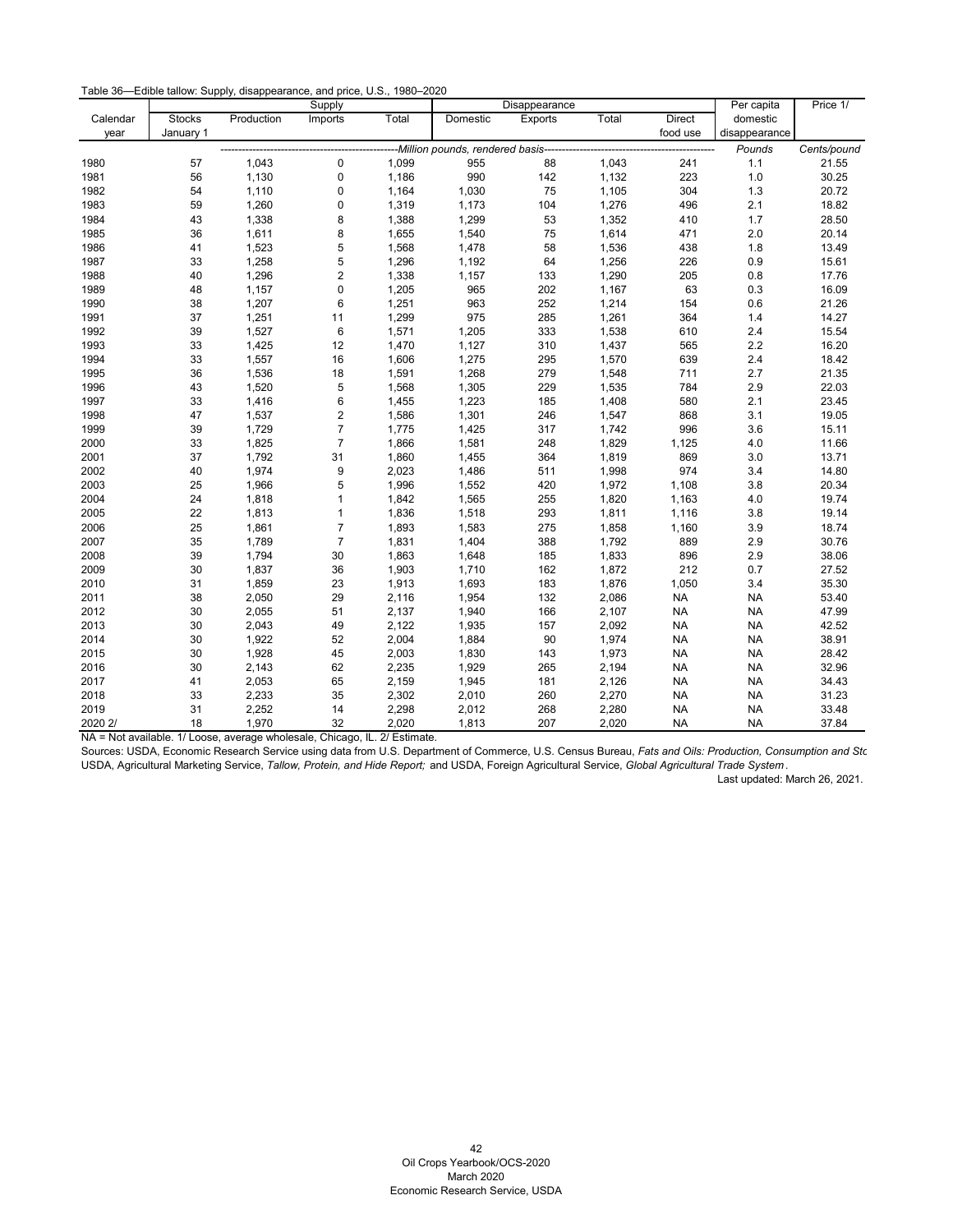| Table 36—Edible tallow: Supply, disappearance, and price, U.S., 1980–2020 |  |  |
|---------------------------------------------------------------------------|--|--|
|---------------------------------------------------------------------------|--|--|

|          |           |            | Supply                  |       |          | Disappearance                                                   |       |               | Per capita    | Price 1/    |
|----------|-----------|------------|-------------------------|-------|----------|-----------------------------------------------------------------|-------|---------------|---------------|-------------|
| Calendar | Stocks    | Production | Imports                 | Total | Domestic | Exports                                                         | Total | <b>Direct</b> | domestic      |             |
| year     | January 1 |            |                         |       |          |                                                                 |       | food use      | disappearance |             |
|          |           |            |                         |       |          | ----------------------Million pounds, rendered basis----------- |       |               | Pounds        | Cents/pound |
| 1980     | 57        | 1,043      | $\mathbf 0$             | 1,099 | 955      | 88                                                              | 1,043 | 241           | 1.1           | 21.55       |
| 1981     | 56        | 1,130      | $\mathbf 0$             | 1,186 | 990      | 142                                                             | 1,132 | 223           | 1.0           | 30.25       |
| 1982     | 54        | 1,110      | $\mathbf 0$             | 1,164 | 1,030    | 75                                                              | 1,105 | 304           | $1.3$         | 20.72       |
| 1983     | 59        | 1,260      | 0                       | 1,319 | 1,173    | 104                                                             | 1,276 | 496           | 2.1           | 18.82       |
| 1984     | 43        | 1,338      | 8                       | 1,388 | 1,299    | 53                                                              | 1,352 | 410           | 1.7           | 28.50       |
| 1985     | 36        | 1,611      | 8                       | 1,655 | 1,540    | 75                                                              | 1,614 | 471           | $2.0\,$       | 20.14       |
| 1986     | 41        | 1,523      | 5                       | 1,568 | 1,478    | 58                                                              | 1,536 | 438           | 1.8           | 13.49       |
| 1987     | 33        | 1,258      | 5                       | 1,296 | 1,192    | 64                                                              | 1,256 | 226           | 0.9           | 15.61       |
| 1988     | 40        | 1,296      | $\sqrt{2}$              | 1,338 | 1,157    | 133                                                             | 1,290 | 205           | 0.8           | 17.76       |
| 1989     | 48        | 1,157      | $\mathbf 0$             | 1,205 | 965      | 202                                                             | 1,167 | 63            | 0.3           | 16.09       |
| 1990     | 38        | 1,207      | 6                       | 1,251 | 963      | 252                                                             | 1,214 | 154           | 0.6           | 21.26       |
| 1991     | 37        | 1,251      | 11                      | 1,299 | 975      | 285                                                             | 1,261 | 364           | $1.4$         | 14.27       |
| 1992     | 39        | 1,527      | $\,6\,$                 | 1,571 | 1,205    | 333                                                             | 1,538 | 610           | 2.4           | 15.54       |
| 1993     | 33        | 1,425      | 12                      | 1,470 | 1,127    | 310                                                             | 1,437 | 565           | $2.2\,$       | 16.20       |
| 1994     | 33        | 1,557      | 16                      | 1,606 | 1,275    | 295                                                             | 1,570 | 639           | $2.4\,$       | 18.42       |
| 1995     | 36        | 1,536      | 18                      | 1,591 | 1,268    | 279                                                             | 1,548 | 711           | 2.7           | 21.35       |
| 1996     | 43        | 1,520      | 5                       | 1,568 | 1,305    | 229                                                             | 1,535 | 784           | 2.9           | 22.03       |
| 1997     | 33        | 1,416      | $\,6\,$                 | 1,455 | 1,223    | 185                                                             | 1,408 | 580           | 2.1           | 23.45       |
| 1998     | 47        | 1,537      | $\overline{\mathbf{c}}$ | 1,586 | 1,301    | 246                                                             | 1,547 | 868           | 3.1           | 19.05       |
| 1999     | 39        | 1,729      | $\overline{7}$          | 1,775 | 1,425    | 317                                                             | 1,742 | 996           | 3.6           | 15.11       |
| 2000     | 33        | 1,825      | $\overline{7}$          | 1,866 | 1,581    | 248                                                             | 1,829 | 1,125         | 4.0           | 11.66       |
| 2001     | 37        | 1,792      | 31                      | 1,860 | 1,455    | 364                                                             | 1,819 | 869           | 3.0           | 13.71       |
| 2002     | 40        | 1,974      | 9                       | 2,023 | 1,486    | 511                                                             | 1,998 | 974           | 3.4           | 14.80       |
| 2003     | 25        | 1,966      | 5                       | 1,996 | 1,552    | 420                                                             | 1,972 | 1,108         | 3.8           | 20.34       |
| 2004     | 24        | 1,818      | 1                       | 1,842 | 1,565    | 255                                                             | 1,820 | 1,163         | 4.0           | 19.74       |
| 2005     | 22        | 1,813      | $\mathbf{1}$            | 1,836 | 1,518    | 293                                                             | 1,811 | 1,116         | 3.8           | 19.14       |
| 2006     | 25        | 1,861      | $\overline{7}$          | 1,893 | 1,583    | 275                                                             | 1,858 | 1,160         | 3.9           | 18.74       |
| 2007     | 35        | 1,789      | $\overline{7}$          | 1,831 | 1,404    | 388                                                             | 1,792 | 889           | 2.9           | 30.76       |
| 2008     | 39        | 1,794      | 30                      | 1,863 | 1,648    | 185                                                             | 1,833 | 896           | 2.9           | 38.06       |
| 2009     | 30        | 1,837      | 36                      | 1,903 | 1,710    | 162                                                             | 1,872 | 212           | 0.7           | 27.52       |
| 2010     | 31        | 1,859      | 23                      | 1,913 | 1,693    | 183                                                             | 1,876 | 1,050         | 3.4           | 35.30       |
| 2011     | 38        | 2,050      | 29                      | 2,116 | 1,954    | 132                                                             | 2,086 | <b>NA</b>     | <b>NA</b>     | 53.40       |
| 2012     | 30        | 2,055      | 51                      | 2,137 | 1,940    | 166                                                             | 2,107 | <b>NA</b>     | <b>NA</b>     | 47.99       |
| 2013     | 30        | 2,043      | 49                      | 2,122 | 1,935    | 157                                                             | 2,092 | <b>NA</b>     | <b>NA</b>     | 42.52       |
| 2014     | 30        | 1,922      | 52                      | 2,004 | 1,884    | 90                                                              | 1,974 | $\sf NA$      | <b>NA</b>     | 38.91       |
| 2015     | 30        | 1,928      | 45                      | 2,003 | 1,830    | 143                                                             | 1,973 | <b>NA</b>     | <b>NA</b>     | 28.42       |
| 2016     | 30        | 2,143      | 62                      | 2,235 | 1,929    | 265                                                             | 2,194 | <b>NA</b>     | <b>NA</b>     | 32.96       |
| 2017     | 41        | 2,053      | 65                      | 2,159 | 1,945    | 181                                                             | 2,126 | <b>NA</b>     | <b>NA</b>     | 34.43       |
| 2018     | 33        | 2,233      | 35                      | 2,302 | 2,010    | 260                                                             | 2,270 | <b>NA</b>     | <b>NA</b>     | 31.23       |
| 2019     | 31        | 2,252      | 14                      | 2,298 | 2,012    | 268                                                             | 2,280 | <b>NA</b>     | <b>NA</b>     | 33.48       |
| 2020 2/  | 18        | 1,970      | 32                      | 2,020 | 1,813    | 207                                                             | 2,020 | <b>NA</b>     | NA            | 37.84       |

NA = Not available. 1/ Loose, average wholesale, Chicago, IL. 2/ Estimate.

<span id="page-43-0"></span>Sources: USDA, Economic Research Service using data from U.S. Department of Commerce, U.S. Census Bureau, *Fats and Oils: Production, Consumption and Sto*  USDA, Agricultural Marketing Service, *Tallow, Protein, and Hide Report;* and USDA, Foreign Agricultural Service, *Global Agricultural Trade System* .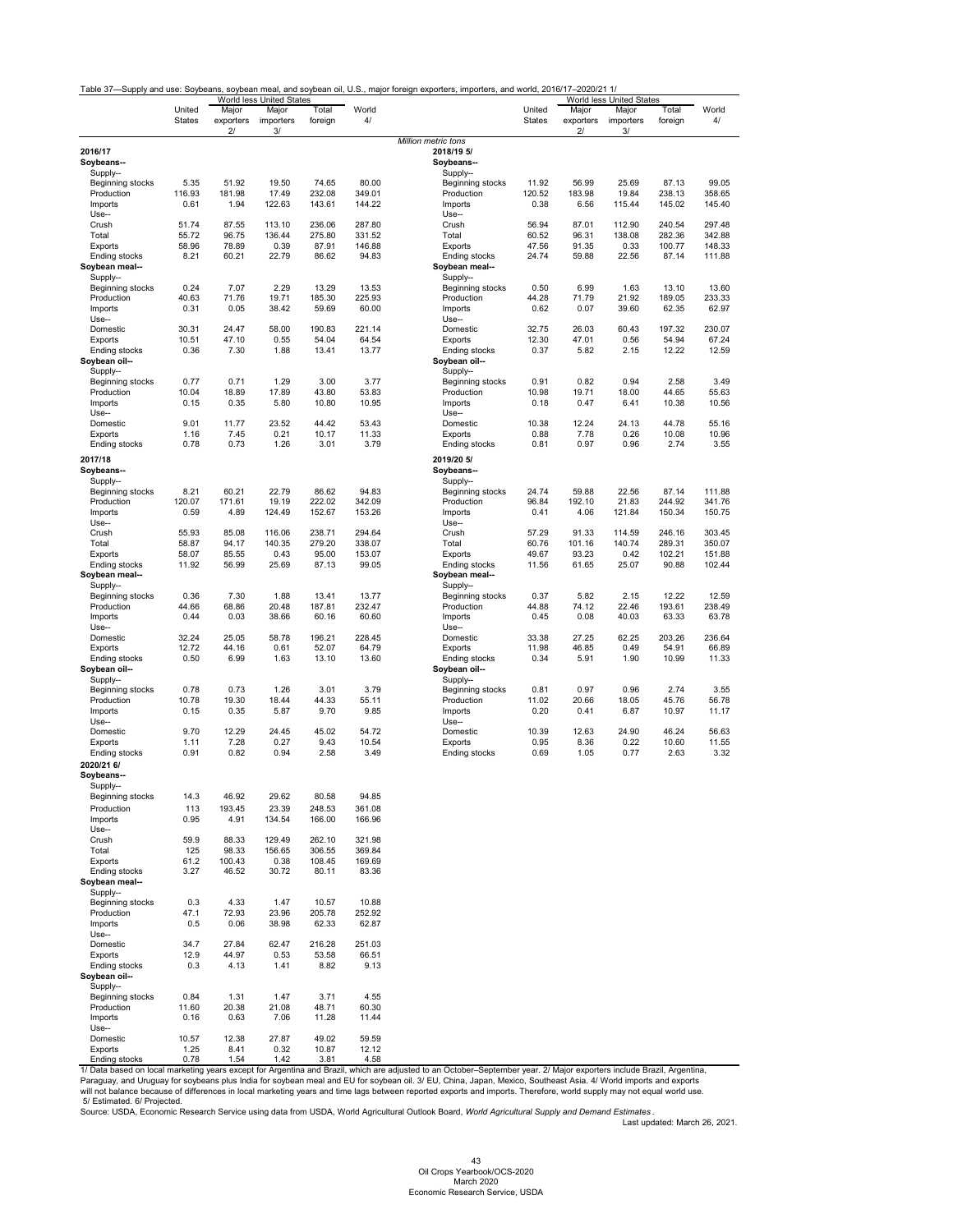<span id="page-44-0"></span>

|                       |                         |                    | World less United States |                  |             |                          |                         |                    | World less United States |                  |             |
|-----------------------|-------------------------|--------------------|--------------------------|------------------|-------------|--------------------------|-------------------------|--------------------|--------------------------|------------------|-------------|
|                       | United<br><b>States</b> | Major<br>exporters | Major<br>importers       | Total<br>foreign | World<br>4/ |                          | United<br><b>States</b> | Major<br>exporters | Major<br>importers       | Total<br>foreign | World<br>4/ |
|                       |                         | 2/                 | 3/                       |                  |             | Million metric tons      |                         | 2/                 | 3/                       |                  |             |
| 2016/17               |                         |                    |                          |                  |             | 2018/19 5/               |                         |                    |                          |                  |             |
| Soybeans--            |                         |                    |                          |                  |             | Soybeans--               |                         |                    |                          |                  |             |
| Supply--              |                         |                    |                          |                  |             | Supply--                 |                         |                    |                          |                  |             |
| Beginning stocks      | 5.35                    | 51.92              | 19.50                    | 74.65            | 80.00       | Beginning stocks         | 11.92                   | 56.99              | 25.69                    | 87.13            | 99.05       |
| Production            | 116.93                  | 181.98             | 17.49                    | 232.08           | 349.01      | Production               | 120.52                  | 183.98             | 19.84                    | 238.13           | 358.65      |
| Imports               | 0.61                    | 1.94               | 122.63                   | 143.61           | 144.22      | Imports                  | 0.38                    | 6.56               | 115.44                   | 145.02           | 145.40      |
| Use--                 |                         |                    |                          |                  |             | Use--                    |                         |                    |                          |                  |             |
| Crush                 | 51.74                   | 87.55              | 113.10                   | 236.06           | 287.80      | Crush                    | 56.94                   | 87.01              | 112.90                   | 240.54           | 297.48      |
| Total                 | 55.72                   | 96.75              | 136.44                   | 275.80           | 331.52      | Total                    | 60.52                   | 96.31              | 138.08                   | 282.36           | 342.88      |
| Exports               | 58.96                   | 78.89              | 0.39                     | 87.91            | 146.88      | Exports                  | 47.56                   | 91.35              | 0.33                     | 100.77           | 148.33      |
| Ending stocks         | 8.21                    | 60.21              | 22.79                    | 86.62            | 94.83       | Ending stocks            | 24.74                   | 59.88              | 22.56                    | 87.14            | 111.88      |
| Soybean meal--        |                         |                    |                          |                  |             | Soybean meal--           |                         |                    |                          |                  |             |
| Supply--              |                         |                    |                          |                  |             | Supply--                 |                         |                    |                          |                  |             |
| Beginning stocks      | 0.24                    | 7.07               | 2.29                     | 13.29            | 13.53       | Beginning stocks         | 0.50                    | 6.99               | 1.63                     | 13.10            | 13.60       |
| Production            | 40.63                   | 71.76              | 19.71                    | 185.30           | 225.93      | Production               | 44.28                   | 71.79              | 21.92                    | 189.05           | 233.33      |
| Imports               | 0.31                    | 0.05               | 38.42                    | 59.69            | 60.00       | Imports                  | 0.62                    | 0.07               | 39.60                    | 62.35            | 62.97       |
| Use--                 |                         |                    |                          |                  |             | Use--                    |                         |                    |                          |                  |             |
| Domestic              | 30.31                   | 24.47              | 58.00                    | 190.83           | 221.14      | Domestic                 | 32.75                   | 26.03              | 60.43                    | 197.32           | 230.07      |
| Exports               | 10.51                   | 47.10              | 0.55                     | 54.04            | 64.54       | Exports                  | 12.30                   | 47.01              | 0.56                     | 54.94            | 67.24       |
| <b>Ending stocks</b>  | 0.36                    | 7.30               | 1.88                     | 13.41            | 13.77       | Ending stocks            | 0.37                    | 5.82               | 2.15                     | 12.22            | 12.59       |
| Soybean oil--         |                         |                    |                          |                  |             | Soybean oil--            |                         |                    |                          |                  |             |
| Supply--              |                         |                    |                          |                  |             | Supply--                 |                         |                    |                          |                  |             |
| Beginning stocks      | 0.77                    | 0.71               | 1.29                     | 3.00             | 3.77        | Beginning stocks         | 0.91                    | 0.82               | 0.94                     | 2.58             | 3.49        |
| Production            | 10.04                   | 18.89              | 17.89                    | 43.80            | 53.83       | Production               | 10.98                   | 19.71              | 18.00                    | 44.65            | 55.63       |
| Imports               | 0.15                    | 0.35               | 5.80                     | 10.80            | 10.95       | Imports                  | 0.18                    | 0.47               | 6.41                     | 10.38            | 10.56       |
| Use--                 |                         |                    |                          |                  |             | Use--                    |                         |                    |                          |                  |             |
| Domestic              | 9.01                    | 11.77              | 23.52                    | 44.42            | 53.43       | Domestic                 | 10.38                   | 12.24              | 24.13                    | 44.78            | 55.16       |
| Exports               | 1.16                    | 7.45               | 0.21                     | 10.17            | 11.33       | Exports                  | 0.88                    | 7.78               | 0.26                     | 10.08            | 10.96       |
| Ending stocks         | 0.78                    | 0.73               | 1.26                     | 3.01             | 3.79        | Ending stocks            | 0.81                    | 0.97               | 0.96                     | 2.74             | 3.55        |
|                       |                         |                    |                          |                  |             |                          |                         |                    |                          |                  |             |
| 2017/18<br>Soybeans-- |                         |                    |                          |                  |             | 2019/20 5/<br>Soybeans-- |                         |                    |                          |                  |             |
| Supply--              |                         |                    |                          |                  |             | Supply--                 |                         |                    |                          |                  |             |
| Beginning stocks      | 8.21                    | 60.21              | 22.79                    | 86.62            | 94.83       | Beginning stocks         | 24.74                   | 59.88              | 22.56                    | 87.14            | 111.88      |
| Production            | 120.07                  | 171.61             | 19.19                    | 222.02           | 342.09      | Production               | 96.84                   | 192.10             | 21.83                    | 244.92           | 341.76      |
| Imports               | 0.59                    | 4.89               | 124.49                   | 152.67           | 153.26      | Imports                  | 0.41                    | 4.06               | 121.84                   | 150.34           | 150.75      |
| Use--                 |                         |                    |                          |                  |             | Use--                    |                         |                    |                          |                  |             |
| Crush                 | 55.93                   | 85.08              | 116.06                   | 238.71           | 294.64      | Crush                    | 57.29                   | 91.33              | 114.59                   | 246.16           | 303.45      |
| Total                 | 58.87                   | 94.17              | 140.35                   | 279.20           | 338.07      | Total                    | 60.76                   | 101.16             | 140.74                   | 289.31           | 350.07      |
| Exports               | 58.07                   | 85.55              | 0.43                     | 95.00            | 153.07      | Exports                  | 49.67                   | 93.23              | 0.42                     | 102.21           | 151.88      |
| Ending stocks         | 11.92                   | 56.99              | 25.69                    | 87.13            | 99.05       | Ending stocks            | 11.56                   | 61.65              | 25.07                    | 90.88            | 102.44      |
| Soybean meal--        |                         |                    |                          |                  |             | Soybean meal--           |                         |                    |                          |                  |             |
| Supply--              |                         |                    |                          |                  |             | Supply--                 |                         |                    |                          |                  |             |
| Beginning stocks      | 0.36                    | 7.30               | 1.88                     | 13.41            | 13.77       | Beginning stocks         | 0.37                    | 5.82               | 2.15                     | 12.22            | 12.59       |
| Production            | 44.66                   | 68.86              | 20.48                    | 187.81           | 232.47      | Production               | 44.88                   | 74.12              | 22.46                    | 193.61           | 238.49      |
| Imports               | 0.44                    | 0.03               | 38.66                    | 60.16            | 60.60       | Imports                  | 0.45                    | 0.08               | 40.03                    | 63.33            | 63.78       |
| Use--                 |                         |                    |                          |                  |             | Use--                    |                         |                    |                          |                  |             |
| Domestic              | 32.24                   | 25.05              | 58.78                    | 196.21           | 228.45      | Domestic                 | 33.38                   | 27.25              | 62.25                    | 203.26           | 236.64      |
| Exports               | 12.72                   | 44.16              | 0.61                     | 52.07            | 64.79       | Exports                  | 11.98                   | 46.85              | 0.49                     | 54.91            | 66.89       |
| Ending stocks         | 0.50                    | 6.99               | 1.63                     | 13.10            | 13.60       | Ending stocks            | 0.34                    | 5.91               | 1.90                     | 10.99            | 11.33       |
| Soybean oil--         |                         |                    |                          |                  |             | Soybean oil--            |                         |                    |                          |                  |             |
| Supply--              |                         |                    |                          |                  |             | Supply--                 |                         |                    |                          |                  |             |
| Beginning stocks      | 0.78                    | 0.73               | 1.26                     | 3.01             | 3.79        | Beginning stocks         | 0.81                    | 0.97               | 0.96                     | 2.74             | 3.55        |
| Production            | 10.78                   | 19.30              | 18.44                    | 44.33            | 55.11       | Production               | 11.02                   | 20.66              | 18.05                    | 45.76            | 56.78       |
| Imports               | 0.15                    | 0.35               | 5.87                     | 9.70             | 9.85        | Imports                  | 0.20                    | 0.41               | 6.87                     | 10.97            | 11.17       |
| Use--                 |                         |                    |                          |                  |             | Use--                    |                         |                    |                          |                  |             |
| Domestic              | 9.70                    | 12.29              | 24.45                    | 45.02            | 54.72       | Domestic                 | 10.39                   | 12.63              | 24.90                    | 46.24            | 56.63       |
| Exports               | 1.11                    | 7.28               | 0.27                     | 9.43             | 10.54       | Exports                  | 0.95                    | 8.36               | 0.22                     | 10.60            | 11.55       |
| Ending stocks         | 0.91                    | 0.82               | 0.94                     | 2.58             | 3.49        | Ending stocks            | 0.69                    | 1.05               | 0.77                     | 2.63             | 3.32        |
|                       |                         |                    |                          |                  |             |                          |                         |                    |                          |                  |             |
| 2020/21 6/            |                         |                    |                          |                  |             |                          |                         |                    |                          |                  |             |
| Soybeans--            |                         |                    |                          |                  |             |                          |                         |                    |                          |                  |             |
| Supply--              |                         |                    |                          |                  |             |                          |                         |                    |                          |                  |             |
| Beginning stocks      | 14.3                    | 46.92              | 29.62                    | 80.58            | 94.85       |                          |                         |                    |                          |                  |             |
| Production            | 113                     | 193.45             | 23.39                    | 248.53           | 361.08      |                          |                         |                    |                          |                  |             |
| Imports               | 0.95                    | 4.91               | 134.54                   | 166.00           | 166.96      |                          |                         |                    |                          |                  |             |
| Use--                 |                         |                    |                          |                  |             |                          |                         |                    |                          |                  |             |
| Crush                 | 59.9                    | 88.33              | 129.49                   | 262.10           | 321.98      |                          |                         |                    |                          |                  |             |
| Total                 | 125                     | 98.33              | 156.65                   | 306.55           | 369.84      |                          |                         |                    |                          |                  |             |
| Exports               | 61.2                    | 100.43             | 0.38                     | 108.45           | 169.69      |                          |                         |                    |                          |                  |             |
| Ending stocks         | 3.27                    | 46.52              | 30.72                    | 80.11            | 83.36       |                          |                         |                    |                          |                  |             |
| Soybean meal--        |                         |                    |                          |                  |             |                          |                         |                    |                          |                  |             |
| Supply--              |                         |                    |                          |                  |             |                          |                         |                    |                          |                  |             |
| Beginning stocks      | 0.3                     | 4.33               | 1.47                     | 10.57            | 10.88       |                          |                         |                    |                          |                  |             |
| Production            | 47.1                    | 72.93              | 23.96                    | 205.78           | 252.92      |                          |                         |                    |                          |                  |             |

Imports 0.5 0.06 38.98 62.33 62.87

| Use--            |       |       |       |        |        |
|------------------|-------|-------|-------|--------|--------|
| Domestic         | 34.7  | 27.84 | 62.47 | 216.28 | 251.03 |
| Exports          | 12.9  | 44.97 | 0.53  | 53.58  | 66.51  |
| Ending stocks    | 0.3   | 4.13  | 1.41  | 8.82   | 9.13   |
| Soybean oil--    |       |       |       |        |        |
| Supply--         |       |       |       |        |        |
| Beginning stocks | 0.84  | 1.31  | 147   | 3.71   | 4.55   |
| Production       | 11.60 | 20.38 | 21.08 | 48.71  | 60.30  |
| Imports          | 0.16  | 0.63  | 7.06  | 11.28  | 11.44  |
| Use--            |       |       |       |        |        |
| Domestic         | 10.57 | 12.38 | 27.87 | 49.02  | 59.59  |
| Exports          | 1.25  | 8.41  | 0.32  | 10.87  | 12.12  |
| Ending stocks    | 0.78  | 1.54  | 1.42  | 3.81   | 4.58   |

1/ Data based on local marketing years except for Argentina and Brazil, which are adjusted to an October–September year. 2/ Major exporters include Brazil, Argentina, Paraguay, and Uruguay for soybeans plus India for soybean meal and EU for soybean oil. 3/ EU, China, Japan, Mexico, Southeast Asia. 4/ World imports and exports will not balance because of differences in local marketing years and time lags between reported exports and imports. Therefore, world supply may not equal world use. 5/ Estimated. 6/ Projected.

Source: USDA, Economic Research Service using data from USDA, World Agricultural Outlook Board, *World Agricultural Supply and Demand Estimates* .

Last updated: March 26, 2021.

43 Oil Crops Yearbook/OCS-2020 March 2020 Economic Research Service, USDA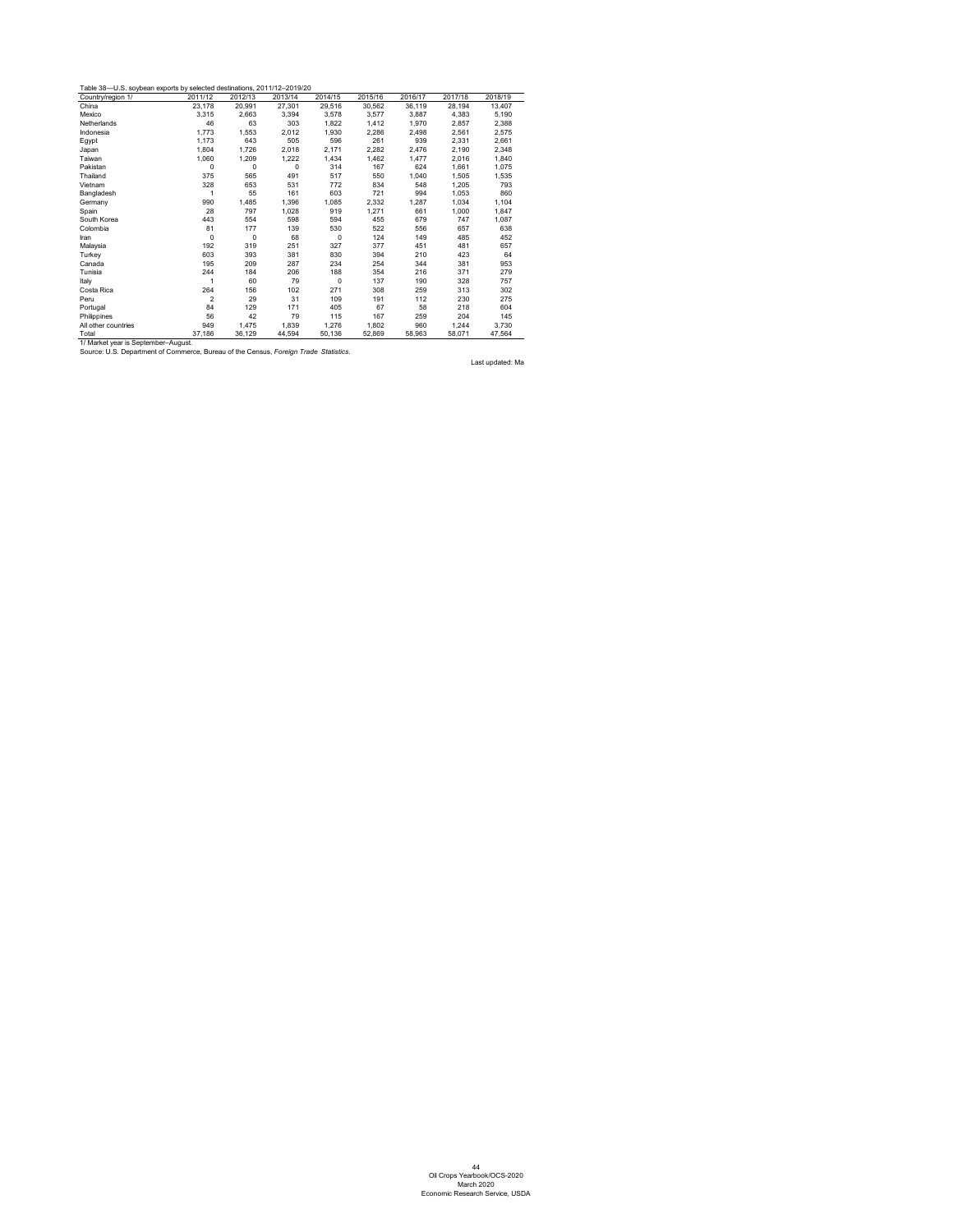<span id="page-45-0"></span>

| Table 38—U.S. soybean exports by selected destinations, 2011/12–2019/20 |  |
|-------------------------------------------------------------------------|--|
|-------------------------------------------------------------------------|--|

| Country/region 1/   | 2011/12        | 2012/13 | 2013/14     | 2014/15     | 2015/16 | 2016/17 | 2017/18 | 2018/19 |
|---------------------|----------------|---------|-------------|-------------|---------|---------|---------|---------|
| China               | 23,178         | 20,991  | 27,301      | 29,516      | 30,562  | 36,119  | 28,194  | 13,407  |
| Mexico              | 3,315          | 2,663   | 3,394       | 3,578       | 3,577   | 3,887   | 4,383   | 5,190   |
| Netherlands         | 46             | 63      | 303         | 1,822       | 1,412   | 1,970   | 2,857   | 2,388   |
| Indonesia           | 1,773          | 1,553   | 2,012       | 1,930       | 2,286   | 2,498   | 2,561   | 2,575   |
| Egypt               | 1,173          | 643     | 505         | 596         | 261     | 939     | 2,331   | 2,661   |
| Japan               | 1,804          | 1,726   | 2,018       | 2,171       | 2,282   | 2,476   | 2,190   | 2,348   |
| Taiwan              | 1,060          | 1,209   | 1,222       | 1,434       | 1,462   | 1,477   | 2,016   | 1,840   |
| Pakistan            | 0              | 0       | $\mathbf 0$ | 314         | 167     | 624     | 1,661   | 1,075   |
| Thailand            | 375            | 565     | 491         | 517         | 550     | 1,040   | 1,505   | 1,535   |
| Vietnam             | 328            | 653     | 531         | 772         | 834     | 548     | 1,205   | 793     |
| Bangladesh          | 1              | 55      | 161         | 603         | 721     | 994     | 1,053   | 860     |
| Germany             | 990            | 1,485   | 1,396       | 1,085       | 2,332   | 1,287   | 1,034   | 1,104   |
| Spain               | 28             | 797     | 1,028       | 919         | 1,271   | 661     | 1,000   | 1,847   |
| South Korea         | 443            | 554     | 598         | 594         | 455     | 679     | 747     | 1,087   |
| Colombia            | 81             | 177     | 139         | 530         | 522     | 556     | 657     | 638     |
| Iran                | 0              | 0       | 68          | 0           | 124     | 149     | 485     | 452     |
| Malaysia            | 192            | 319     | 251         | 327         | 377     | 451     | 481     | 657     |
| Turkey              | 603            | 393     | 381         | 830         | 394     | 210     | 423     | 64      |
| Canada              | 195            | 209     | 287         | 234         | 254     | 344     | 381     | 953     |
| Tunisia             | 244            | 184     | 206         | 188         | 354     | 216     | 371     | 279     |
| Italy               | 1              | 60      | 79          | $\mathbf 0$ | 137     | 190     | 328     | 757     |
| Costa Rica          | 264            | 156     | 102         | 271         | 308     | 259     | 313     | 302     |
| Peru                | $\overline{2}$ | 29      | 31          | 109         | 191     | 112     | 230     | 275     |
| Portugal            | 84             | 129     | 171         | 405         | 67      | 58      | 218     | 604     |
| Philippines         | 56             | 42      | 79          | 115         | 167     | 259     | 204     | 145     |
| All other countries | 949            | 1,475   | 1,839       | 1,276       | 1,802   | 960     | 1,244   | 3,730   |
| Total               | 37,186         | 36,129  | 44,594      | 50,136      | 52,869  | 58,963  | 58,071  | 47,564  |

1/ Market year is September–August.

Source: U.S. Department of Commerce, Bureau of the Census, *Foreign Trade Statistics.*

Last updated: Ma

44 Oil Crops Yearbook/OCS-2020 March 2020 Economic Research Service, USDA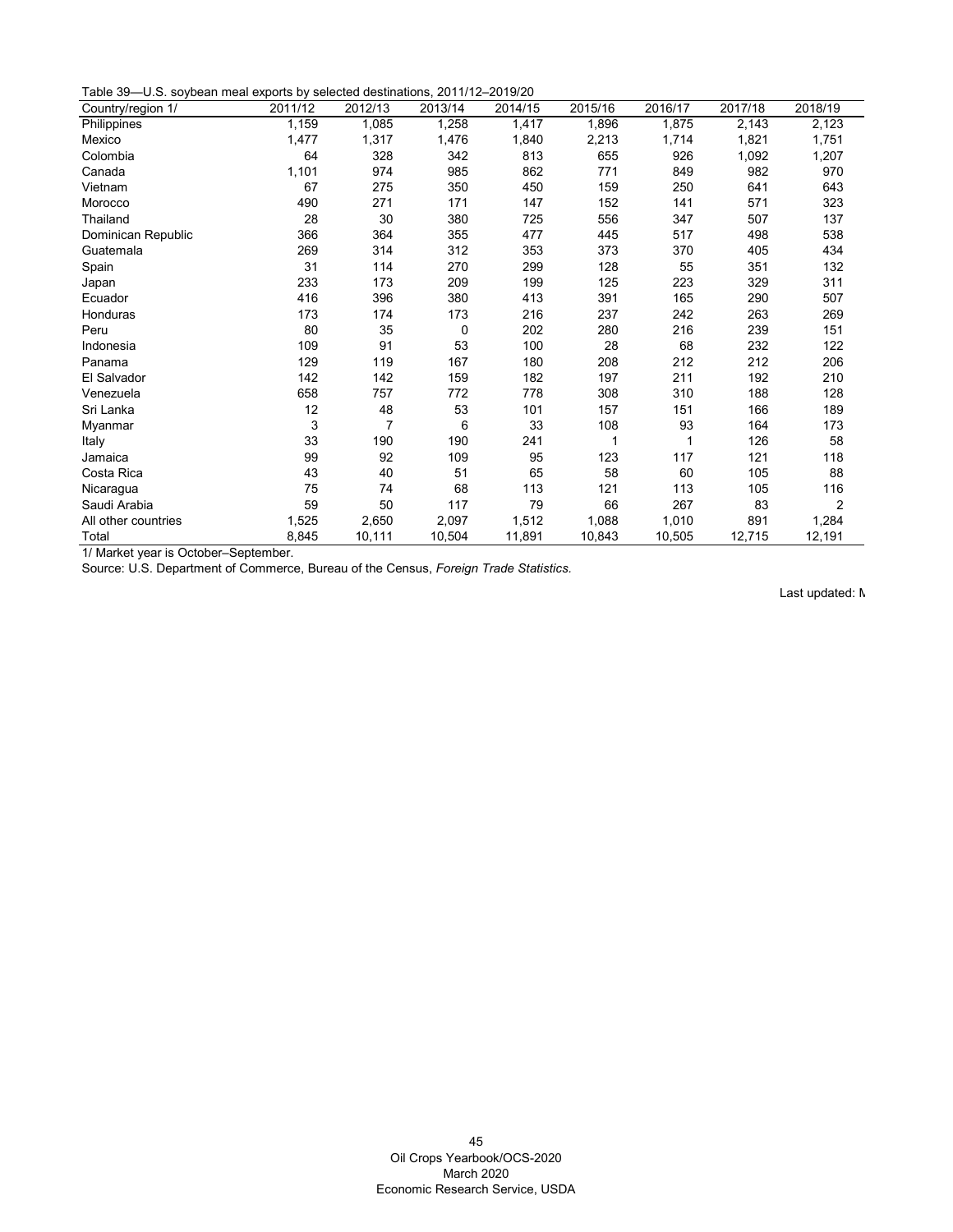Table 39—U.S. soybean meal exports by selected destinations, 2011/12–2019/20

| 0.0. Soybodin modi exports by sciedica acomianons, 2011/12 2010/20<br>Country/region 1/ | 2011/12 | 2012/13 | 2013/14 | 2014/15 | 2015/16 | 2016/17 | 2017/18 | 2018/19        |
|-----------------------------------------------------------------------------------------|---------|---------|---------|---------|---------|---------|---------|----------------|
| Philippines                                                                             | 1,159   | 1,085   | 1,258   | 1,417   | 1,896   | 1,875   | 2,143   | 2,123          |
| Mexico                                                                                  | 1,477   | 1,317   | 1,476   | 1,840   | 2,213   | 1,714   | 1,821   | 1,751          |
| Colombia                                                                                | 64      | 328     | 342     | 813     | 655     | 926     | 1,092   | 1,207          |
| Canada                                                                                  | 1,101   | 974     | 985     | 862     | 771     | 849     | 982     | 970            |
| Vietnam                                                                                 | 67      | 275     | 350     | 450     | 159     | 250     | 641     | 643            |
| Morocco                                                                                 | 490     | 271     | 171     | 147     | 152     | 141     | 571     | 323            |
| Thailand                                                                                | 28      | 30      | 380     | 725     | 556     | 347     | 507     | 137            |
| Dominican Republic                                                                      | 366     | 364     | 355     | 477     | 445     | 517     | 498     | 538            |
| Guatemala                                                                               | 269     | 314     | 312     | 353     | 373     | 370     | 405     | 434            |
| Spain                                                                                   | 31      | 114     | 270     | 299     | 128     | 55      | 351     | 132            |
| Japan                                                                                   | 233     | 173     | 209     | 199     | 125     | 223     | 329     | 311            |
| Ecuador                                                                                 | 416     | 396     | 380     | 413     | 391     | 165     | 290     | 507            |
| Honduras                                                                                | 173     | 174     | 173     | 216     | 237     | 242     | 263     | 269            |
| Peru                                                                                    | 80      | 35      | 0       | 202     | 280     | 216     | 239     | 151            |
| Indonesia                                                                               | 109     | 91      | 53      | 100     | 28      | 68      | 232     | 122            |
| Panama                                                                                  | 129     | 119     | 167     | 180     | 208     | 212     | 212     | 206            |
| El Salvador                                                                             | 142     | 142     | 159     | 182     | 197     | 211     | 192     | 210            |
| Venezuela                                                                               | 658     | 757     | 772     | 778     | 308     | 310     | 188     | 128            |
| Sri Lanka                                                                               | 12      | 48      | 53      | 101     | 157     | 151     | 166     | 189            |
| Myanmar                                                                                 | 3       | 7       | 6       | 33      | 108     | 93      | 164     | 173            |
| Italy                                                                                   | 33      | 190     | 190     | 241     |         |         | 126     | 58             |
| Jamaica                                                                                 | 99      | 92      | 109     | 95      | 123     | 117     | 121     | 118            |
| Costa Rica                                                                              | 43      | 40      | 51      | 65      | 58      | 60      | 105     | 88             |
| Nicaragua                                                                               | 75      | 74      | 68      | 113     | 121     | 113     | 105     | 116            |
| Saudi Arabia                                                                            | 59      | 50      | 117     | 79      | 66      | 267     | 83      | $\overline{2}$ |
| All other countries                                                                     | 1,525   | 2,650   | 2,097   | 1,512   | 1,088   | 1,010   | 891     | 1,284          |
| Total                                                                                   | 8,845   | 10,111  | 10,504  | 11,891  | 10,843  | 10,505  | 12,715  | 12,191         |

1/ Market year is October–September.

<span id="page-46-0"></span>Source: U.S. Department of Commerce, Bureau of the Census, *Foreign Trade Statistics.*

Last updated: M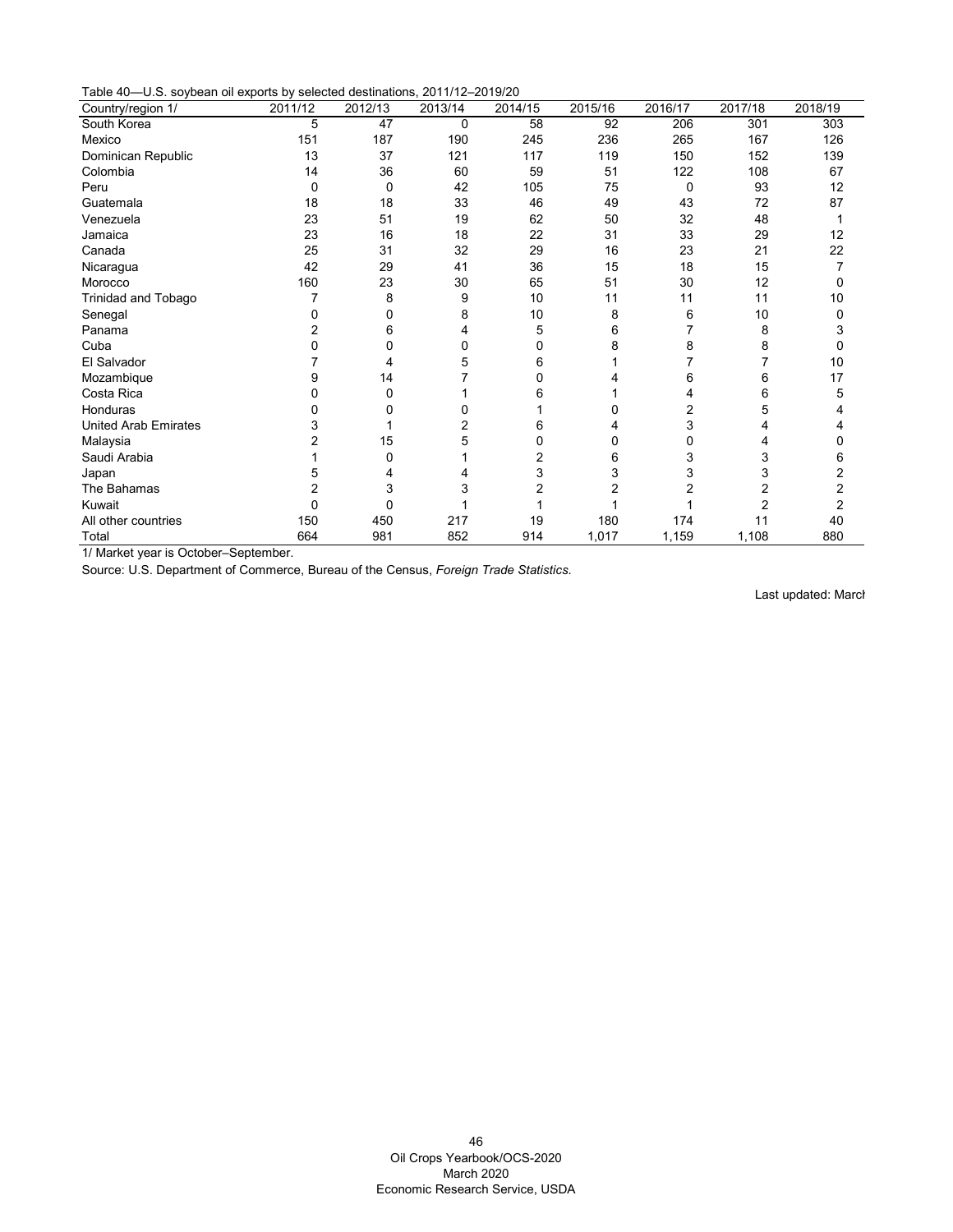Table 40—U.S. soybean oil exports by selected destinations, 2011/12–2019/20

| $\sim$ . $\sim$ . $\sim$ . $\sim$ . $\sim$ . $\sim$ . $\sim$ . $\sim$ . $\sim$ . $\sim$ . $\sim$ . $\sim$ . $\sim$ . $\sim$ . $\sim$ . $\sim$ . $\sim$ . $\sim$ . $\sim$ . $\sim$ . $\sim$ . $\sim$ . $\sim$ . $\sim$ . $\sim$ . $\sim$ . $\sim$ . $\sim$ . $\sim$ . $\sim$ . $\sim$ . $\sim$ . $\sim$ . $\sim$ . $\sim$ . $\sim$ . $\sim$ .<br>Country/region 1/ | $\sim$<br>2011/12 | 2012/13  | 20.111122010120<br>2013/14 | 2014/15 | 2015/16 | 2016/17        | 2017/18        | 2018/19 |
|-------------------------------------------------------------------------------------------------------------------------------------------------------------------------------------------------------------------------------------------------------------------------------------------------------------------------------------------------------------------|-------------------|----------|----------------------------|---------|---------|----------------|----------------|---------|
| South Korea                                                                                                                                                                                                                                                                                                                                                       | 5                 | 47       | 0                          | 58      | 92      | 206            | 301            | 303     |
| Mexico                                                                                                                                                                                                                                                                                                                                                            | 151               | 187      | 190                        | 245     | 236     | 265            | 167            | 126     |
| Dominican Republic                                                                                                                                                                                                                                                                                                                                                | 13                | 37       | 121                        | 117     | 119     | 150            | 152            | 139     |
| Colombia                                                                                                                                                                                                                                                                                                                                                          | 14                | 36       | 60                         | 59      | 51      | 122            | 108            | 67      |
| Peru                                                                                                                                                                                                                                                                                                                                                              | 0                 | $\Omega$ | 42                         | 105     | 75      | 0              | 93             | 12      |
| Guatemala                                                                                                                                                                                                                                                                                                                                                         | 18                | 18       | 33                         | 46      | 49      | 43             | 72             | 87      |
| Venezuela                                                                                                                                                                                                                                                                                                                                                         | 23                | 51       | 19                         | 62      | 50      | 32             | 48             |         |
| Jamaica                                                                                                                                                                                                                                                                                                                                                           | 23                | 16       | 18                         | 22      | 31      | 33             | 29             | 12      |
| Canada                                                                                                                                                                                                                                                                                                                                                            | 25                | 31       | 32                         | 29      | 16      | 23             | 21             | 22      |
| Nicaragua                                                                                                                                                                                                                                                                                                                                                         | 42                | 29       | 41                         | 36      | 15      | 18             | 15             |         |
| Morocco                                                                                                                                                                                                                                                                                                                                                           | 160               | 23       | 30                         | 65      | 51      | 30             | 12             | 0       |
| <b>Trinidad and Tobago</b>                                                                                                                                                                                                                                                                                                                                        |                   | 8        | 9                          | 10      | 11      | 11             | 11             | 10      |
| Senegal                                                                                                                                                                                                                                                                                                                                                           |                   | 0        | 8                          | 10      | 8       | 6              | 10             | 0       |
| Panama                                                                                                                                                                                                                                                                                                                                                            |                   | 6        |                            | 5       | 6       |                | 8              |         |
| Cuba                                                                                                                                                                                                                                                                                                                                                              |                   | 0        | 0                          | 0       | 8       | 8              | 8              | 0       |
| El Salvador                                                                                                                                                                                                                                                                                                                                                       |                   | 4        | 5                          | 6       |         |                |                | 10      |
| Mozambique                                                                                                                                                                                                                                                                                                                                                        | 9                 | 14       |                            | ŋ       |         | 6              | 6              | 17      |
| Costa Rica                                                                                                                                                                                                                                                                                                                                                        |                   | 0        |                            | 6       |         | 4              | 6              | 5       |
| Honduras                                                                                                                                                                                                                                                                                                                                                          |                   |          |                            |         |         | $\overline{2}$ | 5              |         |
| <b>United Arab Emirates</b>                                                                                                                                                                                                                                                                                                                                       |                   |          |                            | 6       |         | 3              |                |         |
| Malaysia                                                                                                                                                                                                                                                                                                                                                          |                   | 15       | 5                          | 0       | 0       | 0              |                |         |
| Saudi Arabia                                                                                                                                                                                                                                                                                                                                                      |                   | 0        |                            | 2       | 6       | 3              | 3              | 6       |
| Japan                                                                                                                                                                                                                                                                                                                                                             |                   |          |                            | 3       | 3       | 3              | 3              |         |
| The Bahamas                                                                                                                                                                                                                                                                                                                                                       |                   | 3        | 3                          |         | 2       |                | $\overline{2}$ |         |
| Kuwait                                                                                                                                                                                                                                                                                                                                                            | 0                 | 0        |                            |         |         |                | 2              |         |
| All other countries                                                                                                                                                                                                                                                                                                                                               | 150               | 450      | 217                        | 19      | 180     | 174            | 11             | 40      |
| Total                                                                                                                                                                                                                                                                                                                                                             | 664               | 981      | 852                        | 914     | 1,017   | 1,159          | 1,108          | 880     |

1/ Market year is October–September.

<span id="page-47-0"></span>Source: U.S. Department of Commerce, Bureau of the Census, *Foreign Trade Statistics.*

Last updated: March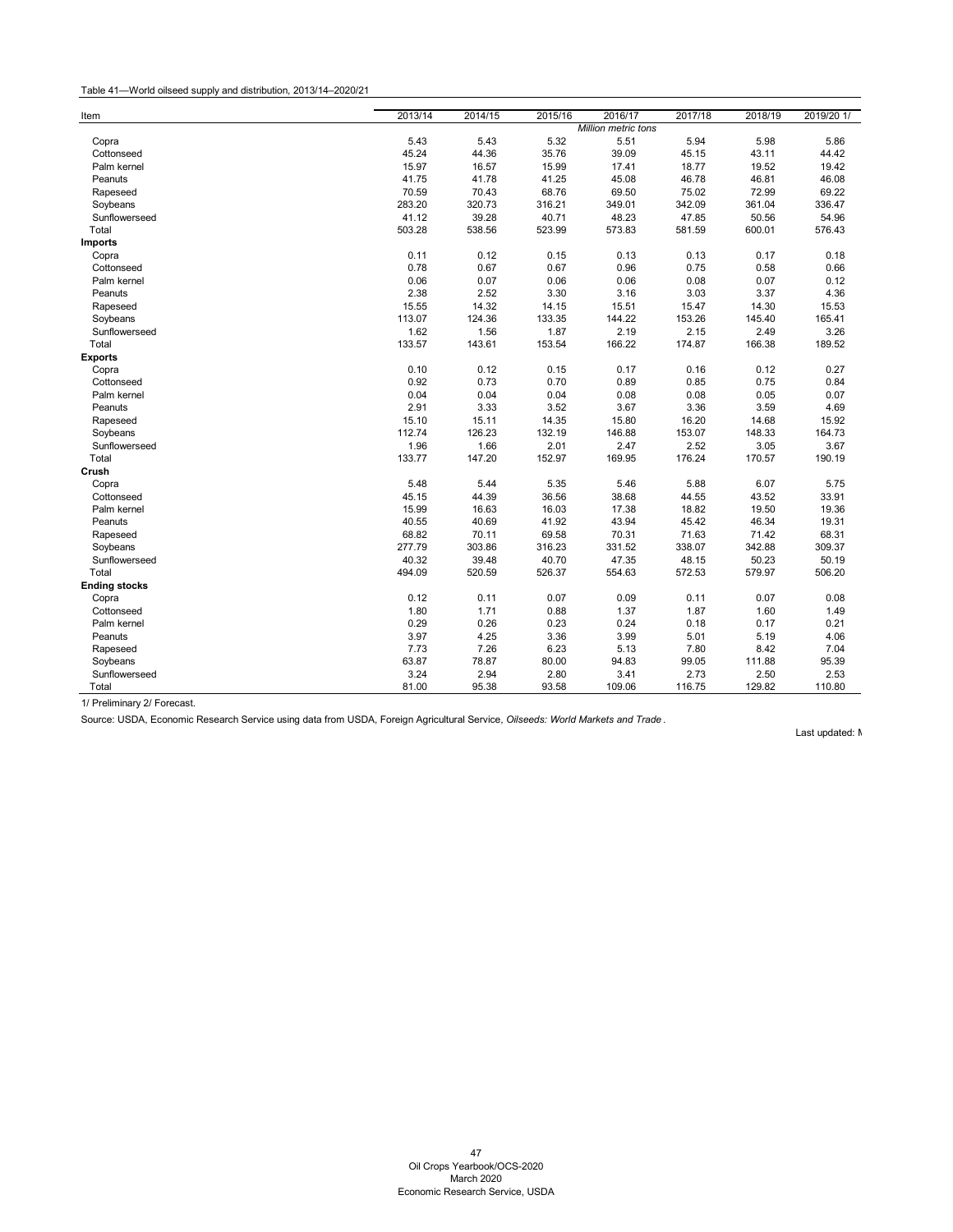## Table 41—World oilseed supply and distribution, 2013/14–2020/21

| Item                 | 2013/14 | 2014/15 | 2015/16 | 2016/17                    | 2017/18 | 2018/19 | 2019/20 1/ |
|----------------------|---------|---------|---------|----------------------------|---------|---------|------------|
|                      |         |         |         | <b>Million metric tons</b> |         |         |            |
| Copra                | 5.43    | 5.43    | 5.32    | 5.51                       | 5.94    | 5.98    | 5.86       |
| Cottonseed           | 45.24   | 44.36   | 35.76   | 39.09                      | 45.15   | 43.11   | 44.42      |
| Palm kernel          | 15.97   | 16.57   | 15.99   | 17.41                      | 18.77   | 19.52   | 19.42      |
| Peanuts              | 41.75   | 41.78   | 41.25   | 45.08                      | 46.78   | 46.81   | 46.08      |
| Rapeseed             | 70.59   | 70.43   | 68.76   | 69.50                      | 75.02   | 72.99   | 69.22      |
| Soybeans             | 283.20  | 320.73  | 316.21  | 349.01                     | 342.09  | 361.04  | 336.47     |
| Sunflowerseed        | 41.12   | 39.28   | 40.71   | 48.23                      | 47.85   | 50.56   | 54.96      |
| Total                | 503.28  | 538.56  | 523.99  | 573.83                     | 581.59  | 600.01  | 576.43     |
| <b>Imports</b>       |         |         |         |                            |         |         |            |
| Copra                | 0.11    | 0.12    | 0.15    | 0.13                       | 0.13    | 0.17    | 0.18       |
| Cottonseed           | 0.78    | 0.67    | 0.67    | 0.96                       | 0.75    | 0.58    | 0.66       |
| Palm kernel          | 0.06    | 0.07    | 0.06    | 0.06                       | 0.08    | 0.07    | 0.12       |
| Peanuts              | 2.38    | 2.52    | 3.30    | 3.16                       | 3.03    | 3.37    | 4.36       |
| Rapeseed             | 15.55   | 14.32   | 14.15   | 15.51                      | 15.47   | 14.30   | 15.53      |
| Soybeans             | 113.07  | 124.36  | 133.35  | 144.22                     | 153.26  | 145.40  | 165.41     |
| Sunflowerseed        | 1.62    | 1.56    | 1.87    | 2.19                       | 2.15    | 2.49    | 3.26       |
| Total                | 133.57  | 143.61  | 153.54  | 166.22                     | 174.87  | 166.38  | 189.52     |
| <b>Exports</b>       |         |         |         |                            |         |         |            |
| Copra                | 0.10    | 0.12    | 0.15    | 0.17                       | 0.16    | 0.12    | 0.27       |
| Cottonseed           | 0.92    | 0.73    | 0.70    | 0.89                       | 0.85    | 0.75    | 0.84       |
| Palm kernel          | 0.04    | 0.04    | 0.04    | 0.08                       | 0.08    | 0.05    | 0.07       |
| Peanuts              | 2.91    | 3.33    | 3.52    | 3.67                       | 3.36    | 3.59    | 4.69       |
| Rapeseed             | 15.10   | 15.11   | 14.35   | 15.80                      | 16.20   | 14.68   | 15.92      |
| Soybeans             | 112.74  | 126.23  | 132.19  | 146.88                     | 153.07  | 148.33  | 164.73     |
| Sunflowerseed        | 1.96    | 1.66    | 2.01    | 2.47                       | 2.52    | 3.05    | 3.67       |
| Total                | 133.77  | 147.20  | 152.97  | 169.95                     | 176.24  | 170.57  | 190.19     |
| Crush                |         |         |         |                            |         |         |            |
| Copra                | 5.48    | 5.44    | 5.35    | 5.46                       | 5.88    | 6.07    | 5.75       |
| Cottonseed           | 45.15   | 44.39   | 36.56   | 38.68                      | 44.55   | 43.52   | 33.91      |
| Palm kernel          | 15.99   | 16.63   | 16.03   | 17.38                      | 18.82   | 19.50   | 19.36      |
| Peanuts              | 40.55   | 40.69   | 41.92   | 43.94                      | 45.42   | 46.34   | 19.31      |
| Rapeseed             | 68.82   | 70.11   | 69.58   | 70.31                      | 71.63   | 71.42   | 68.31      |
| Soybeans             | 277.79  | 303.86  | 316.23  | 331.52                     | 338.07  | 342.88  | 309.37     |
| Sunflowerseed        | 40.32   | 39.48   | 40.70   | 47.35                      | 48.15   | 50.23   | 50.19      |
| Total                | 494.09  | 520.59  | 526.37  | 554.63                     | 572.53  | 579.97  | 506.20     |
| <b>Ending stocks</b> |         |         |         |                            |         |         |            |
| Copra                | 0.12    | 0.11    | 0.07    | 0.09                       | 0.11    | 0.07    | 0.08       |
| Cottonseed           | 1.80    | 1.71    | 0.88    | 1.37                       | 1.87    | 1.60    | 1.49       |
| Palm kernel          | 0.29    | 0.26    | 0.23    | 0.24                       | 0.18    | 0.17    | 0.21       |
| Peanuts              | 3.97    | 4.25    | 3.36    | 3.99                       | 5.01    | 5.19    | 4.06       |
| Rapeseed             | 7.73    | 7.26    | 6.23    | 5.13                       | 7.80    | 8.42    | 7.04       |
| Soybeans             | 63.87   | 78.87   | 80.00   | 94.83                      | 99.05   | 111.88  | 95.39      |
| Sunflowerseed        | 3.24    | 2.94    | 2.80    | 3.41                       | 2.73    | 2.50    | 2.53       |
| Total                | 81.00   | 95.38   | 93.58   | 109.06                     | 116.75  | 129.82  | 110.80     |
|                      |         |         |         |                            |         |         |            |

<span id="page-48-0"></span>1/ Preliminary 2/ Forecast.

Source: USDA, Economic Research Service using data from USDA, Foreign Agricultural Service, *Oilseeds: World Markets and Trade* .

Last updated: M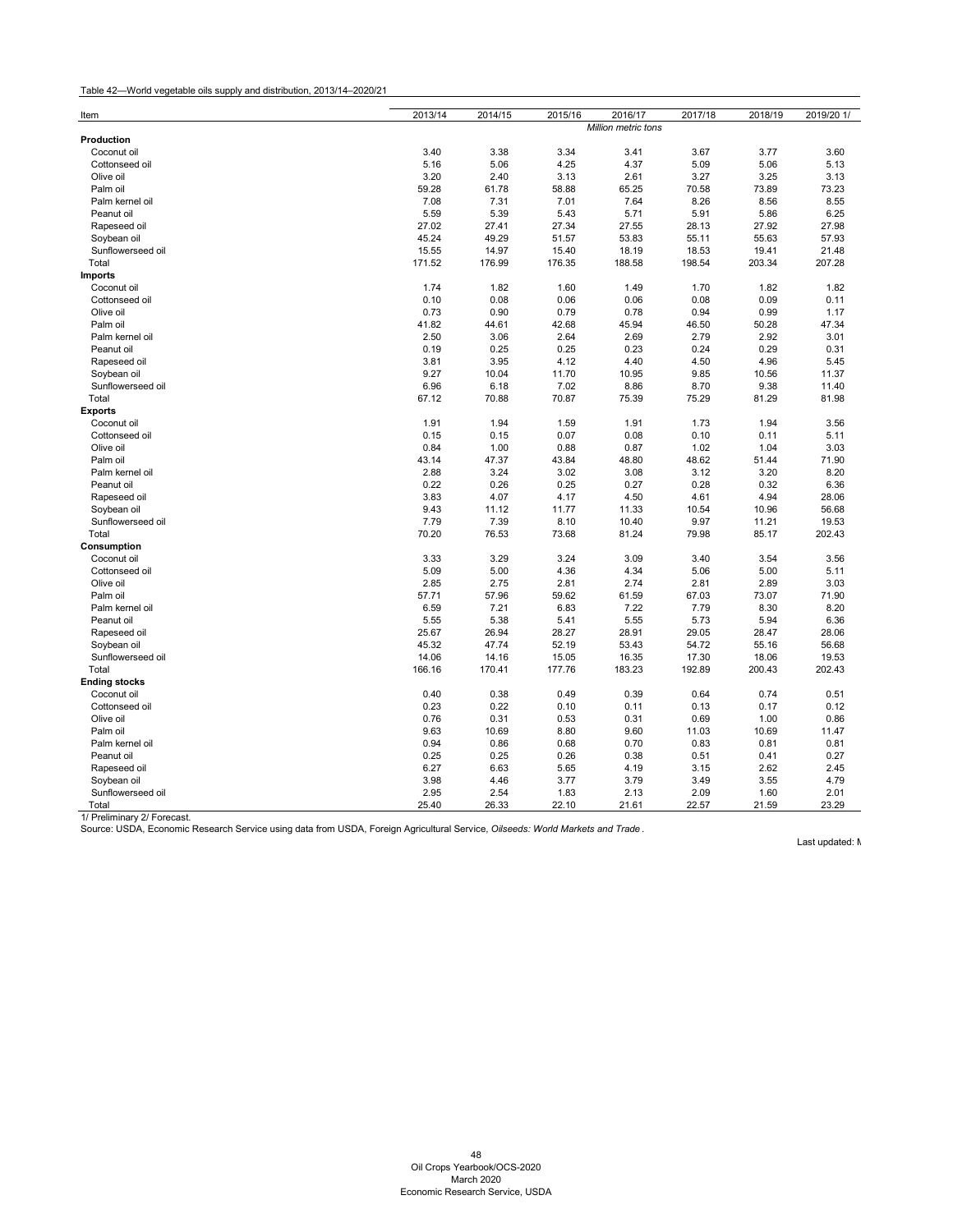Table 42—World vegetable oils supply and distribution, 2013/14–2020/21

| Item                             | 2013/14       | 2014/15       | 2015/16             | 2016/17       | 2017/18       | 2018/19       | 2019/20 1/    |
|----------------------------------|---------------|---------------|---------------------|---------------|---------------|---------------|---------------|
| Production                       |               |               | Million metric tons |               |               |               |               |
| Coconut oil                      | 3.40          |               |                     |               |               |               |               |
| Cottonseed oil                   | 5.16          | 3.38<br>5.06  | 3.34<br>4.25        | 3.41<br>4.37  | 3.67<br>5.09  | 3.77<br>5.06  | 3.60<br>5.13  |
| Olive oil                        | 3.20          |               |                     |               |               |               |               |
|                                  |               | 2.40          | 3.13                | 2.61          | 3.27          | 3.25          | 3.13          |
| Palm oil                         | 59.28<br>7.08 | 61.78         | 58.88               | 65.25         | 70.58         | 73.89         | 73.23         |
| Palm kernel oil                  |               | 7.31          | 7.01                | 7.64          | 8.26          | 8.56          | 8.55          |
| Peanut oil                       | 5.59          | 5.39          | 5.43                | 5.71          | 5.91          | 5.86          | 6.25          |
| Rapeseed oil                     | 27.02         | 27.41         | 27.34               | 27.55         | 28.13         | 27.92         | 27.98         |
| Soybean oil                      | 45.24         | 49.29         | 51.57               | 53.83         | 55.11         | 55.63         | 57.93         |
| Sunflowerseed oil                | 15.55         | 14.97         | 15.40               | 18.19         | 18.53         | 19.41         | 21.48         |
| Total                            | 171.52        | 176.99        | 176.35              | 188.58        | 198.54        | 203.34        | 207.28        |
| <b>Imports</b>                   |               |               |                     |               |               |               |               |
| Coconut oil                      | 1.74          | 1.82          | 1.60                | 1.49          | 1.70          | 1.82          | 1.82          |
| Cottonseed oil                   | 0.10          | 0.08          | 0.06                | 0.06          | 0.08          | 0.09          | 0.11          |
| Olive oil                        | 0.73          | 0.90          | 0.79                | 0.78          | 0.94          | 0.99          | 1.17          |
| Palm oil                         | 41.82         | 44.61         | 42.68               | 45.94         | 46.50         | 50.28         | 47.34         |
| Palm kernel oil                  | 2.50          | 3.06          | 2.64                | 2.69          | 2.79          | 2.92          | 3.01          |
| Peanut oil                       | 0.19          | 0.25          | 0.25                | 0.23          | 0.24          | 0.29          | 0.31          |
| Rapeseed oil                     | 3.81          | 3.95          | 4.12                | 4.40          | 4.50          | 4.96          | 5.45          |
| Soybean oil                      | 9.27          | 10.04         | 11.70               | 10.95         | 9.85          | 10.56         | 11.37         |
| Sunflowerseed oil                | 6.96          | 6.18          | 7.02                | 8.86          | 8.70          | 9.38          | 11.40         |
| Total                            | 67.12         | 70.88         | 70.87               | 75.39         | 75.29         | 81.29         | 81.98         |
| <b>Exports</b>                   |               |               |                     |               |               |               |               |
| Coconut oil                      | 1.91          | 1.94          | 1.59                | 1.91          | 1.73          | 1.94          | 3.56          |
| Cottonseed oil                   | 0.15          | 0.15          | 0.07                | 0.08          | 0.10          | 0.11          | 5.11          |
| Olive oil                        | 0.84          | 1.00          | 0.88                | 0.87          | 1.02          | 1.04          | 3.03          |
| Palm oil                         | 43.14         | 47.37         | 43.84               | 48.80         | 48.62         | 51.44         | 71.90         |
| Palm kernel oil                  | 2.88          | 3.24          | 3.02                | 3.08          | 3.12          | 3.20          | 8.20          |
| Peanut oil                       | 0.22          | 0.26          | 0.25                | 0.27          | 0.28          | 0.32          | 6.36          |
| Rapeseed oil                     | 3.83          | 4.07          | 4.17                | 4.50          | 4.61          | 4.94          | 28.06         |
| Soybean oil                      | 9.43          | 11.12         | 11.77               | 11.33         | 10.54         | 10.96         | 56.68         |
| Sunflowerseed oil                | 7.79          | 7.39          | 8.10                | 10.40         | 9.97          | 11.21         | 19.53         |
| Total                            | 70.20         | 76.53         | 73.68               | 81.24         | 79.98         | 85.17         | 202.43        |
| Consumption                      |               |               |                     |               |               |               |               |
| Coconut oil                      | 3.33          | 3.29          | 3.24                | 3.09          | 3.40          | 3.54          | 3.56          |
| Cottonseed oil                   | 5.09          | 5.00          | 4.36                | 4.34          | 5.06          | 5.00          | 5.11          |
| Olive oil                        | 2.85          | 2.75          | 2.81                | 2.74          | 2.81          | 2.89          | 3.03          |
| Palm oil                         | 57.71         | 57.96         | 59.62               | 61.59         | 67.03         | 73.07         | 71.90         |
| Palm kernel oil                  | 6.59          | 7.21          | 6.83                | 7.22          | 7.79          | 8.30          | 8.20          |
| Peanut oil                       | 5.55          | 5.38          | 5.41                | 5.55          | 5.73          | 5.94          | 6.36          |
| Rapeseed oil                     | 25.67         | 26.94         | 28.27               | 28.91         | 29.05         | 28.47         | 28.06         |
| Soybean oil                      | 45.32         | 47.74         | 52.19               | 53.43         | 54.72         | 55.16         | 56.68         |
| Sunflowerseed oil                | 14.06         | 14.16         | 15.05               | 16.35         | 17.30         | 18.06         | 19.53         |
| Total                            | 166.16        | 170.41        | 177.76              | 183.23        | 192.89        | 200.43        | 202.43        |
| <b>Ending stocks</b>             |               |               |                     |               |               |               |               |
| Coconut oil                      | 0.40          | 0.38          | 0.49                | 0.39          | 0.64          | 0.74          | 0.51          |
| Cottonseed oil                   | 0.23          | 0.22          | 0.10                | 0.11          | 0.13          | 0.17          | 0.12          |
| Olive oil                        | 0.76          | 0.31          | 0.53                | 0.31          | 0.69          | 1.00          | 0.86          |
| Palm oil                         | 9.63          | 10.69         | 8.80                | 9.60          | 11.03         | 10.69         | 11.47         |
| Palm kernel oil                  | 0.94          | 0.86          | 0.68                | 0.70          | 0.83          | 0.81          | 0.81          |
| Peanut oil                       | 0.25          | 0.25          | 0.26                | 0.38          | 0.51          | 0.41          | 0.27          |
| Rapeseed oil                     | 6.27          | 6.63          | 5.65                | 4.19          | 3.15          | 2.62          | 2.45          |
|                                  | 3.98          |               |                     |               | 3.49          |               |               |
| Soybean oil<br>Sunflowerseed oil |               | 4.46          | 3.77                | 3.79          |               | 3.55          | 4.79          |
|                                  |               |               |                     |               |               |               |               |
| Total                            | 2.95<br>25.40 | 2.54<br>26.33 | 1.83<br>22.10       | 2.13<br>21.61 | 2.09<br>22.57 | 1.60<br>21.59 | 2.01<br>23.29 |

<span id="page-49-0"></span>Source: USDA, Economic Research Service using data from USDA, Foreign Agricultural Service, *Oilseeds: World Markets and Trade* .

Last updated: N